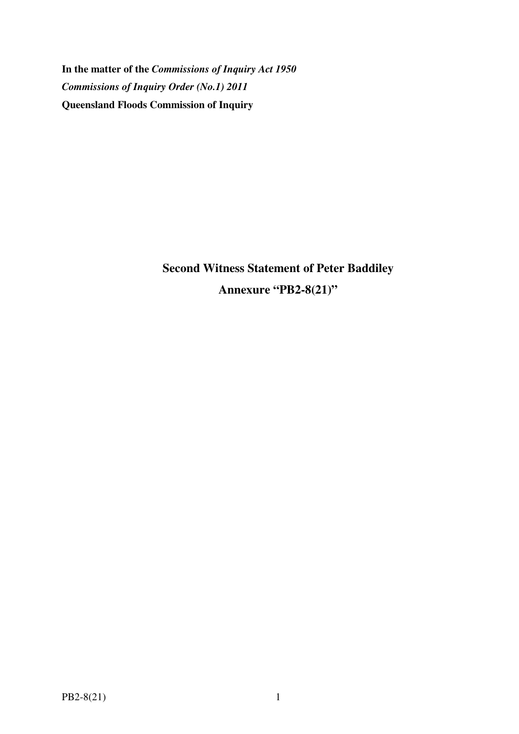**In the matter of the** *Commissions of Inquiry Act 1950 Commissions of Inquiry Order (No.1) 2011* **Queensland Floods Commission of Inquiry** 

> **Second Witness Statement of Peter Baddiley Annexure "PB2-8(21)"**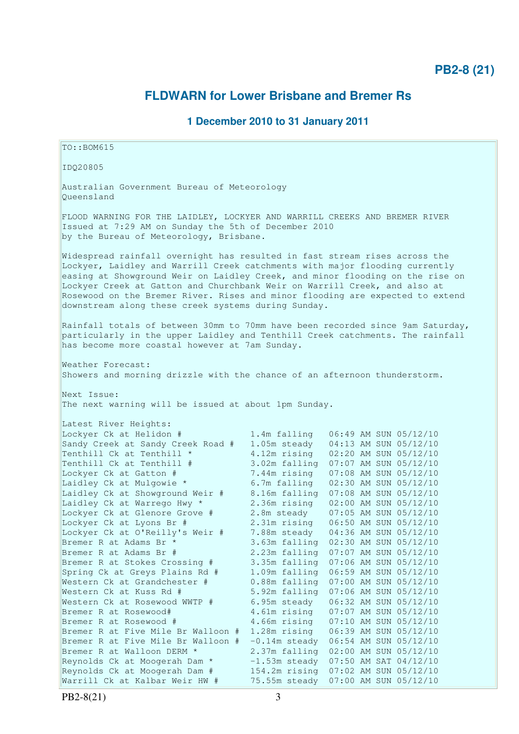# **FLDWARN for Lower Brisbane and Bremer Rs**

### **1 December 2010 to 31 January 2011**

TO::BOM615 IDQ20805 Australian Government Bureau of Meteorology Queensland FLOOD WARNING FOR THE LAIDLEY, LOCKYER AND WARRILL CREEKS AND BREMER RIVER Issued at 7:29 AM on Sunday the 5th of December 2010 by the Bureau of Meteorology, Brisbane. Widespread rainfall overnight has resulted in fast stream rises across the Lockyer, Laidley and Warrill Creek catchments with major flooding currently easing at Showground Weir on Laidley Creek, and minor flooding on the rise on Lockyer Creek at Gatton and Churchbank Weir on Warrill Creek, and also at Rosewood on the Bremer River. Rises and minor flooding are expected to extend downstream along these creek systems during Sunday. Rainfall totals of between 30mm to 70mm have been recorded since 9am Saturday, particularly in the upper Laidley and Tenthill Creek catchments. The rainfall has become more coastal however at 7am Sunday. Weather Forecast: Showers and morning drizzle with the chance of an afternoon thunderstorm. Next Issue: The next warning will be issued at about 1pm Sunday. Latest River Heights: Lockyer Ck at Helidon # 1.4m falling 06:49 AM SUN 05/12/10 Sandy Creek at Sandy Creek Road # 1.05m steady 04:13 AM SUN 05/12/10 Tenthill Ck at Tenthill  $\star$  4.12m rising 02:20 AM SUN 05/12/10 Tenthill Ck at Tenthill \*  $1.2$ m rising 02:20 AM SUN 05/12/10<br>
Tenthill Ck at Tenthill #  $3.02$ m falling 07:07 AM SUN 05/12/10<br>
Lockver Ck at Gatton # 7.44m rising 07:08 AM SUN 05/12/10 Lockyer Ck at Gatton # 7.44m rising 07:08 AM SUN 05/12/10 Laidley Ck at Mulgowie \* 6.7m falling 02:30 AM SUN 05/12/10 Laidley Ck at Mulgowie \* 6.7m falling 02:30 AM SUN 05/12/10<br>
Laidley Ck at Showground Weir # 8.16m falling 07:08 AM SUN 05/12/10<br>
Laidley Ck at Warrego Hwy \* 2.36m rising 02:00 AM SUN 05/12/10<br>
Lockyer Ck at Glenore Grove 8.10m ....<br>2.36m rising 02:00 AM SUN 05/12/10<br>2.9m steady 07:05 AM SUN 05/12/10 Lockyer Ck at Glenore Grove # 2.8m steady 07:05 AM SUN 05/12/10 Lockyer Ck at Lyons Br # 2.31m rising 06:50 AM SUN 05/12/10 Lockyer Ck at O'Reilly's Weir # 7.88m steady 04:36 AM SUN 05/12/10 Bremer R at Adams Br \* 3.63m falling 02:30 AM SUN 05/12/10 Bremer R at Adams Br # 2.23m falling 07:07 AM SUN 05/12/10 Bremer R at Stokes Crossing # 3.35m falling 07:06 AM SUN 05/12/10 Spring Ck at Greys Plains Rd # 1.09m falling 06:59 AM SUN 05/12/10 Western Ck at Grandchester # 0.88m falling 07:00 AM SUN 05/12/10 Western Ck at Kuss Rd # 5.92m falling 07:06 AM SUN 05/12/10 Western Ck at Rosewood WWTP # 6.95m steady 06:32 AM SUN 05/12/10 Bremer R at Rosewood# 4.61m rising 07:07 AM SUN 05/12/10 Bremer R at Rosewood # 4.66m rising 07:10 AM SUN 05/12/10 Bremer R at Five Mile Br Walloon # 1.28m rising 06:39 AM SUN 05/12/10 Bremer R at Five Mile Br Walloon  $# -0.14$ m steady  $06:54$  AM SUN 05/12/10 Bremer R at Walloon DERM \* 2.37m falling 02:00 AM SUN 05/12/10 Reynolds Ck at Moogerah Dam  $*$  -1.53m steady 07:50 AM SAT 04/12/10 Reynolds Ck at Moogerah Dam # 154.2m rising 07:02 AM SUN 05/12/10 Warrill Ck at Kalbar Weir HW # 75.55m steady 07:00 AM SUN 05/12/10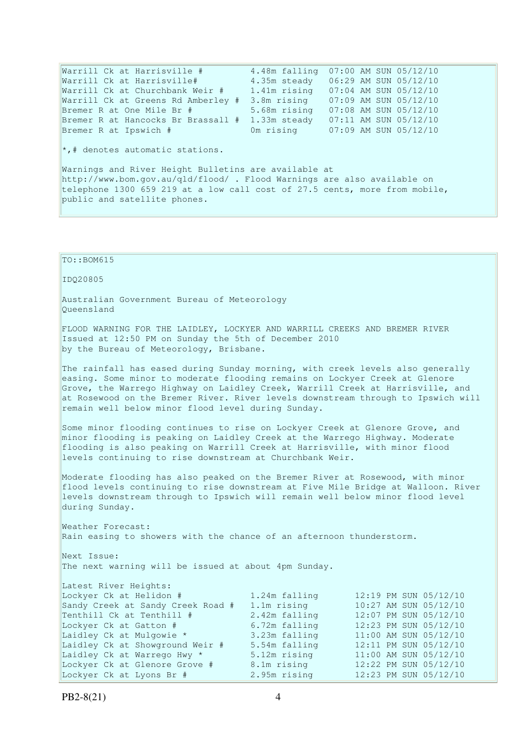Warrill Ck at Harrisville # 4.48m falling 07:00 AM SUN 05/12/10 Warrill Ck at Harrisville# 4.35m steady 06:29 AM SUN 05/12/10 Warrill Ck at Churchbank Weir # 1.41m rising 07:04 AM SUN 05/12/10 Warrill Ck at Greens Rd Amberley # 3.8m rising 07:09 AM SUN 05/12/10 Bremer R at One Mile Br # 5.68m rising 07:08 AM SUN 05/12/10 Bremer R at Hancocks Br Brassall # 1.33m steady 07:11 AM SUN 05/12/10 Bremer R at Ipswich # 0m rising 07:09 AM SUN 05/12/10 \*,# denotes automatic stations. Warnings and River Height Bulletins are available at http://www.bom.gov.au/qld/flood/ . Flood Warnings are also available on telephone 1300 659 219 at a low call cost of 27.5 cents, more from mobile, public and satellite phones.

FLOOD WARNING FOR THE LAIDLEY, LOCKYER AND WARRILL CREEKS AND BREMER RIVER

The rainfall has eased during Sunday morning, with creek levels also generally easing. Some minor to moderate flooding remains on Lockyer Creek at Glenore Grove, the Warrego Highway on Laidley Creek, Warrill Creek at Harrisville, and

PB2-8(21) 4 at Rosewood on the Bremer River. River levels downstream through to Ipswich will remain well below minor flood level during Sunday. Some minor flooding continues to rise on Lockyer Creek at Glenore Grove, and minor flooding is peaking on Laidley Creek at the Warrego Highway. Moderate flooding is also peaking on Warrill Creek at Harrisville, with minor flood levels continuing to rise downstream at Churchbank Weir. Moderate flooding has also peaked on the Bremer River at Rosewood, with minor flood levels continuing to rise downstream at Five Mile Bridge at Walloon. River levels downstream through to Ipswich will remain well below minor flood level during Sunday. Weather Forecast: Rain easing to showers with the chance of an afternoon thunderstorm. Next Issue: The next warning will be issued at about 4pm Sunday. Latest River Heights: Lockyer Ck at Helidon # 1.24m falling 12:19 PM SUN 05/12/10<br>Sandy Creek at Sandy Creek Road # 1.1m rising 10:27 AM SUN 05/12/10 Sandy Creek at Sandy Creek Road  $\#$  1.1m rising 10:27 AM SUN 05/12/10<br>Tenthill Ck at Tenthill  $\#$  2.42m falling 12:07 PM SUN 05/12/10 Tenthill Ck at Tenthill  $\#$  2.42m falling 12:07 PM SUN 05/12/10<br>Lockyer Ck at Gatton  $\#$  6.72m falling 12:23 PM SUN 05/12/10 Lockyer Ck at Gatton # 6.72m falling 12:23 PM SUN 05/12/10<br>
Laidley Ck at Mulgowie \* 3.23m falling 11:00 AM SUN 05/12/10 Laidley Ck at Mulgowie \* 3.23m falling 11:00 AM SUN 05/12/10 Laidley Ck at Showground Weir # 5.54m falling 12:11 PM SUN 05/12/10 Laidley Ck at Warrego Hwy \* 5.12m rising 11:00 AM SUN 05/12/10 Lockyer Ck at Glenore Grove # 8.1m rising 12:22 PM SUN 05/12/10 Lockyer Ck at Lyons Br # 2.95m rising 12:23 PM SUN 05/12/10

Australian Government Bureau of Meteorology

by the Bureau of Meteorology, Brisbane.

Issued at 12:50 PM on Sunday the 5th of December 2010

TO::BOM615

Queensland

IDQ20805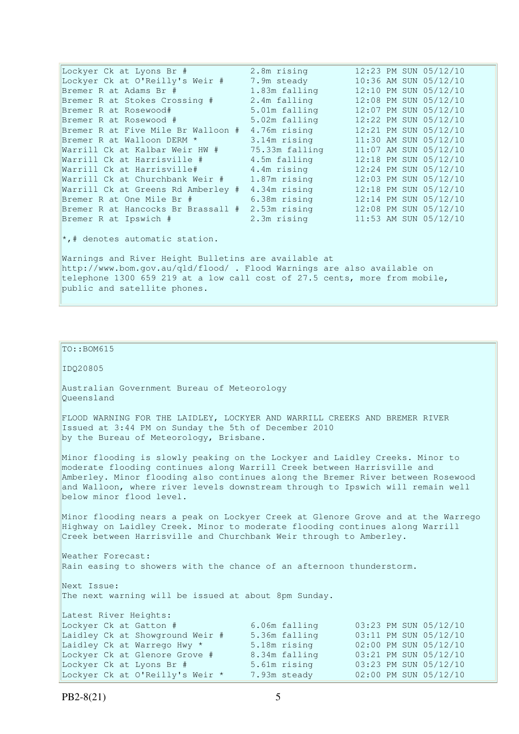Lockyer Ck at Lyons Br # 2.8m rising 12:23 PM SUN 05/12/10 Lockyer Ck at O'Reilly's Weir # 7.9m steady 10:36 AM SUN 05/12/10 Bremer R at Adams Br # 1.83m falling 12:10 PM SUN 05/12/10 Bremer R at Stokes Crossing # 2.4m falling 12:08 PM SUN 05/12/10 Bremer R at Rosewood# 5.01m falling 12:07 PM SUN 05/12/10 Bremer R at Rosewood # 5.02m falling 12:22 PM SUN 05/12/10 Bremer R at Five Mile Br Walloon # 4.76m rising 12:21 PM SUN 05/12/10 Bremer R at Walloon DERM \* 3.14m rising 11:30 AM SUN 05/12/10 Warrill Ck at Kalbar Weir HW # 75.33m falling 11:07 AM SUN 05/12/10 Warrill Ck at Kalbar well nw  $\#$   $\#$   $\#$   $\#$  4.5m falling 12:18 PM SUN 05/12/10 Warrill Ck at Harrisville# 4.4m rising 12:24 PM SUN 05/12/10 Warrill Ck at Churchbank Weir # 1.87m rising 12:03 PM SUN 05/12/10 Warrill Ck at Greens Rd Amberley # 4.34m rising 12:18 PM SUN 05/12/10 Bremer R at One Mile Br # 6.38m rising 12:14 PM SUN 05/12/10 Bremer R at Hancocks Br Brassall # 2.53m rising 12:08 PM SUN 05/12/10 Bremer R at Ipswich # 2.3m rising 11:53 AM SUN 05/12/10  $\star$ , # denotes automatic station. Warnings and River Height Bulletins are available at http://www.bom.gov.au/qld/flood/ . Flood Warnings are also available on telephone 1300 659 219 at a low call cost of 27.5 cents, more from mobile, public and satellite phones.

### TO::BOM615

IDQ20805

Australian Government Bureau of Meteorology Queensland

FLOOD WARNING FOR THE LAIDLEY, LOCKYER AND WARRILL CREEKS AND BREMER RIVER Issued at 3:44 PM on Sunday the 5th of December 2010 by the Bureau of Meteorology, Brisbane.

Minor flooding is slowly peaking on the Lockyer and Laidley Creeks. Minor to moderate flooding continues along Warrill Creek between Harrisville and Amberley. Minor flooding also continues along the Bremer River between Rosewood and Walloon, where river levels downstream through to Ipswich will remain well below minor flood level.

Minor flooding nears a peak on Lockyer Creek at Glenore Grove and at the Warrego Highway on Laidley Creek. Minor to moderate flooding continues along Warrill Creek between Harrisville and Churchbank Weir through to Amberley.

Weather Forecast: Rain easing to showers with the chance of an afternoon thunderstorm.

Next Issue: The next warning will be issued at about 8pm Sunday.

| Latest River Heights: |  |  |                                 |  |               |  |                       |
|-----------------------|--|--|---------------------------------|--|---------------|--|-----------------------|
|                       |  |  | Lockyer Ck at Gatton #          |  | 6.06m falling |  | 03:23 PM SUN 05/12/10 |
|                       |  |  | Laidley Ck at Showground Weir # |  | 5.36m falling |  | 03:11 PM SUN 05/12/10 |
|                       |  |  | Laidley Ck at Warrego Hwy *     |  | 5.18m rising  |  | 02:00 PM SUN 05/12/10 |
|                       |  |  | Lockyer Ck at Glenore Grove #   |  | 8.34m falling |  | 03:21 PM SUN 05/12/10 |
|                       |  |  | Lockyer Ck at Lyons Br #        |  | 5.61m rising  |  | 03:23 PM SUN 05/12/10 |
|                       |  |  | Lockyer Ck at O'Reilly's Weir * |  | 7.93m steady  |  | 02:00 PM SUN 05/12/10 |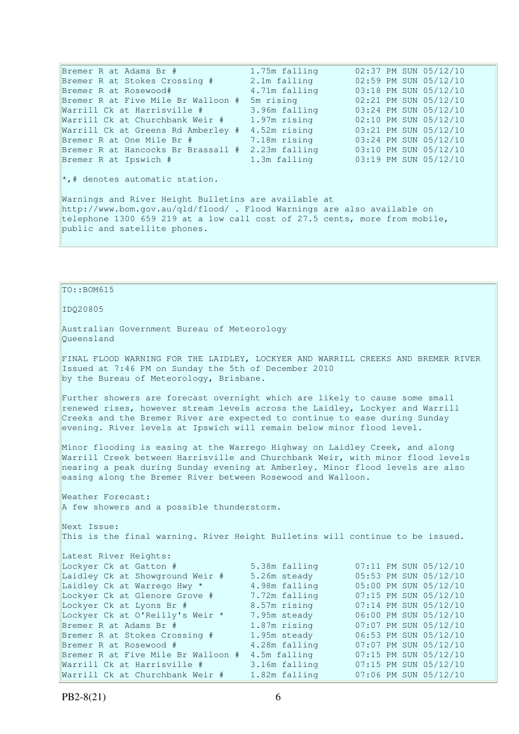Bremer R at Adams Br # 1.75m falling 02:37 PM SUN 05/12/10 Bremer R at Stokes Crossing # 2.1m falling 02:59 PM SUN 05/12/10 Bremer R at Rosewood# 4.71m falling 03:18 PM SUN 05/12/10 Bremer R at Five Mile Br Walloon # 5m rising 02:21 PM SUN 05/12/10<br>Warrill Ck at Harrisville # 3.96m falling 03:24 PM SUN 05/12/10 Warrill Ck at Harrisville  $\#$  3.96m falling Warrill Ck at Churchbank Weir # 1.97m rising 02:10 PM SUN 05/12/10 Warrill Ck at Greens Rd Amberley # 4.52m rising 03:21 PM SUN 05/12/10 Bremer R at One Mile Br # 7.18m rising 03:24 PM SUN 05/12/10 Bremer R at Hancocks Br Brassall # 2.23m falling 03:10 PM SUN 05/12/10 Bremer R at Ipswich  $\#$  1.3m falling 03:19 PM SUN 05/12/10 \*,# denotes automatic station. Warnings and River Height Bulletins are available at http://www.bom.gov.au/qld/flood/ . Flood Warnings are also available on telephone 1300 659 219 at a low call cost of 27.5 cents, more from mobile, public and satellite phones.

### TO::BOM615

### IDQ20805

Australian Government Bureau of Meteorology Queensland

FINAL FLOOD WARNING FOR THE LAIDLEY, LOCKYER AND WARRILL CREEKS AND BREMER RIVER Issued at 7:46 PM on Sunday the 5th of December 2010 by the Bureau of Meteorology, Brisbane.

Further showers are forecast overnight which are likely to cause some small renewed rises, however stream levels across the Laidley, Lockyer and Warrill Creeks and the Bremer River are expected to continue to ease during Sunday evening. River levels at Ipswich will remain below minor flood level.

Minor flooding is easing at the Warrego Highway on Laidley Creek, and along Warrill Creek between Harrisville and Churchbank Weir, with minor flood levels nearing a peak during Sunday evening at Amberley. Minor flood levels are also easing along the Bremer River between Rosewood and Walloon.

Weather Forecast: A few showers and a possible thunderstorm.

Next Issue: This is the final warning. River Height Bulletins will continue to be issued.

| Latest River Heights:              |               |                       |  |  |  |  |
|------------------------------------|---------------|-----------------------|--|--|--|--|
| Lockyer Ck at Gatton #             | 5.38m falling | 07:11 PM SUN 05/12/10 |  |  |  |  |
| Laidley Ck at Showground Weir #    | 5.26m steady  | 05:53 PM SUN 05/12/10 |  |  |  |  |
| Laidley Ck at Warrego Hwy *        | 4.98m falling | 05:00 PM SUN 05/12/10 |  |  |  |  |
| Lockyer Ck at Glenore Grove #      | 7.72m falling | 07:15 PM SUN 05/12/10 |  |  |  |  |
| Lockyer Ck at Lyons Br #           | 8.57m rising  | 07:14 PM SUN 05/12/10 |  |  |  |  |
| Lockyer Ck at O'Reilly's Weir *    | 7.95m steady  | 06:00 PM SUN 05/12/10 |  |  |  |  |
| Bremer R at Adams Br #             | 1.87m rising  | 07:07 PM SUN 05/12/10 |  |  |  |  |
| Bremer R at Stokes Crossing #      | 1.95m steady  | 06:53 PM SUN 05/12/10 |  |  |  |  |
| Bremer R at Rosewood #             | 4.28m falling | 07:07 PM SUN 05/12/10 |  |  |  |  |
| Bremer R at Five Mile Br Walloon # | 4.5m falling  | 07:15 PM SUN 05/12/10 |  |  |  |  |
| Warrill Ck at Harrisville #        | 3.16m falling | 07:15 PM SUN 05/12/10 |  |  |  |  |
| Warrill Ck at Churchbank Weir #    | 1.82m falling | 07:06 PM SUN 05/12/10 |  |  |  |  |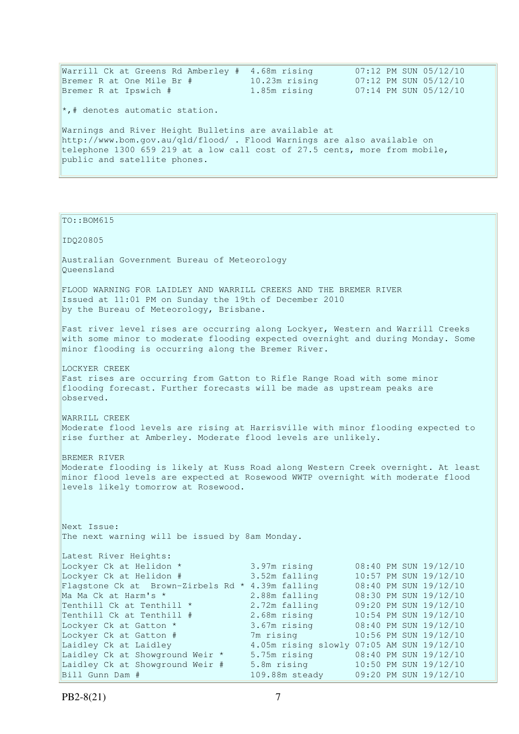| Warrill Ck at Greens Rd Amberley #                                         | 4.68m rising  | 07:12 PM SUN 05/12/10 |  |  |  |  |  |
|----------------------------------------------------------------------------|---------------|-----------------------|--|--|--|--|--|
| Bremer R at One Mile Br #                                                  | 10.23m rising | 07:12 PM SUN 05/12/10 |  |  |  |  |  |
| Bremer R at Ipswich #                                                      | 1.85m rising  | 07:14 PM SUN 05/12/10 |  |  |  |  |  |
| $\star$ ,# denotes automatic station.                                      |               |                       |  |  |  |  |  |
| Warnings and River Height Bulletins are available at                       |               |                       |  |  |  |  |  |
| http://www.bom.gov.au/qld/flood/ . Flood Warnings are also available on    |               |                       |  |  |  |  |  |
| telephone 1300 659 219 at a low call cost of 27.5 cents, more from mobile, |               |                       |  |  |  |  |  |
| public and satellite phones.                                               |               |                       |  |  |  |  |  |
|                                                                            |               |                       |  |  |  |  |  |

| TO:: BOM615                                                                                                                                                                                                                                                                                                                                                                             |                                                                                                                                                               |                                                                                                                                                                                                                                                                                                                              |
|-----------------------------------------------------------------------------------------------------------------------------------------------------------------------------------------------------------------------------------------------------------------------------------------------------------------------------------------------------------------------------------------|---------------------------------------------------------------------------------------------------------------------------------------------------------------|------------------------------------------------------------------------------------------------------------------------------------------------------------------------------------------------------------------------------------------------------------------------------------------------------------------------------|
| IDQ20805                                                                                                                                                                                                                                                                                                                                                                                |                                                                                                                                                               |                                                                                                                                                                                                                                                                                                                              |
| Australian Government Bureau of Meteorology<br>Oueensland                                                                                                                                                                                                                                                                                                                               |                                                                                                                                                               |                                                                                                                                                                                                                                                                                                                              |
| FLOOD WARNING FOR LAIDLEY AND WARRILL CREEKS AND THE BREMER RIVER<br>Issued at 11:01 PM on Sunday the 19th of December 2010<br>by the Bureau of Meteorology, Brisbane.                                                                                                                                                                                                                  |                                                                                                                                                               |                                                                                                                                                                                                                                                                                                                              |
| Fast river level rises are occurring along Lockyer, Western and Warrill Creeks<br>with some minor to moderate flooding expected overnight and during Monday. Some<br>minor flooding is occurring along the Bremer River.                                                                                                                                                                |                                                                                                                                                               |                                                                                                                                                                                                                                                                                                                              |
| LOCKYER CREEK<br>Fast rises are occurring from Gatton to Rifle Range Road with some minor<br>flooding forecast. Further forecasts will be made as upstream peaks are<br>observed.                                                                                                                                                                                                       |                                                                                                                                                               |                                                                                                                                                                                                                                                                                                                              |
| WARRILL CREEK<br>Moderate flood levels are rising at Harrisville with minor flooding expected to<br>rise further at Amberley. Moderate flood levels are unlikely.                                                                                                                                                                                                                       |                                                                                                                                                               |                                                                                                                                                                                                                                                                                                                              |
| BREMER RIVER<br>Moderate flooding is likely at Kuss Road along Western Creek overnight. At least<br>minor flood levels are expected at Rosewood WWTP overnight with moderate flood<br>levels likely tomorrow at Rosewood.                                                                                                                                                               |                                                                                                                                                               |                                                                                                                                                                                                                                                                                                                              |
| Next Issue:<br>The next warning will be issued by 8am Monday.                                                                                                                                                                                                                                                                                                                           |                                                                                                                                                               |                                                                                                                                                                                                                                                                                                                              |
| Latest River Heights:<br>Lockyer Ck at Helidon *<br>Lockyer Ck at Helidon #<br>Flagstone Ck at Brown-Zirbels Rd * 4.39m falling<br>Ma Ma Ck at Harm's *<br>Tenthill Ck at Tenthill *<br>Tenthill Ck at Tenthill #<br>Lockyer Ck at Gatton *<br>Lockyer Ck at Gatton #<br>Laidley Ck at Laidley<br>Laidley Ck at Showground Weir *<br>Laidley Ck at Showground Weir #<br>Bill Gunn Dam # | 3.97m rising<br>3.52m falling<br>2.88m falling<br>2.72m falling<br>2.68m rising<br>3.67m rising<br>7m rising<br>5.75m rising<br>5.8m rising<br>109.88m steady | 08:40 PM SUN 19/12/10<br>10:57 PM SUN 19/12/10<br>08:40 PM SUN 19/12/10<br>08:30 PM SUN 19/12/10<br>09:20 PM SUN 19/12/10<br>10:54 PM SUN 19/12/10<br>08:40 PM SUN 19/12/10<br>10:56 PM SUN 19/12/10<br>4.05m rising slowly 07:05 AM SUN 19/12/10<br>08:40 PM SUN 19/12/10<br>10:50 PM SUN 19/12/10<br>09:20 PM SUN 19/12/10 |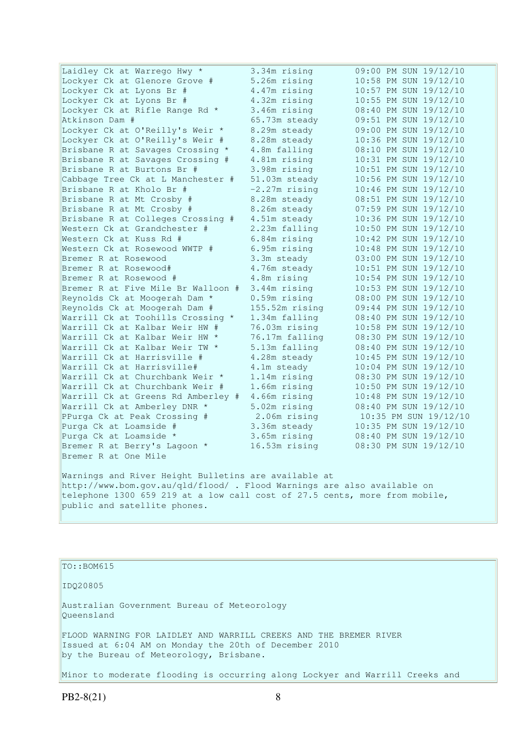| Laidley Ck at Warrego Hwy *                                                | 3.34m rising    | 09:00 PM SUN 19/12/10 |
|----------------------------------------------------------------------------|-----------------|-----------------------|
| Lockyer Ck at Glenore Grove #                                              | 5.26m rising    | 10:58 PM SUN 19/12/10 |
| Lockyer Ck at Lyons Br #                                                   | 4.47m rising    | 10:57 PM SUN 19/12/10 |
| Lockyer Ck at Lyons Br #                                                   | 4.32m rising    | 10:55 PM SUN 19/12/10 |
| Lockyer Ck at Rifle Range Rd *                                             | 3.46m rising    | 08:40 PM SUN 19/12/10 |
| Atkinson Dam #                                                             | 65.73m steady   | 09:51 PM SUN 19/12/10 |
| Lockyer Ck at O'Reilly's Weir *                                            | 8.29m steady    | 09:00 PM SUN 19/12/10 |
| Lockyer Ck at O'Reilly's Weir #                                            | 8.28m steady    | 10:36 PM SUN 19/12/10 |
| Brisbane R at Savages Crossing *                                           | 4.8m falling    | 08:10 PM SUN 19/12/10 |
| Brisbane R at Savages Crossing #                                           | 4.81m rising    | 10:31 PM SUN 19/12/10 |
| Brisbane R at Burtons Br #                                                 | 3.98m rising    | 10:51 PM SUN 19/12/10 |
| Cabbage Tree Ck at L Manchester #                                          | 51.03m steady   | 10:56 PM SUN 19/12/10 |
| Brisbane R at Kholo Br #                                                   | $-2.27m$ rising | 10:46 PM SUN 19/12/10 |
| Brisbane R at Mt Crosby #                                                  | 8.28m steady    | 08:51 PM SUN 19/12/10 |
| Brisbane R at Mt Crosby #                                                  | 8.26m steady    | 07:59 PM SUN 19/12/10 |
| Brisbane R at Colleges Crossing #                                          | 4.51m steady    | 10:36 PM SUN 19/12/10 |
| Western Ck at Grandchester #                                               | 2.23m falling   | 10:50 PM SUN 19/12/10 |
| Western Ck at Kuss Rd #                                                    | 6.84m rising    | 10:42 PM SUN 19/12/10 |
| Western Ck at Rosewood WWTP #                                              | 6.95m rising    | 10:48 PM SUN 19/12/10 |
| Bremer R at Rosewood                                                       | 3.3m steady     | 03:00 PM SUN 19/12/10 |
| Bremer R at Rosewood#                                                      | 4.76m steady    | 10:51 PM SUN 19/12/10 |
| Bremer R at Rosewood #                                                     | 4.8m rising     | 10:54 PM SUN 19/12/10 |
| Bremer R at Five Mile Br Walloon #                                         | 3.44m rising    | 10:53 PM SUN 19/12/10 |
| Reynolds Ck at Moogerah Dam *                                              | 0.59m rising    | 08:00 PM SUN 19/12/10 |
| Reynolds Ck at Moogerah Dam #                                              | 155.52m rising  | 09:44 PM SUN 19/12/10 |
| Warrill Ck at Toohills Crossing *                                          | 1.34m falling   | 08:40 PM SUN 19/12/10 |
| Warrill Ck at Kalbar Weir HW #                                             | 76.03m rising   | 10:58 PM SUN 19/12/10 |
| Warrill Ck at Kalbar Weir HW *                                             | 76.17m falling  | 08:30 PM SUN 19/12/10 |
| Warrill Ck at Kalbar Weir TW *                                             | 5.13m falling   | 08:40 PM SUN 19/12/10 |
| Warrill Ck at Harrisville #                                                | 4.28m steady    | 10:45 PM SUN 19/12/10 |
| Warrill Ck at Harrisville#                                                 | 4.1m steady     | 10:04 PM SUN 19/12/10 |
| Warrill Ck at Churchbank Weir *                                            | 1.14m rising    | 08:30 PM SUN 19/12/10 |
| Warrill Ck at Churchbank Weir #                                            | 1.66m rising    | 10:50 PM SUN 19/12/10 |
| Warrill Ck at Greens Rd Amberley #                                         | 4.66m rising    | 10:48 PM SUN 19/12/10 |
| Warrill Ck at Amberley DNR *                                               | 5.02m rising    | 08:40 PM SUN 19/12/10 |
| PPurga Ck at Peak Crossing #                                               | 2.06m rising    | 10:35 PM SUN 19/12/10 |
| Purga Ck at Loamside #                                                     | 3.36m steady    | 10:35 PM SUN 19/12/10 |
| Purga Ck at Loamside *                                                     | 3.65m rising    | 08:40 PM SUN 19/12/10 |
| Bremer R at Berry's Lagoon *                                               | 16.53m rising   | 08:30 PM SUN 19/12/10 |
| Bremer R at One Mile                                                       |                 |                       |
| Warnings and River Height Bulletins are available at                       |                 |                       |
| http://www.bom.gov.au/qld/flood/ . Flood Warnings are also available on    |                 |                       |
| telephone 1300 659 219 at a low call cost of 27.5 cents, more from mobile, |                 |                       |
| public and satellite phones.                                               |                 |                       |

TO::BOM615

IDQ20805

Australian Government Bureau of Meteorology Queensland

FLOOD WARNING FOR LAIDLEY AND WARRILL CREEKS AND THE BREMER RIVER Issued at 6:04 AM on Monday the 20th of December 2010 by the Bureau of Meteorology, Brisbane.

Minor to moderate flooding is occurring along Lockyer and Warrill Creeks and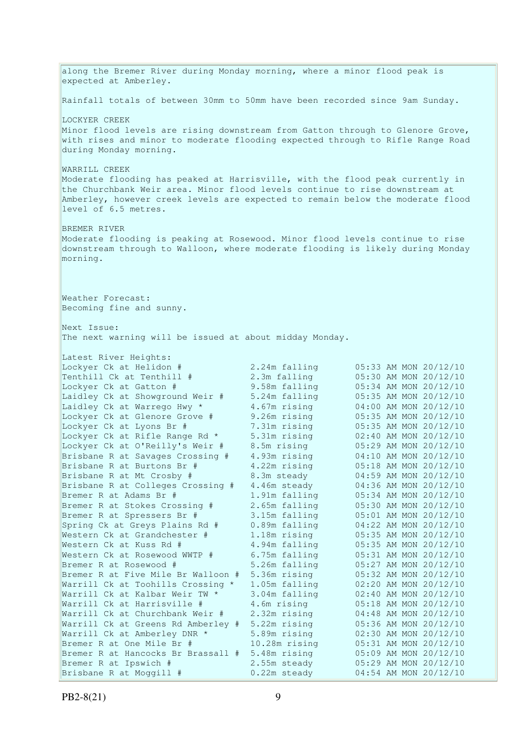along the Bremer River during Monday morning, where a minor flood peak is expected at Amberley. Rainfall totals of between 30mm to 50mm have been recorded since 9am Sunday. LOCKYER CREEK Minor flood levels are rising downstream from Gatton through to Glenore Grove, with rises and minor to moderate flooding expected through to Rifle Range Road during Monday morning. WARRILL CREEK Moderate flooding has peaked at Harrisville, with the flood peak currently in the Churchbank Weir area. Minor flood levels continue to rise downstream at Amberley, however creek levels are expected to remain below the moderate flood level of 6.5 metres. BREMER RIVER Moderate flooding is peaking at Rosewood. Minor flood levels continue to rise downstream through to Walloon, where moderate flooding is likely during Monday morning. Weather Forecast: Becoming fine and sunny. Next Issue: The next warning will be issued at about midday Monday. Latest River Heights: Lockyer Ck at Helidon # 2.24m falling 05:33 AM MON 20/12/10 Tenthill Ck at Tenthill # 2.3m falling 05:30 AM MON 20/12/10 Lockyer Ck at Gatton # 9.58m falling 05:34 AM MON 20/12/10 Laidley Ck at Showground Weir # 5.24m falling 05:35 AM MON 20/12/10 Laidley Ck at Warrego Hwy \* 4.67m rising 04:00 AM MON 20/12/10 Lockyer Ck at Glenore Grove # 9.26m rising 05:35 AM MON 20/12/10 Lockyer Ck at Lyons Br # 7.31m rising 05:35 AM MON 20/12/10 Lockyer Ck at Rifle Range Rd \* 5.31m rising 02:40 AM MON 20/12/10 Lockyer Ck at O'Reilly's Weir # 8.5m rising 05:29 AM MON 20/12/10 Brisbane R at Savages Crossing # 4.93m rising 04:10 AM MON 20/12/10 Brisbane R at Burtons Br #  $4.22$ m rising 05:18 AM MON 20/12/10 Brisbane R at Mt Crosby # 8.3m steady 04:59 AM MON 20/12/10 Brisbane R at Colleges Crossing # 4.46m steady 04:36 AM MON 20/12/10 Bremer R at Adams Br # 1.91m falling 05:34 AM MON 20/12/10 Bremer R at Stokes Crossing # 2.65m falling 05:30 AM MON 20/12/10 Bremer R at Spressers Br # 3.15m falling 05:01 AM MON 20/12/10 Spring Ck at Greys Plains Rd # 0.89m falling 04:22 AM MON 20/12/10 Western Ck at Grandchester # 1.18m rising 05:35 AM MON 20/12/10 Western Ck at Kuss Rd # 4.94m falling 05:35 AM MON 20/12/10 Western Ck at Rosewood WWTP # 6.75m falling 05:31 AM MON 20/12/10 Bremer R at Rosewood # 5.26m falling 05:27 AM MON 20/12/10 Bremer R at Five Mile Br Walloon # 5.36m rising 05:32 AM MON 20/12/10 Warrill Ck at Toohills Crossing \* 1.05m falling 02:20 AM MON 20/12/10 Warrill Ck at Kalbar Weir TW \* 3.04m falling 02:40 AM MON 20/12/10 Warrill Ck at Harrisville # 4.6m rising 05:18 AM MON 20/12/10 Warrill Ck at Churchbank Weir # 2.32m rising 04:48 AM MON 20/12/10 Warrill Ck at Greens Rd Amberley # 5.22m rising 05:36 AM MON 20/12/10 Warrill Ck at Amberley DNR \* 5.89m rising 02:30 AM MON 20/12/10 Warrill Ck at Amberley DNR \* 5.89m rising 02:30 AM MON 20/12/10<br>Bremer R at One Mile Br # 10.28m rising 05:31 AM MON 20/12/10 Bremer R at Hancocks Br Brassall # 5.48m rising 05:09 AM MON 20/12/10 Bremer R at Ipswich # 2.55m steady 05:29 AM MON 20/12/10 Brisbane R at Moggill # 0.22m steady 04:54 AM MON 20/12/10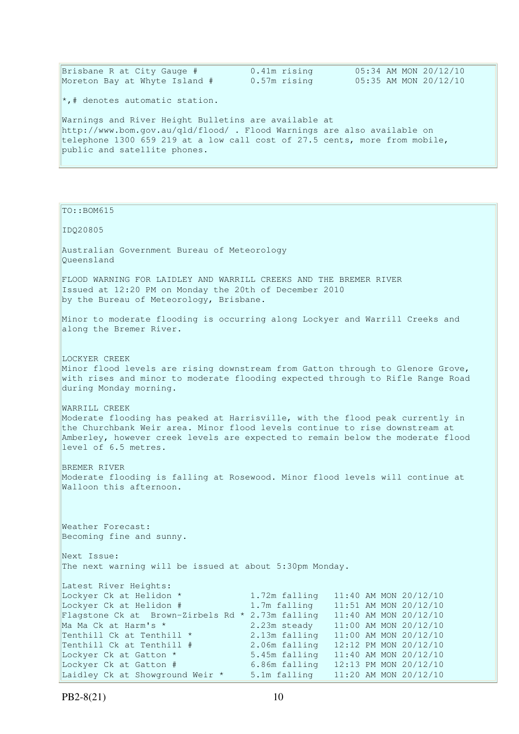| Brisbane R at City Gauge #    | 0.41m rising | 05:34 AM MON 20/12/10 |
|-------------------------------|--------------|-----------------------|
| Moreton Bay at Whyte Island # | 0.57m rising | 05:35 AM MON 20/12/10 |

\*,# denotes automatic station.

Warnings and River Height Bulletins are available at http://www.bom.gov.au/qld/flood/ . Flood Warnings are also available on telephone 1300 659 219 at a low call cost of 27.5 cents, more from mobile, public and satellite phones.

TO::BOM615 IDQ20805 Australian Government Bureau of Meteorology Queensland FLOOD WARNING FOR LAIDLEY AND WARRILL CREEKS AND THE BREMER RIVER Issued at 12:20 PM on Monday the 20th of December 2010 by the Bureau of Meteorology, Brisbane. Minor to moderate flooding is occurring along Lockyer and Warrill Creeks and along the Bremer River. LOCKYER CREEK Minor flood levels are rising downstream from Gatton through to Glenore Grove, with rises and minor to moderate flooding expected through to Rifle Range Road during Monday morning. WARRILL CREEK Moderate flooding has peaked at Harrisville, with the flood peak currently in the Churchbank Weir area. Minor flood levels continue to rise downstream at Amberley, however creek levels are expected to remain below the moderate flood level of 6.5 metres. BREMER RIVER Moderate flooding is falling at Rosewood. Minor flood levels will continue at Walloon this afternoon. Weather Forecast: Becoming fine and sunny. Next Issue: The next warning will be issued at about 5:30pm Monday. Latest River Heights:<br>Lockyer Ck at Helidon \* 1.72m falling 11:40 AM MON 20/12/10<br>1.7m falling 11:51 AM MON 20/12/10 Lockyer Ck at Helidon  $#$  1.7m falling Flagstone Ck at Brown-Zirbels Rd \* 2.73m falling  $11:40$  AM MON 20/12/10<br>Ma Ma Ck at Harm's \*  $2.23$ m steady  $11:00$  AM MON 20/12/10 Ma Ma Ck at Harm's \* 2.23m steady 11:00 AM MON 20/12/10 Tenthill Ck at Tenthill \*  $2.13$ m falling  $11:00$  AM MON 20/12/10<br>Tenthill Ck at Tenthill #  $2.06$ m falling  $12:12$  PM MON 20/12/10 Tenthill Ck at Tenthill # 2.06m falling 12:12 PM MON 20/12/10 Lockyer Ck at Gatton \* 5.45m falling 11:40 AM MON 20/12/10 Lockyer Ck at Gatton # 6.86m falling 12:13 PM MON 20/12/10

Laidley Ck at Showground Weir  $*$  5.1m falling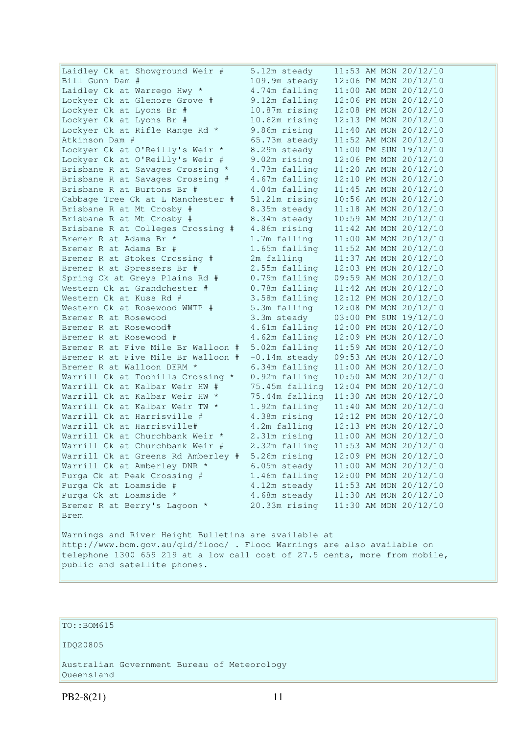Laidley Ck at Showground Weir # 5.12m steady 11:53 AM MON 20/12/10 Bill Gunn Dam # 109.9m steady 12:06 PM MON 20/12/10 Laidley Ck at Warrego Hwy \* 4.74m falling 11:00 AM MON 20/12/10 Lockyer Ck at Glenore Grove # 9.12m falling 12:06 PM MON 20/12/10 Lockyer Ck at Lyons Br # 10.87m rising 12:08 PM MON 20/12/10<br>Lockyer Ck at Lyons Br # 10.62m rising 12:13 PM MON 20/12/10 10.62m rising 12:13 PM MON 20/12/10 Lockyer Ck at Rifle Range Rd \* 9.86m rising 11:40 AM MON 20/12/10 Atkinson Dam # 65.73m steady 11:52 AM MON 20/12/10<br>Lockver Ck at O'Reilly's Weir \* 8.29m steady 11:00 PM SUN 19/12/10 Lockyer Ck at O'Reilly's Weir \* 8.29m steady<br>Lockyer Ck at O'Reilly's Weir # 9.02m rising Lockyer Ck at O'Reilly's Weir # 0.25m steady 11:00 PM SON 19/12/10<br>Lockyer Ck at O'Reilly's Weir # 9.02m rising 12:06 PM MON 20/12/10<br>Brisbane R at Savages Crossing \* 4.73m falling 11:20 AM MON 20/12/10 4.73m falling 11:20 AM MON 20/12/10 Brisbane R at Savages Crossing # 4.67m falling 12:10 PM MON 20/12/10<br>Brisbane R at Burtons Br # 4.04m falling 11:45 AM MON 20/12/10 4.04m falling 11:45 AM MON 20/12/10 Cabbage Tree Ck at L Manchester # 51.21m rising 10:56 AM MON 20/12/10<br>Brisbane R at Mt Crosby # 8.35m steady 11:18 AM MON 20/12/10<br>Brisbane R at Mt Crosby # 8.34m steady 10:59 AM MON 20/12/10 Brisbane R at Mt Crosby # 8.35m steady 11:18 AM MON 20/12/10 Brisbane R at Mt Crosby # 8.34m steady 10:59 AM MON 20/12/10 Brisbane R at Colleges Crossing # 4.86m rising 11:42 AM MON 20/12/10 Bremer R at Adams Br \* 1.7m falling 11:42 AM MON 20/12/10<br>Bremer R at Adams Br \* 1.7m falling 11:00 AM MON 20/12/10<br>Bremer R at Adams Br # 1.65m falling 11:52 AM MON 20/12/10 1.65m falling 11:52 AM MON 20/12/10<br>2m falling 11:37 AM MON 20/12/10 Bremer R at Stokes Crossing  $#$ Bremer R at Spressers Br # 2.55m falling 12:03 PM MON 20/12/10 Spring Ck at Greys Plains Rd # 0.79m falling 09:59 AM MON 20/12/10 Western Ck at Grandchester # 0.78m falling 11:42 AM MON 20/12/10 Western Ck at Kuss Rd # 3.58m falling 12:12 PM MON 20/12/10 Western Ck at Rosewood WWTP # 5.3m falling 12:08 PM MON 20/12/10<br>Western Ck at Rosewood WWTP # 5.3m falling 12:08 PM MON 20/12/10 Bremer R at Rosewood 3.3m steady 03:00 PM SUN 19/12/10 Bremer R at Rosewood# 4.61m falling 12:00 PM MON 20/12/10 Bremer R at Rosewood # 4.62m falling 12:09 PM MON 20/12/10 Bremer R at Five Mile Br Walloon # 5.02m falling 11:59 AM MON 20/12/10 Bremer R at Five Mile Br Walloon  $# -0.14$ m steady 09:53 AM MON 20/12/10 Bremer R at Walloon DERM \* 6.34m falling 11:00 AM MON 20/12/10 Warrill Ck at Toohills Crossing \* 0.92m falling 10:50 AM MON 20/12/10 Warrill Ck at 10011115 Crossing<br>Warrill Ck at Kalbar Weir HW # 75.45m falling 12:04 PM MON 20/12/10 Warrill Ck at Kalbar Weir HW \* 75.44m falling 11:30 AM MON 20/12/10 Warrill Ck at Kalbar Weir TW \*  $1.92$ m falling  $11:40$  AM MON 20/12/10<br>Warrill Ck at Harrisville #  $4.38$ m rising  $12:12$  PM MON 20/12/10 4.38m rising 12:12 PM MON 20/12/10 Warrill Ck at Harrisville# 4.2m falling 12:13 PM MON 20/12/10 Warrill Ck at Churchbank Weir \* 2.31m rising 11:00 AM MON 20/12/10 Warrill Ck at Churchbank Weir # 2.32m falling 11:53 AM MON 20/12/10 Warrill Ck at Greens Rd Amberley # 5.26m rising 12:09 PM MON 20/12/10 Warrill Ck at Amberley DNR  $*$  6.05m steady 11:00 AM MON 20/12/10 Purga Ck at Peak Crossing # 1.46m falling 12:00 PM MON 20/12/10 Purga Ck at Loamside # 4.12m steady 11:53 AM MON 20/12/10 Purga Ck at Loamside \* 4.68m steady 11:30 AM MON 20/12/10 Bremer R at Berry's Lagoon \* 20.33m rising 11:30 AM MON 20/12/10 Brem Warnings and River Height Bulletins are available at http://www.bom.gov.au/qld/flood/ . Flood Warnings are also available on telephone 1300 659 219 at a low call cost of 27.5 cents, more from mobile,

```
TO::BOM615
```
public and satellite phones.

IDQ20805

Australian Government Bureau of Meteorology Queensland

PB2-8(21) 11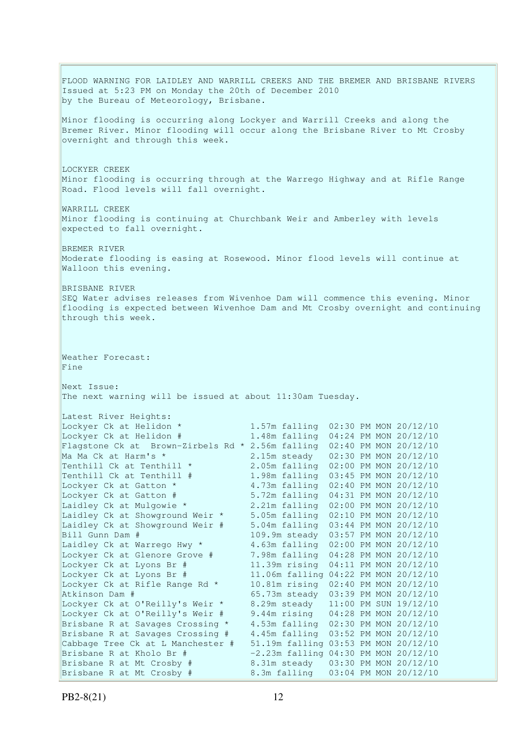FLOOD WARNING FOR LAIDLEY AND WARRILL CREEKS AND THE BREMER AND BRISBANE RIVERS Issued at 5:23 PM on Monday the 20th of December 2010 by the Bureau of Meteorology, Brisbane. Minor flooding is occurring along Lockyer and Warrill Creeks and along the Bremer River. Minor flooding will occur along the Brisbane River to Mt Crosby overnight and through this week. LOCKYER CREEK Minor flooding is occurring through at the Warrego Highway and at Rifle Range Road. Flood levels will fall overnight. WARRILL CREEK Minor flooding is continuing at Churchbank Weir and Amberley with levels expected to fall overnight. BREMER RIVER Moderate flooding is easing at Rosewood. Minor flood levels will continue at Walloon this evening. BRISBANE RIVER SEQ Water advises releases from Wivenhoe Dam will commence this evening. Minor flooding is expected between Wivenhoe Dam and Mt Crosby overnight and continuing through this week. Weather Forecast: Fine Next Issue: The next warning will be issued at about 11:30am Tuesday. Latest River Heights:<br>Lockyer Ck at Helidon \* Lockyer Ck at Helidon \* 1.57m falling 02:30 PM MON 20/12/10 Lockyer Ck at Helidon # 1.48m falling 04:24 PM MON 20/12/10 Flagstone Ck at Brown-Zirbels Rd \* 2.56m falling 02:40 PM MON 20/12/10 Ma Ma Ck at Harm's \* 2.15m steady 02:30 PM MON 20/12/10 Tenthill Ck at Tenthill  $\star$  2.05m falling 02:00 PM MON 20/12/10 Tenthill Ck at Tenthill # 1.98m falling 03:45 PM MON 20/12/10 Lockyer Ck at Gatton \* 4.73m falling 02:40 PM MON 20/12/10 Lockyer Ck at Gatton # 5.72m falling 04:31 PM MON 20/12/10 Laidley Ck at Mulgowie \* 2.21m falling 02:00 PM MON 20/12/10 Laidley Ck at Showground Weir \* 5.05m falling 02:10 PM MON 20/12/10 Laidley Ck at Showground Weir # 5.04m falling 03:44 PM MON 20/12/10 Bill Gunn Dam # 109.9m steady 03:57 PM MON 20/12/10 Laidley Ck at Warrego Hwy \* 4.63m falling 02:00 PM MON 20/12/10<br>Lockyer Ck at Glenore Grove # 7.98m falling 04:28 PM MON 20/12/10 7.98m falling 04:28 PM MON 20/12/10 Lockyer Ck at Lyons Br # 11.39m rising 04:11 PM MON 20/12/10 Lockyer Ck at Lyons Br # 11.06m falling 04:22 PM MON 20/12/10 Lockyer Ck at Rifle Range Rd \* 10.81m rising 02:40 PM MON 20/12/10 Atkinson Dam # 65.73m steady 03:39 PM MON 20/12/10 Lockyer Ck at O'Reilly's Weir \* 8.29m steady 11:00 PM SUN 19/12/10 Lockyer Ck at O'Reilly's Weir # 9.44m rising 04:28 PM MON 20/12/10 Brisbane R at Savages Crossing \* 4.53m falling 02:30 PM MON 20/12/10 Brisbane R at Savages Crossing # 4.45m falling 03:52 PM MON 20/12/10 Cabbage Tree Ck at L Manchester # 51.19m falling 03:53 PM MON 20/12/10 Brisbane R at Kholo Br # -2.23m falling 04:30 PM MON 20/12/10 Brisbane R at Mt Crosby # 8.31m steady 03:30 PM MON 20/12/10 Brisbane R at Mt Crosby # 8.3m falling 03:04 PM MON 20/12/10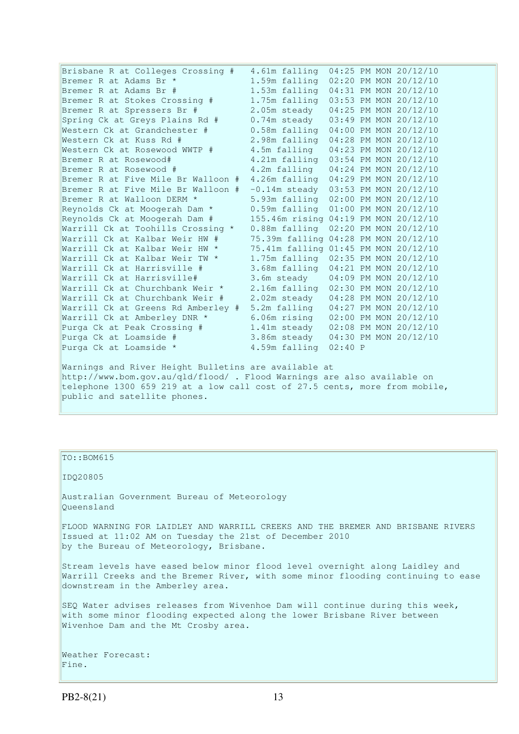| Brisbane R at Colleges Crossing #                                                                                               | 4.61m falling                          |         |  |  | 04:25 PM MON 20/12/10 |
|---------------------------------------------------------------------------------------------------------------------------------|----------------------------------------|---------|--|--|-----------------------|
| Bremer R at Adams Br *                                                                                                          | 1.59m falling 02:20 PM MON 20/12/10    |         |  |  |                       |
| Bremer R at Adams Br #                                                                                                          | 1.53m falling 04:31 PM MON 20/12/10    |         |  |  |                       |
| Bremer R at Stokes Crossing #                                                                                                   | 1.75m falling                          |         |  |  | 03:53 PM MON 20/12/10 |
| Bremer R at Spressers Br #                                                                                                      | 2.05m steady                           |         |  |  | 04:25 PM MON 20/12/10 |
| Spring Ck at Greys Plains Rd #                                                                                                  | 0.74m steady                           |         |  |  | 03:49 PM MON 20/12/10 |
| Western Ck at Grandchester #                                                                                                    | 0.58m falling                          |         |  |  | 04:00 PM MON 20/12/10 |
| Western Ck at Kuss Rd #                                                                                                         | 2.98m falling                          |         |  |  | 04:28 PM MON 20/12/10 |
| Western Ck at Rosewood WWTP #                                                                                                   | 4.5m falling                           |         |  |  | 04:23 PM MON 20/12/10 |
| Bremer R at Rosewood#                                                                                                           | 4.21m falling                          |         |  |  | 03:54 PM MON 20/12/10 |
| Bremer R at Rosewood #                                                                                                          | 4.2m falling                           |         |  |  | 04:24 PM MON 20/12/10 |
| Bremer R at Five Mile Br Walloon #                                                                                              | 4.26m falling 04:29 PM MON 20/12/10    |         |  |  |                       |
| Bremer R at Five Mile Br Walloon #                                                                                              | $-0.14$ m steady 03:53 PM MON 20/12/10 |         |  |  |                       |
| Bremer R at Walloon DERM *                                                                                                      | 5.93m falling 02:00 PM MON 20/12/10    |         |  |  |                       |
| Reynolds Ck at Moogerah Dam *                                                                                                   | 0.59m falling                          |         |  |  | 01:00 PM MON 20/12/10 |
| Reynolds Ck at Moogerah Dam #                                                                                                   | 155.46m rising 04:19 PM MON 20/12/10   |         |  |  |                       |
| Warrill Ck at Toohills Crossing *                                                                                               | 0.88m falling                          |         |  |  | 02:20 PM MON 20/12/10 |
| Warrill Ck at Kalbar Weir HW #                                                                                                  | 75.39m falling                         |         |  |  | 04:28 PM MON 20/12/10 |
| Warrill Ck at Kalbar Weir HW *                                                                                                  | 75.41m falling 01:45 PM MON 20/12/10   |         |  |  |                       |
| Warrill Ck at Kalbar Weir TW *                                                                                                  | 1.75m falling                          |         |  |  | 02:35 PM MON 20/12/10 |
| Warrill Ck at Harrisville #                                                                                                     | 3.68m falling                          |         |  |  | 04:21 PM MON 20/12/10 |
| Warrill Ck at Harrisville#                                                                                                      | 3.6m steady                            |         |  |  | 04:09 PM MON 20/12/10 |
| Warrill Ck at Churchbank Weir *                                                                                                 | 2.16m falling                          |         |  |  | 02:30 PM MON 20/12/10 |
| Warrill Ck at Churchbank Weir #                                                                                                 | 2.02m steady                           |         |  |  | 04:28 PM MON 20/12/10 |
| Warrill Ck at Greens Rd Amberley #                                                                                              | 5.2m falling                           |         |  |  | 04:27 PM MON 20/12/10 |
| Warrill Ck at Amberley DNR *                                                                                                    | 6.06m rising                           |         |  |  | 02:00 PM MON 20/12/10 |
| Purga Ck at Peak Crossing #                                                                                                     | 1.41m steady                           |         |  |  | 02:08 PM MON 20/12/10 |
| Purga Ck at Loamside #                                                                                                          | 3.86m steady                           |         |  |  | 04:30 PM MON 20/12/10 |
| Purga Ck at Loamside *                                                                                                          | 4.59m falling                          | 02:40 P |  |  |                       |
| Warnings and River Height Bulletins are available at<br>http://www.bom.qov.au/qld/flood/ . Flood Warnings are also available on |                                        |         |  |  |                       |

telephone 1300 659 219 at a low call cost of 27.5 cents, more from mobile, public and satellite phones.

### $\vert$ TO::BOM615

IDQ20805

Australian Government Bureau of Meteorology Queensland

FLOOD WARNING FOR LAIDLEY AND WARRILL CREEKS AND THE BREMER AND BRISBANE RIVERS Issued at 11:02 AM on Tuesday the 21st of December 2010 by the Bureau of Meteorology, Brisbane.

Stream levels have eased below minor flood level overnight along Laidley and Warrill Creeks and the Bremer River, with some minor flooding continuing to ease downstream in the Amberley area.

SEQ Water advises releases from Wivenhoe Dam will continue during this week, with some minor flooding expected along the lower Brisbane River between Wivenhoe Dam and the Mt Crosby area.

Weather Forecast: Fine.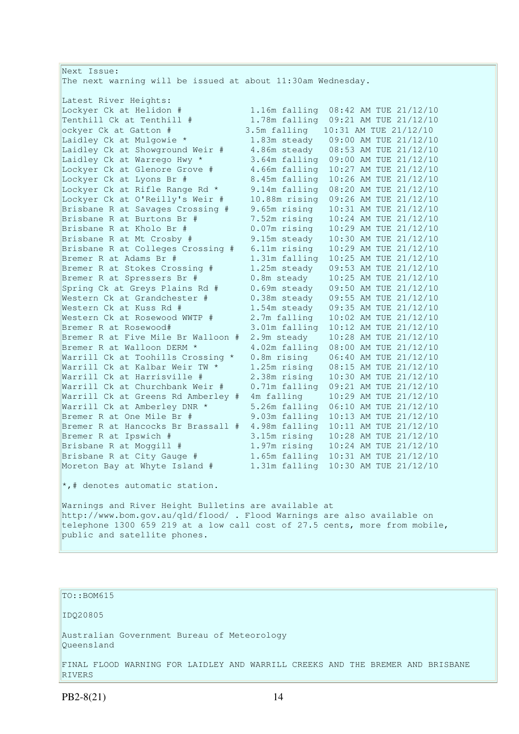| Next Issue:                                                                |               |                                     |  |  |  |
|----------------------------------------------------------------------------|---------------|-------------------------------------|--|--|--|
| The next warning will be issued at about 11:30am Wednesday.                |               |                                     |  |  |  |
|                                                                            |               |                                     |  |  |  |
| Latest River Heights:                                                      |               |                                     |  |  |  |
| Lockyer Ck at Helidon #                                                    |               | 1.16m falling 08:42 AM TUE 21/12/10 |  |  |  |
| Tenthill Ck at Tenthill #                                                  |               | 1.78m falling 09:21 AM TUE 21/12/10 |  |  |  |
| ockyer Ck at Gatton #                                                      | 3.5m falling  | 10:31 AM TUE 21/12/10               |  |  |  |
| Laidley Ck at Mulgowie *                                                   |               | 1.83m steady 09:00 AM TUE 21/12/10  |  |  |  |
| Laidley Ck at Showground Weir #                                            |               | 4.86m steady 08:53 AM TUE 21/12/10  |  |  |  |
| Laidley Ck at Warrego Hwy *                                                |               | 3.64m falling 09:00 AM TUE 21/12/10 |  |  |  |
| Lockyer Ck at Glenore Grove #                                              | 4.66m falling | 10:27 AM TUE 21/12/10               |  |  |  |
| Lockyer Ck at Lyons Br #                                                   | 8.45m falling | 10:26 AM TUE 21/12/10               |  |  |  |
| Lockyer Ck at Rifle Range Rd *                                             | 9.14m falling | 08:20 AM TUE 21/12/10               |  |  |  |
| Lockyer Ck at O'Reilly's Weir #                                            | 10.88m rising | 09:26 AM TUE 21/12/10               |  |  |  |
| Brisbane R at Savages Crossing #                                           | 9.65m rising  | 10:31 AM TUE 21/12/10               |  |  |  |
| Brisbane R at Burtons Br #                                                 | 7.52m rising  | 10:24 AM TUE 21/12/10               |  |  |  |
| Brisbane R at Kholo Br #                                                   | 0.07m rising  | 10:29 AM TUE 21/12/10               |  |  |  |
| Brisbane R at Mt Crosby #                                                  | 9.15m steady  | 10:30 AM TUE 21/12/10               |  |  |  |
| Brisbane R at Colleges Crossing #                                          | 6.11m rising  | 10:29 AM TUE 21/12/10               |  |  |  |
| Bremer R at Adams Br #                                                     | 1.31m falling | 10:25 AM TUE 21/12/10               |  |  |  |
| Bremer R at Stokes Crossing #                                              | 1.25m steady  | 09:53 AM TUE 21/12/10               |  |  |  |
| Bremer R at Spressers Br #                                                 | 0.8m steady   | 10:25 AM TUE 21/12/10               |  |  |  |
| Spring Ck at Greys Plains Rd #                                             | 0.69m steady  | 09:50 AM TUE 21/12/10               |  |  |  |
| Western Ck at Grandchester #                                               | 0.38m steady  | 09:55 AM TUE 21/12/10               |  |  |  |
| Western Ck at Kuss Rd #                                                    | 1.54m steady  | 09:35 AM TUE 21/12/10               |  |  |  |
| Western Ck at Rosewood WWTP #                                              | 2.7m falling  | 10:02 AM TUE 21/12/10               |  |  |  |
| Bremer R at Rosewood#                                                      | 3.01m falling | 10:12 AM TUE 21/12/10               |  |  |  |
| Bremer R at Five Mile Br Walloon #                                         |               | 10:28 AM TUE 21/12/10               |  |  |  |
| Bremer R at Walloon DERM *                                                 | 2.9m steady   | 08:00 AM TUE 21/12/10               |  |  |  |
|                                                                            | 4.02m falling |                                     |  |  |  |
| Warrill Ck at Toohills Crossing *                                          | 0.8m rising   | 06:40 AM TUE 21/12/10               |  |  |  |
| Warrill Ck at Kalbar Weir TW *                                             | 1.25m rising  | 08:15 AM TUE 21/12/10               |  |  |  |
| Warrill Ck at Harrisville #                                                | 2.38m rising  | 10:30 AM TUE 21/12/10               |  |  |  |
| Warrill Ck at Churchbank Weir #                                            | 0.71m falling | 09:21 AM TUE 21/12/10               |  |  |  |
| Warrill Ck at Greens Rd Amberley #                                         | 4m falling    | 10:29 AM TUE 21/12/10               |  |  |  |
| Warrill Ck at Amberley DNR *                                               |               | 5.26m falling 06:10 AM TUE 21/12/10 |  |  |  |
| Bremer R at One Mile Br #                                                  |               | 9.03m falling 10:13 AM TUE 21/12/10 |  |  |  |
| Bremer R at Hancocks Br Brassall #                                         |               | 4.98m falling 10:11 AM TUE 21/12/10 |  |  |  |
| Bremer R at Ipswich #                                                      |               | 3.15m rising 10:28 AM TUE 21/12/10  |  |  |  |
| Brisbane R at Moggill #                                                    | 1.97m rising  | 10:24 AM TUE 21/12/10               |  |  |  |
| Brisbane R at City Gauge #                                                 |               | 1.65m falling 10:31 AM TUE 21/12/10 |  |  |  |
| Moreton Bay at Whyte Island #                                              |               | 1.31m falling 10:30 AM TUE 21/12/10 |  |  |  |
| $\star$ ,# denotes automatic station.                                      |               |                                     |  |  |  |
| Warnings and River Height Bulletins are available at                       |               |                                     |  |  |  |
| http://www.bom.gov.au/qld/flood/ . Flood Warnings are also available on    |               |                                     |  |  |  |
| telephone 1300 659 219 at a low call cost of 27.5 cents, more from mobile, |               |                                     |  |  |  |
| public and satellite phones.                                               |               |                                     |  |  |  |
|                                                                            |               |                                     |  |  |  |

### TO::BOM615

IDQ20805

Australian Government Bureau of Meteorology Queensland

FINAL FLOOD WARNING FOR LAIDLEY AND WARRILL CREEKS AND THE BREMER AND BRISBANE RIVERS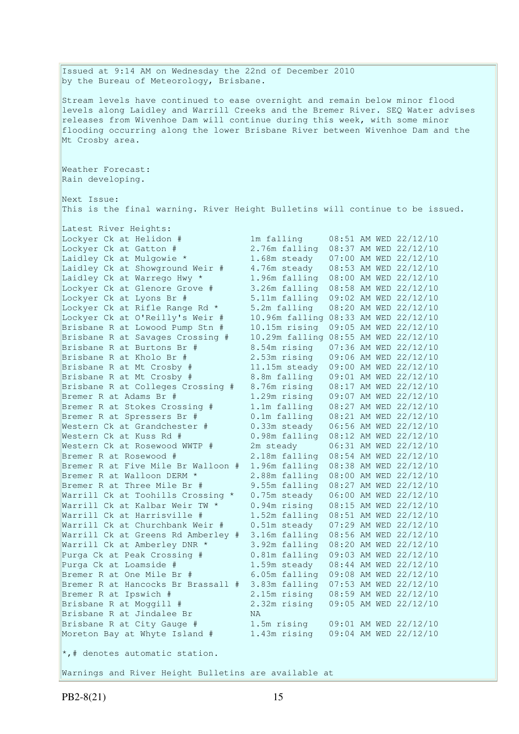Issued at 9:14 AM on Wednesday the 22nd of December 2010 by the Bureau of Meteorology, Brisbane. Stream levels have continued to ease overnight and remain below minor flood levels along Laidley and Warrill Creeks and the Bremer River. SEQ Water advises releases from Wivenhoe Dam will continue during this week, with some minor flooding occurring along the lower Brisbane River between Wivenhoe Dam and the Mt Crosby area. Weather Forecast: Rain developing. Next Issue: This is the final warning. River Height Bulletins will continue to be issued. Latest River Heights: Lockyer Ck at Helidon  $\#$  1m falling 08:51 AM WED 22/12/10<br>Lockyer Ck at Gatton  $\#$  2.76m falling 08:37 AM WED 22/12/10 Lockyer Ck at Gatton # 2.76m falling 08:37 AM WED 22/12/10 Laidley Ck at Mulgowie \* 1.68m steady 07:00 AM WED 22/12/10 Laidley Ck at Showground Weir # 4.76m steady 08:53 AM WED 22/12/10 Laidley Ck at Warrego Hwy \* 1.96m falling 08:00 AM WED 22/12/10 Lockyer Ck at Glenore Grove # 3.26m falling 08:58 AM WED 22/12/10 Lockyer Ck at Lyons Br # 5.11m falling 09:02 AM WED 22/12/10 Lockyer Ck at Rifle Range Rd \* 5.2m falling 08:20 AM WED 22/12/10 Lockyer Ck at O'Reilly's Weir # 10.96m falling 08:33 AM WED 22/12/10 Brisbane R at Lowood Pump Stn # 10.15m rising 09:05 AM WED 22/12/10 Brisbane R at Savages Crossing # 10.29m falling 08:55 AM WED 22/12/10 Brisbane R at Burtons Br # 8.54m rising 07:36 AM WED 22/12/10 Brisbane R at Kholo Br # 2.53m rising 09:06 AM WED 22/12/10 Brisbane R at Mt Crosby # 11.15m steady 09:00 AM WED 22/12/10 Brisbane R at Mt Crosby # 8.8m falling 09:01 AM WED 22/12/10 Brisbane R at Colleges Crossing # 8.76m rising 08:17 AM WED 22/12/10 Bremer R at Adams Br # 1.29m rising 09:07 AM WED 22/12/10 Bremer R at Stokes Crossing # 1.1m falling 08:27 AM WED 22/12/10 Bremer R at Spressers Br # 0.1m falling 08:21 AM WED 22/12/10 Western Ck at Grandchester # 0.33m steady 06:56 AM WED 22/12/10 Western Ck at Kuss Rd # 0.98m falling 08:12 AM WED 22/12/10 Western Ck at Rosewood WWTP # 2m steady 06:31 AM WED 22/12/10 Bremer R at Rosewood # 2.18m falling 08:54 AM WED 22/12/10 Bremer R at Five Mile Br Walloon # 1.96m falling 08:38 AM WED 22/12/10 Bremer R at Walloon DERM \* 2.88m falling 08:00 AM WED 22/12/10 Bremer R at Three Mile Br # 9.55m falling 08:27 AM WED 22/12/10 Warrill Ck at Toohills Crossing \* 0.75m steady 06:00 AM WED 22/12/10 Warrill Ck at Kalbar Weir TW \* 0.94m rising 08:15 AM WED 22/12/10 Warrill Ck at Harrisville # 1.52m falling 08:51 AM WED 22/12/10 Warrill Ck at Harrisville  $\#$  1.52m falling 08:51 AM WED 22/12/10<br>Warrill Ck at Churchbank Weir  $\#$  0.51m steady 07:29 AM WED 22/12/10 Warrill Ck at Greens Rd Amberley # 3.16m falling 08:56 AM WED 22/12/10 Warrill Ck at Amberley DNR \* 3.92m falling 08:20 AM WED 22/12/10 Purga Ck at Peak Crossing # 0.81m falling 09:03 AM WED 22/12/10 Purga Ck at Loamside # 1.59m steady 08:44 AM WED 22/12/10 Bremer R at One Mile Br # 6.05m falling 09:08 AM WED 22/12/10 Bremer R at Hancocks Br Brassall # 3.83m falling 07:53 AM WED 22/12/10 Bremer R at Ipswich # 2.15m rising 08:59 AM WED 22/12/10 Brisbane R at Moggill # 2.32m rising 09:05 AM WED 22/12/10 Brisbane R at Jindalee Br MA<br>Brisbane R at City Gauge # 1.5<br>Moreton Powert Ti Brisbane R at City Gauge # 1.5m rising 09:01 AM WED 22/12/10 Moreton Bay at Whyte Island # 1.43m rising 09:04 AM WED 22/12/10  $\star$ ,# denotes automatic station. Warnings and River Height Bulletins are available at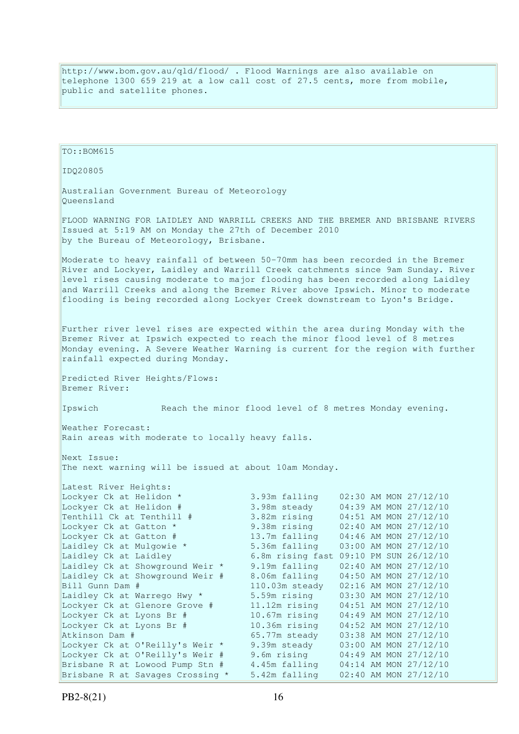http://www.bom.gov.au/qld/flood/ . Flood Warnings are also available on telephone 1300 659 219 at a low call cost of 27.5 cents, more from mobile, public and satellite phones.

TO:: BOM615 IDQ20805 Australian Government Bureau of Meteorology Queensland FLOOD WARNING FOR LAIDLEY AND WARRILL CREEKS AND THE BREMER AND BRISBANE RIVERS Issued at 5:19 AM on Monday the 27th of December 2010 by the Bureau of Meteorology, Brisbane. Moderate to heavy rainfall of between 50-70mm has been recorded in the Bremer River and Lockyer, Laidley and Warrill Creek catchments since 9am Sunday. River level rises causing moderate to major flooding has been recorded along Laidley and Warrill Creeks and along the Bremer River above Ipswich. Minor to moderate flooding is being recorded along Lockyer Creek downstream to Lyon's Bridge. Further river level rises are expected within the area during Monday with the Bremer River at Ipswich expected to reach the minor flood level of 8 metres Monday evening. A Severe Weather Warning is current for the region with further rainfall expected during Monday. Predicted River Heights/Flows: Bremer River: Ipswich Reach the minor flood level of 8 metres Monday evening. Weather Forecast: Rain areas with moderate to locally heavy falls. Next Issue: The next warning will be issued at about 10am Monday. Latest River Heights: Lockyer Ck at Helidon \* 3.93m falling 02:30 AM MON 27/12/10 ل 2.1/12/10 AM WORKYER Ck at Helidon # 3.98m steady 04:39 AM MON 27/12/10<br>Tenthill Ck at Tenthill # 3.82m rising 04:51 AM MON 27/12/10  $5.50m$  Security  $04.51$  AM MON 27/12/10 Lockyer Ck at Gatton \* 9.38m rising 02:40 AM MON 27/12/10 Lockyer Ck at Gatton # 13.7m falling 04:46 AM MON 27/12/10 Laidley Ck at Mulgowie \* 5.36m falling 03:00 AM MON 27/12/10 Laidley Ck at Laidley 6.8m rising fast 09:10 PM SUN 26/12/10 Laidley Ck at Showground Weir \* 9.19m falling 02:40 AM MON 27/12/10 Laidley Ck at Showground Weir # 8.06m falling 04:50 AM MON 27/12/10 Bill Gunn Dam # 110.03m steady 02:16 AM MON 27/12/10 Laidley Ck at Warrego Hwy \* 5.59m rising 03:30 AM MON 27/12/10 Lockyer Ck at Glenore Grove # 11.12m rising 04:51 AM MON 27/12/10 Lockyer Ck at Lyons Br # 10.67m rising 04:49 AM MON 27/12/10 Lockyer Ck at Lyons Br # 10.36m rising 04:52 AM MON 27/12/10 Atkinson Dam # 65.77m steady 03:38 AM MON 27/12/10 Lockyer Ck at O'Reilly's Weir \* 9.39m steady 03:00 AM MON 27/12/10 Lockyer Ck at O'Reilly's Weir # 9.6m rising 04:49 AM MON 27/12/10 Brisbane R at Lowood Pump Stn # 4.45m falling 04:14 AM MON 27/12/10 Brisbane R at Savages Crossing \* 5.42m falling 02:40 AM MON 27/12/10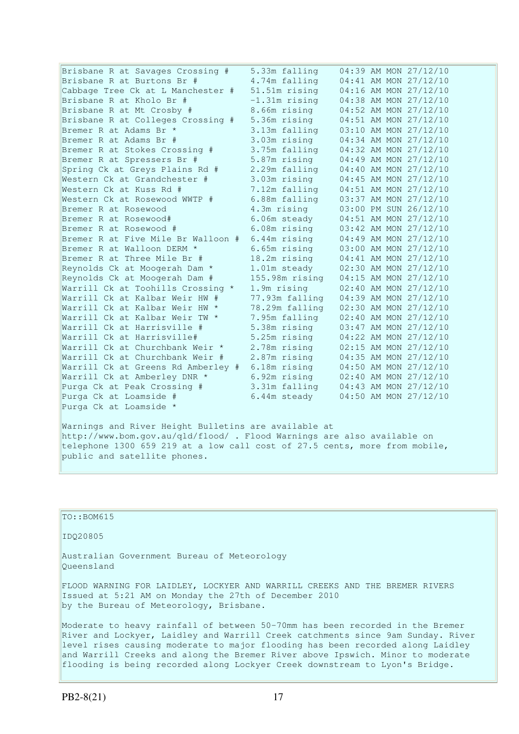| Brisbane R at Savages Crossing #   | 5.33m falling   | 04:39 AM MON 27/12/10 |
|------------------------------------|-----------------|-----------------------|
| Brisbane R at Burtons Br #         | 4.74m falling   | 04:41 AM MON 27/12/10 |
|                                    |                 |                       |
| Cabbage Tree Ck at L Manchester #  | 51.51m rising   | 04:16 AM MON 27/12/10 |
| Brisbane R at Kholo Br #           | $-1.31m$ rising | 04:38 AM MON 27/12/10 |
| Brisbane R at Mt Crosby #          | 8.66m rising    | 04:52 AM MON 27/12/10 |
| Brisbane R at Colleges Crossing #  | 5.36m rising    | 04:51 AM MON 27/12/10 |
| Bremer R at Adams Br *             | 3.13m falling   | 03:10 AM MON 27/12/10 |
| Bremer R at Adams Br #             | 3.03m rising    | 04:34 AM MON 27/12/10 |
| Bremer R at Stokes Crossing #      | 3.75m falling   | 04:32 AM MON 27/12/10 |
| Bremer R at Spressers Br #         | 5.87m rising    | 04:49 AM MON 27/12/10 |
| Spring Ck at Greys Plains Rd #     | 2.29m falling   | 04:40 AM MON 27/12/10 |
| Western Ck at Grandchester #       | 3.03m rising    | 04:45 AM MON 27/12/10 |
| Western Ck at Kuss Rd #            | 7.12m falling   | 04:51 AM MON 27/12/10 |
| Western Ck at Rosewood WWTP #      | 6.88m falling   | 03:37 AM MON 27/12/10 |
| Bremer R at Rosewood               | 4.3m rising     | 03:00 PM SUN 26/12/10 |
| Bremer R at Rosewood#              | 6.06m steady    | 04:51 AM MON 27/12/10 |
| Bremer R at Rosewood #             | 6.08m rising    | 03:42 AM MON 27/12/10 |
| Bremer R at Five Mile Br Walloon # | 6.44m rising    | 04:49 AM MON 27/12/10 |
| Bremer R at Walloon DERM *         | 6.65m rising    | 03:00 AM MON 27/12/10 |
| Bremer R at Three Mile Br #        | 18.2m rising    | 04:41 AM MON 27/12/10 |
| Reynolds Ck at Moogerah Dam *      | 1.01m steady    | 02:30 AM MON 27/12/10 |
| Reynolds Ck at Moogerah Dam #      | 155.98m rising  | 04:15 AM MON 27/12/10 |
| Warrill Ck at Toohills Crossing *  | 1.9m rising     | 02:40 AM MON 27/12/10 |
| Warrill Ck at Kalbar Weir HW #     | 77.93m falling  | 04:39 AM MON 27/12/10 |
| Warrill Ck at Kalbar Weir HW *     | 78.29m falling  | 02:30 AM MON 27/12/10 |
| Warrill Ck at Kalbar Weir TW *     | 7.95m falling   | 02:40 AM MON 27/12/10 |
| Warrill Ck at Harrisville #        | 5.38m rising    | 03:47 AM MON 27/12/10 |
| Warrill Ck at Harrisville#         | 5.25m rising    | 04:22 AM MON 27/12/10 |
| Warrill Ck at Churchbank Weir *    | 2.78m rising    | 02:15 AM MON 27/12/10 |
| Warrill Ck at Churchbank Weir #    | 2.87m rising    | 04:35 AM MON 27/12/10 |
| Warrill Ck at Greens Rd Amberley # | 6.18m rising    | 04:50 AM MON 27/12/10 |
| Warrill Ck at Amberley DNR *       | 6.92m rising    | 02:40 AM MON 27/12/10 |
| Purga Ck at Peak Crossing #        | 3.31m falling   | 04:43 AM MON 27/12/10 |
| Purga Ck at Loamside #             | 6.44m steady    | 04:50 AM MON 27/12/10 |
| Purga Ck at Loamside *             |                 |                       |
|                                    |                 |                       |
|                                    |                 |                       |

Warnings and River Height Bulletins are available at http://www.bom.gov.au/qld/flood/ . Flood Warnings are also available on telephone 1300 659 219 at a low call cost of 27.5 cents, more from mobile, public and satellite phones.

 $\vert$ TO::BOM615 IDQ20805 Australian Government Bureau of Meteorology Queensland FLOOD WARNING FOR LAIDLEY, LOCKYER AND WARRILL CREEKS AND THE BREMER RIVERS Issued at 5:21 AM on Monday the 27th of December 2010 by the Bureau of Meteorology, Brisbane. Moderate to heavy rainfall of between 50-70mm has been recorded in the Bremer River and Lockyer, Laidley and Warrill Creek catchments since 9am Sunday. River level rises causing moderate to major flooding has been recorded along Laidley and Warrill Creeks and along the Bremer River above Ipswich. Minor to moderate

flooding is being recorded along Lockyer Creek downstream to Lyon's Bridge.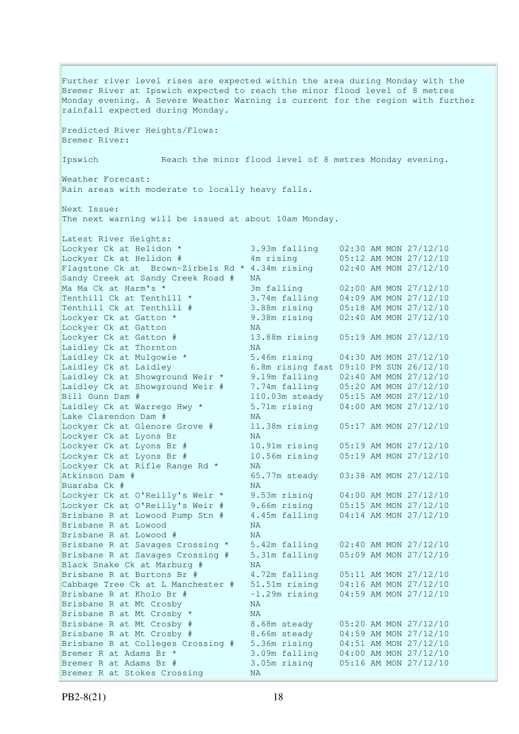Further river level rises are expected within the area during Monday with the Bremer River at Ipswich expected to reach the minor flood level of 8 metres Monday evening. A Severe Weather Warning is current for the region with further rainfall expected during Monday. Predicted River Heights/Flows: Bremer River: Ipswich Reach the minor flood level of 8 metres Monday evening. Weather Forecast: Rain areas with moderate to locally heavy falls. Next Issue: The next warning will be issued at about 10am Monday. Latest River Heights: Lockyer Ck at Helidon \* 3.93m falling 02:30 AM MON 27/12/10 Lockyer Ck at Helidon # 4m rising 05:12 AM MON 27/12/10 Flagstone Ck at Brown-Zirbels Rd \* 4.34m rising 02:40 AM MON 27/12/10 Sandy Creek at Sandy Creek Road # NA Ma Ma Ck at Harm's \* 3m falling 02:00 AM MON 27/12/10 Tenthill Ck at Tenthill  $\star$  3.74m falling 04:09 AM MON 27/12/10 Tenthill Ck at Tenthill # 3.88m rising 05:18 AM MON 27/12/10 Lockyer Ck at Gatton \* 9.38m rising 02:40 AM MON 27/12/10 Lockyer Ck at Gatton \* 9.38m rising<br>Lockyer Ck at Gatton NA Lockyer Ck at Gatton # 13.88m rising 05:19 AM MON 27/12/10<br>Laidley Ck at Thornton MA Laidley Ck at Thornton Laidley Ck at Mulgowie \* 5.46m rising 04:30 AM MON 27/12/10 Laidley Ck at Laidley 6.8m rising fast 09:10 PM SUN 26/12/10 Laidley Ck at Showground Weir \* 9.19m falling 02:40 AM MON 27/12/10 Laidley Ck at Showground Weir # 7.74m falling 05:20 AM MON 27/12/10 Bill Gunn Dam # 110.03m steady 05:15 AM MON 27/12/10 Laidley Ck at Warrego Hwy \* 5.71m rising 04:00 AM MON 27/12/10 Lake Clarendon Dam # NA Lockyer Ck at Glenore Grove # 11.38m rising 05:17 AM MON 27/12/10 Lockyer Ck at Lyons Br NA Lockyer Ck at Lyons Br # 10.91m rising 05:19 AM MON 27/12/10<br>Lockyer Ck at Lyons Br # 10.56m rising 05:19 AM MON 27/12/10 10.56m rising 05:19 AM MON 27/12/10 Lockyer Ck at Rifle Range Rd \* NA Atkinson Dam # 65.77m steady 03:38 AM MON 27/12/10 Buaraba Ck #  $NA$ Lockyer Ck at O'Reilly's Weir \* 9.53m rising 04:00 AM MON 27/12/10 Lockyer Ck at O'Reilly's Weir # 9.66m rising 05:15 AM MON 27/12/10 Brisbane R at Lowood Pump Stn # 4.45m falling 04:14 AM MON 27/12/10 Brisbane R at Lowood NA Brisbane R at Lowood # NA Brisbane R at Savages Crossing \* 5.42m falling 02:40 AM MON 27/12/10 Brisbane R at Savages Crossing # 5.31m falling 05:09 AM MON 27/12/10 Brisbane R at Duruges .<br>Black Snake Ck at Marburg # NA<br>A. Brisbane R at Burtons Br # 4.72m falling 05:11 AM MON 27/12/10 Cabbage Tree Ck at L Manchester # 51.51m rising 04:16 AM MON 27/12/10 Brisbane R at Kholo Br # -1.29m rising 04:59 AM MON 27/12/10 Brisbane R at Mt Crosby NA Brisbane R at Mt Crosby \* NA Brisbane R at Mt Crosby # 8.68m steady 05:20 AM MON 27/12/10 Brisbane R at Mt Crosby #  $8.66$ m steady  $04:59$  AM MON 27/12/10 Brisbane R at Colleges Crossing # 5.36m rising 04:51 AM MON 27/12/10 Bremer R at Adams Br \* 3.09m falling 04:00 AM MON 27/12/10 Bremer R at Adams Br # 3.05m rising 05:16 AM MON 27/12/10 Bremer R at Stokes Crossing NA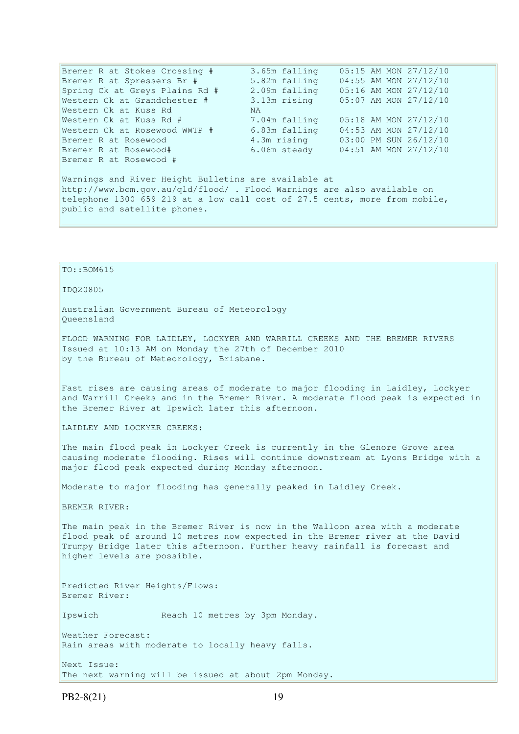Bremer R at Stokes Crossing # 3.65m falling 05:15 AM MON 27/12/10 Bremer R at Spressers Br # 5.82m falling 04:55 AM MON 27/12/10 Spring Ck at Greys Plains Rd # 2.09m falling 05:16 AM MON 27/12/10 Western Ck at Grandchester # 3.13m rising 05:07 AM MON 27/12/10 Western Ck at Kuss Rd NA Western Ck at Kuss Rd # 7.04m falling 05:18 AM MON 27/12/10 Western Ck at Rosewood WWTP # 6.83m falling 04:53 AM MON 27/12/10 Bremer R at Rosewood 4.3m rising 03:00 PM SUN 26/12/10 Bremer R at Rosewood# 6.06m steady 04:51 AM MON 27/12/10 Bremer R at Rosewood # Warnings and River Height Bulletins are available at http://www.bom.gov.au/qld/flood/ . Flood Warnings are also available on telephone 1300 659 219 at a low call cost of 27.5 cents, more from mobile, public and satellite phones.

TO::BOM615 IDQ20805 Australian Government Bureau of Meteorology Queensland FLOOD WARNING FOR LAIDLEY, LOCKYER AND WARRILL CREEKS AND THE BREMER RIVERS Issued at 10:13 AM on Monday the 27th of December 2010 by the Bureau of Meteorology, Brisbane. Fast rises are causing areas of moderate to major flooding in Laidley, Lockyer and Warrill Creeks and in the Bremer River. A moderate flood peak is expected in the Bremer River at Ipswich later this afternoon. LAIDLEY AND LOCKYER CREEKS: The main flood peak in Lockyer Creek is currently in the Glenore Grove area causing moderate flooding. Rises will continue downstream at Lyons Bridge with a major flood peak expected during Monday afternoon. Moderate to major flooding has generally peaked in Laidley Creek. BREMER RIVER: The main peak in the Bremer River is now in the Walloon area with a moderate flood peak of around 10 metres now expected in the Bremer river at the David Trumpy Bridge later this afternoon. Further heavy rainfall is forecast and higher levels are possible. Predicted River Heights/Flows: Bremer River: Ipswich Reach 10 metres by 3pm Monday. Weather Forecast: Rain areas with moderate to locally heavy falls. Next Issue: The next warning will be issued at about 2pm Monday.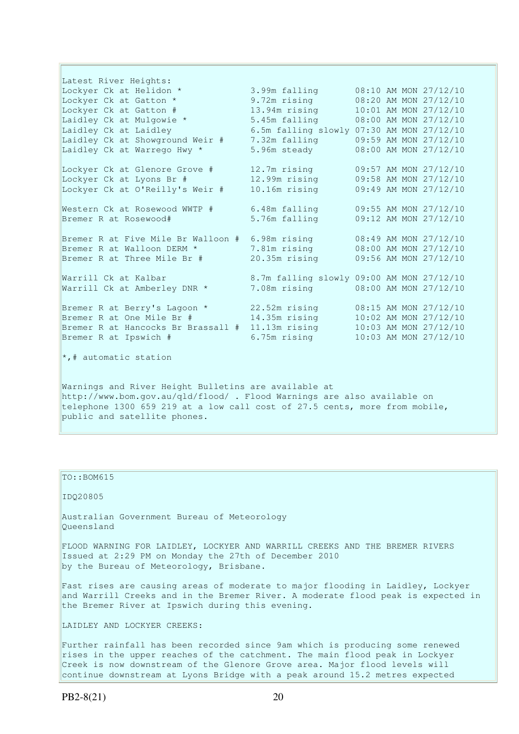Latest River Heights: Lockyer Ck at Helidon \* 3.99m falling 08:10 AM MON 27/12/10 Lockyer Ck at Gatton \* 9.72m rising 08:20 AM MON 27/12/10 Lockyer Ck at Gatton # 13.94m rising 10:01 AM MON 27/12/10 Laidley Ck at Mulgowie \* 5.45m falling 08:00 AM MON 27/12/10 Laidley Ck at Laidley 6.5m falling slowly 07:30 AM MON 27/12/10 Laidley Ck at Showground Weir # 7.32m falling 09:59 AM MON 27/12/10 Laidley Ck at Warrego Hwy \* 5.96m steady 68:00 AM MON 27/12/10 Lockyer Ck at Glenore Grove # 12.7m rising 09:57 AM MON 27/12/10 Lockyer Ck at Lyons Br # 12.99m rising 09:58 AM MON 27/12/10 Lockyer Ck at O'Reilly's Weir # 10.16m rising 09:49 AM MON 27/12/10 Western Ck at Rosewood WWTP # 6.48m falling 09:55 AM MON 27/12/10 Bremer R at Rosewood# 5.76m falling 09:12 AM MON 27/12/10 Bremer R at Five Mile Br Walloon # 6.98m rising 08:49 AM MON 27/12/10 Bremer R at Walloon DERM \* 7.81m rising 08:00 AM MON 27/12/10 Bremer R at Three Mile Br # 20.35m rising 09:56 AM MON 27/12/10 Warrill Ck at Kalbar 8.7m falling slowly 09:00 AM MON 27/12/10 Warrill Ck at Amberley DNR \* 7.08m rising 08:00 AM MON 27/12/10 Bremer R at Berry's Lagoon \* 22.52m rising 08:15 AM MON 27/12/10 Bremer R at One Mile Br # 14.35m rising 10:02 AM MON 27/12/10 Bremer R at Hancocks Br Brassall # 11.13m rising 10:03 AM MON 27/12/10 Bremer R at Ipswich # 6.75m rising 10:03 AM MON 27/12/10 \*,# automatic station Warnings and River Height Bulletins are available at http://www.bom.gov.au/qld/flood/ . Flood Warnings are also available on telephone 1300 659 219 at a low call cost of 27.5 cents, more from mobile,

public and satellite phones.

## TO::BOM615

IDQ20805

Australian Government Bureau of Meteorology Queensland

FLOOD WARNING FOR LAIDLEY, LOCKYER AND WARRILL CREEKS AND THE BREMER RIVERS Issued at 2:29 PM on Monday the 27th of December 2010 by the Bureau of Meteorology, Brisbane.

Fast rises are causing areas of moderate to major flooding in Laidley, Lockyer and Warrill Creeks and in the Bremer River. A moderate flood peak is expected in the Bremer River at Ipswich during this evening.

LAIDLEY AND LOCKYER CREEKS:

Further rainfall has been recorded since 9am which is producing some renewed rises in the upper reaches of the catchment. The main flood peak in Lockyer Creek is now downstream of the Glenore Grove area. Major flood levels will continue downstream at Lyons Bridge with a peak around 15.2 metres expected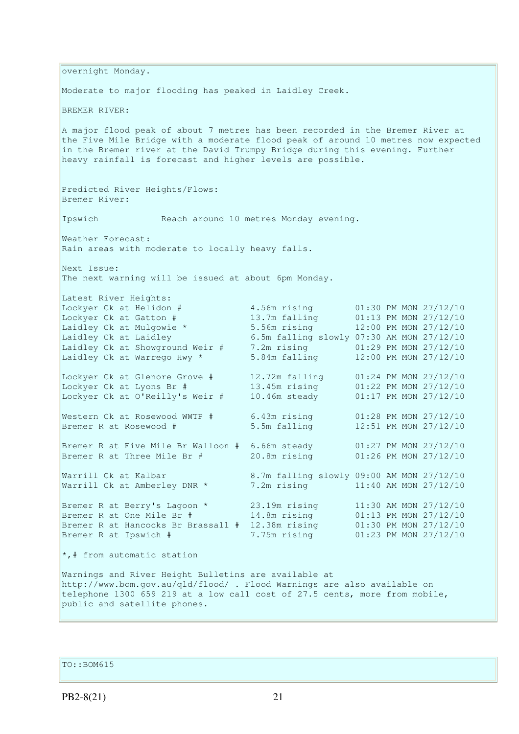overnight Monday. Moderate to major flooding has peaked in Laidley Creek. BREMER RIVER: A major flood peak of about 7 metres has been recorded in the Bremer River at the Five Mile Bridge with a moderate flood peak of around 10 metres now expected in the Bremer river at the David Trumpy Bridge during this evening. Further heavy rainfall is forecast and higher levels are possible. Predicted River Heights/Flows: Bremer River: Ipswich Reach around 10 metres Monday evening. Weather Forecast: Rain areas with moderate to locally heavy falls. Next Issue: The next warning will be issued at about 6pm Monday. Latest River Heights: Lockyer Ck at Helidon # 4.56m rising 01:30 PM MON 27/12/10 Lockyer Ck at Gatton # 13.7m falling 01:13 PM MON 27/12/10<br>
Laidley Ck at Mulgowie \* 5.56m rising 12:00 PM MON 27/12/10 Laidley Ck at Mulgowie \* 5.56m rising 12:00 PM MON 27/12/10 Laidley Ck at Laidley 6.5m falling slowly 07:30 AM MON 27/12/10 Laidley Ck at Showground Weir # 7.2m rising 01:29 PM MON 27/12/10 Laidley Ck at Warrego Hwy \* 5.84m falling 12:00 PM MON 27/12/10 Lockyer Ck at Glenore Grove # 12.72m falling 01:24 PM MON 27/12/10 Lockyer Ck at Lyons Br # 13.45m rising 01:22 PM MON 27/12/10 Lockyer Ck at O'Reilly's Weir # 10.46m steady 01:17 PM MON 27/12/10 Western Ck at Rosewood WWTP # 6.43m rising 01:28 PM MON 27/12/10 Bremer R at Rosewood # 5.5m falling 12:51 PM MON 27/12/10 Bremer R at Five Mile Br Walloon # 6.66m steady 01:27 PM MON 27/12/10 Bremer R at Three Mile Br # 20.8m rising 01:26 PM MON 27/12/10 Warrill Ck at Kalbar 8.7m falling slowly 09:00 AM MON 27/12/10 Warrill Ck at Amberley DNR \* 7.2m rising 11:40 AM MON 27/12/10 Bremer R at Berry's Lagoon \* 23.19m rising 11:30 AM MON 27/12/10 Bremer R at One Mile Br # 14.8m rising 01:13 PM MON 27/12/10 Bremer R at Hancocks Br Brassall # 12.38m rising 01:30 PM MON 27/12/10 Bremer R at Ipswich # 7.75m rising 01:23 PM MON 27/12/10 \*,# from automatic station Warnings and River Height Bulletins are available at http://www.bom.gov.au/qld/flood/ . Flood Warnings are also available on telephone 1300 659 219 at a low call cost of 27.5 cents, more from mobile, public and satellite phones.

TO::BOM615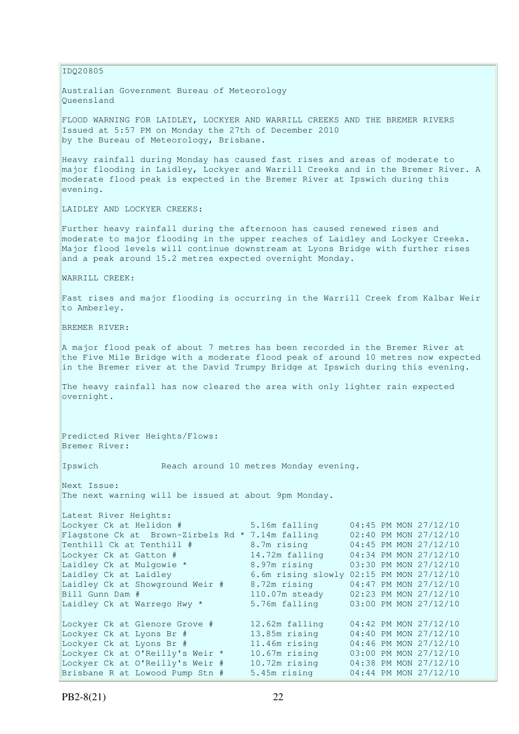IDQ20805 Australian Government Bureau of Meteorology Queensland FLOOD WARNING FOR LAIDLEY, LOCKYER AND WARRILL CREEKS AND THE BREMER RIVERS Issued at 5:57 PM on Monday the 27th of December 2010 by the Bureau of Meteorology, Brisbane. Heavy rainfall during Monday has caused fast rises and areas of moderate to major flooding in Laidley, Lockyer and Warrill Creeks and in the Bremer River. A moderate flood peak is expected in the Bremer River at Ipswich during this evening. LAIDLEY AND LOCKYER CREEKS: Further heavy rainfall during the afternoon has caused renewed rises and moderate to major flooding in the upper reaches of Laidley and Lockyer Creeks. Major flood levels will continue downstream at Lyons Bridge with further rises and a peak around 15.2 metres expected overnight Monday. WARRILL CREEK: Fast rises and major flooding is occurring in the Warrill Creek from Kalbar Weir to Amberley. BREMER RIVER: A major flood peak of about 7 metres has been recorded in the Bremer River at the Five Mile Bridge with a moderate flood peak of around 10 metres now expected in the Bremer river at the David Trumpy Bridge at Ipswich during this evening. The heavy rainfall has now cleared the area with only lighter rain expected overnight. Predicted River Heights/Flows: Bremer River: Ipswich Reach around 10 metres Monday evening. Next Issue: The next warning will be issued at about 9pm Monday. Latest River Heights: Lockyer Ck at Helidon # 5.16m falling 04:45 PM MON 27/12/10 Flagstone Ck at Brown-Zirbels Rd \* 7.14m falling  $02:40$  PM MON 27/12/10 Tenthill Ck at Tenthill # 8.7m rising 04:45 PM MON 27/12/10 Lockyer Ck at Gatton # 14.72m falling 04:34 PM MON 27/12/10 Laidley Ck at Mulgowie \* 3.97m rising 03:30 PM MON 27/12/10 Laidley Ck at Laidley 6.6m rising slowly 02:15 PM MON 27/12/10 Laidley Ck at Showground Weir # 8.72m rising 04:47 PM MON 27/12/10 Bill Gunn Dam # 110.07m steady 02:23 PM MON 27/12/10 Laidley Ck at Warrego Hwy \* 5.76m falling 03:00 PM MON 27/12/10 Lockyer Ck at Glenore Grove # 12.62m falling 04:42 PM MON 27/12/10 Lockyer Ck at Lyons Br # 13.85m rising 04:40 PM MON 27/12/10 Lockyer Ck at Lyons Br # 11.46m rising 04:46 PM MON 27/12/10 Lockyer Ck at O'Reilly's Weir \* 10.67m rising 03:00 PM MON 27/12/10 Lockyer Ck at O'Reilly's Weir # 10.72m rising 04:38 PM MON 27/12/10 Brisbane R at Lowood Pump Stn # 5.45m rising 04:44 PM MON 27/12/10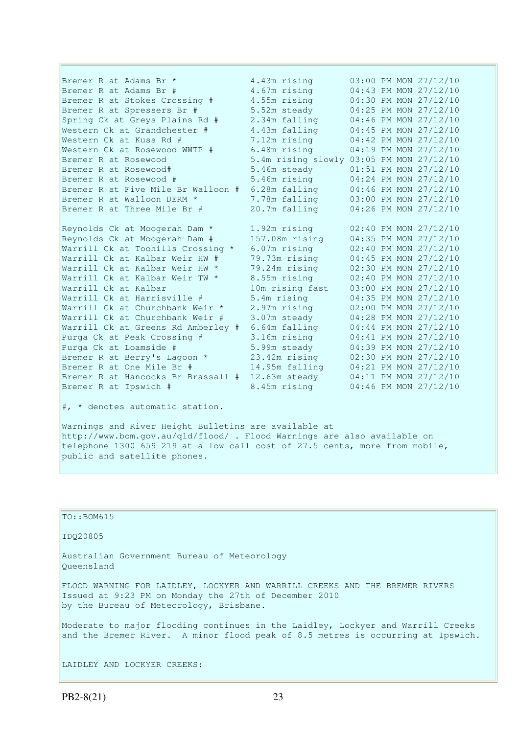Bremer R at Adams Br \* 3.43m rising 03:00 PM MON 27/12/10 Bremer R at Adams Br # 4.67m rising 04:43 PM MON 27/12/10 Bremer R at Stokes Crossing # 4.55m rising 04:30 PM MON 27/12/10 Bremer R at Spressers Br # 5.52m steady 04:25 PM MON 27/12/10 Spring Ck at Greys Plains Rd # 2.34m falling 04:46 PM MON 27/12/10 Western Ck at Grandchester # 4.43m falling 04:45 PM MON 27/12/10 Western Ck at Kuss Rd # 7.12m rising 04:42 PM MON 27/12/10 Western Ck at Rosewood WWTP # 6.48m rising 04:19 PM MON 27/12/10 Bremer R at Rosewood 5.4m rising slowly 03:05 PM MON 27/12/10 Bremer R at Rosewood# 5.46m steady 01:51 PM MON 27/12/10 Bremer R at Rosewood # 5.46m rising 04:24 PM MON 27/12/10 Bremer R at Five Mile Br Walloon # 6.28m falling 04:46 PM MON 27/12/10 Bremer R at Walloon DERM \* 7.78m falling 03:00 PM MON 27/12/10 Bremer R at Three Mile Br # 20.7m falling 04:26 PM MON 27/12/10 Reynolds Ck at Moogerah Dam \* 1.92m rising 02:40 PM MON 27/12/10 Reynolds Ck at Moogerah Dam # 157.08m rising 04:35 PM MON 27/12/10 Warrill Ck at Toohills Crossing \* 6.07m rising 02:40 PM MON 27/12/10 Warrill Ck at Kalbar Weir HW # 79.73m rising 04:45 PM MON 27/12/10 Warrill Ck at Kalbar Weir HW \* 79.24m rising 02:30 PM MON 27/12/10 Warrill Ck at Kalbar Weir TW \* 8.55m rising 02:40 PM MON 27/12/10 Warrill Ck at Kalbar 10m rising fast 03:00 PM MON 27/12/10 Warrill Ck at Harrisville # 5.4m rising 04:35 PM MON 27/12/10 Warrill Ck at Churchbank Weir \* 2.97m rising 02:00 PM MON 27/12/10 Warrill Ck at Churchbank Weir # 3.07m steady 04:28 PM MON 27/12/10 Warrill Ck at Greens Rd Amberley # 6.64m falling 04:44 PM MON 27/12/10 Purga Ck at Peak Crossing # 3.16m rising 04:41 PM MON 27/12/10 Purga Ck at Loamside # 5.99m steady 04:39 PM MON 27/12/10 Bremer R at Berry's Lagoon \* 23.42m rising 02:30 PM MON 27/12/10 Bremer R at One Mile Br # 14.95m falling 04:21 PM MON 27/12/10 Bremer R at Hancocks Br Brassall # 12.63m steady 04:11 PM MON 27/12/10 Bremer R at Ipswich # 8.45m rising 04:46 PM MON 27/12/10

#, \* denotes automatic station.

Warnings and River Height Bulletins are available at http://www.bom.gov.au/qld/flood/ . Flood Warnings are also available on telephone 1300 659 219 at a low call cost of 27.5 cents, more from mobile, public and satellite phones.

| $TO: BOM615$                                                                                                                                                                    |
|---------------------------------------------------------------------------------------------------------------------------------------------------------------------------------|
| ID020805                                                                                                                                                                        |
| Australian Government Bureau of Meteorology<br>Oueensland                                                                                                                       |
| FLOOD WARNING FOR LAIDLEY, LOCKYER AND WARRILL CREEKS AND THE BREMER RIVERS<br>Issued at 9:23 PM on Monday the 27th of December 2010<br>by the Bureau of Meteorology, Brisbane. |
| Moderate to major flooding continues in the Laidley, Lockyer and Warrill Creeks<br>and the Bremer River. A minor flood peak of 8.5 metres is occurring at Ipswich.              |
| LAIDLEY AND LOCKYER CREEKS:                                                                                                                                                     |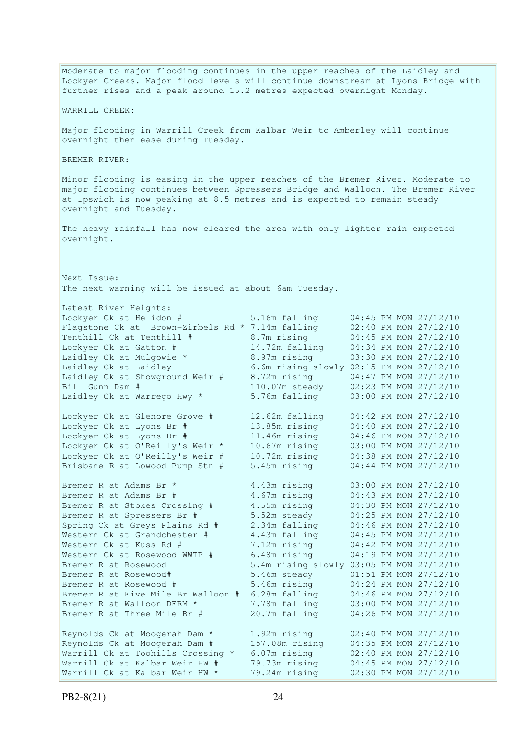Moderate to major flooding continues in the upper reaches of the Laidley and Lockyer Creeks. Major flood levels will continue downstream at Lyons Bridge with further rises and a peak around 15.2 metres expected overnight Monday. WARRILL CREEK: Major flooding in Warrill Creek from Kalbar Weir to Amberley will continue overnight then ease during Tuesday. BREMER RIVER: Minor flooding is easing in the upper reaches of the Bremer River. Moderate to major flooding continues between Spressers Bridge and Walloon. The Bremer River at Ipswich is now peaking at 8.5 metres and is expected to remain steady overnight and Tuesday. The heavy rainfall has now cleared the area with only lighter rain expected overnight. Next Issue: The next warning will be issued at about 6am Tuesday. Latest River Heights:<br>Lockyer Ck at Helidon # 5.16m falling 04:45 PM MON 27/12/10<br>7.14m falling 02:40 PM MON 27/12/10 Flagstone Ck at Brown-Zirbels Rd \* 7.14m falling 02:40 PM MON 27/12/10<br>
Tenthill Ck at Tenthill # 8.7m rising 04:45 PM MON 27/12/10<br>
Lockyer Ck at Gatton # 14.72m falling 04:34 PM MON 27/12/10 Tenthill Ck at Tenthill # 8.7m rising 04:45 PM MON 27/12/10 Lockyer Ck at Gatton # 14.72m falling 04:34 PM MON 27/12/10 Laidley Ck at Mulgowie \* 8.97m rising 03:30 PM MON 27/12/10 Laidley Ck at Laidley 6.6m rising slowly 02:15 PM MON 27/12/10 Laidley Ck at Showground Weir # 8.72m rising 04:47 PM MON 27/12/10 Bill Gunn Dam # 110.07m steady 02:23 PM MON 27/12/10 Laidley Ck at Warrego Hwy \* 5.76m falling 03:00 PM MON 27/12/10 Lockyer Ck at Glenore Grove # 12.62m falling 04:42 PM MON 27/12/10 Lockyer Ck at Lyons Br # 13.85m rising 04:40 PM MON 27/12/10 Lockyer Ck at Lyons Br # 11.46m rising 04:46 PM MON 27/12/10 Lockyer Ck at O'Reilly's Weir \* 10.67m rising 03:00 PM MON 27/12/10 Lockyer Ck at O'Reilly's Weir # 10.72m rising 04:38 PM MON 27/12/10 Brisbane R at Lowood Pump Stn # 5.45m rising 04:44 PM MON 27/12/10 Bremer R at Adams Br \* 3.43m rising 03:00 PM MON 27/12/10 Bremer R at Adams Br # 4.67m rising 04:43 PM MON 27/12/10 Bremer R at Stokes Crossing # 4.55m rising 04:30 PM MON 27/12/10 Bremer R at Spressers Br # 5.52m steady 04:25 PM MON 27/12/10 Spring Ck at Greys Plains Rd # 2.34m falling 04:46 PM MON 27/12/10 Western Ck at Grandchester # 4.43m falling 04:45 PM MON 27/12/10 Western Ck at Kuss Rd # 7.12m rising 04:42 PM MON 27/12/10 Western Ck at Rosewood WWTP # 6.48m rising 04:19 PM MON 27/12/10 Bremer R at Rosewood 5.4m rising slowly 03:05 PM MON 27/12/10 Bremer R at Rosewood# 5.46m steady 01:51 PM MON 27/12/10<br>Bremer R at Rosewood # 5.46m rising 04:24 PM MON 27/12/10 Bremer R at Rosewood # 5.46m rising 04:24 PM MON 27/12/10 Bremer R at Five Mile Br Walloon # 6.28m falling 04:46 PM MON 27/12/10 Bremer R at Walloon DERM \* 7.78m falling 03:00 PM MON 27/12/10 Bremer R at Three Mile Br # 20.7m falling 04:26 PM MON 27/12/10 Reynolds Ck at Moogerah Dam \* 1.92m rising 02:40 PM MON 27/12/10 Reynolds Ck at Moogerah Dam # 157.08m rising 04:35 PM MON 27/12/10 Warrill Ck at Toohills Crossing \* 6.07m rising 02:40 PM MON 27/12/10 Warrill Ck at Kalbar Weir HW # 79.73m rising 04:45 PM MON 27/12/10 Warrill Ck at Kalbar Weir HW \* 79.24m rising 02:30 PM MON 27/12/10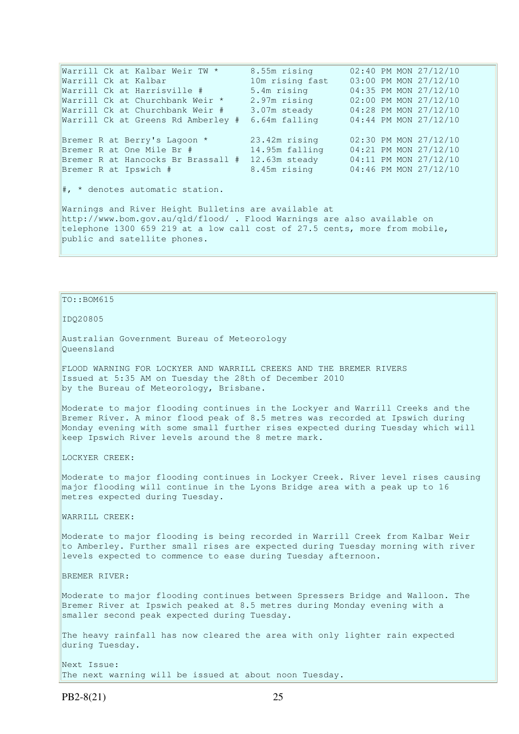Warrill Ck at Kalbar Weir TW \* 8.55m rising Warrill Ck at Kalbar Weir TW \* 8.55m rising 02:40 PM MON 27/12/10<br>
Warrill Ck at Kalbar 10m rising fast 03:00 PM MON 27/12/10<br>
Warrill Ck at Harrisville # 5.4m rising 04:35 PM MON 27/12/10<br>
Warrill Ck at Churchbank Weir \* Warrill Ck at Harrisville # 5.4m rising 04:35 PM MON 27/12/10 Warrill Ck at Churchbank Weir \* 2.97m rising 02:00 PM MON 27/12/10 Warrill Ck at Churchbank Weir # 3.07m steady 04:28 PM MON 27/12/10 Warrill Ck at Greens Rd Amberley # 6.64m falling 04:44 PM MON 27/12/10<br>Bremer R at Berry's Lagoon \* 23.42m rising 02:30 PM MON 27/12/10<br>Bremer R at One Mile Br # 14.95m falling 04:01 PM Bremer R at Berry's Lagoon \* 23.42m rising 02:30 PM MON 27/12/10 Bremer R at One Mile Br # 14.95m falling 04:21 PM MON 27/12/10 Bremer R at Hancocks Br Brassall # 12.63m steady 04:11 PM MON 27/12/10 Bremer R at Ipswich # 8.45m rising 04:46 PM MON 27/12/10 #, \* denotes automatic station. Warnings and River Height Bulletins are available at http://www.bom.gov.au/qld/flood/ . Flood Warnings are also available on telephone 1300 659 219 at a low call cost of 27.5 cents, more from mobile, public and satellite phones.

### TO::BOM615

IDQ20805

Australian Government Bureau of Meteorology Queensland

FLOOD WARNING FOR LOCKYER AND WARRILL CREEKS AND THE BREMER RIVERS Issued at 5:35 AM on Tuesday the 28th of December 2010 by the Bureau of Meteorology, Brisbane.

Moderate to major flooding continues in the Lockyer and Warrill Creeks and the Bremer River. A minor flood peak of 8.5 metres was recorded at Ipswich during Monday evening with some small further rises expected during Tuesday which will keep Ipswich River levels around the 8 metre mark.

LOCKYER CREEK:

Moderate to major flooding continues in Lockyer Creek. River level rises causing major flooding will continue in the Lyons Bridge area with a peak up to 16 metres expected during Tuesday.

WARRILL CREEK:

Moderate to major flooding is being recorded in Warrill Creek from Kalbar Weir to Amberley. Further small rises are expected during Tuesday morning with river levels expected to commence to ease during Tuesday afternoon.

BREMER RIVER:

Moderate to major flooding continues between Spressers Bridge and Walloon. The Bremer River at Ipswich peaked at 8.5 metres during Monday evening with a smaller second peak expected during Tuesday.

The heavy rainfall has now cleared the area with only lighter rain expected during Tuesday.

Next Issue: The next warning will be issued at about noon Tuesday.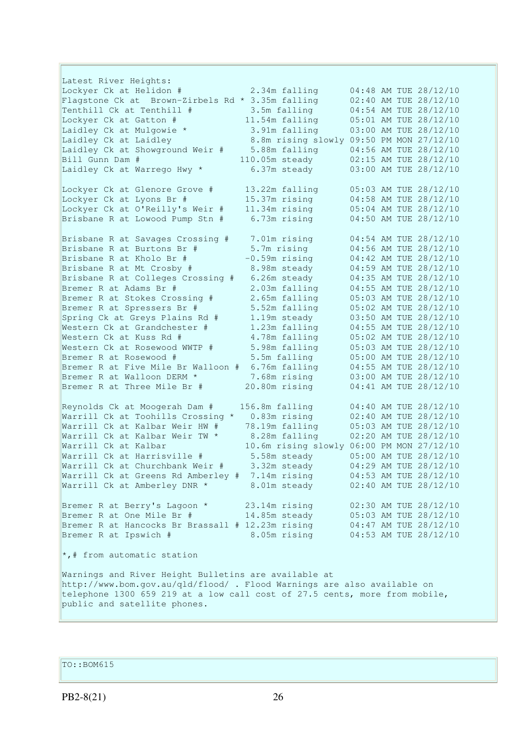Latest River Heights: Lockyer Ck at Helidon # 2.34m falling 04:48 AM TUE 28/12/10 Flagstone Ck at Brown-Zirbels Rd \* 3.35m falling 02:40 AM TUE 28/12/10 Tenthill Ck at Tenthill # 3.5m falling 04:54 AM TUE 28/12/10 Lockyer Ck at Gatton # 11.54m falling 05:01 AM TUE 28/12/10 Laidley Ck at Mulgowie \* 3.91m falling 03:00 AM TUE 28/12/10 Laidley Ck at Laidley 8.8m rising slowly 09:50 PM MON 27/12/10 Laidley Ck at Showground Weir # 5.88m falling 04:56 AM TUE 28/12/10 Bill Gunn Dam # 110.05m steady 02:15 AM TUE 28/12/10 Laidley Ck at Warrego Hwy \*  $6.37$ m steady  $03:00$  AM TUE 28/12/10 Lockyer Ck at Glenore Grove # 13.22m falling 05:03 AM TUE 28/12/10 Lockyer Ck at Lyons Br # 15.37m rising 04:58 AM TUE 28/12/10 Lockyer Ck at O'Reilly's Weir  $#$  11.34m rising<br>Brisbane R at Lowood Pump Stn  $#$  6.73m rising Brisbane R at Lowood Pump Stn # 6.73m rising 04:50 AM TUE 28/12/10 Brisbane R at Savages Crossing # 7.01m rising 04:54 AM TUE 28/12/10 Brisbane R at Burtons Br # 5.7m rising 04:56 AM TUE 28/12/10 Brisbane R at Kholo Br # -0.59m rising 04:42 AM TUE 28/12/10 Brisbane R at Mt Crosby # 8.98m steady 04:59 AM TUE 28/12/10 Brisbane R at Colleges Crossing # 6.26m steady 04:35 AM TUE 28/12/10 Bremer R at Adams Br # 2.03m falling 04:55 AM TUE 28/12/10 Bremer R at Stokes Crossing # 2.65m falling 05:03 AM TUE 28/12/10 Bremer R at Spressers Br # 5.52m falling 05:02 AM TUE 28/12/10 Spring Ck at Greys Plains Rd # 1.19m steady 03:50 AM TUE 28/12/10 Western Ck at Grandchester # 1.23m falling 04:55 AM TUE 28/12/10 Western Ck at Kuss Rd # 4.78m falling 05:02 AM TUE 28/12/10 Western Ck at Rosewood WWTP # 5.98m falling 05:03 AM TUE 28/12/10 Bremer R at Rosewood # 5.5m falling 05:00 AM TUE 28/12/10 Bremer R at Five Mile Br Walloon # 6.76m falling 04:55 AM TUE 28/12/10 Bremer R at Walloon DERM \* 7.68m rising 03:00 AM TUE 28/12/10 Bremer R at Three Mile Br # 20.80m rising 04:41 AM TUE 28/12/10 Reynolds Ck at Moogerah Dam # 156.8m falling 04:40 AM TUE 28/12/10 Warrill Ck at Toohills Crossing \* 0.83m rising 02:40 AM TUE 28/12/10 Warrill Ck at Kalbar Weir HW # 78.19m falling 05:03 AM TUE 28/12/10 Warrill Ck at Kalbar Weir TW \* 8.28m falling 02:20 AM TUE 28/12/10 Warrill Ck at Kalbar 10.6m rising slowly 06:00 PM MON 27/12/10 Warrill Ck at Harrisville # 5.58m steady 05:00 AM TUE 28/12/10 Warrill Ck at Churchbank Weir # 3.32m steady 04:29 AM TUE 28/12/10 Warrill Ck at Greens Rd Amberley # 7.14m rising 04:53 AM TUE 28/12/10 Warrill Ck at Amberley DNR \* 8.01m steady 02:40 AM TUE 28/12/10 Bremer R at Berry's Lagoon \* 23.14m rising 02:30 AM TUE 28/12/10 Bremer R at One Mile Br # 14.85m steady 05:03 AM TUE 28/12/10 Bremer R at Hancocks Br Brassall # 12.23m rising 04:47 AM TUE 28/12/10 Bremer R at Ipswich # 8.05m rising 04:53 AM TUE 28/12/10 \*,# from automatic station Warnings and River Height Bulletins are available at http://www.bom.gov.au/qld/flood/ . Flood Warnings are also available on telephone 1300 659 219 at a low call cost of 27.5 cents, more from mobile, public and satellite phones.

TO::BOM615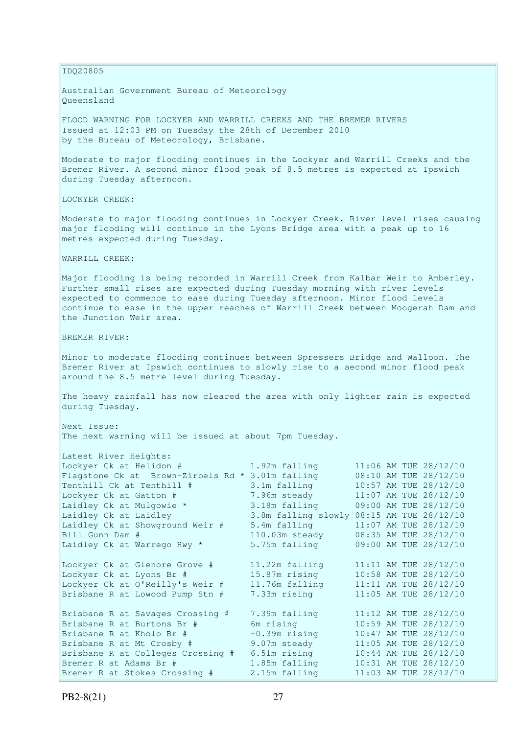IDQ20805

Australian Government Bureau of Meteorology Queensland

FLOOD WARNING FOR LOCKYER AND WARRILL CREEKS AND THE BREMER RIVERS Issued at 12:03 PM on Tuesday the 28th of December 2010 by the Bureau of Meteorology, Brisbane.

Moderate to major flooding continues in the Lockyer and Warrill Creeks and the Bremer River. A second minor flood peak of 8.5 metres is expected at Ipswich during Tuesday afternoon.

LOCKYER CREEK:

Moderate to major flooding continues in Lockyer Creek. River level rises causing major flooding will continue in the Lyons Bridge area with a peak up to 16 metres expected during Tuesday.

WARRILL CREEK:

Major flooding is being recorded in Warrill Creek from Kalbar Weir to Amberley. Further small rises are expected during Tuesday morning with river levels expected to commence to ease during Tuesday afternoon. Minor flood levels continue to ease in the upper reaches of Warrill Creek between Moogerah Dam and the Junction Weir area.

BREMER RIVER:

Minor to moderate flooding continues between Spressers Bridge and Walloon. The Bremer River at Ipswich continues to slowly rise to a second minor flood peak around the 8.5 metre level during Tuesday.

The heavy rainfall has now cleared the area with only lighter rain is expected during Tuesday.

Next Issue: The next warning will be issued at about 7pm Tuesday.

| 11:06 AM TUE 28/12/10<br>1.92m falling<br>Flagstone Ck at Brown-Zirbels Rd * 3.01m falling<br>08:10 AM TUE 28/12/10<br>10:57 AM TUE 28/12/10<br>3.1m falling<br>7.96m steady<br>11:07 AM TUE 28/12/10<br>3.18m falling<br>09:00 AM TUE 28/12/10<br>3.8m falling slowly<br>08:15 AM TUE 28/12/10<br>11:07 AM TUE 28/12/10<br>5.4m falling<br>110.03m steady<br>08:35 AM TUE 28/12/10<br>5.75m falling<br>09:00 AM TUE 28/12/10<br>11:11 AM TUE 28/12/10<br>11.22m falling<br>10:58 AM TUE 28/12/10<br>15.87m rising<br>11.76m falling<br>11:11 AM TUE 28/12/10<br>7.33m rising<br>11:05 AM TUE 28/12/10<br>11:12 AM TUE 28/12/10<br>7.39m falling<br>10:59 AM TUE 28/12/10<br>6m rising<br>10:47 AM TUE 28/12/10<br>$-0.39m$ rising<br>11:05 AM TUE 28/12/10<br>9.07m steady<br>10:44 AM TUE 28/12/10<br>6.51m rising<br>10:31 AM TUE 28/12/10<br>1.85m falling<br>11:03 AM TUE 28/12/10 | Latest River Heights:             |               |  |  |
|-----------------------------------------------------------------------------------------------------------------------------------------------------------------------------------------------------------------------------------------------------------------------------------------------------------------------------------------------------------------------------------------------------------------------------------------------------------------------------------------------------------------------------------------------------------------------------------------------------------------------------------------------------------------------------------------------------------------------------------------------------------------------------------------------------------------------------------------------------------------------------------------|-----------------------------------|---------------|--|--|
|                                                                                                                                                                                                                                                                                                                                                                                                                                                                                                                                                                                                                                                                                                                                                                                                                                                                                         | Lockyer Ck at Helidon #           |               |  |  |
|                                                                                                                                                                                                                                                                                                                                                                                                                                                                                                                                                                                                                                                                                                                                                                                                                                                                                         |                                   |               |  |  |
|                                                                                                                                                                                                                                                                                                                                                                                                                                                                                                                                                                                                                                                                                                                                                                                                                                                                                         | Tenthill Ck at Tenthill #         |               |  |  |
|                                                                                                                                                                                                                                                                                                                                                                                                                                                                                                                                                                                                                                                                                                                                                                                                                                                                                         | Lockyer Ck at Gatton #            |               |  |  |
|                                                                                                                                                                                                                                                                                                                                                                                                                                                                                                                                                                                                                                                                                                                                                                                                                                                                                         | Laidley Ck at Mulgowie *          |               |  |  |
|                                                                                                                                                                                                                                                                                                                                                                                                                                                                                                                                                                                                                                                                                                                                                                                                                                                                                         | Laidley Ck at Laidley             |               |  |  |
|                                                                                                                                                                                                                                                                                                                                                                                                                                                                                                                                                                                                                                                                                                                                                                                                                                                                                         | Laidley Ck at Showground Weir #   |               |  |  |
|                                                                                                                                                                                                                                                                                                                                                                                                                                                                                                                                                                                                                                                                                                                                                                                                                                                                                         | Bill Gunn Dam #                   |               |  |  |
|                                                                                                                                                                                                                                                                                                                                                                                                                                                                                                                                                                                                                                                                                                                                                                                                                                                                                         | Laidley Ck at Warrego Hwy *       |               |  |  |
|                                                                                                                                                                                                                                                                                                                                                                                                                                                                                                                                                                                                                                                                                                                                                                                                                                                                                         | Lockyer Ck at Glenore Grove #     |               |  |  |
|                                                                                                                                                                                                                                                                                                                                                                                                                                                                                                                                                                                                                                                                                                                                                                                                                                                                                         | Lockyer Ck at Lyons Br #          |               |  |  |
|                                                                                                                                                                                                                                                                                                                                                                                                                                                                                                                                                                                                                                                                                                                                                                                                                                                                                         | Lockyer Ck at O'Reilly's Weir #   |               |  |  |
|                                                                                                                                                                                                                                                                                                                                                                                                                                                                                                                                                                                                                                                                                                                                                                                                                                                                                         | Brisbane R at Lowood Pump Stn #   |               |  |  |
|                                                                                                                                                                                                                                                                                                                                                                                                                                                                                                                                                                                                                                                                                                                                                                                                                                                                                         | Brisbane R at Savages Crossing #  |               |  |  |
|                                                                                                                                                                                                                                                                                                                                                                                                                                                                                                                                                                                                                                                                                                                                                                                                                                                                                         | Brisbane R at Burtons Br #        |               |  |  |
|                                                                                                                                                                                                                                                                                                                                                                                                                                                                                                                                                                                                                                                                                                                                                                                                                                                                                         | Brisbane R at Kholo Br #          |               |  |  |
|                                                                                                                                                                                                                                                                                                                                                                                                                                                                                                                                                                                                                                                                                                                                                                                                                                                                                         | Brisbane R at Mt Crosby #         |               |  |  |
|                                                                                                                                                                                                                                                                                                                                                                                                                                                                                                                                                                                                                                                                                                                                                                                                                                                                                         | Brisbane R at Colleges Crossing # |               |  |  |
|                                                                                                                                                                                                                                                                                                                                                                                                                                                                                                                                                                                                                                                                                                                                                                                                                                                                                         | Bremer R at Adams Br #            |               |  |  |
|                                                                                                                                                                                                                                                                                                                                                                                                                                                                                                                                                                                                                                                                                                                                                                                                                                                                                         | Bremer R at Stokes Crossing #     | 2.15m falling |  |  |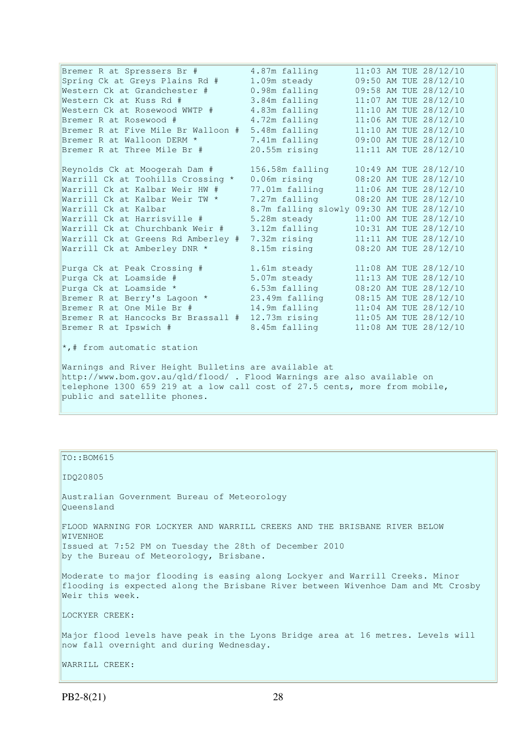Bremer R at Spressers Br #  $4.87m$  falling  $11:03$  AM TUE 28/12/10 Spring Ck at Greys Plains Rd # 1.09m steady 09:50 AM TUE 28/12/10 Western Ck at Grandchester # 0.98m falling 09:58 AM TUE 28/12/10 Western Ck at Kuss Rd # 3.84m falling 11:07 AM TUE 28/12/10 Western Ck at Rosewood WWTP # 4.83m falling 11:10 AM TUE 28/12/10 Bremer R at Rosewood # 4.72m falling 11:06 AM TUE 28/12/10 Bremer R at Five Mile Br Walloon  $# 5.48$ m falling Bremer R at Walloon DERM \* 7.41m falling 09:00 AM TUE 28/12/10 Bremer R at Three Mile Br # 20.55m rising 11:11 AM TUE 28/12/10 Reynolds Ck at Moogerah Dam # 156.58m falling 10:49 AM TUE 28/12/10 Warrill Ck at Toohills Crossing \* 0.06m rising 08:20 AM TUE 28/12/10 Warrill Ck at Kalbar Weir HW # 77.01m falling 11:06 AM TUE 28/12/10 Warrill Ck at Kalbar Weir TW \* 7.27m falling 08:20 AM TUE 28/12/10 Warrill Ck at Kalbar 8.7m falling slowly 09:30 AM TUE 28/12/10 Warrill Ck at Harrisville # 5.28m steady 11:00 AM TUE 28/12/10 Warrill Ck at Churchbank Weir # 3.12m falling 10:31 AM TUE 28/12/10 Warrill Ck at Greens Rd Amberley # 7.32m rising 11:11 AM TUE 28/12/10 Warrill Ck at Amberley DNR \* 8.15m rising 08:20 AM TUE 28/12/10 Purga Ck at Peak Crossing # 1.61m steady 11:08 AM TUE 28/12/10 Purga Ck at Loamside # 5.07m steady 11:13 AM TUE 28/12/10 Purga Ck at Loamside \* 6.53m falling 08:20 AM TUE 28/12/10 Bremer R at Berry's Lagoon \* 23.49m falling 08:15 AM TUE 28/12/10 Bremer R at One Mile Br # 14.9m falling 11:04 AM TUE 28/12/10 Bremer R at Hancocks Br Brassall # 12.73m rising 11:05 AM TUE 28/12/10 Bremer R at Ipswich # 8.45m falling 11:08 AM TUE 28/12/10 \*,# from automatic station Warnings and River Height Bulletins are available at http://www.bom.gov.au/qld/flood/ . Flood Warnings are also available on telephone 1300 659 219 at a low call cost of 27.5 cents, more from mobile,

public and satellite phones.

### TO::BOM615

#### IDQ20805

Australian Government Bureau of Meteorology Queensland

FLOOD WARNING FOR LOCKYER AND WARRILL CREEKS AND THE BRISBANE RIVER BELOW WIVENHOE. Issued at 7:52 PM on Tuesday the 28th of December 2010

by the Bureau of Meteorology, Brisbane.

Moderate to major flooding is easing along Lockyer and Warrill Creeks. Minor flooding is expected along the Brisbane River between Wivenhoe Dam and Mt Crosby Weir this week.

LOCKYER CREEK:

Major flood levels have peak in the Lyons Bridge area at 16 metres. Levels will now fall overnight and during Wednesday.

WARRILL CREEK: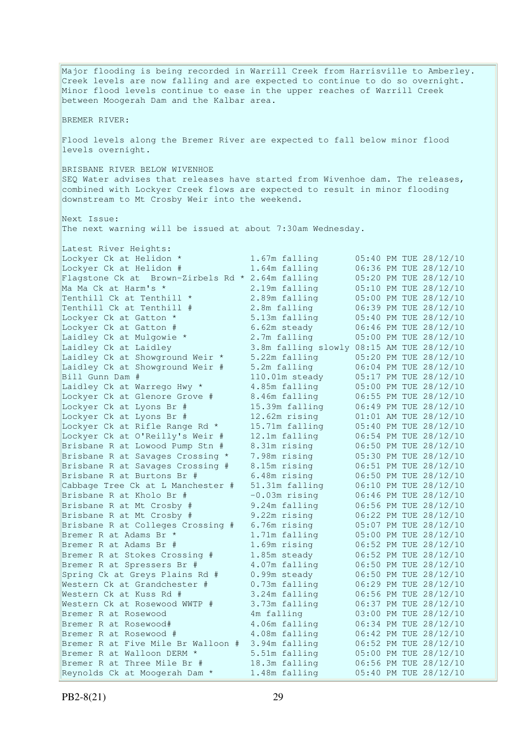Major flooding is being recorded in Warrill Creek from Harrisville to Amberley. Creek levels are now falling and are expected to continue to do so overnight. Minor flood levels continue to ease in the upper reaches of Warrill Creek between Moogerah Dam and the Kalbar area. BREMER RIVER: Flood levels along the Bremer River are expected to fall below minor flood levels overnight. BRISBANE RIVER BELOW WIVENHOE SEQ Water advises that releases have started from Wivenhoe dam. The releases, combined with Lockyer Creek flows are expected to result in minor flooding downstream to Mt Crosby Weir into the weekend. Next Issue: The next warning will be issued at about 7:30am Wednesday. Latest River Heights:<br>Lockyer Ck at Helidon \* Lockyer Ck at Helidon \* 1.67m falling 05:40 PM TUE 28/12/10 Lockyer Ck at Helidon # 1.64m falling 06:36 PM TUE 28/12/10 Flagstone Ck at Brown-Zirbels Rd \* 2.64m falling<br>Ma Ma Ck at Harm's \* 2.19m falling<br>Tenthill Ck at Tenthill \* 2.89m falling Ma Ma Ck at Harm's \* 2.19m falling 05:10 PM TUE 28/12/10 Tenthill Ck at Tenthill  $\star$  2.89m falling 05:00 PM TUE 28/12/10 Tenthill Ck at Tenthill # 2.8m falling 06:39 PM TUE 28/12/10 Lockyer Ck at Gatton \* 5.13m falling 05:40 PM TUE 28/12/10 Lockyer Ck at Gatton # 6.62m steady 06:46 PM TUE 28/12/10 Laidley Ck at Mulgowie \* 2.7m falling 05:00 PM TUE 28/12/10 Laidley Ck at Laidley 3.8m falling slowly 08:15 AM TUE 28/12/10 Laidley Ck at Showground Weir \* 5.22m falling 05:20 PM TUE 28/12/10 Laidley Ck at Showground Weir # 5.2m falling 06:04 PM TUE 28/12/10 Bill Gunn Dam # 110.01m steady 05:17 PM TUE 28/12/10 Laidley Ck at Warrego Hwy \* 4.85m falling 05:00 PM TUE 28/12/10 Lockyer Ck at Glenore Grove # 8.46m falling 06:55 PM TUE 28/12/10 Lockyer Ck at Lyons Br # 15.39m falling 06:49 PM TUE 28/12/10 Lockyer Ck at Lyons Br # 12.62m rising 01:01 AM TUE 28/12/10 Lockyer Ck at Rifle Range Rd \* 15.71m falling 05:40 PM TUE 28/12/10 Lockyer Ck at O'Reilly's Weir # 12.1m falling 06:54 PM TUE 28/12/10 Brisbane R at Lowood Pump Stn # 8.31m rising 06:50 PM TUE 28/12/10 Brisbane R at Savages Crossing \* 7.98m rising 05:30 PM TUE 28/12/10 Brisbane R at Savages Crossing # 8.15m rising 06:51 PM TUE 28/12/10 Brisbane R at Burtons Br #  $6.48$ m rising  $06:50$  PM TUE 28/12/10 Cabbage Tree Ck at L Manchester # 51.31m falling 06:10 PM TUE 28/12/10 Brisbane R at Kholo Br # -0.03m rising 06:46 PM TUE 28/12/10 Brisbane R at Mt Crosby # 9.24m falling 06:56 PM TUE 28/12/10 Brisbane R at Mt Crosby # 9.22m rising 06:22 PM TUE 28/12/10 Brisbane R at Colleges Crossing # 6.76m rising 05:07 PM TUE 28/12/10 Bremer R at Adams Br \* 1.71m falling 05:00 PM TUE 28/12/10 Bremer R at Adams Br # 1.69m rising 06:52 PM TUE 28/12/10 Bremer R at Stokes Crossing # 1.85m steady 06:52 PM TUE 28/12/10 Bremer R at Spressers Br # 4.07m falling 06:50 PM TUE 28/12/10 Spring Ck at Greys Plains Rd # 0.99m steady 06:50 PM TUE 28/12/10 Western Ck at Grandchester # 0.73m falling 06:29 PM TUE 28/12/10 Western Ck at Kuss Rd # 3.24m falling 06:56 PM TUE 28/12/10 Western Ck at Rosewood WWTP # 3.73m falling 06:37 PM TUE 28/12/10 Bremer R at Rosewood 4m falling 03:00 PM TUE 28/12/10 Bremer R at Rosewood# 4.06m falling 06:34 PM TUE 28/12/10 Bremer R at Rosewood # 4.08m falling 06:42 PM TUE 28/12/10 Bremer R at Five Mile Br Walloon # 3.94m falling 06:52 PM TUE 28/12/10 Bremer R at Walloon DERM \* 5.51m falling 05:00 PM TUE 28/12/10 Bremer R at Three Mile Br # 18.3m falling 06:56 PM TUE 28/12/10 Reynolds Ck at Moogerah Dam \* 1.48m falling 05:40 PM TUE 28/12/10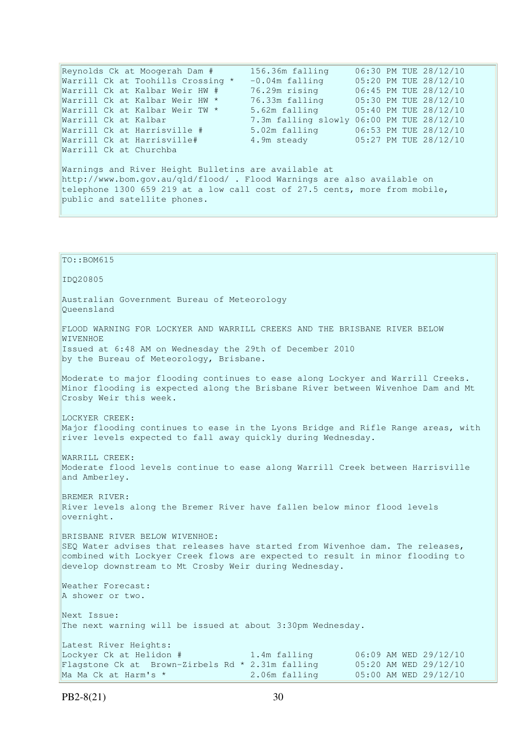Reynolds Ck at Moogerah Dam # 156.36m falling 06:30 PM TUE 28/12/10 Warrill Ck at Toohills Crossing \* -0.04m falling 05:20 PM TUE 28/12/10 Warrill Ck at Kalbar Weir HW # 76.29m rising 06:45 PM TUE 28/12/10 Warrill Ck at Kalbar Weir HW \* 76.33m falling 05:30 PM TUE 28/12/10 Warrill Ck at Kalbar Weir TW \* 5.62m falling 05:40 PM TUE 28/12/10 Warrill Ck at Kalbar 7.3m falling slowly 06:00 PM TUE 28/12/10 Warrill Ck at Harrisville # 5.02m falling 06:53 PM TUE 28/12/10 Warrill Ck at Harrisville# 4.9m steady 05:27 PM TUE 28/12/10 Warrill Ck at Churchba Warnings and River Height Bulletins are available at http://www.bom.gov.au/qld/flood/ . Flood Warnings are also available on telephone 1300 659 219 at a low call cost of 27.5 cents, more from mobile, public and satellite phones. TO::BOM615 IDQ20805 Australian Government Bureau of Meteorology Queensland FLOOD WARNING FOR LOCKYER AND WARRILL CREEKS AND THE BRISBANE RIVER BELOW WIVENHOE Issued at 6:48 AM on Wednesday the 29th of December 2010 by the Bureau of Meteorology, Brisbane. Moderate to major flooding continues to ease along Lockyer and Warrill Creeks. Minor flooding is expected along the Brisbane River between Wivenhoe Dam and Mt Crosby Weir this week. LOCKYER CREEK: Major flooding continues to ease in the Lyons Bridge and Rifle Range areas, with river levels expected to fall away quickly during Wednesday. WARRILL CREEK: Moderate flood levels continue to ease along Warrill Creek between Harrisville and Amberley. BREMER RIVER: River levels along the Bremer River have fallen below minor flood levels overnight. BRISBANE RIVER BELOW WIVENHOE: SEQ Water advises that releases have started from Wivenhoe dam. The releases, combined with Lockyer Creek flows are expected to result in minor flooding to develop downstream to Mt Crosby Weir during Wednesday. Weather Forecast: A shower or two. Next Issue: The next warning will be issued at about 3:30pm Wednesday. Latest River Heights: Lockyer Ck at Helidon # 1.4m falling 06:09 AM WED 29/12/10 Flagstone Ck at Brown-Zirbels Rd \* 2.31m falling 05:20 AM WED 29/12/10

Ma Ma Ck at Harm's \* 2.06m falling 05:00 AM WED 29/12/10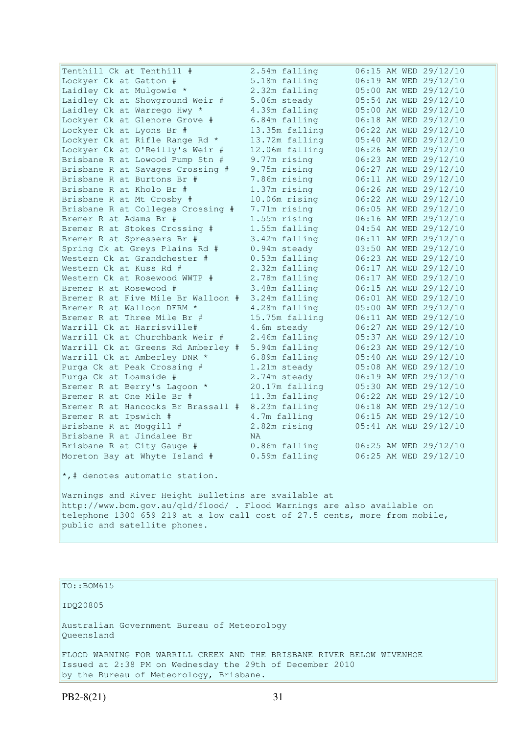| Tenthill Ck at Tenthill #          | 2.54m falling  | 06:15 AM WED 29/12/10 |
|------------------------------------|----------------|-----------------------|
| Lockyer Ck at Gatton #             | 5.18m falling  | 06:19 AM WED 29/12/10 |
| Laidley Ck at Mulgowie *           | 2.32m falling  | 05:00 AM WED 29/12/10 |
| Laidley Ck at Showground Weir #    | 5.06m steady   | 05:54 AM WED 29/12/10 |
| Laidley Ck at Warrego Hwy *        | 4.39m falling  | 05:00 AM WED 29/12/10 |
| Lockyer Ck at Glenore Grove #      | 6.84m falling  | 06:18 AM WED 29/12/10 |
| Lockyer Ck at Lyons Br #           | 13.35m falling | 06:22 AM WED 29/12/10 |
| Lockyer Ck at Rifle Range Rd *     | 13.72m falling | 05:40 AM WED 29/12/10 |
| Lockyer Ck at O'Reilly's Weir #    | 12.06m falling | 06:26 AM WED 29/12/10 |
| Brisbane R at Lowood Pump Stn #    | 9.77m rising   | 06:23 AM WED 29/12/10 |
| Brisbane R at Savages Crossing #   | 9.75m rising   | 06:27 AM WED 29/12/10 |
| Brisbane R at Burtons Br #         | 7.86m rising   | 06:11 AM WED 29/12/10 |
| Brisbane R at Kholo Br #           | 1.37m rising   | 06:26 AM WED 29/12/10 |
| Brisbane R at Mt Crosby #          | 10.06m rising  | 06:22 AM WED 29/12/10 |
| Brisbane R at Colleges Crossing #  | 7.71m rising   | 06:05 AM WED 29/12/10 |
| Bremer R at Adams Br #             | 1.55m rising   | 06:16 AM WED 29/12/10 |
| Bremer R at Stokes Crossing #      | 1.55m falling  | 04:54 AM WED 29/12/10 |
| Bremer R at Spressers Br #         | 3.42m falling  | 06:11 AM WED 29/12/10 |
| Spring Ck at Greys Plains Rd #     | 0.94m steady   | 03:50 AM WED 29/12/10 |
| Western Ck at Grandchester #       | 0.53m falling  | 06:23 AM WED 29/12/10 |
| Western Ck at Kuss Rd #            | 2.32m falling  | 06:17 AM WED 29/12/10 |
| Western Ck at Rosewood WWTP #      | 2.78m falling  | 06:17 AM WED 29/12/10 |
| Bremer R at Rosewood #             | 3.48m falling  | 06:15 AM WED 29/12/10 |
| Bremer R at Five Mile Br Walloon # | 3.24m falling  | 06:01 AM WED 29/12/10 |
| Bremer R at Walloon DERM *         | 4.28m falling  | 05:00 AM WED 29/12/10 |
| Bremer R at Three Mile Br #        | 15.75m falling | 06:11 AM WED 29/12/10 |
| Warrill Ck at Harrisville#         | 4.6m steady    | 06:27 AM WED 29/12/10 |
| Warrill Ck at Churchbank Weir #    | 2.46m falling  | 05:37 AM WED 29/12/10 |
| Warrill Ck at Greens Rd Amberley # | 5.94m falling  | 06:23 AM WED 29/12/10 |
| Warrill Ck at Amberley DNR *       | 6.89m falling  | 05:40 AM WED 29/12/10 |
| Purga Ck at Peak Crossing #        | 1.21m steady   | 05:08 AM WED 29/12/10 |
| Purga Ck at Loamside #             | 2.74m steady   | 06:19 AM WED 29/12/10 |
| Bremer R at Berry's Lagoon *       | 20.17m falling | 05:30 AM WED 29/12/10 |
| Bremer R at One Mile Br #          | 11.3m falling  | 06:22 AM WED 29/12/10 |
| Bremer R at Hancocks Br Brassall # | 8.23m falling  | 06:18 AM WED 29/12/10 |
| Bremer R at Ipswich #              | 4.7m falling   | 06:15 AM WED 29/12/10 |
| Brisbane R at Moggill #            | 2.82m rising   | 05:41 AM WED 29/12/10 |
| Brisbane R at Jindalee Br          | NA.            |                       |
| Brisbane R at City Gauge #         | 0.86m falling  | 06:25 AM WED 29/12/10 |
| Moreton Bay at Whyte Island #      | 0.59m falling  | 06:25 AM WED 29/12/10 |
|                                    |                |                       |

\*,# denotes automatic station.

Warnings and River Height Bulletins are available at http://www.bom.gov.au/qld/flood/ . Flood Warnings are also available on telephone 1300 659 219 at a low call cost of 27.5 cents, more from mobile, public and satellite phones.

TO::BOM615

IDQ20805

Australian Government Bureau of Meteorology Queensland

FLOOD WARNING FOR WARRILL CREEK AND THE BRISBANE RIVER BELOW WIVENHOE Issued at 2:38 PM on Wednesday the 29th of December 2010 by the Bureau of Meteorology, Brisbane.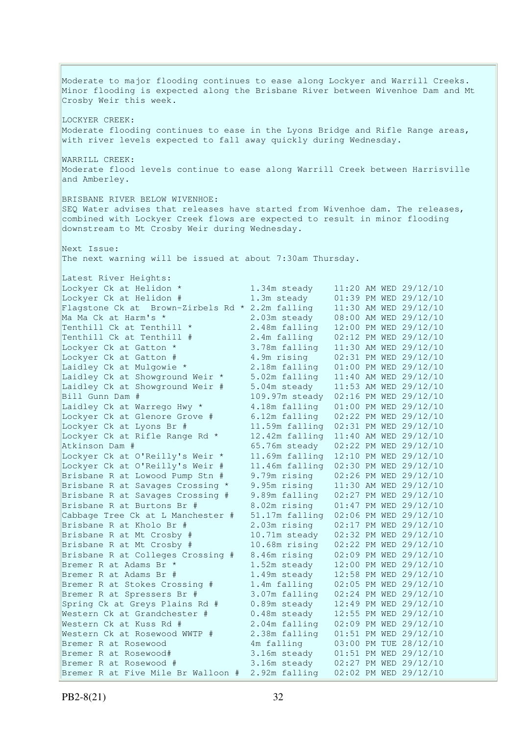Moderate to major flooding continues to ease along Lockyer and Warrill Creeks. Minor flooding is expected along the Brisbane River between Wivenhoe Dam and Mt Crosby Weir this week. LOCKYER CREEK: Moderate flooding continues to ease in the Lyons Bridge and Rifle Range areas, with river levels expected to fall away quickly during Wednesday. WARRILL CREEK: Moderate flood levels continue to ease along Warrill Creek between Harrisville and Amberley. BRISBANE RIVER BELOW WIVENHOE: SEQ Water advises that releases have started from Wivenhoe dam. The releases, combined with Lockyer Creek flows are expected to result in minor flooding downstream to Mt Crosby Weir during Wednesday. Next Issue: The next warning will be issued at about 7:30am Thursday. Latest River Heights: Lockyer Ck at Helidon \* 1.34m steady 11:20 AM WED 29/12/10 Lockyer Ck at Helidon # 1.3m steady 01:39 PM WED 29/12/10 Flagstone Ck at Brown-Zirbels Rd  $*$  2.2m falling Ma Ma Ck at Harm's \* 2.03m steady 08:00 AM WED 29/12/10 Tenthill Ck at Tenthill \* 2.48m falling 12:00 PM WED 29/12/10 Tenthill Ck at Tenthill # 2.4m falling 02:12 PM WED 29/12/10 Lockyer Ck at Gatton  $\star$  3.78m falling  $11:30$  AM WED 29/12/10 Lockyer Ck at Gatton # 4.9m rising 02:31 PM WED 29/12/10 Laidley Ck at Mulgowie \* 2.18m falling 01:00 PM WED 29/12/10 Laidley Ck at Showground Weir \* 5.02m falling 11:40 AM WED 29/12/10 Laidley Ck at Showground Weir # 5.04m steady 11:53 AM WED 29/12/10 Bill Gunn Dam # 109.97m steady 02:16 PM WED 29/12/10 Laidley Ck at Warrego Hwy \* 4.18m falling 01:00 PM WED 29/12/10 Lockyer Ck at Glenore Grove # 6.12m falling 02:22 PM WED 29/12/10 Lockyer Ck at Lyons Br # 11.59m falling 02:31 PM WED 29/12/10 Lockyer Ck at Rifle Range Rd \* 12.42m falling 11:40 AM WED 29/12/10 Atkinson Dam # 65.76m steady 02:22 PM WED 29/12/10 Lockyer Ck at O'Reilly's Weir \* 11.69m falling 12:10 PM WED 29/12/10 Lockyer Ck at O'Reilly's Weir # 11.46m falling 02:30 PM WED 29/12/10 Brisbane R at Lowood Pump Stn # 9.79m rising 02:26 PM WED 29/12/10 Brisbane R at Savages Crossing \* 9.95m rising 11:30 AM WED 29/12/10 Brisbane R at Savages Crossing # 9.89m falling 02:27 PM WED 29/12/10 Brisbane R at Burtons Br # 8.02m rising 01:47 PM WED 29/12/10 Cabbage Tree Ck at L Manchester # 51.17m falling 02:06 PM WED 29/12/10 2.03m rising 02:17 PM WED 29/12/10 Brisbane R at Mt Crosby # 10.71m steady 02:32 PM WED 29/12/10<br>Brisbane R at Mt Crosby # 10.68m rising 02:22 PM WED 29/12/10 10.68m rising 02:22 PM WED 29/12/10 Brisbane R at Colleges Crossing # 8.46m rising 02:09 PM WED 29/12/10 Bremer R at Adams Br \* 1.52m steady 12:00 PM WED 29/12/10 Bremer R at Adams Br # 1.49m steady 12:58 PM WED 29/12/10 Bremer R at Stokes Crossing # 1.4m falling 02:05 PM WED 29/12/10 Bremer R at Spressers Br # 3.07m falling 02:24 PM WED 29/12/10 Spring Ck at Greys Plains Rd # 0.89m steady 12:49 PM WED 29/12/10 Spring Ck at Greys Plains Rd # 0.89m steady 12:49 PM WED 29/12/10<br>Western Ck at Grandchester # 0.48m steady 12:55 PM WED 29/12/10 Western Ck at Kuss Rd # 2.04m falling 02:09 PM WED 29/12/10 Western Ck at Rosewood WWTP # 2.38m falling 01:51 PM WED 29/12/10 Bremer R at Rosewood 4m falling 03:00 PM TUE 28/12/10 Bremer R at Rosewood# 3.16m steady 01:51 PM WED 29/12/10 Bremer R at Rosewood # 3.16m steady 02:27 PM WED 29/12/10 Bremer R at Five Mile Br Walloon # 2.92m falling 02:02 PM WED 29/12/10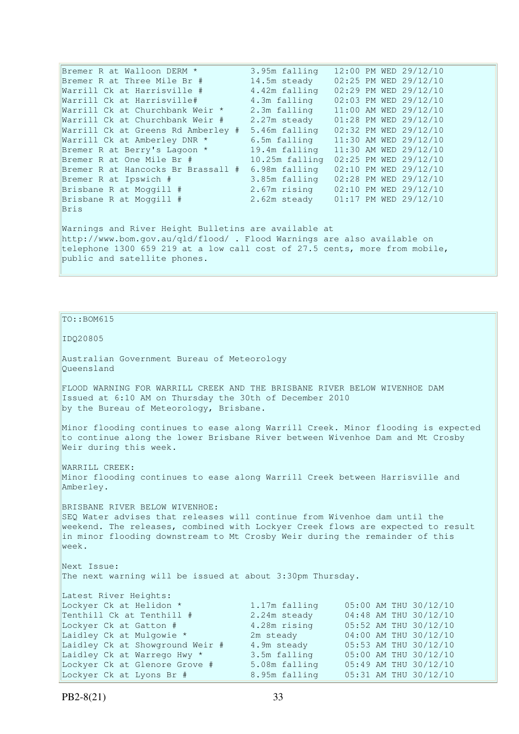Bremer R at Walloon DERM \* 3.95m falling 12:00 PM WED 29/12/10 Bremer R at Three Mile Br # 14.5m steady 02:25 PM WED 29/12/10 Warrill Ck at Harrisville # 4.42m falling 02:29 PM WED 29/12/10 Warrill Ck at Harrisville# 4.3m falling 02:03 PM WED 29/12/10 Warrill Ck at Churchbank Weir \* 2.3m falling 11:00 AM WED 29/12/10 Warrill Ck at Churchbank Weir # 2.27m steady 01:28 PM WED 29/12/10 Warrill Ck at Greens Rd Amberley # 5.46m falling 02:32 PM WED 29/12/10 Warrill Ck at Amberley DNR \* 6.5m falling 11:30 AM WED 29/12/10 Bremer R at Berry's Lagoon \* 19.4m falling 11:30 AM WED 29/12/10 Bremer R at One Mile Br # 10.25m falling 02:25 PM WED 29/12/10 Bremer R at Hancocks Br Brassall # 6.98m falling 02:10 PM WED 29/12/10 Bremer R at Ipswich # 3.85m falling 02:28 PM WED 29/12/10<br>Brisbane R at Moggill # 2.67m rising 02:10 PM WED 29/12/10<br>Brisbane R at Moggill # 2.62m steady 01:17 PM WED 29/12/10 Brisbane R at Moggill # 2.67m rising 02:10 PM WED 29/12/10 Brisbane R at Moggill # 2.62m steady 01:17 PM WED 29/12/10 Bris Warnings and River Height Bulletins are available at http://www.bom.gov.au/qld/flood/ . Flood Warnings are also available on telephone 1300 659 219 at a low call cost of 27.5 cents, more from mobile, public and satellite phones.

 $TO: **ROM615**$ 

IDQ20805

Australian Government Bureau of Meteorology Queensland

FLOOD WARNING FOR WARRILL CREEK AND THE BRISBANE RIVER BELOW WIVENHOE DAM Issued at 6:10 AM on Thursday the 30th of December 2010 by the Bureau of Meteorology, Brisbane.

Minor flooding continues to ease along Warrill Creek. Minor flooding is expected to continue along the lower Brisbane River between Wivenhoe Dam and Mt Crosby Weir during this week.

WARRILL CREEK: Minor flooding continues to ease along Warrill Creek between Harrisville and Amberley.

BRISBANE RIVER BELOW WIVENHOE: SEQ Water advises that releases will continue from Wivenhoe dam until the weekend. The releases, combined with Lockyer Creek flows are expected to result in minor flooding downstream to Mt Crosby Weir during the remainder of this week.

Next Issue: The next warning will be issued at about 3:30pm Thursday.

| Latest River Heights:           |               |                       |
|---------------------------------|---------------|-----------------------|
| Lockyer Ck at Helidon *         | 1.17m falling | 05:00 AM THU 30/12/10 |
| Tenthill Ck at Tenthill #       | 2.24m steady  | 04:48 AM THU 30/12/10 |
| Lockyer Ck at Gatton #          | 4.28m rising  | 05:52 AM THU 30/12/10 |
| Laidley Ck at Mulgowie *        | 2m steady     | 04:00 AM THU 30/12/10 |
| Laidley Ck at Showground Weir # | 4.9m steady   | 05:53 AM THU 30/12/10 |
| Laidley Ck at Warrego Hwy *     | 3.5m falling  | 05:00 AM THU 30/12/10 |
| Lockyer Ck at Glenore Grove #   | 5.08m falling | 05:49 AM THU 30/12/10 |
| Lockyer Ck at Lyons Br #        | 8.95m falling | 05:31 AM THU 30/12/10 |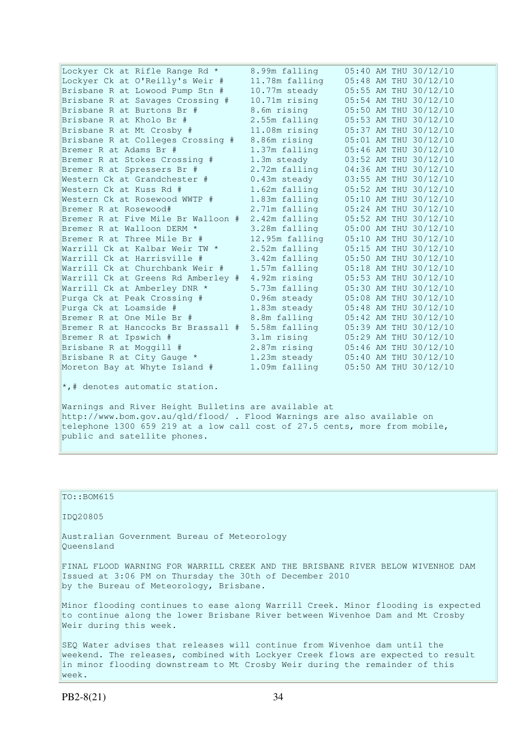| Lockyer Ck at Rifle Range Rd *     | 8.99m falling  |  | 05:40 AM THU 30/12/10 |
|------------------------------------|----------------|--|-----------------------|
| Lockyer Ck at O'Reilly's Weir #    | 11.78m falling |  | 05:48 AM THU 30/12/10 |
| Brisbane R at Lowood Pump Stn #    | 10.77m steady  |  | 05:55 AM THU 30/12/10 |
| Brisbane R at Savages Crossing #   | 10.71m rising  |  | 05:54 AM THU 30/12/10 |
| Brisbane R at Burtons Br #         | 8.6m rising    |  | 05:50 AM THU 30/12/10 |
| Brisbane R at Kholo Br #           | 2.55m falling  |  | 05:53 AM THU 30/12/10 |
| Brisbane R at Mt Crosby #          | 11.08m rising  |  | 05:37 AM THU 30/12/10 |
| Brisbane R at Colleges Crossing #  | 8.86m rising   |  | 05:01 AM THU 30/12/10 |
| Bremer R at Adams Br #             | 1.37m falling  |  | 05:46 AM THU 30/12/10 |
| Bremer R at Stokes Crossing #      | 1.3m steady    |  | 03:52 AM THU 30/12/10 |
| Bremer R at Spressers Br #         | 2.72m falling  |  | 04:36 AM THU 30/12/10 |
| Western Ck at Grandchester #       | $0.43m$ steady |  | 03:55 AM THU 30/12/10 |
| Western Ck at Kuss Rd #            | 1.62m falling  |  | 05:52 AM THU 30/12/10 |
| Western Ck at Rosewood WWTP #      | 1.83m falling  |  | 05:10 AM THU 30/12/10 |
| Bremer R at Rosewood#              | 2.71m falling  |  | 05:24 AM THU 30/12/10 |
| Bremer R at Five Mile Br Walloon # | 2.42m falling  |  | 05:52 AM THU 30/12/10 |
| Bremer R at Walloon DERM *         | 3.28m falling  |  | 05:00 AM THU 30/12/10 |
| Bremer R at Three Mile Br #        | 12.95m falling |  | 05:10 AM THU 30/12/10 |
| Warrill Ck at Kalbar Weir TW *     | 2.52m falling  |  | 05:15 AM THU 30/12/10 |
| Warrill Ck at Harrisville #        | 3.42m falling  |  | 05:50 AM THU 30/12/10 |
| Warrill Ck at Churchbank Weir #    | 1.57m falling  |  | 05:18 AM THU 30/12/10 |
| Warrill Ck at Greens Rd Amberley # | 4.92m rising   |  | 05:53 AM THU 30/12/10 |
| Warrill Ck at Amberley DNR *       | 5.73m falling  |  | 05:30 AM THU 30/12/10 |
| Purga Ck at Peak Crossing #        | 0.96m steady   |  | 05:08 AM THU 30/12/10 |
| Purga Ck at Loamside #             | 1.83m steady   |  | 05:48 AM THU 30/12/10 |
| Bremer R at One Mile Br #          | 8.8m falling   |  | 05:42 AM THU 30/12/10 |
| Bremer R at Hancocks Br Brassall # | 5.58m falling  |  | 05:39 AM THU 30/12/10 |
| Bremer R at Ipswich #              | 3.1m rising    |  | 05:29 AM THU 30/12/10 |
| Brisbane R at Moggill #            | 2.87m rising   |  | 05:46 AM THU 30/12/10 |
| Brisbane R at City Gauge *         | 1.23m steady   |  | 05:40 AM THU 30/12/10 |
| Moreton Bay at Whyte Island #      | 1.09m falling  |  | 05:50 AM THU 30/12/10 |
|                                    |                |  |                       |

\*,# denotes automatic station.

Warnings and River Height Bulletins are available at http://www.bom.gov.au/qld/flood/ . Flood Warnings are also available on telephone 1300 659 219 at a low call cost of 27.5 cents, more from mobile, public and satellite phones.

| $TO: BOM615$                                                                                                                                                                                                                                |  |  |  |  |
|---------------------------------------------------------------------------------------------------------------------------------------------------------------------------------------------------------------------------------------------|--|--|--|--|
| ID020805                                                                                                                                                                                                                                    |  |  |  |  |
| Australian Government Bureau of Meteorology<br>Oueensland                                                                                                                                                                                   |  |  |  |  |
| FINAL FLOOD WARNING FOR WARRILL CREEK AND THE BRISBANE RIVER BELOW WIVENHOE DAM<br>Issued at 3:06 PM on Thursday the 30th of December 2010<br>by the Bureau of Meteorology, Brisbane.                                                       |  |  |  |  |
| Minor flooding continues to ease along Warrill Creek. Minor flooding is expected<br>to continue along the lower Brisbane River between Wivenhoe Dam and Mt Crosby<br>Weir during this week.                                                 |  |  |  |  |
| SEO Water advises that releases will continue from Wivenhoe dam until the<br>weekend. The releases, combined with Lockyer Creek flows are expected to result<br>in minor flooding downstream to Mt Crosby Weir during the remainder of this |  |  |  |  |

week.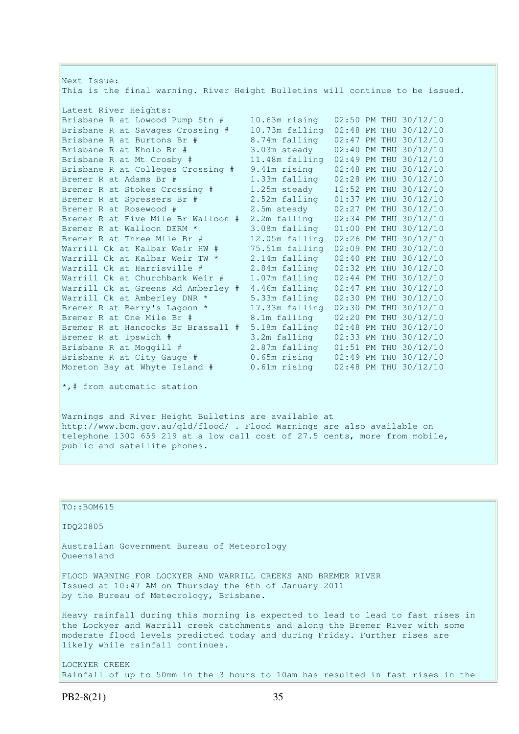| Next Issue:<br>This is the final warning. River Height Bulletins will continue to be issued. |                 |                       |  |  |  |
|----------------------------------------------------------------------------------------------|-----------------|-----------------------|--|--|--|
| Latest River Heights:                                                                        |                 |                       |  |  |  |
| Brisbane R at Lowood Pump Stn #                                                              | 10.63m rising   | 02:50 PM THU 30/12/10 |  |  |  |
| Brisbane R at Savages Crossing #                                                             | 10.73m falling  | 02:48 PM THU 30/12/10 |  |  |  |
| Brisbane R at Burtons Br #                                                                   | 8.74m falling   | 02:47 PM THU 30/12/10 |  |  |  |
| Brisbane R at Kholo Br #                                                                     | 3.03m steady    | 02:40 PM THU 30/12/10 |  |  |  |
| Brisbane R at Mt Crosby #                                                                    | 11.48m falling  | 02:49 PM THU 30/12/10 |  |  |  |
| Brisbane R at Colleges Crossing #                                                            | 9.41m rising    | 02:48 PM THU 30/12/10 |  |  |  |
| Bremer R at Adams Br #                                                                       | 1.33m falling   | 02:28 PM THU 30/12/10 |  |  |  |
| Bremer R at Stokes Crossing #                                                                | 1.25m steady    | 12:52 PM THU 30/12/10 |  |  |  |
| Bremer R at Spressers Br #                                                                   | 2.52m falling   | 01:37 PM THU 30/12/10 |  |  |  |
| Bremer R at Rosewood #                                                                       | 2.5m steady     | 02:27 PM THU 30/12/10 |  |  |  |
| Bremer R at Five Mile Br Walloon #                                                           | 2.2m falling    | 02:34 PM THU 30/12/10 |  |  |  |
| Bremer R at Walloon DERM *                                                                   | 3.08m falling   | 01:00 PM THU 30/12/10 |  |  |  |
| Bremer R at Three Mile Br #                                                                  | 12.05m falling  | 02:26 PM THU 30/12/10 |  |  |  |
| Warrill Ck at Kalbar Weir HW #                                                               | 75.51m falling  | 02:09 PM THU 30/12/10 |  |  |  |
| Warrill Ck at Kalbar Weir TW *                                                               | 2.14m falling   | 02:40 PM THU 30/12/10 |  |  |  |
| Warrill Ck at Harrisville #                                                                  | 2.84m falling   | 02:32 PM THU 30/12/10 |  |  |  |
| Warrill Ck at Churchbank Weir #                                                              | 1.07m falling   | 02:44 PM THU 30/12/10 |  |  |  |
| Warrill Ck at Greens Rd Amberley #                                                           | 4.46m falling   | 02:47 PM THU 30/12/10 |  |  |  |
| Warrill Ck at Amberley DNR *                                                                 | 5.33m falling   | 02:30 PM THU 30/12/10 |  |  |  |
| Bremer R at Berry's Lagoon *                                                                 | 17.33m falling  | 02:30 PM THU 30/12/10 |  |  |  |
| Bremer R at One Mile Br #                                                                    | 8.1m falling    | 02:20 PM THU 30/12/10 |  |  |  |
| Bremer R at Hancocks Br Brassall #                                                           | 5.18m falling   | 02:48 PM THU 30/12/10 |  |  |  |
| Bremer R at Ipswich #                                                                        | 3.2m falling    | 02:33 PM THU 30/12/10 |  |  |  |
| Brisbane R at Moggill #                                                                      | 2.87m falling   | 01:51 PM THU 30/12/10 |  |  |  |
| Brisbane R at City Gauge #                                                                   | 0.65m rising    | 02:49 PM THU 30/12/10 |  |  |  |
| Moreton Bay at Whyte Island #                                                                | $0.61$ m rising | 02:48 PM THU 30/12/10 |  |  |  |
| *,# from automatic station                                                                   |                 |                       |  |  |  |

Warnings and River Height Bulletins are available at http://www.bom.gov.au/qld/flood/ . Flood Warnings are also available on telephone 1300 659 219 at a low call cost of 27.5 cents, more from mobile, public and satellite phones.

 $\vert$ TO::BOM615 IDQ20805 Australian Government Bureau of Meteorology Queensland FLOOD WARNING FOR LOCKYER AND WARRILL CREEKS AND BREMER RIVER Issued at 10:47 AM on Thursday the 6th of January 2011 by the Bureau of Meteorology, Brisbane. Heavy rainfall during this morning is expected to lead to lead to fast rises in the Lockyer and Warrill creek catchments and along the Bremer River with some moderate flood levels predicted today and during Friday. Further rises are likely while rainfall continues. LOCKYER CREEK

Rainfall of up to 50mm in the 3 hours to 10am has resulted in fast rises in the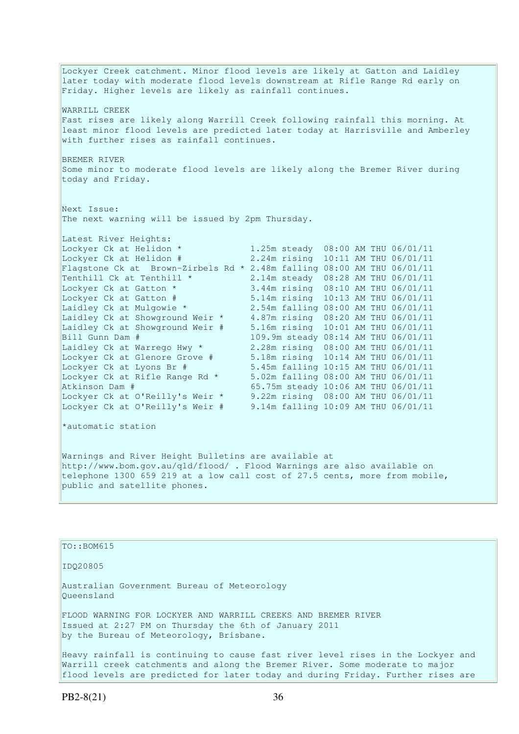Lockyer Creek catchment. Minor flood levels are likely at Gatton and Laidley later today with moderate flood levels downstream at Rifle Range Rd early on Friday. Higher levels are likely as rainfall continues. WARRILL CREEK Fast rises are likely along Warrill Creek following rainfall this morning. At least minor flood levels are predicted later today at Harrisville and Amberley with further rises as rainfall continues. BREMER RIVER Some minor to moderate flood levels are likely along the Bremer River during today and Friday. Next Issue: The next warning will be issued by 2pm Thursday. Latest River Heights:<br>Lockyer Ck at Helidon \* 1.25m steady 08:00 AM THU 06/01/11 Lockyer Ck at Helidon  $\#$  2.24m rising 10:11 AM THU 06/01/11 Flagstone Ck at Brown-Zirbels Rd \* 2.48m falling  $08:00$  AM THU  $06/01/11$ <br>Tenthill Ck at Tenthill \* 2.14m steady  $08:28$  AM THU  $06/01/11$ Tenthill Ck at Tenthill  $*$  2.14m steady  $08:28$  AM THU  $06/01/11$ Lockyer Ck at Gatton \* 3.44m rising 08:10 AM THU 06/01/11 Lockyer Ck at Gatton # 5.14m rising 10:13 AM THU 06/01/11 Laidley Ck at Mulgowie \* 2.54m falling 08:00 AM THU 06/01/11 Laidley Ck at Showground Weir \* 4.87m rising 08:20 AM THU 06/01/11 Laidley Ck at Showground Weir # 5.16m rising 10:01 AM THU 06/01/11 Bill Gunn Dam # 109.9m steady 08:14 AM THU 06/01/11 Laidley Ck at Warrego Hwy \* 2.28m rising 08:00 AM THU 06/01/11 Lockyer Ck at Glenore Grove # 5.18m rising 10:14 AM THU 06/01/11 Lockyer Ck at Lyons Br # 5.45m falling 10:15 AM THU 06/01/11 Lockyer Ck at Rifle Range Rd \* 5.02m falling 08:00 AM THU 06/01/11 Atkinson Dam # 65.75m steady 10:06 AM THU 06/01/11 Lockyer Ck at O'Reilly's Weir \* 9.22m rising 08:00 AM THU 06/01/11 Lockyer Ck at O'Reilly's Weir # 9.14m falling 10:09 AM THU 06/01/11 \*automatic station Warnings and River Height Bulletins are available at http://www.bom.gov.au/qld/flood/ . Flood Warnings are also available on telephone 1300 659 219 at a low call cost of 27.5 cents, more from mobile, public and satellite phones.

### TO::BOM615

IDQ20805

Australian Government Bureau of Meteorology Queensland

FLOOD WARNING FOR LOCKYER AND WARRILL CREEKS AND BREMER RIVER Issued at 2:27 PM on Thursday the 6th of January 2011 by the Bureau of Meteorology, Brisbane.

Heavy rainfall is continuing to cause fast river level rises in the Lockyer and Warrill creek catchments and along the Bremer River. Some moderate to major flood levels are predicted for later today and during Friday. Further rises are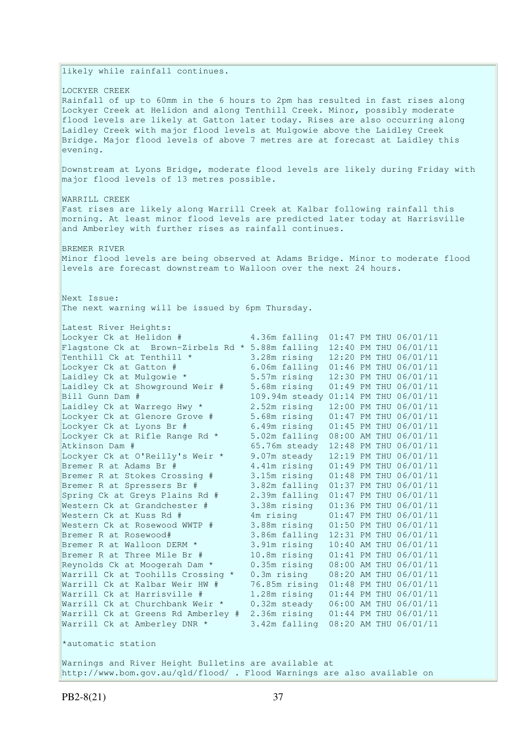likely while rainfall continues.

LOCKYER CREEK Rainfall of up to 60mm in the 6 hours to 2pm has resulted in fast rises along Lockyer Creek at Helidon and along Tenthill Creek. Minor, possibly moderate flood levels are likely at Gatton later today. Rises are also occurring along Laidley Creek with major flood levels at Mulgowie above the Laidley Creek Bridge. Major flood levels of above 7 metres are at forecast at Laidley this evening.

Downstream at Lyons Bridge, moderate flood levels are likely during Friday with major flood levels of 13 metres possible.

WARRILL CREEK Fast rises are likely along Warrill Creek at Kalbar following rainfall this morning. At least minor flood levels are predicted later today at Harrisville and Amberley with further rises as rainfall continues.

BREMER RIVER Minor flood levels are being observed at Adams Bridge. Minor to moderate flood levels are forecast downstream to Walloon over the next 24 hours.

Next Issue: The next warning will be issued by 6pm Thursday.

| Latest River Heights:                              |                                      |  |                       |
|----------------------------------------------------|--------------------------------------|--|-----------------------|
| Lockyer Ck at Helidon #                            | 4.36m falling                        |  | 01:47 PM THU 06/01/11 |
| Flagstone Ck at Brown-Zirbels Rd $*$ 5.88m falling |                                      |  | 12:40 PM THU 06/01/11 |
| Tenthill Ck at Tenthill *                          | 3.28m rising                         |  | 12:20 PM THU 06/01/11 |
| Lockyer Ck at Gatton #                             | 6.06m falling                        |  | 01:46 PM THU 06/01/11 |
| Laidley Ck at Mulgowie *                           | 5.57m rising                         |  | 12:30 PM THU 06/01/11 |
| Laidley Ck at Showground Weir #                    | 5.68m rising                         |  | 01:49 PM THU 06/01/11 |
| Bill Gunn Dam #                                    | 109.94m steady 01:14 PM THU 06/01/11 |  |                       |
| Laidley Ck at Warrego Hwy *                        | 2.52m rising                         |  | 12:00 PM THU 06/01/11 |
| Lockyer Ck at Glenore Grove #                      | 5.68m rising                         |  | 01:47 PM THU 06/01/11 |
| Lockyer Ck at Lyons Br #                           | 6.49m rising                         |  | 01:45 PM THU 06/01/11 |
| Lockyer Ck at Rifle Range Rd *                     | 5.02m falling                        |  | 08:00 AM THU 06/01/11 |
| Atkinson Dam #                                     | 65.76m steady                        |  | 12:48 PM THU 06/01/11 |
| Lockyer Ck at O'Reilly's Weir *                    | 9.07m steady                         |  | 12:19 PM THU 06/01/11 |
| Bremer R at Adams Br #                             | 4.41m rising                         |  | 01:49 PM THU 06/01/11 |
| Bremer R at Stokes Crossing #                      | 3.15m rising                         |  | 01:48 PM THU 06/01/11 |
| Bremer R at Spressers Br #                         | 3.82m falling                        |  | 01:37 PM THU 06/01/11 |
| Spring Ck at Greys Plains Rd #                     | 2.39m falling                        |  | 01:47 PM THU 06/01/11 |
| Western Ck at Grandchester #                       | 3.38m rising                         |  | 01:36 PM THU 06/01/11 |
| Western Ck at Kuss Rd #                            | 4m rising                            |  | 01:47 PM THU 06/01/11 |
| Western Ck at Rosewood WWTP #                      | 3.88m rising                         |  | 01:50 PM THU 06/01/11 |
| Bremer R at Rosewood#                              | 3.86m falling                        |  | 12:31 PM THU 06/01/11 |
| Bremer R at Walloon DERM *                         | 3.91m rising                         |  | 10:40 AM THU 06/01/11 |
| Bremer R at Three Mile Br #                        | 10.8m rising                         |  | 01:41 PM THU 06/01/11 |
| Reynolds Ck at Moogerah Dam *                      | 0.35m rising                         |  | 08:00 AM THU 06/01/11 |
| Warrill Ck at Toohills Crossing *                  | 0.3m rising                          |  | 08:20 AM THU 06/01/11 |
| Warrill Ck at Kalbar Weir HW #                     | 76.85m rising                        |  | 01:48 PM THU 06/01/11 |
| Warrill Ck at Harrisville #                        | 1.28m rising                         |  | 01:44 PM THU 06/01/11 |
| Warrill Ck at Churchbank Weir *                    | 0.32m steady                         |  | 06:00 AM THU 06/01/11 |
| Warrill Ck at Greens Rd Amberley #                 | 2.36m rising                         |  | 01:44 PM THU 06/01/11 |
| Warrill Ck at Amberley DNR *                       | 3.42m falling                        |  | 08:20 AM THU 06/01/11 |
| *automatic station                                 |                                      |  |                       |

Warnings and River Height Bulletins are available at http://www.bom.gov.au/qld/flood/ . Flood Warnings are also available on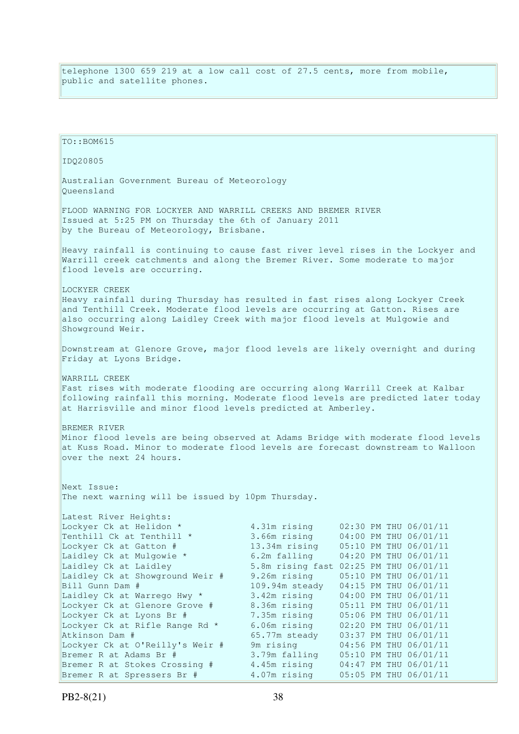telephone 1300 659 219 at a low call cost of 27.5 cents, more from mobile, public and satellite phones.

TO::BOM615 IDQ20805 Australian Government Bureau of Meteorology Queensland FLOOD WARNING FOR LOCKYER AND WARRILL CREEKS AND BREMER RIVER Issued at 5:25 PM on Thursday the 6th of January 2011 by the Bureau of Meteorology, Brisbane. Heavy rainfall is continuing to cause fast river level rises in the Lockyer and Warrill creek catchments and along the Bremer River. Some moderate to major flood levels are occurring. LOCKYER CREEK Heavy rainfall during Thursday has resulted in fast rises along Lockyer Creek and Tenthill Creek. Moderate flood levels are occurring at Gatton. Rises are also occurring along Laidley Creek with major flood levels at Mulgowie and Showground Weir. Downstream at Glenore Grove, major flood levels are likely overnight and during Friday at Lyons Bridge. WARRILL CREEK Fast rises with moderate flooding are occurring along Warrill Creek at Kalbar following rainfall this morning. Moderate flood levels are predicted later today at Harrisville and minor flood levels predicted at Amberley. BREMER RIVER Minor flood levels are being observed at Adams Bridge with moderate flood levels at Kuss Road. Minor to moderate flood levels are forecast downstream to Walloon over the next 24 hours. Next Issue: The next warning will be issued by 10pm Thursday. Latest River Heights: Lockyer Ck at Helidon \* 4.31m rising 02:30 PM THU 06/01/11<br>Tenthill Ck at Tenthill \* 3.66m rising 04:00 PM THU 06/01/11 Tenthill Ck at Tenthill  $*$  3.66m rising Lockyer Ck at Gatton # 13.34m rising 05:10 PM THU 06/01/11 Laidley Ck at Mulgowie \* 6.2m falling 04:20 PM THU 06/01/11 Laidley Ck at Laidley 3.8m rising fast 02:25 PM THU 06/01/11 Laidley Ck at Showground Weir # 9.26m rising 05:10 PM THU 06/01/11 Bill Gunn Dam # 109.94m steady 04:15 PM THU 06/01/11<br>Laidley Ck at Warrego Hwy \* 3.42m rising 04:00 PM THU 06/01/11 Laidley Ck at Warrego Hwy \* 3.42m rising 04:00 PM THU 06/01/11 Lockyer Ck at Glenore Grove # 8.36m rising 05:11 PM THU 06/01/11 Lockyer Ck at Lyons Br # 7.35m rising 05:06 PM THU 06/01/11 Lockyer Ck at Rifle Range Rd \* 6.06m rising 02:20 PM THU 06/01/11 Atkinson Dam # 65.77m steady 03:37 PM THU 06/01/11 Atkinson Dam # 65.77m steady 03:37 PM THU 06/01/11<br>
Lockyer Ck at O'Reilly's Weir # 9m rising 04:56 PM THU 06/01/11 Bremer R at Adams Br # 3.79m falling 05:10 PM THU 06/01/11 Bremer R at Stokes Crossing # 4.45m rising 04:47 PM THU 06/01/11 Bremer R at Spressers Br # 4.07m rising 05:05 PM THU 06/01/11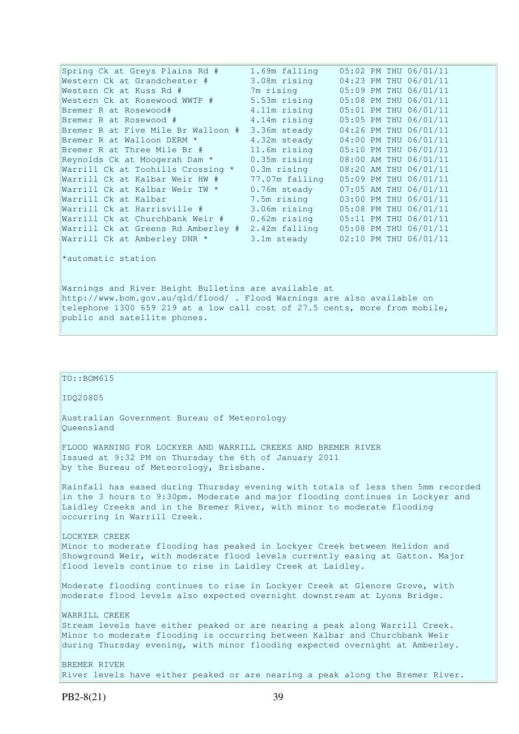| Spring Ck at Greys Plains Rd #     | 1.69m falling  |  | 05:02 PM THU 06/01/11 |
|------------------------------------|----------------|--|-----------------------|
| Western Ck at Grandchester #       | 3.08m rising   |  | 04:23 PM THU 06/01/11 |
| Western Ck at Kuss Rd #            | 7m rising      |  | 05:09 PM THU 06/01/11 |
| Western Ck at Rosewood WWTP #      | 5.53m rising   |  | 05:08 PM THU 06/01/11 |
| Bremer R at Rosewood#              | 4.11m rising   |  | 05:01 PM THU 06/01/11 |
| Bremer R at Rosewood #             | 4.14m rising   |  | 05:05 PM THU 06/01/11 |
| Bremer R at Five Mile Br Walloon # | 3.36m steady   |  | 04:26 PM THU 06/01/11 |
| Bremer R at Walloon DERM *         | 4.32m steady   |  | 04:00 PM THU 06/01/11 |
| Bremer R at Three Mile Br #        | 11.6m rising   |  | 05:10 PM THU 06/01/11 |
| Reynolds Ck at Moogerah Dam *      | $0.35m$ rising |  | 08:00 AM THU 06/01/11 |
| Warrill Ck at Toohills Crossing *  | 0.3m rising    |  | 08:20 AM THU 06/01/11 |
| Warrill Ck at Kalbar Weir HW #     | 77.07m falling |  | 05:09 PM THU 06/01/11 |
| Warrill Ck at Kalbar Weir TW *     | 0.76m steady   |  | 07:05 AM THU 06/01/11 |
| Warrill Ck at Kalbar               | 7.5m rising    |  | 03:00 PM THU 06/01/11 |
| Warrill Ck at Harrisville #        | 3.06m rising   |  | 05:08 PM THU 06/01/11 |
| Warrill Ck at Churchbank Weir #    | $0.62m$ rising |  | 05:11 PM THU 06/01/11 |
| Warrill Ck at Greens Rd Amberley # | 2.42m falling  |  | 05:08 PM THU 06/01/11 |
| Warrill Ck at Amberley DNR *       | 3.1m steady    |  | 02:10 PM THU 06/01/11 |
| *automatic station                 |                |  |                       |

Warnings and River Height Bulletins are available at http://www.bom.gov.au/qld/flood/ . Flood Warnings are also available on telephone 1300 659 219 at a low call cost of 27.5 cents, more from mobile, public and satellite phones.

# IDQ20805 Australian Government Bureau of Meteorology Queensland FLOOD WARNING FOR LOCKYER AND WARRILL CREEKS AND BREMER RIVER Issued at 9:32 PM on Thursday the 6th of January 2011 by the Bureau of Meteorology, Brisbane.

TO::BOM615

Rainfall has eased during Thursday evening with totals of less then 5mm recorded in the 3 hours to 9:30pm. Moderate and major flooding continues in Lockyer and Laidley Creeks and in the Bremer River, with minor to moderate flooding occurring in Warrill Creek.

LOCKYER CREEK Minor to moderate flooding has peaked in Lockyer Creek between Helidon and Showground Weir, with moderate flood levels currently easing at Gatton. Major flood levels continue to rise in Laidley Creek at Laidley.

Moderate flooding continues to rise in Lockyer Creek at Glenore Grove, with moderate flood levels also expected overnight downstream at Lyons Bridge.

WARRILL CREEK Stream levels have either peaked or are nearing a peak along Warrill Creek. Minor to moderate flooding is occurring between Kalbar and Churchbank Weir during Thursday evening, with minor flooding expected overnight at Amberley.

BREMER RIVER River levels have either peaked or are nearing a peak along the Bremer River.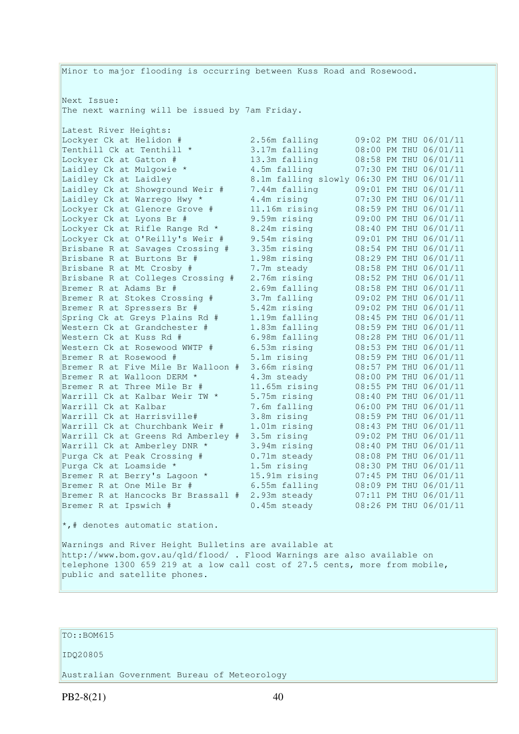Minor to major flooding is occurring between Kuss Road and Rosewood. Next Issue: The next warning will be issued by 7am Friday. Latest River Heights: Lockyer Ck at Helidon #  $2.56$ m falling 09:02 PM THU 06/01/11<br>Tenthill Ck at Tenthill \* 3.17m falling 08:00 PM THU 06/01/11 Tenthill Ck at Tenthill \* 3.17m falling  $0.00$  PM THU  $0.01/11$ <br>Lockver Ck at Gatton #  $13.3$ m falling  $0.08:58$  PM THU  $0.6/01/11$ Locum Failing 08:58 PM THU 06/01/11<br>
Laidley Ck at Laidley 3.1m falling 07:30 PM THU 06/01/11 Laidley Ck at Mulgowie \* 4.5m falling 07:30 PM THU 06/01/11 Laidley Ck at Laidley 8.1m falling slowly 06:30 PM THU 06/01/11 Laidley Ck at Showground Weir # 7.44m falling 09:01 PM THU 06/01/11 Laidley Ck at Warrego Hwy \* 4.4m rising 07:30 PM THU 06/01/11 Lockyer Ck at Glenore Grove # 11.16m rising 08:59 PM THU 06/01/11 Lockyer Ck at Lyons Br # 9.59m rising 09:00 PM THU 06/01/11 Lockyer Ck at Rifle Range Rd \* 8.24m rising 08:40 PM THU 06/01/11 Lockyer Ck at O'Reilly's Weir # 9.54m rising 09:01 PM THU 06/01/11 Brisbane R at Savages Crossing # 3.35m rising 08:54 PM THU 06/01/11 Brisbane R at Burtons Br # 1.98m rising 08:29 PM THU 06/01/11 Brisbane R at Mt Crosby # 7.7m steady 08:58 PM THU 06/01/11 Brisbane R at Colleges Crossing # 2.76m rising 08:52 PM THU 06/01/11 Bremer R at Adams Br # 2.69m falling 08:58 PM THU 06/01/11 Bremer R at Stokes Crossing # 3.7m falling 09:02 PM THU 06/01/11 Bremer R at Spressers Br # 5.42m rising 09:02 PM THU 06/01/11 Spring Ck at Greys Plains Rd # 1.19m falling 08:45 PM THU 06/01/11 Western Ck at Grandchester # 1.83m falling 08:59 PM THU 06/01/11 Western Ck at Kuss Rd # 6.98m falling 08:28 PM THU 06/01/11 Western Ck at Rosewood WWTP # 6.53m rising 08:53 PM THU 06/01/11 Bremer R at Rosewood # 5.1m rising 08:59 PM THU 06/01/11 Bremer R at Five Mile Br Walloon # 3.66m rising 08:57 PM THU 06/01/11 Bremer R at Walloon DERM  $*$  4.3m steady 08:00 PM THU 06/01/11 Bremer R at Three Mile Br # 11.65m rising 08:55 PM THU 06/01/11 Warrill Ck at Kalbar Weir TW \* 5.75m rising 08:40 PM THU 06/01/11 Warrill Ck at Kalbar 7.6m falling 06:00 PM THU 06/01/11 Warrill Ck at Harrisville# 3.8m rising 08:59 PM THU 06/01/11 Warrill Ck at Churchbank Weir # 1.01m rising 08:43 PM THU 06/01/11 Warrill Ck at Greens Rd Amberley # 3.5m rising 09:02 PM THU 06/01/11 Warrill Ck at Amberley DNR \* 3.94m rising 08:40 PM THU 06/01/11 Purga Ck at Peak Crossing # 0.71m steady 08:08 PM THU 06/01/11 Purga Ck at Loamside \* 1.5m rising 08:30 PM THU 06/01/11 Bremer R at Berry's Lagoon \* 15.91m rising 07:45 PM THU 06/01/11 Bremer R at One Mile Br # 6.55m falling 08:09 PM THU 06/01/11 Bremer R at Hancocks Br Brassall # 2.93m steady 07:11 PM THU 06/01/11 Bremer R at Ipswich # 0.45m steady 08:26 PM THU 06/01/11  $\star$ ,# denotes automatic station.

Warnings and River Height Bulletins are available at http://www.bom.gov.au/qld/flood/ . Flood Warnings are also available on telephone 1300 659 219 at a low call cost of 27.5 cents, more from mobile, public and satellite phones.

# TO::BOM615

#### IDQ20805

Australian Government Bureau of Meteorology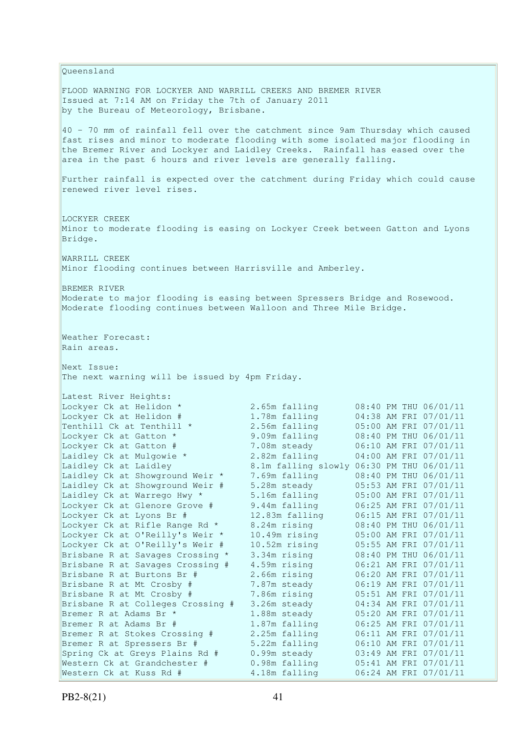Queensland FLOOD WARNING FOR LOCKYER AND WARRILL CREEKS AND BREMER RIVER Issued at 7:14 AM on Friday the 7th of January 2011 by the Bureau of Meteorology, Brisbane. 40 - 70 mm of rainfall fell over the catchment since 9am Thursday which caused fast rises and minor to moderate flooding with some isolated major flooding in the Bremer River and Lockyer and Laidley Creeks. Rainfall has eased over the area in the past 6 hours and river levels are generally falling. Further rainfall is expected over the catchment during Friday which could cause renewed river level rises. LOCKYER CREEK Minor to moderate flooding is easing on Lockyer Creek between Gatton and Lyons Bridge. WARRILL CREEK Minor flooding continues between Harrisville and Amberley. BREMER RIVER Moderate to major flooding is easing between Spressers Bridge and Rosewood. Moderate flooding continues between Walloon and Three Mile Bridge. Weather Forecast: Rain areas. Next Issue: The next warning will be issued by 4pm Friday. Latest River Heights: Lockyer Ck at Helidon \* 2.65m falling 08:40 PM THU 06/01/11 Lockyer Ck at Helidon # 1.78m falling 04:38 AM FRI 07/01/11 Tenthill Ck at Tenthill  $\star$  2.56m falling 05:00 AM FRI 07/01/11 Lockyer Ck at Gatton \* 9.09m falling 08:40 PM THU 06/01/11 Lockyer Ck at Gatton # 7.08m steady 06:10 AM FRI 07/01/11 Laidley Ck at Mulgowie \* 2.82m falling 04:00 AM FRI 07/01/11 Laidley Ck at Laidley 8.1m falling slowly 06:30 PM THU 06/01/11 Laidley Ck at Showground Weir \* 7.69m falling 08:40 PM THU 06/01/11 Laidley Ck at Showground Weir # 5.28m steady 05:53 AM FRI 07/01/11 Laidley Ck at Warrego Hwy \* 5.16m falling 05:00 AM FRI 07/01/11 Lockyer Ck at Glenore Grove # 9.44m falling 06:25 AM FRI 07/01/11 Lockyer Ck at Lyons Br # 12.83m falling 06:15 AM FRI 07/01/11 Lockyer Ck at Rifle Range Rd \* 8.24m rising 08:40 PM THU 06/01/11 Lockyer Ck at O'Reilly's Weir \* 10.49m rising 05:00 AM FRI 07/01/11 Lockyer Ck at O'Reilly's Weir # 10.52m rising 05:55 AM FRI 07/01/11 Brisbane R at Savages Crossing \* 3.34m rising 08:40 PM THU 06/01/11 Brisbane R at Savages Crossing # 4.59m rising 06:21 AM FRI 07/01/11 Brisbane R at Burtons Br # 2.66m rising 06:20 AM FRI 07/01/11 Brisbane R at Mt Crosby # 7.87m steady 06:19 AM FRI 07/01/11 Brisbane R at Mt Crosby # 7.86m rising 05:51 AM FRI 07/01/11 Brisbane R at Colleges Crossing # 3.26m steady 04:34 AM FRI 07/01/11 Brisbane R at Mt Crosby # 7.86m rising 05:51 AM FRI 07/01/11<br>Brisbane R at Colleges Crossing # 3.26m steady 04:34 AM FRI 07/01/11<br>Bremer R at Adams Br \* 1.88m steady 05:20 AM FRI 07/01/11 Bremer R at Adams Br # 1.87m falling 06:25 AM FRI 07/01/11 Bremer R at Stokes Crossing # 2.25m falling 06:11 AM FRI 07/01/11 Bremer R at Spressers Br # 5.22m falling 06:10 AM FRI 07/01/11 Spring Ck at Greys Plains Rd # 0.99m steady 03:49 AM FRI 07/01/11 Western Ck at Grandchester # 0.98m falling 05:41 AM FRI 07/01/11 Western Ck at Kuss Rd # 4.18m falling 06:24 AM FRI 07/01/11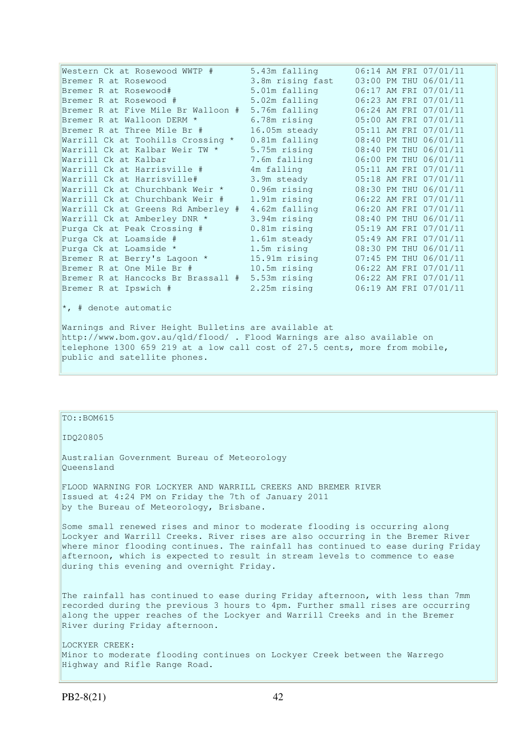| Western Ck at Rosewood WWTP #      | 5.43m falling    | 06:14 AM FRI 07/01/11 |
|------------------------------------|------------------|-----------------------|
| Bremer R at Rosewood               | 3.8m rising fast | 03:00 PM THU 06/01/11 |
| Bremer R at Rosewood#              | 5.01m falling    | 06:17 AM FRI 07/01/11 |
| Bremer R at Rosewood #             | 5.02m falling    | 06:23 AM FRI 07/01/11 |
| Bremer R at Five Mile Br Walloon # | 5.76m falling    | 06:24 AM FRI 07/01/11 |
| Bremer R at Walloon DERM *         | 6.78m rising     | 05:00 AM FRI 07/01/11 |
| Bremer R at Three Mile Br #        | 16.05m steady    | 05:11 AM FRI 07/01/11 |
| Warrill Ck at Toohills Crossing *  | 0.81m falling    | 08:40 PM THU 06/01/11 |
| Warrill Ck at Kalbar Weir TW *     | 5.75m rising     | 08:40 PM THU 06/01/11 |
| Warrill Ck at Kalbar               | 7.6m falling     | 06:00 PM THU 06/01/11 |
| Warrill Ck at Harrisville #        | 4m falling       | 05:11 AM FRI 07/01/11 |
| Warrill Ck at Harrisville#         | 3.9m steady      | 05:18 AM FRI 07/01/11 |
| Warrill Ck at Churchbank Weir *    | $0.96$ m rising  | 08:30 PM THU 06/01/11 |
| Warrill Ck at Churchbank Weir #    | 1.91m rising     | 06:22 AM FRI 07/01/11 |
| Warrill Ck at Greens Rd Amberley # | 4.62m falling    | 06:20 AM FRI 07/01/11 |
| Warrill Ck at Amberley DNR *       | 3.94m rising     | 08:40 PM THU 06/01/11 |
| Purga Ck at Peak Crossing #        | 0.81m rising     | 05:19 AM FRI 07/01/11 |
| Purga Ck at Loamside #             | 1.61m steady     | 05:49 AM FRI 07/01/11 |
| Purga Ck at Loamside *             | 1.5m rising      | 08:30 PM THU 06/01/11 |
| Bremer R at Berry's Lagoon *       | 15.91m rising    | 07:45 PM THU 06/01/11 |
| Bremer R at One Mile Br #          | 10.5m rising     | 06:22 AM FRI 07/01/11 |
| Bremer R at Hancocks Br Brassall # | 5.53m rising     | 06:22 AM FRI 07/01/11 |
| Bremer R at Ipswich #              | 2.25m rising     | 06:19 AM FRI 07/01/11 |
| *, # denote automatic              |                  |                       |

Warnings and River Height Bulletins are available at http://www.bom.gov.au/qld/flood/ . Flood Warnings are also available on telephone 1300 659 219 at a low call cost of 27.5 cents, more from mobile, public and satellite phones.

## TO::BOM615

IDQ20805

Australian Government Bureau of Meteorology Queensland

FLOOD WARNING FOR LOCKYER AND WARRILL CREEKS AND BREMER RIVER Issued at 4:24 PM on Friday the 7th of January 2011 by the Bureau of Meteorology, Brisbane.

Some small renewed rises and minor to moderate flooding is occurring along Lockyer and Warrill Creeks. River rises are also occurring in the Bremer River where minor flooding continues. The rainfall has continued to ease during Friday afternoon, which is expected to result in stream levels to commence to ease during this evening and overnight Friday.

The rainfall has continued to ease during Friday afternoon, with less than 7mm recorded during the previous 3 hours to 4pm. Further small rises are occurring along the upper reaches of the Lockyer and Warrill Creeks and in the Bremer River during Friday afternoon.

LOCKYER CREEK: Minor to moderate flooding continues on Lockyer Creek between the Warrego Highway and Rifle Range Road.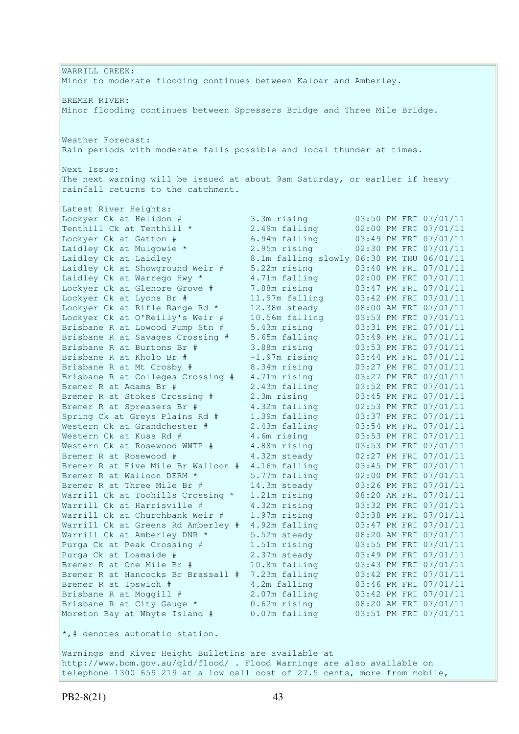WARRILL CREEK: Minor to moderate flooding continues between Kalbar and Amberley. BREMER RIVER: Minor flooding continues between Spressers Bridge and Three Mile Bridge. Weather Forecast: Rain periods with moderate falls possible and local thunder at times. Next Issue: The next warning will be issued at about 9am Saturday, or earlier if heavy rainfall returns to the catchment. Latest River Heights: Lockyer Ck at Helidon # 3.3m rising 03:50 PM FRI 07/01/11 Tenthill Ck at Tenthill  $\star$  2.49m falling 02:00 PM FRI 07/01/11 Lockyer Ck at Gatton # 6.94m falling 03:49 PM FRI 07/01/11 Laidley Ck at Mulgowie \* 2.95m rising 02:30 PM FRI 07/01/11 Laidley Ck at Laidley 8.1m falling slowly 06:30 PM THU 06/01/11 Laidley Ck at Showground Weir # 5.22m rising 03:40 PM FRI 07/01/11 Laidley Ck at Warrego Hwy \* 4.71m falling 02:00 PM FRI 07/01/11 Lockyer Ck at Glenore Grove # 7.88m rising 03:47 PM FRI 07/01/11 Lockyer Ck at Lyons Br # 11.97m falling 03:42 PM FRI 07/01/11 Lockyer Ck at Rifle Range Rd \* 12.38m steady 08:00 AM FRI 07/01/11 Lockyer Ck at O'Reilly's Weir # 10.56m falling 03:53 PM FRI 07/01/11 Brisbane R at Lowood Pump Stn # 5.43m rising 03:31 PM FRI 07/01/11 Brisbane R at Savages Crossing # 5.65m falling 03:49 PM FRI 07/01/11 Brisbane R at Burtons Br # 3.88m rising 03:53 PM FRI 07/01/11 Brisbane R at Kholo Br # -1.97m rising 03:44 PM FRI 07/01/11 Brisbane R at Mt Crosby # 8.34m rising 03:27 PM FRI 07/01/11 Brisbane R at Colleges Crossing # 4.71m rising 03:27 PM FRI 07/01/11 Bremer R at Adams Br # 2.43m falling 03:52 PM FRI 07/01/11 Bremer R at Stokes Crossing # 2.3m rising 03:45 PM FRI 07/01/11 Bremer R at Spressers Br # 4.32m falling 02:53 PM FRI 07/01/11 Spring Ck at Greys Plains Rd # 1.39m falling 03:37 PM FRI 07/01/11 Western Ck at Grandchester # 2.43m falling 03:54 PM FRI 07/01/11 Western Ck at Kuss Rd # 4.6m rising 03:53 PM FRI 07/01/11 Western Ck at Rosewood WWTP # 4.88m rising 03:53 PM FRI 07/01/11 Bremer R at Rosewood # 4.32m steady 02:27 PM FRI 07/01/11 Bremer R at Five Mile Br Walloon # 4.16m falling 03:45 PM FRI 07/01/11 Bremer R at Walloon DERM \* 5.77m falling 02:00 PM FRI 07/01/11 Bremer R at Three Mile Br # 14.3m steady 03:26 PM FRI 07/01/11 Warrill Ck at Toohills Crossing \* 1.21m rising 08:20 AM FRI 07/01/11 Warrill Ck at Harrisville # 4.32m rising 03:32 PM FRI 07/01/11 Warrill Ck at Churchbank Weir # 1.97m rising 03:38 PM FRI 07/01/11 Warrill Ck at Greens Rd Amberley # 4.92m falling 03:47 PM FRI 07/01/11 Warrill Ck at Amberley DNR \* 5.52m steady 08:20 AM FRI 07/01/11 Purga Ck at Peak Crossing # 1.51m rising 03:55 PM FRI 07/01/11 Purga Ck at Loamside # 2.37m steady 03:49 PM FRI 07/01/11 Bremer R at One Mile Br # 10.8m falling 03:43 PM FRI 07/01/11 Bremer R at Hancocks Br Brassall # 7.23m falling 03:42 PM FRI 07/01/11 Bremer R at Ipswich # 4.2m falling 03:46 PM FRI 07/01/11 Brisbane R at Moggill # 2.07m falling 03:42 PM FRI 07/01/11 Brisbane R at City Gauge \* 0.62m rising 08:20 AM FRI 07/01/11 Moreton Bay at Whyte Island # 0.07m falling 03:51 PM FRI 07/01/11  $\star$ ,# denotes automatic station.

Warnings and River Height Bulletins are available at http://www.bom.gov.au/qld/flood/ . Flood Warnings are also available on telephone 1300 659 219 at a low call cost of 27.5 cents, more from mobile,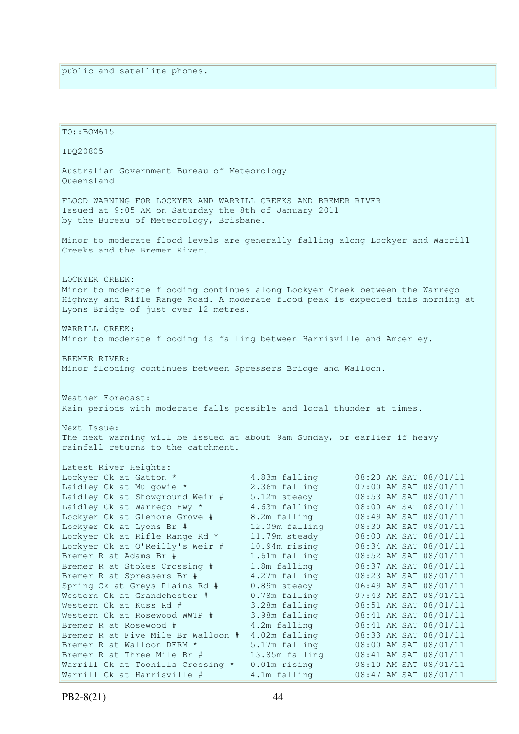| TO:: BOM615                                                                                                                                                                                                               |                                |                                                |
|---------------------------------------------------------------------------------------------------------------------------------------------------------------------------------------------------------------------------|--------------------------------|------------------------------------------------|
| IDQ20805                                                                                                                                                                                                                  |                                |                                                |
| Australian Government Bureau of Meteorology<br>Oueensland                                                                                                                                                                 |                                |                                                |
| FLOOD WARNING FOR LOCKYER AND WARRILL CREEKS AND BREMER RIVER<br>Issued at 9:05 AM on Saturday the 8th of January 2011<br>by the Bureau of Meteorology, Brisbane.                                                         |                                |                                                |
| Minor to moderate flood levels are generally falling along Lockyer and Warrill<br>Creeks and the Bremer River.                                                                                                            |                                |                                                |
| LOCKYER CREEK:<br>Minor to moderate flooding continues along Lockyer Creek between the Warrego<br>Highway and Rifle Range Road. A moderate flood peak is expected this morning at<br>Lyons Bridge of just over 12 metres. |                                |                                                |
| WARRILL CREEK:<br>Minor to moderate flooding is falling between Harrisville and Amberley.                                                                                                                                 |                                |                                                |
| BREMER RIVER:<br>Minor flooding continues between Spressers Bridge and Walloon.                                                                                                                                           |                                |                                                |
| Weather Forecast:<br>Rain periods with moderate falls possible and local thunder at times.                                                                                                                                |                                |                                                |
| Next Issue:                                                                                                                                                                                                               |                                |                                                |
| The next warning will be issued at about 9am Sunday, or earlier if heavy<br>rainfall returns to the catchment.                                                                                                            |                                |                                                |
| Latest River Heights:                                                                                                                                                                                                     |                                |                                                |
| Lockyer Ck at Gatton *                                                                                                                                                                                                    | 4.83m falling                  | 08:20 AM SAT 08/01/11                          |
| Laidley Ck at Mulgowie *                                                                                                                                                                                                  | 2.36m falling                  | 07:00 AM SAT 08/01/11                          |
| Laidley Ck at Showground Weir #                                                                                                                                                                                           | 5.12m steady                   | 08:53 AM SAT 08/01/11                          |
| Laidley Ck at Warrego Hwy *                                                                                                                                                                                               | 4.63m falling                  | 08:00 AM SAT 08/01/11                          |
| Lockyer Ck at Glenore Grove #<br>Lockyer Ck at Lyons Br #                                                                                                                                                                 | 8.2m falling<br>12.09m falling | 08:49 AM SAT 08/01/11<br>08:30 AM SAT 08/01/11 |
| Lockyer Ck at Rifle Range Rd *                                                                                                                                                                                            | 11.79m steady                  | 08:00 AM SAT 08/01/11                          |
| Lockyer Ck at O'Reilly's Weir #                                                                                                                                                                                           | 10.94m rising                  | 08:34 AM SAT 08/01/11                          |
| Bremer R at Adams Br #                                                                                                                                                                                                    | 1.61m falling                  | 08:52 AM SAT 08/01/11                          |
| Bremer R at Stokes Crossing #                                                                                                                                                                                             | 1.8m falling                   | 08:37 AM SAT 08/01/11                          |
| Bremer R at Spressers Br #                                                                                                                                                                                                | 4.27m falling                  | 08:23 AM SAT 08/01/11                          |
| Spring Ck at Greys Plains Rd #                                                                                                                                                                                            | 0.89m steady                   | 06:49 AM SAT 08/01/11                          |
| Western Ck at Grandchester #                                                                                                                                                                                              | 0.78m falling                  | 07:43 AM SAT 08/01/11                          |
| Western Ck at Kuss Rd #                                                                                                                                                                                                   | 3.28m falling                  | 08:51 AM SAT 08/01/11                          |
| Western Ck at Rosewood WWTP #                                                                                                                                                                                             | 3.98m falling<br>4.2m falling  | 08:41 AM SAT 08/01/11                          |
| Bremer R at Rosewood #<br>Bremer R at Five Mile Br Walloon #                                                                                                                                                              | 4.02m falling                  | 08:41 AM SAT 08/01/11<br>08:33 AM SAT 08/01/11 |
| Bremer R at Walloon DERM *                                                                                                                                                                                                | 5.17m falling                  | 08:00 AM SAT 08/01/11                          |
| Bremer R at Three Mile Br #                                                                                                                                                                                               | 13.85m falling                 | 08:41 AM SAT 08/01/11                          |
| Warrill Ck at Toohills Crossing *                                                                                                                                                                                         | $0.01m$ rising                 | 08:10 AM SAT 08/01/11                          |
| Warrill Ck at Harrisville #                                                                                                                                                                                               | 4.1m falling                   | 08:47 AM SAT 08/01/11                          |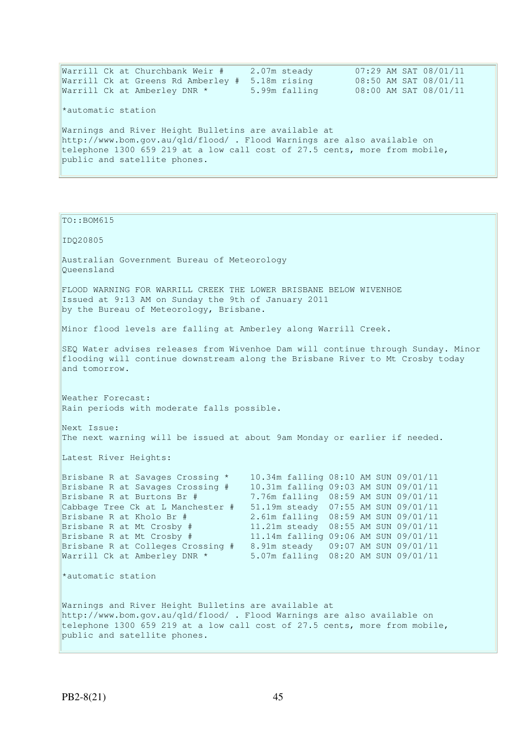| Warrill Ck at Churchbank Weir #                                            | 2.07m steady  | 07:29 AM SAT 08/01/11 |
|----------------------------------------------------------------------------|---------------|-----------------------|
| Warrill Ck at Greens Rd Amberley #                                         | 5.18m rising  | 08:50 AM SAT 08/01/11 |
| Warrill Ck at Amberley DNR *                                               | 5.99m falling | 08:00 AM SAT 08/01/11 |
| *automatic station                                                         |               |                       |
| Warnings and River Height Bulletins are available at                       |               |                       |
| http://www.bom.gov.au/qld/flood/ . Flood Warnings are also available on    |               |                       |
| telephone 1300 659 219 at a low call cost of 27.5 cents, more from mobile, |               |                       |
| public and satellite phones.                                               |               |                       |
|                                                                            |               |                       |

```
TO::BOM615 
IDQ20805 
Australian Government Bureau of Meteorology 
Queensland 
FLOOD WARNING FOR WARRILL CREEK THE LOWER BRISBANE BELOW WIVENHOE 
Issued at 9:13 AM on Sunday the 9th of January 2011 
by the Bureau of Meteorology, Brisbane.
Minor flood levels are falling at Amberley along Warrill Creek. 
SEQ Water advises releases from Wivenhoe Dam will continue through Sunday. Minor 
flooding will continue downstream along the Brisbane River to Mt Crosby today 
and tomorrow. 
Weather Forecast: 
Rain periods with moderate falls possible. 
Next Issue: 
The next warning will be issued at about 9am Monday or earlier if needed.
Latest River Heights: 
Brisbane R at Savages Crossing * 10.34m falling 08:10 AM SUN 09/01/11 
Brisbane R at Savages Crossing # 10.31m falling 09:03 AM SUN 09/01/11
Brisbane R at Burtons Br # 7.76m falling 08:59 AM SUN 09/01/11 
Cabbage Tree Ck at L Manchester # 51.19m steady 07:55 AM SUN 09/01/11 
Brisbane R at Kholo Br # 2.61m falling 08:59 AM SUN 09/01/11 
Brisbane R at Mt Crosby # 11.21m steady 08:55 AM SUN 09/01/11 
Brisbane R at Mt Crosby # 11.14m falling 09:06 AM SUN 09/01/11 
Brisbane R at Colleges Crossing # 8.91m steady 09:07 AM SUN 09/01/11 
Warrill Ck at Amberley DNR * 5.07m falling 08:20 AM SUN 09/01/11
*automatic station 
Warnings and River Height Bulletins are available at 
http://www.bom.gov.au/qld/flood/ . Flood Warnings are also available on 
telephone 1300 659 219 at a low call cost of 27.5 cents, more from mobile,
public and satellite phones.
```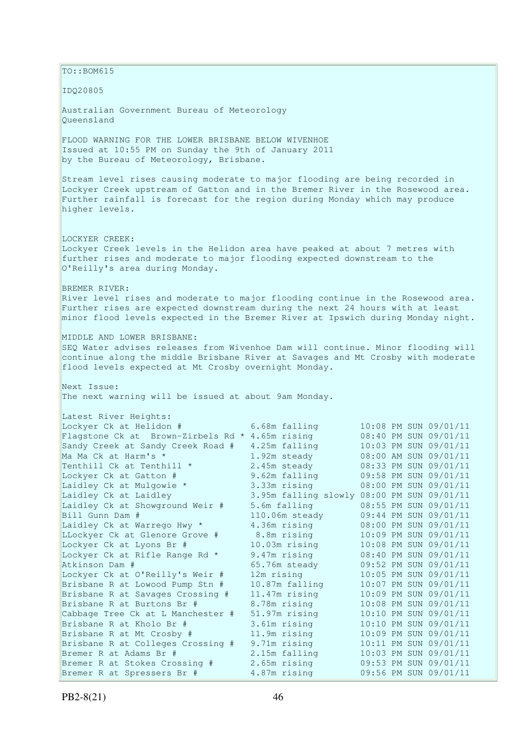$\vert$ TO::BOM615 IDQ20805 Australian Government Bureau of Meteorology Queensland FLOOD WARNING FOR THE LOWER BRISBANE BELOW WIVENHOE Issued at 10:55 PM on Sunday the 9th of January 2011 by the Bureau of Meteorology, Brisbane. Stream level rises causing moderate to major flooding are being recorded in Lockyer Creek upstream of Gatton and in the Bremer River in the Rosewood area. Further rainfall is forecast for the region during Monday which may produce higher levels. LOCKYER CREEK: Lockyer Creek levels in the Helidon area have peaked at about 7 metres with further rises and moderate to major flooding expected downstream to the O'Reilly's area during Monday. BREMER RIVER: River level rises and moderate to major flooding continue in the Rosewood area. Further rises are expected downstream during the next 24 hours with at least minor flood levels expected in the Bremer River at Ipswich during Monday night. MIDDLE AND LOWER BRISBANE: SEQ Water advises releases from Wivenhoe Dam will continue. Minor flooding will continue along the middle Brisbane River at Savages and Mt Crosby with moderate flood levels expected at Mt Crosby overnight Monday. Next Issue: The next warning will be issued at about 9am Monday. Latest River Heights: Lockyer Ck at Helidon # 6.68m falling 10:08 PM SUN 09/01/11<br>
Flagstone Ck at Brown-Zirbels Rd \* 4.65m rising 08:40 PM SUN 09/01/11<br>
Sandy Creek at Sandy Creek Road # 4.25m falling 10:03 PM SUN 09/01/11 Flagstone Ck at Brown-Zirbels Rd  $*$  4.65m rising Sandy Creek at Sandy Creek Road # 4.25m falling 10:03 PM SUN 09/01/11<br>Ma Ma Ck at Harm's \* 1.92m steady 08:00 AM SUN 09/01/11 Ma Ma Ck at Harm's \* 1.92m steady 08:00 AM SUN 09/01/11<br>
Tenthill Ck at Tenthill \* 2.45m steady 08:33 PM SUN 09/01/11 Tenthill Ck at Tenthill  $*$  2.45m steady 08:33 PM SUN 09/01/11 Lockyer Ck at Gatton # 9.62m falling 09:58 PM SUN 09/01/11 Laidley Ck at Mulgowie \* 3.33m rising 08:00 PM SUN 09/01/11 Laidley Ck at Laidley 3.95m falling slowly 08:00 PM SUN 09/01/11 Laidley Ck at Showground Weir # 5.6m falling 08:55 PM SUN 09/01/11 Bill Gunn Dam # 110.06m steady 09:44 PM SUN 09/01/11 Laidley Ck at Warrego Hwy \* 4.36m rising 08:00 PM SUN 09/01/11 LLockyer Ck at Glenore Grove # 8.8m rising 10:09 PM SUN 09/01/11 Lockyer Ck at Lyons Br # 10.03m rising 10:08 PM SUN 09/01/11 Lockyer Ck at Rifle Range Rd \* 9.47m rising 08:40 PM SUN 09/01/11 Atkinson Dam # 65.76m steady 09:52 PM SUN 09/01/11 Lockyer Ck at O'Reilly's Weir # 12m rising 10:05 PM SUN 09/01/11 Brisbane R at Lowood Pump Stn # 10.87m falling 10:07 PM SUN 09/01/11 Brisbane R at Savages Crossing # 11.47m rising 10:09 PM SUN 09/01/11 Brisbane R at Burtons Br # 8.78m rising 10:08 PM SUN 09/01/11 Cabbage Tree Ck at L Manchester # 51.97m rising 10:10 PM SUN 09/01/11 Brisbane R at Kholo Br # 3.61m rising 10:10 PM SUN 09/01/11 Brisbane R at Mt Crosby # 11.9m rising 10:09 PM SUN 09/01/11 Brisbane R at Colleges Crossing # 9.71m rising 10:11 PM SUN 09/01/11 Bremer R at Adams Br # 2.15m falling 10:03 PM SUN 09/01/11 Bremer R at Stokes Crossing # 2.65m rising 09:53 PM SUN 09/01/11 Bremer R at Spressers Br #  $4.87$ m rising 09:56 PM SUN 09/01/11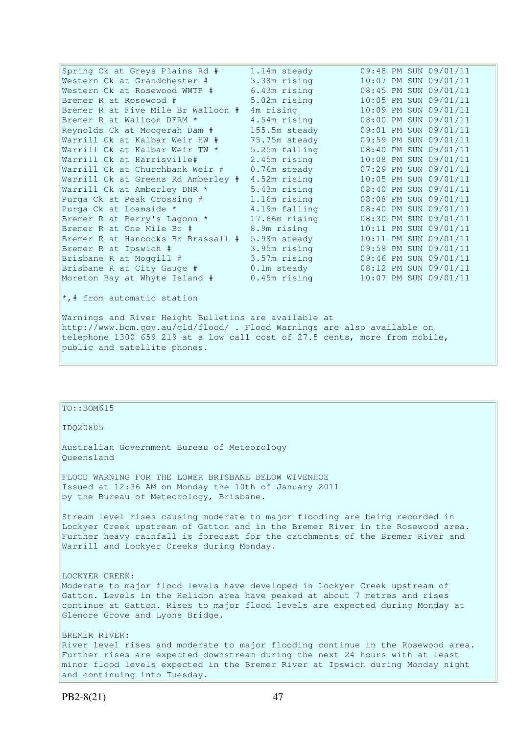Spring Ck at Greys Plains Rd # 1.14m steady 09:48 PM SUN 09/01/11 Western Ck at Grandchester # 3.38m rising 10:07 PM SUN 09/01/11 Western Ck at Rosewood WWTP # 6.43m rising 08:45 PM SUN 09/01/11 Bremer R at Rosewood # 5.02m rising 10:05 PM SUN 09/01/11 Bremer R at Rosewood # 5.02m rising 10:05 PM SUN 09/01/11<br>Bremer R at Five Mile Br Walloon # 4m rising 10:09 PM SUN 09/01/11 Bremer R at Walloon DERM \* 4.54m rising 08:00 PM SUN 09/01/11 Reynolds Ck at Moogerah Dam # 155.5m steady 09:01 PM SUN 09/01/11 Warrill Ck at Kalbar Weir HW # 75.75m steady 09:59 PM SUN 09/01/11 Warrill Ck at Kalbar Weir TW \* 5.25m falling 08:40 PM SUN 09/01/11 Warrill Ck at Harrisville# 2.45m rising 10:08 PM SUN 09/01/11 Warrill Ck at Churchbank Weir # 0.76m steady 07:29 PM SUN 09/01/11 Warrill Ck at Greens Rd Amberley # 4.52m rising 10:05 PM SUN 09/01/11 Warrill Ck at Amberley DNR \* 5.43m rising 08:40 PM SUN 09/01/11 Purga Ck at Peak Crossing # 1.16m rising 08:08 PM SUN 09/01/11 Purga Ck at Loamside \* 4.19m falling 08:40 PM SUN 09/01/11 Bremer R at Berry's Lagoon \* 17.66m rising 08:30 PM SUN 09/01/11 Bremer R at One Mile Br # 8.9m rising 10:11 PM SUN 09/01/11 Bremer R at Hancocks Br Brassall # 5.98m steady 10:11 PM SUN 09/01/11<br>Bremer R at Ipswich # 3.95m rising 09:58 PM SUN 09/01/11 Bremer R at Ipswich # 3.95m rising 09:58 PM SUN 09/01/11 Brisbane R at Moggill # 3.57m rising 09:46 PM SUN 09/01/11 Brisbane R at City Gauge # 0.1m steady 08:12 PM SUN 09/01/11 Moreton Bay at Whyte Island # 0.45m rising 10:07 PM SUN 09/01/11

 $\star$ ,# from automatic station

Warnings and River Height Bulletins are available at http://www.bom.gov.au/qld/flood/ . Flood Warnings are also available on telephone 1300 659 219 at a low call cost of 27.5 cents, more from mobile, public and satellite phones.

## TO::BOM615

IDQ20805

Australian Government Bureau of Meteorology Queensland

FLOOD WARNING FOR THE LOWER BRISBANE BELOW WIVENHOE Issued at 12:36 AM on Monday the 10th of January 2011 by the Bureau of Meteorology, Brisbane.

Stream level rises causing moderate to major flooding are being recorded in Lockyer Creek upstream of Gatton and in the Bremer River in the Rosewood area. Further heavy rainfall is forecast for the catchments of the Bremer River and Warrill and Lockyer Creeks during Monday.

LOCKYER CREEK: Moderate to major flood levels have developed in Lockyer Creek upstream of Gatton. Levels in the Helidon area have peaked at about 7 metres and rises continue at Gatton. Rises to major flood levels are expected during Monday at Glenore Grove and Lyons Bridge.

BREMER RIVER: River level rises and moderate to major flooding continue in the Rosewood area. Further rises are expected downstream during the next 24 hours with at least minor flood levels expected in the Bremer River at Ipswich during Monday night and continuing into Tuesday.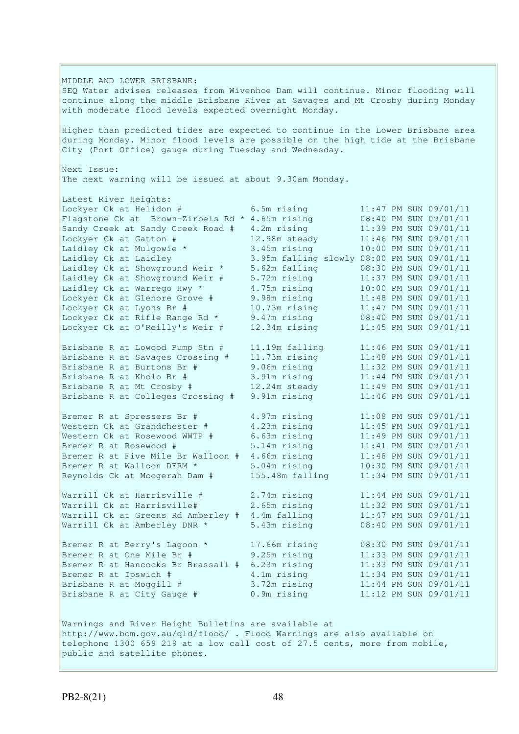MIDDLE AND LOWER BRISBANE: SEQ Water advises releases from Wivenhoe Dam will continue. Minor flooding will continue along the middle Brisbane River at Savages and Mt Crosby during Monday with moderate flood levels expected overnight Monday. Higher than predicted tides are expected to continue in the Lower Brisbane area during Monday. Minor flood levels are possible on the high tide at the Brisbane City (Port Office) gauge during Tuesday and Wednesday. Next Issue: The next warning will be issued at about 9.30am Monday. Latest River Heights: Lockyer Ck at Helidon # 6.5m rising 11:47 PM SUN 09/01/11 Flagstone Ck at Brown-Zirbels Rd \* 4.65m rising 08:40 PM SUN 09/01/11 Sandy Creek at Sandy Creek Road # 4.2m rising 11:39 PM SUN 09/01/11 Lockyer Ck at Gatton # 12.98m steady 11:46 PM SUN 09/01/11 Laidley Ck at Mulgowie \* 3.45m rising 10:00 PM SUN 09/01/11 Laidley Ck at Laidley 3.95m falling slowly 08:00 PM SUN 09/01/11 Laidley Ck at Showground Weir \* 5.62m falling 08:30 PM SUN 09/01/11 Laidley Ck at Showground Weir # 5.72m rising 11:37 PM SUN 09/01/11 Laidley Ck at Warrego Hwy \* 4.75m rising 10:00 PM SUN 09/01/11 Lockyer Ck at Glenore Grove # 9.98m rising 11:48 PM SUN 09/01/11 Lockyer Ck at Lyons Br # 10.73m rising 11:47 PM SUN 09/01/11 Lockyer Ck at Rifle Range Rd \* 9.47m rising 08:40 PM SUN 09/01/11 Lockyer Ck at O'Reilly's Weir # 12.34m rising 11:45 PM SUN 09/01/11 Brisbane R at Lowood Pump Stn # 11.19m falling 11:46 PM SUN 09/01/11 Brisbane R at Savages Crossing # 11.73m rising 11:48 PM SUN 09/01/11 Brisbane R at Burtons Br # 9.06m rising 11:32 PM SUN 09/01/11 Brisbane R at Kholo Br # 3.91m rising 11:44 PM SUN 09/01/11 Brisbane R at Mt Crosby # 12.24m steady 11:49 PM SUN 09/01/11 Brisbane R at Colleges Crossing # 9.91m rising 11:46 PM SUN 09/01/11 Bremer R at Spressers Br #  $4.97m$  rising  $11:08$  PM SUN 09/01/11 Western Ck at Grandchester # 4.23m rising 11:45 PM SUN 09/01/11 Western Ck at Rosewood WWTP # 6.63m rising 11:49 PM SUN 09/01/11 Bremer R at Rosewood # 5.14m rising 11:41 PM SUN 09/01/11 Bremer R at Five Mile Br Walloon # 4.66m rising 11:48 PM SUN 09/01/11 Bremer R at Walloon DERM \* 5.04m rising 10:30 PM SUN 09/01/11 Reynolds Ck at Moogerah Dam # 155.48m falling 11:34 PM SUN 09/01/11 Warrill Ck at Harrisville # 2.74m rising 11:44 PM SUN 09/01/11 Warrill Ck at Harrisville# 2.65m rising 11:32 PM SUN 09/01/11 Warrill Ck at Greens Rd Amberley # 4.4m falling 11:47 PM SUN 09/01/11 Warrill Ck at Amberley DNR \* 5.43m rising 08:40 PM SUN 09/01/11 Bremer R at Berry's Lagoon \* 17.66m rising 08:30 PM SUN 09/01/11 Bremer R at One Mile Br # 9.25m rising 11:33 PM SUN 09/01/11 Bremer R at Hancocks Br Brassall # 6.23m rising 11:33 PM SUN 09/01/11 Bremer R at Ipswich # 4.1m rising 11:34 PM SUN 09/01/11 Brisbane R at Moggill # 3.72m rising 11:44 PM SUN 09/01/11 Brisbane R at City Gauge # 0.9m rising 11:12 PM SUN 09/01/11 Warnings and River Height Bulletins are available at http://www.bom.gov.au/qld/flood/ . Flood Warnings are also available on telephone 1300 659 219 at a low call cost of 27.5 cents, more from mobile, public and satellite phones.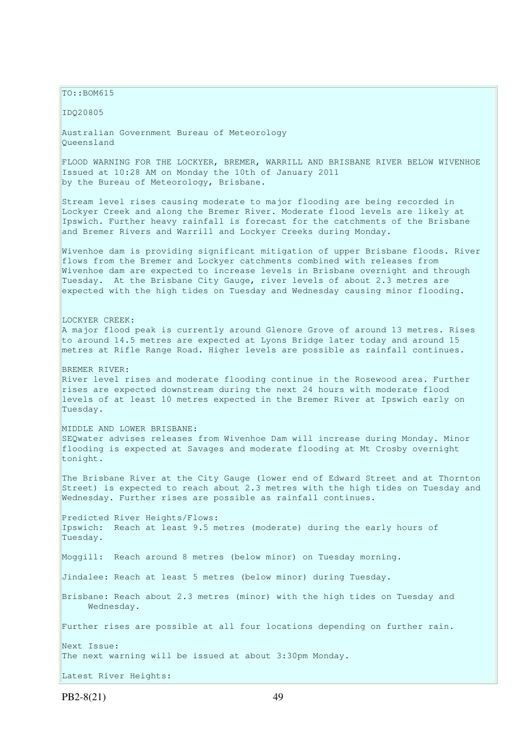$TO: **ROM615**$ 

IDQ20805

Australian Government Bureau of Meteorology Queensland

FLOOD WARNING FOR THE LOCKYER, BREMER, WARRILL AND BRISBANE RIVER BELOW WIVENHOE Issued at 10:28 AM on Monday the 10th of January 2011 by the Bureau of Meteorology, Brisbane.

Stream level rises causing moderate to major flooding are being recorded in Lockyer Creek and along the Bremer River. Moderate flood levels are likely at Ipswich. Further heavy rainfall is forecast for the catchments of the Brisbane and Bremer Rivers and Warrill and Lockyer Creeks during Monday.

Wivenhoe dam is providing significant mitigation of upper Brisbane floods. River flows from the Bremer and Lockyer catchments combined with releases from Wivenhoe dam are expected to increase levels in Brisbane overnight and through Tuesday. At the Brisbane City Gauge, river levels of about 2.3 metres are expected with the high tides on Tuesday and Wednesday causing minor flooding.

LOCKYER CREEK: A major flood peak is currently around Glenore Grove of around 13 metres. Rises to around 14.5 metres are expected at Lyons Bridge later today and around 15 metres at Rifle Range Road. Higher levels are possible as rainfall continues.

#### BREMER RIVER:

River level rises and moderate flooding continue in the Rosewood area. Further rises are expected downstream during the next 24 hours with moderate flood levels of at least 10 metres expected in the Bremer River at Ipswich early on Tuesday.

#### MIDDLE AND LOWER BRISBANE:

SEQwater advises releases from Wivenhoe Dam will increase during Monday. Minor flooding is expected at Savages and moderate flooding at Mt Crosby overnight tonight.

The Brisbane River at the City Gauge (lower end of Edward Street and at Thornton Street) is expected to reach about 2.3 metres with the high tides on Tuesday and Wednesday. Further rises are possible as rainfall continues.

Predicted River Heights/Flows: Ipswich: Reach at least 9.5 metres (moderate) during the early hours of Tuesday.

Moggill: Reach around 8 metres (below minor) on Tuesday morning.

Jindalee: Reach at least 5 metres (below minor) during Tuesday.

Brisbane: Reach about 2.3 metres (minor) with the high tides on Tuesday and Wednesday.

Further rises are possible at all four locations depending on further rain.

Next Issue:

The next warning will be issued at about 3:30pm Monday.

Latest River Heights: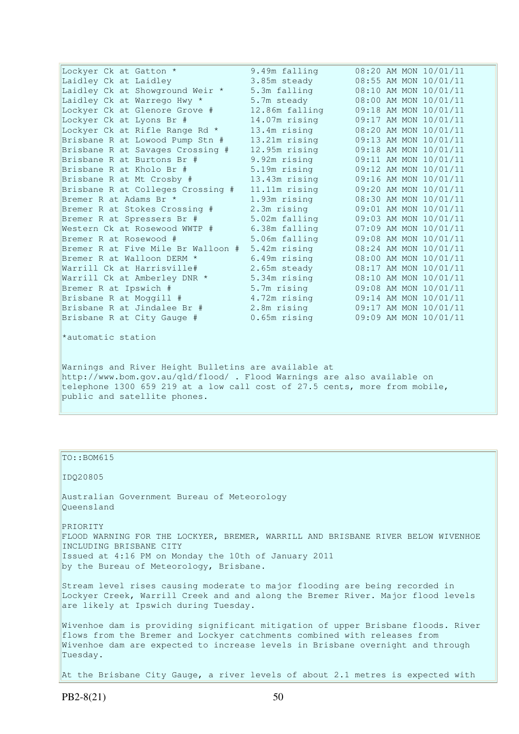| Lockyer Ck at Gatton *             | 9.49m falling  | 08:20 AM MON 10/01/11 |
|------------------------------------|----------------|-----------------------|
| Laidley Ck at Laidley              | 3.85m steady   | 08:55 AM MON 10/01/11 |
| Laidley Ck at Showground Weir *    | 5.3m falling   | 08:10 AM MON 10/01/11 |
| Laidley Ck at Warrego Hwy *        | 5.7m steady    | 08:00 AM MON 10/01/11 |
| Lockyer Ck at Glenore Grove #      | 12.86m falling | 09:18 AM MON 10/01/11 |
| Lockyer Ck at Lyons Br #           | 14.07m rising  | 09:17 AM MON 10/01/11 |
| Lockyer Ck at Rifle Range Rd *     | 13.4m rising   | 08:20 AM MON 10/01/11 |
| Brisbane R at Lowood Pump Stn #    | 13.21m rising  | 09:13 AM MON 10/01/11 |
| Brisbane R at Savages Crossing #   | 12.95m rising  | 09:18 AM MON 10/01/11 |
| Brisbane R at Burtons Br #         | 9.92m rising   | 09:11 AM MON 10/01/11 |
| Brisbane R at Kholo Br #           | 5.19m rising   | 09:12 AM MON 10/01/11 |
| Brisbane R at Mt Crosby #          | 13.43m rising  | 09:16 AM MON 10/01/11 |
| Brisbane R at Colleges Crossing #  | 11.11m rising  | 09:20 AM MON 10/01/11 |
| Bremer R at Adams Br *             | 1.93m rising   | 08:30 AM MON 10/01/11 |
| Bremer R at Stokes Crossing #      | 2.3m rising    | 09:01 AM MON 10/01/11 |
| Bremer R at Spressers Br #         | 5.02m falling  | 09:03 AM MON 10/01/11 |
| Western Ck at Rosewood WWTP #      | 6.38m falling  | 07:09 AM MON 10/01/11 |
| Bremer R at Rosewood #             | 5.06m falling  | 09:08 AM MON 10/01/11 |
| Bremer R at Five Mile Br Walloon # | 5.42m rising   | 08:24 AM MON 10/01/11 |
| Bremer R at Walloon DERM *         | 6.49m rising   | 08:00 AM MON 10/01/11 |
| Warrill Ck at Harrisville#         | 2.65m steady   | 08:17 AM MON 10/01/11 |
| Warrill Ck at Amberley DNR *       | 5.34m rising   | 08:10 AM MON 10/01/11 |
| Bremer R at Ipswich #              | 5.7m rising    | 09:08 AM MON 10/01/11 |
| Brisbane R at Moggill #            | 4.72m rising   | 09:14 AM MON 10/01/11 |
| Brisbane R at Jindalee Br #        | 2.8m rising    | 09:17 AM MON 10/01/11 |
| Brisbane R at City Gauge #         | 0.65m rising   | 09:09 AM MON 10/01/11 |
| *automatic station                 |                |                       |

Warnings and River Height Bulletins are available at http://www.bom.gov.au/qld/flood/ . Flood Warnings are also available on telephone 1300 659 219 at a low call cost of 27.5 cents, more from mobile, public and satellite phones.

### TO::BOM615

#### IDQ20805

Australian Government Bureau of Meteorology Queensland

PRIORITY FLOOD WARNING FOR THE LOCKYER, BREMER, WARRILL AND BRISBANE RIVER BELOW WIVENHOE INCLUDING BRISBANE CITY Issued at 4:16 PM on Monday the 10th of January 2011 by the Bureau of Meteorology, Brisbane.

Stream level rises causing moderate to major flooding are being recorded in Lockyer Creek, Warrill Creek and and along the Bremer River. Major flood levels are likely at Ipswich during Tuesday.

Wivenhoe dam is providing significant mitigation of upper Brisbane floods. River flows from the Bremer and Lockyer catchments combined with releases from Wivenhoe dam are expected to increase levels in Brisbane overnight and through Tuesday.

At the Brisbane City Gauge, a river levels of about 2.1 metres is expected with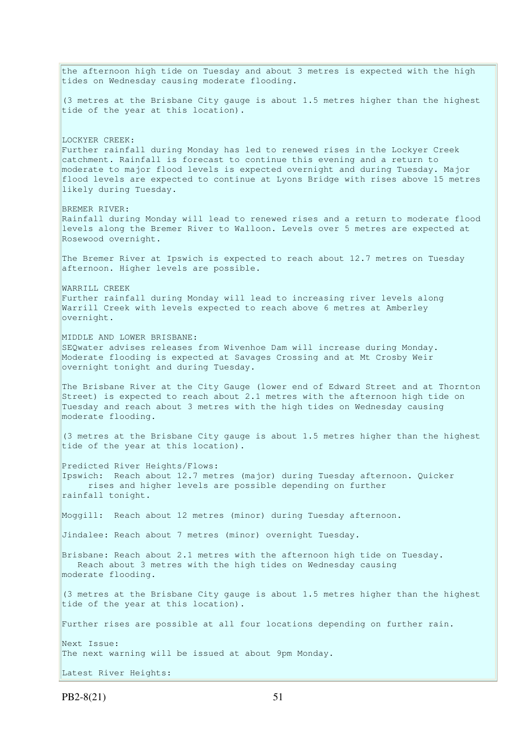the afternoon high tide on Tuesday and about 3 metres is expected with the high tides on Wednesday causing moderate flooding. (3 metres at the Brisbane City gauge is about 1.5 metres higher than the highest tide of the year at this location). LOCKYER CREEK: Further rainfall during Monday has led to renewed rises in the Lockyer Creek catchment. Rainfall is forecast to continue this evening and a return to moderate to major flood levels is expected overnight and during Tuesday. Major flood levels are expected to continue at Lyons Bridge with rises above 15 metres likely during Tuesday. BREMER RIVER: Rainfall during Monday will lead to renewed rises and a return to moderate flood levels along the Bremer River to Walloon. Levels over 5 metres are expected at Rosewood overnight. The Bremer River at Ipswich is expected to reach about 12.7 metres on Tuesday afternoon. Higher levels are possible. WARRILL CREEK Further rainfall during Monday will lead to increasing river levels along Warrill Creek with levels expected to reach above 6 metres at Amberley overnight. MIDDLE AND LOWER BRISBANE: SEQwater advises releases from Wivenhoe Dam will increase during Monday. Moderate flooding is expected at Savages Crossing and at Mt Crosby Weir overnight tonight and during Tuesday. The Brisbane River at the City Gauge (lower end of Edward Street and at Thornton Street) is expected to reach about 2.1 metres with the afternoon high tide on Tuesday and reach about 3 metres with the high tides on Wednesday causing moderate flooding. (3 metres at the Brisbane City gauge is about 1.5 metres higher than the highest tide of the year at this location). Predicted River Heights/Flows: Ipswich: Reach about 12.7 metres (major) during Tuesday afternoon. Quicker rises and higher levels are possible depending on further rainfall tonight. Moggill: Reach about 12 metres (minor) during Tuesday afternoon. Jindalee: Reach about 7 metres (minor) overnight Tuesday. Brisbane: Reach about 2.1 metres with the afternoon high tide on Tuesday. Reach about 3 metres with the high tides on Wednesday causing moderate flooding. (3 metres at the Brisbane City gauge is about 1.5 metres higher than the highest tide of the year at this location). Further rises are possible at all four locations depending on further rain. Next Issue: The next warning will be issued at about 9pm Monday. Latest River Heights: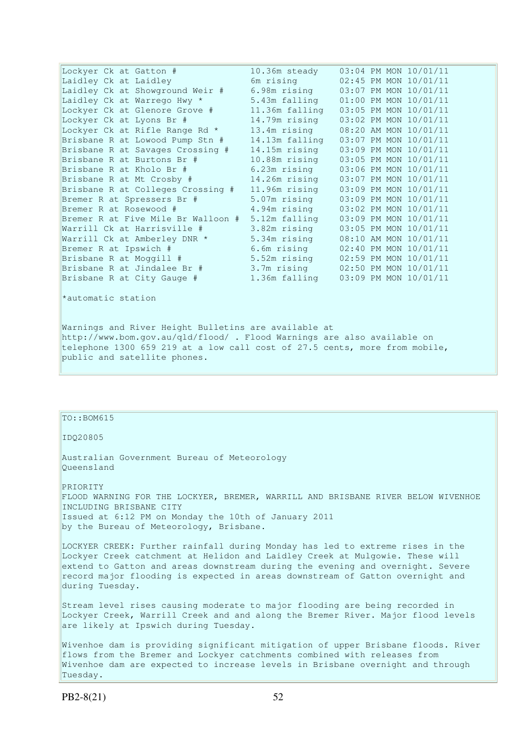| 10.36m steady<br>Lockyer Ck at Gatton #             | 03:04 PM MON 10/01/11 |
|-----------------------------------------------------|-----------------------|
| Laidley Ck at Laidley<br>6m rising                  | 02:45 PM MON 10/01/11 |
| Laidley Ck at Showground Weir #<br>6.98m rising     | 03:07 PM MON 10/01/11 |
| Laidley Ck at Warrego Hwy *<br>5.43m falling        | 01:00 PM MON 10/01/11 |
| 11.36m falling<br>Lockyer Ck at Glenore Grove #     | 03:05 PM MON 10/01/11 |
| 14.79m rising<br>Lockyer Ck at Lyons Br #           | 03:02 PM MON 10/01/11 |
| Lockyer Ck at Rifle Range Rd *<br>13.4m rising      | 08:20 AM MON 10/01/11 |
| 14.13m falling<br>Brisbane R at Lowood Pump Stn #   | 03:07 PM MON 10/01/11 |
| 14.15m rising<br>Brisbane R at Savages Crossing #   | 03:09 PM MON 10/01/11 |
| 10.88m rising<br>Brisbane R at Burtons Br #         | 03:05 PM MON 10/01/11 |
| 6.23m rising<br>Brisbane R at Kholo Br #            | 03:06 PM MON 10/01/11 |
| $14.26m$ rising<br>Brisbane R at Mt Crosby #        | 03:07 PM MON 10/01/11 |
| 11.96m rising<br>Brisbane R at Colleges Crossing #  | 03:09 PM MON 10/01/11 |
| 5.07m rising<br>Bremer R at Spressers Br #          | 03:09 PM MON 10/01/11 |
| 4.94m rising<br>Bremer R at Rosewood #              | 03:02 PM MON 10/01/11 |
| Bremer R at Five Mile Br Walloon #<br>5.12m falling | 03:09 PM MON 10/01/11 |
| 3.82m rising<br>Warrill Ck at Harrisville #         | 03:05 PM MON 10/01/11 |
| Warrill Ck at Amberley DNR *<br>5.34m rising        | 08:10 AM MON 10/01/11 |
| 6.6m rising<br>Bremer R at Ipswich #                | 02:40 PM MON 10/01/11 |
| Brisbane R at Moggill #<br>5.52m rising             | 02:59 PM MON 10/01/11 |
| Brisbane R at Jindalee Br #<br>3.7m rising          | 02:50 PM MON 10/01/11 |
| 1.36m falling<br>Brisbane R at City Gauge #         | 03:09 PM MON 10/01/11 |

\*automatic station

Warnings and River Height Bulletins are available at http://www.bom.gov.au/qld/flood/ . Flood Warnings are also available on telephone 1300 659 219 at a low call cost of 27.5 cents, more from mobile, public and satellite phones.

## $TO::BOM615$

IDQ20805

Australian Government Bureau of Meteorology Queensland

PRIORITY FLOOD WARNING FOR THE LOCKYER, BREMER, WARRILL AND BRISBANE RIVER BELOW WIVENHOE INCLUDING BRISBANE CITY Issued at 6:12 PM on Monday the 10th of January 2011 by the Bureau of Meteorology, Brisbane.

LOCKYER CREEK: Further rainfall during Monday has led to extreme rises in the Lockyer Creek catchment at Helidon and Laidley Creek at Mulgowie. These will extend to Gatton and areas downstream during the evening and overnight. Severe record major flooding is expected in areas downstream of Gatton overnight and during Tuesday.

Stream level rises causing moderate to major flooding are being recorded in Lockyer Creek, Warrill Creek and and along the Bremer River. Major flood levels are likely at Ipswich during Tuesday.

Wivenhoe dam is providing significant mitigation of upper Brisbane floods. River flows from the Bremer and Lockyer catchments combined with releases from Wivenhoe dam are expected to increase levels in Brisbane overnight and through Tuesday.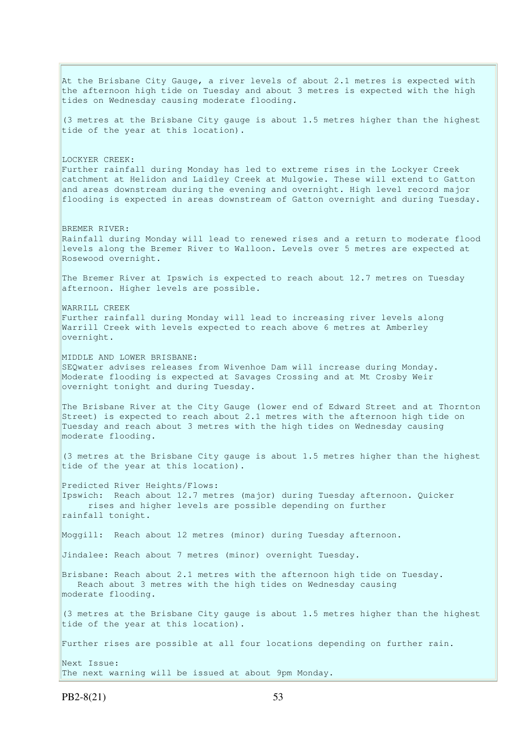At the Brisbane City Gauge, a river levels of about 2.1 metres is expected with the afternoon high tide on Tuesday and about 3 metres is expected with the high tides on Wednesday causing moderate flooding. (3 metres at the Brisbane City gauge is about 1.5 metres higher than the highest tide of the year at this location). LOCKYER CREEK: Further rainfall during Monday has led to extreme rises in the Lockyer Creek catchment at Helidon and Laidley Creek at Mulgowie. These will extend to Gatton and areas downstream during the evening and overnight. High level record major flooding is expected in areas downstream of Gatton overnight and during Tuesday. BREMER RIVER: Rainfall during Monday will lead to renewed rises and a return to moderate flood levels along the Bremer River to Walloon. Levels over 5 metres are expected at Rosewood overnight. The Bremer River at Ipswich is expected to reach about 12.7 metres on Tuesday afternoon. Higher levels are possible. WARRILL CREEK Further rainfall during Monday will lead to increasing river levels along Warrill Creek with levels expected to reach above 6 metres at Amberley overnight. MIDDLE AND LOWER BRISBANE: SEQwater advises releases from Wivenhoe Dam will increase during Monday. Moderate flooding is expected at Savages Crossing and at Mt Crosby Weir overnight tonight and during Tuesday. The Brisbane River at the City Gauge (lower end of Edward Street and at Thornton Street) is expected to reach about 2.1 metres with the afternoon high tide on Tuesday and reach about 3 metres with the high tides on Wednesday causing moderate flooding. (3 metres at the Brisbane City gauge is about 1.5 metres higher than the highest tide of the year at this location). Predicted River Heights/Flows: Ipswich: Reach about 12.7 metres (major) during Tuesday afternoon. Quicker rises and higher levels are possible depending on further rainfall tonight. Moggill: Reach about 12 metres (minor) during Tuesday afternoon. Jindalee: Reach about 7 metres (minor) overnight Tuesday. Brisbane: Reach about 2.1 metres with the afternoon high tide on Tuesday. Reach about 3 metres with the high tides on Wednesday causing moderate flooding. (3 metres at the Brisbane City gauge is about 1.5 metres higher than the highest tide of the year at this location). Further rises are possible at all four locations depending on further rain. Next Issue: The next warning will be issued at about 9pm Monday.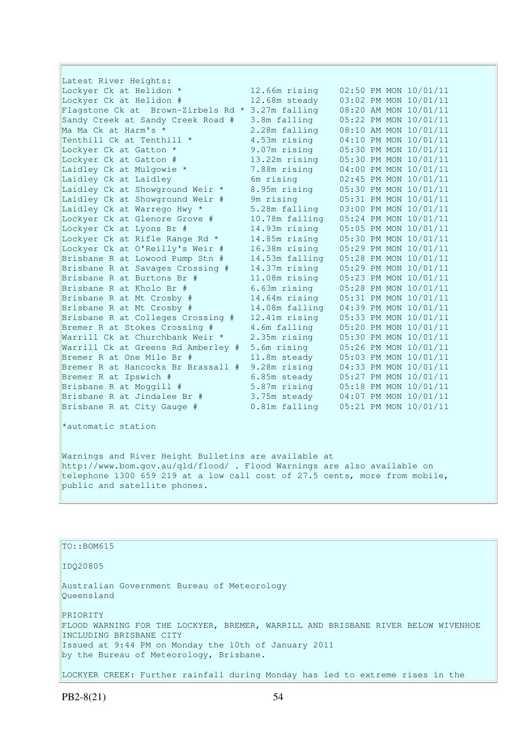Latest River Heights: Lockyer Ck at Helidon \* 12.66m rising 02:50 PM MON 10/01/11 Lockyer Ck at Helidon # 12.68m steady 03:02 PM MON 10/01/11 Flagstone Ck at Brown-Zirbels Rd \* 3.27m falling 08:20 AM MON 10/01/11 Sandy Creek at Sandy Creek Road # 3.8m falling 05:22 PM MON 10/01/11 Ma Ma Ck at Harm's \* 2.28m falling 08:10 AM MON 10/01/11 Tenthill Ck at Tenthill  $*$  4.53m rising 04:10 PM MON 10/01/11 Lockyer Ck at Gatton \* 9.07m rising 05:30 PM MON 10/01/11 Lockyer Ck at Gatton # 13.22m rising 05:30 PM MON 10/01/11 Laidley Ck at Mulgowie \* 7.88m rising 04:00 PM MON 10/01/11 Laidley Ck at Laidley 6m rising 02:45 PM MON 10/01/11 Laidley Ck at Showground Weir \* 8.95m rising 05:30 PM MON 10/01/11 Laidley Ck at Showground Weir # 9m rising 05:31 PM MON 10/01/11 Laidley Ck at Warrego Hwy \* 5.28m falling 03:00 PM MON 10/01/11 Lockyer Ck at Glenore Grove # 10.78m falling 05:24 PM MON 10/01/11 Lockyer Ck at Lyons Br # 14.93m rising 05:05 PM MON 10/01/11 Lockyer Ck at Rifle Range Rd \* 14.85m rising 05:30 PM MON 10/01/11 Lockyer Ck at O'Reilly's Weir # 16.38m rising 05:29 PM MON 10/01/11 Brisbane R at Lowood Pump Stn # 14.53m falling 05:28 PM MON 10/01/11 Brisbane R at Savages Crossing # 14.37m rising 05:29 PM MON 10/01/11 Brisbane R at Burtons Br # 11.08m rising 05:23 PM MON 10/01/11 Brisbane R at Kholo Br # 6.63m rising 05:28 PM MON 10/01/11 Brisbane R at Mt Crosby # 14.64m rising 05:31 PM MON 10/01/11 Brisbane R at Mt Crosby # 14.08m falling 04:39 PM MON 10/01/11 Brisbane R at Colleges Crossing # 12.41m rising 05:33 PM MON 10/01/11 Bremer R at Stokes Crossing # 4.6m falling 05:20 PM MON 10/01/11 Warrill Ck at Churchbank Weir \* 2.35m rising 05:30 PM MON 10/01/11 Warrill Ck at Greens Rd Amberley # 5.6m rising 05:26 PM MON 10/01/11 Bremer R at One Mile Br # 11.8m steady 05:03 PM MON 10/01/11 Bremer R at Hancocks Br Brassall # 9.28m rising 04:33 PM MON 10/01/11 Bremer R at Ipswich # 6.85m steady 05:27 PM MON 10/01/11 Brisbane R at Moggill # 5.87m rising 05:18 PM MON 10/01/11 Brisbane R at Jindalee Br # 3.75m steady 04:07 PM MON 10/01/11 Brisbane R at City Gauge # 0.81m falling 05:21 PM MON 10/01/11

\*automatic station

Warnings and River Height Bulletins are available at http://www.bom.gov.au/qld/flood/ . Flood Warnings are also available on telephone 1300 659 219 at a low call cost of 27.5 cents, more from mobile, public and satellite phones.

# TO::BOM615 IDQ20805 Australian Government Bureau of Meteorology Queensland PRIORITY FLOOD WARNING FOR THE LOCKYER, BREMER, WARRILL AND BRISBANE RIVER BELOW WIVENHOE INCLUDING BRISBANE CITY Issued at 9:44 PM on Monday the 10th of January 2011 by the Bureau of Meteorology, Brisbane. LOCKYER CREEK: Further rainfall during Monday has led to extreme rises in the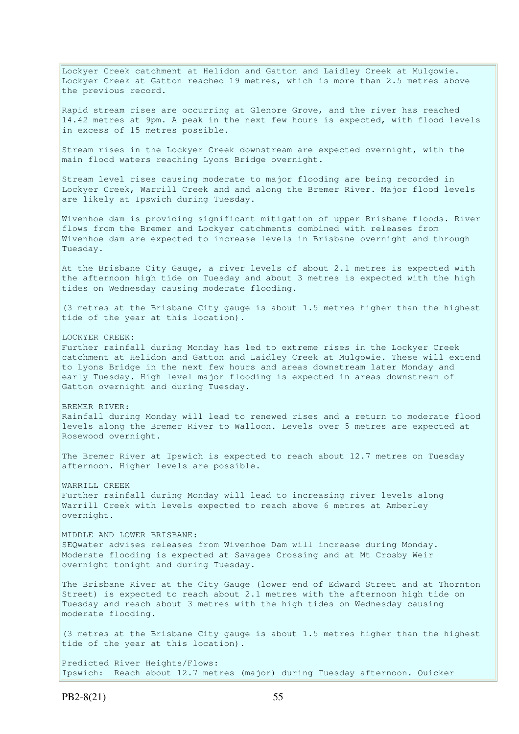Lockyer Creek catchment at Helidon and Gatton and Laidley Creek at Mulgowie. Lockyer Creek at Gatton reached 19 metres, which is more than 2.5 metres above the previous record. Rapid stream rises are occurring at Glenore Grove, and the river has reached 14.42 metres at 9pm. A peak in the next few hours is expected, with flood levels in excess of 15 metres possible. Stream rises in the Lockyer Creek downstream are expected overnight, with the main flood waters reaching Lyons Bridge overnight. Stream level rises causing moderate to major flooding are being recorded in Lockyer Creek, Warrill Creek and and along the Bremer River. Major flood levels are likely at Ipswich during Tuesday. Wivenhoe dam is providing significant mitigation of upper Brisbane floods. River flows from the Bremer and Lockyer catchments combined with releases from Wivenhoe dam are expected to increase levels in Brisbane overnight and through Tuesday. At the Brisbane City Gauge, a river levels of about 2.1 metres is expected with the afternoon high tide on Tuesday and about 3 metres is expected with the high tides on Wednesday causing moderate flooding. (3 metres at the Brisbane City gauge is about 1.5 metres higher than the highest tide of the year at this location). LOCKYER CREEK: Further rainfall during Monday has led to extreme rises in the Lockyer Creek catchment at Helidon and Gatton and Laidley Creek at Mulgowie. These will extend to Lyons Bridge in the next few hours and areas downstream later Monday and early Tuesday. High level major flooding is expected in areas downstream of Gatton overnight and during Tuesday. BREMER RIVER: Rainfall during Monday will lead to renewed rises and a return to moderate flood levels along the Bremer River to Walloon. Levels over 5 metres are expected at Rosewood overnight. The Bremer River at Ipswich is expected to reach about 12.7 metres on Tuesday afternoon. Higher levels are possible. WARRILL CREEK Further rainfall during Monday will lead to increasing river levels along Warrill Creek with levels expected to reach above 6 metres at Amberley overnight. MIDDLE AND LOWER BRISBANE: SEQwater advises releases from Wivenhoe Dam will increase during Monday. Moderate flooding is expected at Savages Crossing and at Mt Crosby Weir overnight tonight and during Tuesday. The Brisbane River at the City Gauge (lower end of Edward Street and at Thornton Street) is expected to reach about 2.1 metres with the afternoon high tide on Tuesday and reach about 3 metres with the high tides on Wednesday causing moderate flooding. (3 metres at the Brisbane City gauge is about 1.5 metres higher than the highest tide of the year at this location). Predicted River Heights/Flows: Ipswich: Reach about 12.7 metres (major) during Tuesday afternoon. Quicker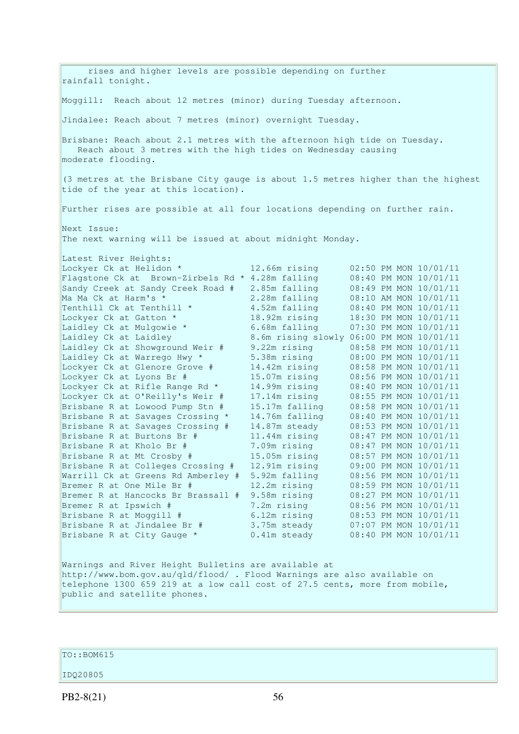rises and higher levels are possible depending on further rainfall tonight. Moggill: Reach about 12 metres (minor) during Tuesday afternoon. Jindalee: Reach about 7 metres (minor) overnight Tuesday. Brisbane: Reach about 2.1 metres with the afternoon high tide on Tuesday. Reach about 3 metres with the high tides on Wednesday causing moderate flooding. (3 metres at the Brisbane City gauge is about 1.5 metres higher than the highest tide of the year at this location). Further rises are possible at all four locations depending on further rain. Next Issue: The next warning will be issued at about midnight Monday. Latest River Heights: Lockyer Ck at Helidon \* 12.66m rising 02:50 PM MON 10/01/11 Flagstone Ck at Brown-Zirbels Rd \* 4.28m falling 08:40 PM MON 10/01/11 Sandy Creek at Sandy Creek Road # 2.85m falling 08:49 PM MON 10/01/11 Ma Ma Ck at Harm's \* 2.28m falling 08:10 AM MON 10/01/11 Tenthill Ck at Tenthill \* 4.52m falling 08:40 PM MON 10/01/11 Lockyer Ck at Gatton \* 18.92m rising 18:30 PM MON 10/01/11 Laidley Ck at Mulgowie \* 6.68m falling 07:30 PM MON 10/01/11 Laidley Ck at Laidley 8.6m rising slowly 06:00 PM MON 10/01/11 Laidley Ck at Showground Weir # 9.22m rising 08:58 PM MON 10/01/11 Laidley Ck at Warrego Hwy \* 5.38m rising 08:00 PM MON 10/01/11 Lockyer Ck at Glenore Grove # 14.42m rising 08:58 PM MON 10/01/11 Lockyer Ck at Lyons Br # 15.07m rising 08:56 PM MON 10/01/11 Lockyer Ck at Rifle Range Rd \* 14.99m rising 08:40 PM MON 10/01/11 Lockyer Ck at O'Reilly's Weir # 17.14m rising 08:55 PM MON 10/01/11 Brisbane R at Lowood Pump Stn # 15.17m falling 08:58 PM MON 10/01/11 Brisbane R at Savages Crossing \* 14.76m falling 08:40 PM MON 10/01/11 Brisbane R at Savages Crossing # 14.87m steady 08:53 PM MON 10/01/11 Brisbane R at Burtons Br # 11.44m rising 08:47 PM MON 10/01/11 Brisbane R at Kholo Br # 7.09m rising 08:47 PM MON 10/01/11 Brisbane R at Mt Crosby # 15.05m rising 08:57 PM MON 10/01/11 Brisbane R at Colleges Crossing # 12.91m rising 09:00 PM MON 10/01/11 Warrill Ck at Greens Rd Amberley # 5.92m falling 08:56 PM MON 10/01/11 Bremer R at One Mile Br # 12.2m rising 08:59 PM MON 10/01/11 Bremer R at Hancocks Br Brassall # 9.58m rising 08:27 PM MON 10/01/11 Bremer R at Ipswich # 7.2m rising 08:56 PM MON 10/01/11 Brisbane R at Moggill # 6.12m rising 08:53 PM MON 10/01/11 Brisbane R at Jindalee Br # 3.75m steady 07:07 PM MON 10/01/11 Brisbane R at City Gauge \* 0.41m steady 08:40 PM MON 10/01/11 Warnings and River Height Bulletins are available at http://www.bom.gov.au/qld/flood/ . Flood Warnings are also available on telephone 1300 659 219 at a low call cost of 27.5 cents, more from mobile, public and satellite phones.

 $To::BOM615$ 

## IDQ20805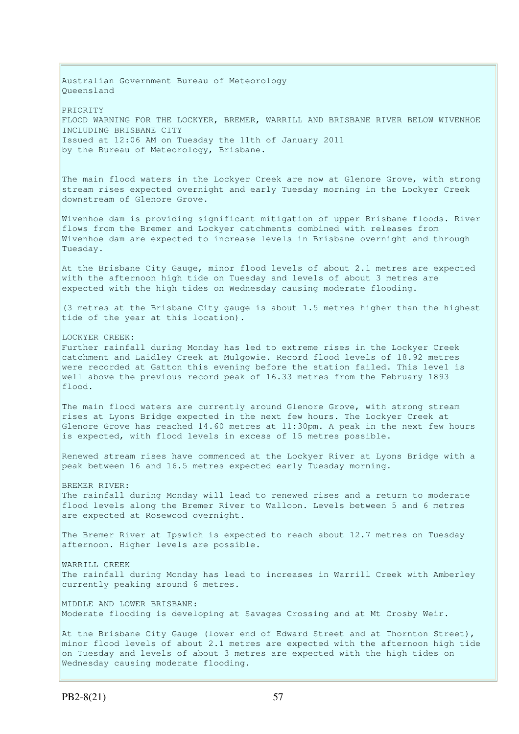Australian Government Bureau of Meteorology Queensland PRIORITY FLOOD WARNING FOR THE LOCKYER, BREMER, WARRILL AND BRISBANE RIVER BELOW WIVENHOE INCLUDING BRISBANE CITY Issued at 12:06 AM on Tuesday the 11th of January 2011 by the Bureau of Meteorology, Brisbane. The main flood waters in the Lockyer Creek are now at Glenore Grove, with strong stream rises expected overnight and early Tuesday morning in the Lockyer Creek downstream of Glenore Grove. Wivenhoe dam is providing significant mitigation of upper Brisbane floods. River flows from the Bremer and Lockyer catchments combined with releases from Wivenhoe dam are expected to increase levels in Brisbane overnight and through Tuesday. At the Brisbane City Gauge, minor flood levels of about 2.1 metres are expected with the afternoon high tide on Tuesday and levels of about 3 metres are expected with the high tides on Wednesday causing moderate flooding. (3 metres at the Brisbane City gauge is about 1.5 metres higher than the highest tide of the year at this location). LOCKYER CREEK: Further rainfall during Monday has led to extreme rises in the Lockyer Creek catchment and Laidley Creek at Mulgowie. Record flood levels of 18.92 metres were recorded at Gatton this evening before the station failed. This level is well above the previous record peak of 16.33 metres from the February 1893 flood. The main flood waters are currently around Glenore Grove, with strong stream rises at Lyons Bridge expected in the next few hours. The Lockyer Creek at Glenore Grove has reached 14.60 metres at 11:30pm. A peak in the next few hours is expected, with flood levels in excess of 15 metres possible. Renewed stream rises have commenced at the Lockyer River at Lyons Bridge with a peak between 16 and 16.5 metres expected early Tuesday morning. BREMER RIVER: The rainfall during Monday will lead to renewed rises and a return to moderate flood levels along the Bremer River to Walloon. Levels between 5 and 6 metres are expected at Rosewood overnight. The Bremer River at Ipswich is expected to reach about 12.7 metres on Tuesday afternoon. Higher levels are possible. WARRILL CREEK The rainfall during Monday has lead to increases in Warrill Creek with Amberley currently peaking around 6 metres. MIDDLE AND LOWER BRISBANE: Moderate flooding is developing at Savages Crossing and at Mt Crosby Weir. At the Brisbane City Gauge (lower end of Edward Street and at Thornton Street), minor flood levels of about 2.1 metres are expected with the afternoon high tide on Tuesday and levels of about 3 metres are expected with the high tides on Wednesday causing moderate flooding.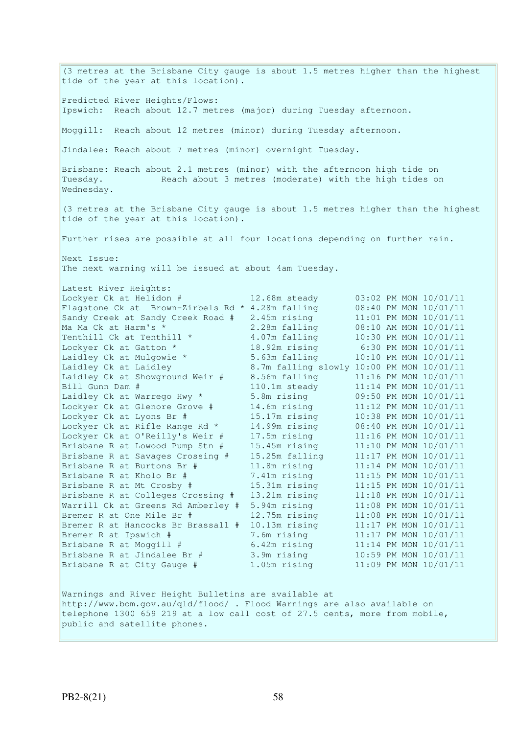(3 metres at the Brisbane City gauge is about 1.5 metres higher than the highest tide of the year at this location). Predicted River Heights/Flows: Ipswich: Reach about 12.7 metres (major) during Tuesday afternoon. Moggill: Reach about 12 metres (minor) during Tuesday afternoon. Jindalee: Reach about 7 metres (minor) overnight Tuesday. Brisbane: Reach about 2.1 metres (minor) with the afternoon high tide on Tuesday. Reach about 3 metres (moderate) with the high tides on Wednesday. (3 metres at the Brisbane City gauge is about 1.5 metres higher than the highest tide of the year at this location). Further rises are possible at all four locations depending on further rain. Next Issue: The next warning will be issued at about 4am Tuesday. Latest River Heights: Lockyer Ck at Helidon # 12.68m steady 03:02 PM MON 10/01/11 Flagstone Ck at Brown-Zirbels Rd \* 4.28m falling 08:40 PM MON 10/01/11 Sandy Creek at Sandy Creek Road # 2.45m rising 11:01 PM MON 10/01/11 Ma Ma Ck at Harm's \* 2.28m falling 08:10 AM MON 10/01/11 Tenthill Ck at Tenthill  $\star$  4.07m falling 10:30 PM MON 10/01/11 Lockyer Ck at Gatton \* 18.92m rising 6:30 PM MON 10/01/11 Laidley Ck at Mulgowie \* 5.63m falling 10:10 PM MON 10/01/11 Laidley Ck at Laidley 8.7m falling slowly 10:00 PM MON 10/01/11 Laidley Ck at Showground Weir # 8.56m falling 11:16 PM MON 10/01/11 Bill Gunn Dam # 110.1m steady 11:14 PM MON 10/01/11 Laidley Ck at Warrego Hwy \* 5.8m rising 09:50 PM MON 10/01/11 Lockyer Ck at Glenore Grove # 14.6m rising 11:12 PM MON 10/01/11 Lockyer Ck at Lyons Br # 15.17m rising 10:38 PM MON 10/01/11 Lockyer Ck at Rifle Range Rd \* 14.99m rising 08:40 PM MON 10/01/11 Lockyer Ck at O'Reilly's Weir # 17.5m rising 11:16 PM MON 10/01/11 Brisbane R at Lowood Pump Stn # 15.45m rising 11:10 PM MON 10/01/11 Brisbane R at Savages Crossing # 15.25m falling 11:17 PM MON 10/01/11 Brisbane R at Burtons Br # 11.8m rising 11:14 PM MON 10/01/11 Brisbane R at Kholo Br # 7.41m rising 11:15 PM MON 10/01/11 Brisbane R at Mt Crosby # 15.31m rising 11:15 PM MON 10/01/11 Brisbane R at Colleges Crossing # 13.21m rising 11:18 PM MON 10/01/11 Warrill Ck at Greens Rd Amberley # 5.94m rising 11:08 PM MON 10/01/11 Bremer R at One Mile Br # 12.75m rising 11:08 PM MON 10/01/11 Bremer R at Hancocks Br Brassall # 10.13m rising 11:17 PM MON 10/01/11 Bremer R at Ipswich # 7.6m rising 11:17 PM MON 10/01/11 Brisbane R at Moggill # 6.42m rising 11:14 PM MON 10/01/11 Brisbane R at Jindalee Br # 3.9m rising 10:59 PM MON 10/01/11 Brisbane R at City Gauge # 1.05m rising 11:09 PM MON 10/01/11 Warnings and River Height Bulletins are available at http://www.bom.gov.au/qld/flood/ . Flood Warnings are also available on telephone 1300 659 219 at a low call cost of 27.5 cents, more from mobile, public and satellite phones.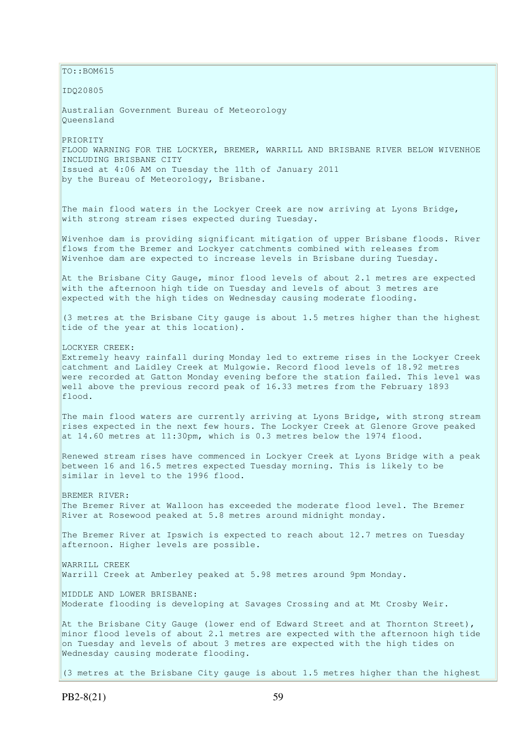$TO:$ : BOM615 IDQ20805 Australian Government Bureau of Meteorology Queensland PRIORITY FLOOD WARNING FOR THE LOCKYER, BREMER, WARRILL AND BRISBANE RIVER BELOW WIVENHOE INCLUDING BRISBANE CITY Issued at 4:06 AM on Tuesday the 11th of January 2011 by the Bureau of Meteorology, Brisbane. The main flood waters in the Lockyer Creek are now arriving at Lyons Bridge, with strong stream rises expected during Tuesday. Wivenhoe dam is providing significant mitigation of upper Brisbane floods. River flows from the Bremer and Lockyer catchments combined with releases from Wivenhoe dam are expected to increase levels in Brisbane during Tuesday. At the Brisbane City Gauge, minor flood levels of about 2.1 metres are expected with the afternoon high tide on Tuesday and levels of about 3 metres are expected with the high tides on Wednesday causing moderate flooding. (3 metres at the Brisbane City gauge is about 1.5 metres higher than the highest tide of the year at this location). LOCKYER CREEK: Extremely heavy rainfall during Monday led to extreme rises in the Lockyer Creek catchment and Laidley Creek at Mulgowie. Record flood levels of 18.92 metres were recorded at Gatton Monday evening before the station failed. This level was well above the previous record peak of 16.33 metres from the February 1893 flood. The main flood waters are currently arriving at Lyons Bridge, with strong stream rises expected in the next few hours. The Lockyer Creek at Glenore Grove peaked at  $14.60$  metres at  $11:30$ pm, which is  $0.3$  metres below the 1974 flood. Renewed stream rises have commenced in Lockyer Creek at Lyons Bridge with a peak between 16 and 16.5 metres expected Tuesday morning. This is likely to be similar in level to the 1996 flood. BREMER RIVER: The Bremer River at Walloon has exceeded the moderate flood level. The Bremer River at Rosewood peaked at 5.8 metres around midnight monday. The Bremer River at Ipswich is expected to reach about 12.7 metres on Tuesday afternoon. Higher levels are possible. WARRILL CREEK Warrill Creek at Amberley peaked at 5.98 metres around 9pm Monday. MIDDLE AND LOWER BRISBANE: Moderate flooding is developing at Savages Crossing and at Mt Crosby Weir. At the Brisbane City Gauge (lower end of Edward Street and at Thornton Street), minor flood levels of about 2.1 metres are expected with the afternoon high tide on Tuesday and levels of about 3 metres are expected with the high tides on Wednesday causing moderate flooding. (3 metres at the Brisbane City gauge is about 1.5 metres higher than the highest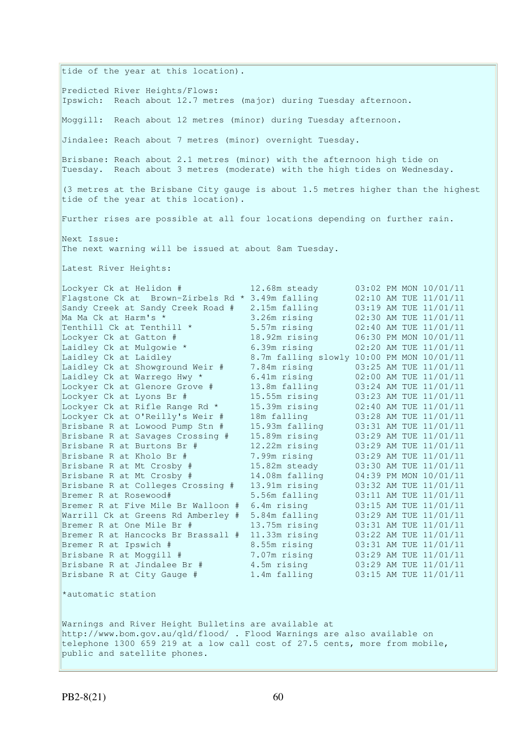tide of the year at this location). Predicted River Heights/Flows: Ipswich: Reach about 12.7 metres (major) during Tuesday afternoon. Moggill: Reach about 12 metres (minor) during Tuesday afternoon. Jindalee: Reach about 7 metres (minor) overnight Tuesday. Brisbane: Reach about 2.1 metres (minor) with the afternoon high tide on Tuesday. Reach about 3 metres (moderate) with the high tides on Wednesday. (3 metres at the Brisbane City gauge is about 1.5 metres higher than the highest tide of the year at this location). Further rises are possible at all four locations depending on further rain. Next Issue: The next warning will be issued at about 8am Tuesday. Latest River Heights: Lockyer Ck at Helidon # 12.68m steady 03:02 PM MON 10/01/11 Flagstone Ck at Brown-Zirbels Rd  $*$  3.49m falling  $02:10$  AM TUE  $11/01/11$ Sandy Creek at Sandy Creek Road # 2.15m falling 03:19 AM TUE 11/01/11 Ma Ma Ck at Harm's \* 3.26m rising 02:30 AM TUE 11/01/11 Tenthill Ck at Tenthill  $\star$  5.57m rising 02:40 AM TUE 11/01/11 Lockyer Ck at Gatton # 18.92m rising 06:30 PM MON 10/01/11 Laidley Ck at Mulgowie \* 6.39m rising 02:20 AM TUE 11/01/11 Laidley Ck at Laidley 8.7m falling slowly 10:00 PM MON 10/01/11 Laidley Ck at Showground Weir # 7.84m rising 03:25 AM TUE 11/01/11 Laidley Ck at Warrego Hwy \* 6.41m rising 02:00 AM TUE 11/01/11 Lockyer Ck at Glenore Grove # 13.8m falling 03:24 AM TUE 11/01/11 Lockyer Ck at Lyons Br # 15.55m rising 03:23 AM TUE 11/01/11 Lockyer Ck at Rifle Range Rd \* 15.39m rising 02:40 AM TUE 11/01/11 Lockyer Ck at O'Reilly's Weir # 18m falling 03:28 AM TUE 11/01/11 Brisbane R at Lowood Pump Stn # 15.93m falling 03:31 AM TUE 11/01/11 Brisbane R at Savages Crossing # 15.89m rising 03:29 AM TUE 11/01/11 Brisbane R at Burtons Br # 12.22m rising 03:29 AM TUE 11/01/11 Brisbane R at Kholo Br # 7.99m rising 03:29 AM TUE 11/01/11 Brisbane R at Mt Crosby # 15.82m steady 03:30 AM TUE 11/01/11 Brisbane R at Mt Crosby # 14.08m falling 04:39 PM MON 10/01/11 Brisbane R at Colleges Crossing # 13.91m rising 03:32 AM TUE 11/01/11 Bremer R at Rosewood# 5.56m falling 03:11 AM TUE 11/01/11 Bremer R at Five Mile Br Walloon # 6.4m rising 03:15 AM TUE 11/01/11 Warrill Ck at Greens Rd Amberley # 5.84m falling 03:29 AM TUE 11/01/11 Bremer R at One Mile Br # 13.75m rising 03:31 AM TUE 11/01/11 Bremer R at Hancocks Br Brassall # 11.33m rising 03:22 AM TUE 11/01/11 Bremer R at Ipswich # 8.55m rising 03:31 AM TUE 11/01/11 Brisbane R at Moggill # 7.07m rising 03:29 AM TUE 11/01/11 Brisbane R at Jindalee Br # 4.5m rising 03:29 AM TUE 11/01/11 Brisbane R at City Gauge # 1.4m falling 03:15 AM TUE 11/01/11 \*automatic station Warnings and River Height Bulletins are available at http://www.bom.gov.au/qld/flood/ . Flood Warnings are also available on telephone 1300 659 219 at a low call cost of 27.5 cents, more from mobile, public and satellite phones.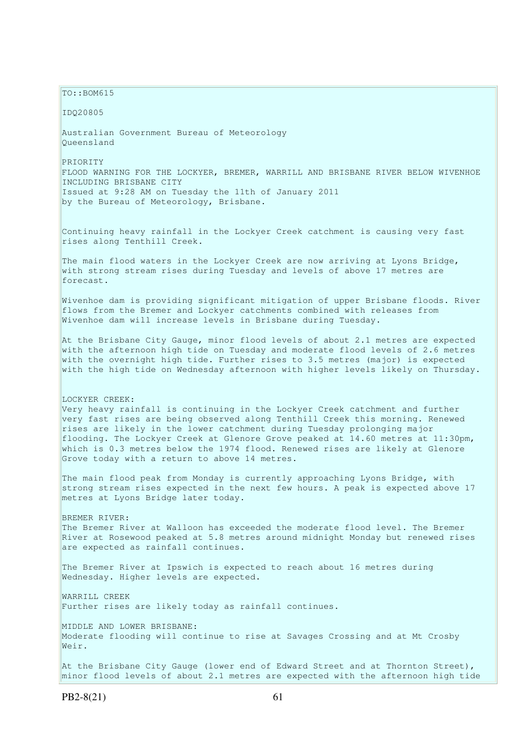$TO: **ROM615**$ 

IDQ20805

Australian Government Bureau of Meteorology Queensland

PRIORITY FLOOD WARNING FOR THE LOCKYER, BREMER, WARRILL AND BRISBANE RIVER BELOW WIVENHOE INCLUDING BRISBANE CITY Issued at 9:28 AM on Tuesday the 11th of January 2011 by the Bureau of Meteorology, Brisbane.

Continuing heavy rainfall in the Lockyer Creek catchment is causing very fast rises along Tenthill Creek.

The main flood waters in the Lockyer Creek are now arriving at Lyons Bridge, with strong stream rises during Tuesday and levels of above 17 metres are forecast.

Wivenhoe dam is providing significant mitigation of upper Brisbane floods. River flows from the Bremer and Lockyer catchments combined with releases from Wivenhoe dam will increase levels in Brisbane during Tuesday.

At the Brisbane City Gauge, minor flood levels of about 2.1 metres are expected with the afternoon high tide on Tuesday and moderate flood levels of 2.6 metres with the overnight high tide. Further rises to 3.5 metres (major) is expected with the high tide on Wednesday afternoon with higher levels likely on Thursday.

LOCKYER CREEK: Very heavy rainfall is continuing in the Lockyer Creek catchment and further very fast rises are being observed along Tenthill Creek this morning. Renewed rises are likely in the lower catchment during Tuesday prolonging major flooding. The Lockyer Creek at Glenore Grove peaked at 14.60 metres at 11:30pm, which is 0.3 metres below the 1974 flood. Renewed rises are likely at Glenore Grove today with a return to above 14 metres.

The main flood peak from Monday is currently approaching Lyons Bridge, with strong stream rises expected in the next few hours. A peak is expected above 17 metres at Lyons Bridge later today.

BREMER RIVER: The Bremer River at Walloon has exceeded the moderate flood level. The Bremer River at Rosewood peaked at 5.8 metres around midnight Monday but renewed rises are expected as rainfall continues.

The Bremer River at Ipswich is expected to reach about 16 metres during Wednesday. Higher levels are expected.

WARRILL CREEK Further rises are likely today as rainfall continues.

MIDDLE AND LOWER BRISBANE: Moderate flooding will continue to rise at Savages Crossing and at Mt Crosby Weir.

At the Brisbane City Gauge (lower end of Edward Street and at Thornton Street), minor flood levels of about 2.1 metres are expected with the afternoon high tide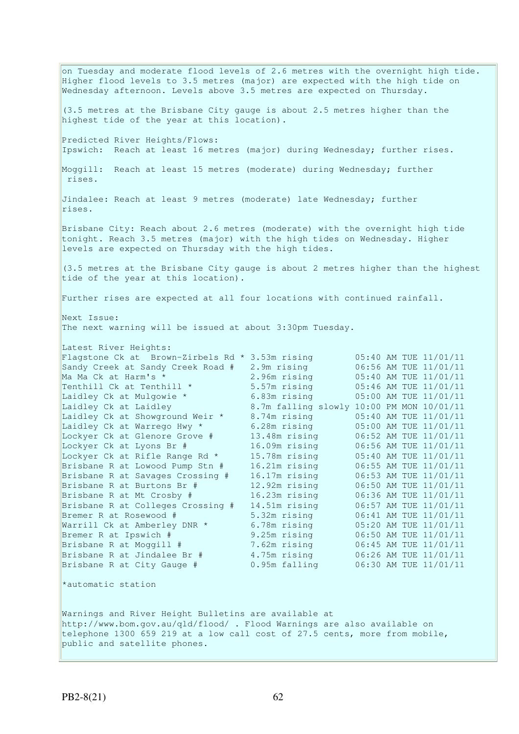on Tuesday and moderate flood levels of 2.6 metres with the overnight high tide. Higher flood levels to 3.5 metres (major) are expected with the high tide on Wednesday afternoon. Levels above 3.5 metres are expected on Thursday. (3.5 metres at the Brisbane City gauge is about 2.5 metres higher than the highest tide of the year at this location). Predicted River Heights/Flows: Ipswich: Reach at least 16 metres (major) during Wednesday; further rises. Moggill: Reach at least 15 metres (moderate) during Wednesday; further rises. Jindalee: Reach at least 9 metres (moderate) late Wednesday; further rises. Brisbane City: Reach about 2.6 metres (moderate) with the overnight high tide tonight. Reach 3.5 metres (major) with the high tides on Wednesday. Higher levels are expected on Thursday with the high tides. (3.5 metres at the Brisbane City gauge is about 2 metres higher than the highest tide of the year at this location). Further rises are expected at all four locations with continued rainfall. Next Issue: The next warning will be issued at about 3:30pm Tuesday. Latest River Heights: Flagstone Ck at Brown-Zirbels Rd  $*$  3.53m rising 05:40 AM TUE 11/01/11<br>Sandy Creek at Sandy Creek Road # 2.9m rising 06:56 AM TUE 11/01/11 Sandy Creek at Sandy Creek Road # 2.9m rising 06:56 AM TUE 11/01/11 Ma Ma Ck at Harm's \* 2.96m rising 05:40 AM TUE 11/01/11 Tenthill Ck at Tenthill  $\star$  5.57m rising 05:46 AM TUE 11/01/11 Laidley Ck at Mulgowie \* 6.83m rising 05:00 AM TUE 11/01/11 Laidley Ck at Laidley 8.7m falling slowly 10:00 PM MON 10/01/11 Laidley Ck at Showground Weir \* 8.74m rising 05:40 AM TUE 11/01/11 Laidley Ck at Warrego Hwy \*  $6.28$ m rising  $05:00$  AM TUE 11/01/11 Lockyer Ck at Glenore Grove # 13.48m rising 06:52 AM TUE 11/01/11 Lockyer Ck at Lyons Br # 16.09m rising 06:56 AM TUE 11/01/11 Lockyer Ck at Rifle Range Rd \* 15.78m rising 05:40 AM TUE 11/01/11 Brisbane R at Lowood Pump Stn # 16.21m rising 06:55 AM TUE 11/01/11 Brisbane R at Savages Crossing # 16.17m rising 06:53 AM TUE 11/01/11 Brisbane R at Burtons Br # 12.92m rising 06:50 AM TUE 11/01/11 Brisbane R at Mt Crosby # 16.23m rising 06:36 AM TUE 11/01/11 Brisbane R at Colleges Crossing # 14.51m rising 06:57 AM TUE 11/01/11 Bremer R at Rosewood # 5.32m rising 06:41 AM TUE 11/01/11 Warrill Ck at Amberley DNR \* 6.78m rising 05:20 AM TUE 11/01/11 Example 1 A at Rosewood # 5.32m rising 06:41 AM TUE 11/01/11<br>
Warrill Ck at Amberley DNR \* 6.78m rising 05:20 AM TUE 11/01/11<br>
Bremer R at Ipswich # 9.25m rising 06:50 AM TUE 11/01/11 Brisbane R at Moggill # 7.62m rising 06:45 AM TUE 11/01/11 Brisbane R at Jindalee Br # 4.75m rising 06:26 AM TUE 11/01/11 Brisbane R at City Gauge # 0.95m falling 06:30 AM TUE 11/01/11 \*automatic station Warnings and River Height Bulletins are available at http://www.bom.gov.au/qld/flood/ . Flood Warnings are also available on telephone 1300 659 219 at a low call cost of 27.5 cents, more from mobile, public and satellite phones.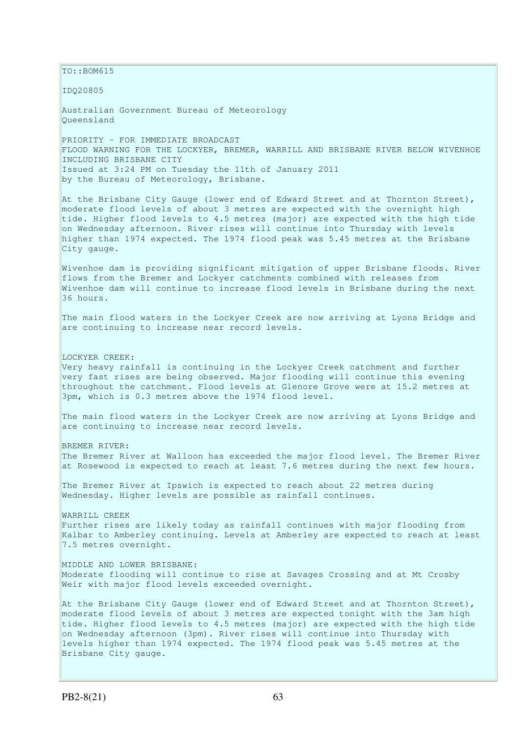$\vert$ TO::BOM615

IDQ20805

Australian Government Bureau of Meteorology Queensland

PRIORITY - FOR IMMEDIATE BROADCAST FLOOD WARNING FOR THE LOCKYER, BREMER, WARRILL AND BRISBANE RIVER BELOW WIVENHOE INCLUDING BRISBANE CITY Issued at 3:24 PM on Tuesday the 11th of January 2011 by the Bureau of Meteorology, Brisbane.

At the Brisbane City Gauge (lower end of Edward Street and at Thornton Street), moderate flood levels of about 3 metres are expected with the overnight high tide. Higher flood levels to 4.5 metres (major) are expected with the high tide on Wednesday afternoon. River rises will continue into Thursday with levels higher than 1974 expected. The 1974 flood peak was 5.45 metres at the Brisbane City gauge.

Wivenhoe dam is providing significant mitigation of upper Brisbane floods. River flows from the Bremer and Lockyer catchments combined with releases from Wivenhoe dam will continue to increase flood levels in Brisbane during the next 36 hours.

The main flood waters in the Lockyer Creek are now arriving at Lyons Bridge and are continuing to increase near record levels.

LOCKYER CREEK: Very heavy rainfall is continuing in the Lockyer Creek catchment and further very fast rises are being observed. Major flooding will continue this evening throughout the catchment. Flood levels at Glenore Grove were at 15.2 metres at 3pm, which is 0.3 metres above the 1974 flood level.

The main flood waters in the Lockyer Creek are now arriving at Lyons Bridge and are continuing to increase near record levels.

BREMER RIVER: The Bremer River at Walloon has exceeded the major flood level. The Bremer River at Rosewood is expected to reach at least 7.6 metres during the next few hours.

The Bremer River at Ipswich is expected to reach about 22 metres during Wednesday. Higher levels are possible as rainfall continues.

WARRILL CREEK Further rises are likely today as rainfall continues with major flooding from Kalbar to Amberley continuing. Levels at Amberley are expected to reach at least 7.5 metres overnight.

MIDDLE AND LOWER BRISBANE: Moderate flooding will continue to rise at Savages Crossing and at Mt Crosby Weir with major flood levels exceeded overnight.

At the Brisbane City Gauge (lower end of Edward Street and at Thornton Street), moderate flood levels of about 3 metres are expected tonight with the 3am high tide. Higher flood levels to 4.5 metres (major) are expected with the high tide on Wednesday afternoon (3pm). River rises will continue into Thursday with levels higher than 1974 expected. The 1974 flood peak was 5.45 metres at the Brisbane City gauge.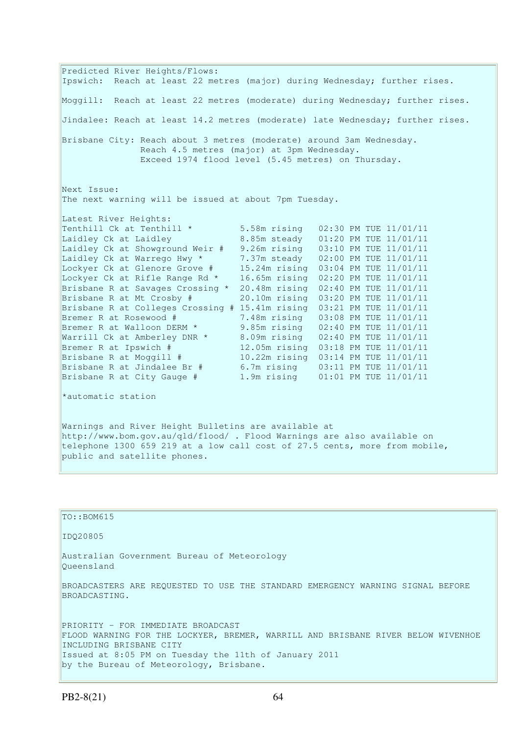Predicted River Heights/Flows: Ipswich: Reach at least 22 metres (major) during Wednesday; further rises. Moggill: Reach at least 22 metres (moderate) during Wednesday; further rises. Jindalee: Reach at least 14.2 metres (moderate) late Wednesday; further rises. Brisbane City: Reach about 3 metres (moderate) around 3am Wednesday. Reach 4.5 metres (major) at 3pm Wednesday. Exceed 1974 flood level (5.45 metres) on Thursday. Next Issue: The next warning will be issued at about 7pm Tuesday. Latest River Heights: Tenthill Ck at Tenthill \* 5.58m rising 02:30 PM TUE 11/01/11 Laidley Ck at Laidley 8.85m steady 01:20 PM TUE 11/01/11 Laidley Ck at Showground Weir # 9.26m rising 03:10 PM TUE 11/01/11 Laidley Ck at Warrego Hwy \* 7.37m steady 02:00 PM TUE 11/01/11 Lockyer Ck at Glenore Grove # 15.24m rising 03:04 PM TUE 11/01/11 Lockyer Ck at Rifle Range Rd \* 16.65m rising 02:20 PM TUE 11/01/11 Brisbane R at Savages Crossing \* 20.48m rising 02:40 PM TUE 11/01/11 Brisbane R at Mt Crosby # 20.10m rising 03:20 PM TUE 11/01/11 Brisbane R at Colleges Crossing # 15.41m rising 03:21 PM TUE 11/01/11 Bremer R at Rosewood # 7.48m rising 03:08 PM TUE 11/01/11 Bremer R at Walloon DERM \* 9.85m rising 02:40 PM TUE 11/01/11 Warrill Ck at Amberley DNR \* 8.09m rising 02:40 PM TUE 11/01/11 Bremer R at Ipswich # 12.05m rising 03:18 PM TUE 11/01/11 Brisbane R at Moggill # 10.22m rising 03:14 PM TUE 11/01/11 Brisbane R at Jindalee Br # 6.7m rising 03:11 PM TUE 11/01/11 Brisbane R at City Gauge # 1.9m rising 01:01 PM TUE 11/01/11 \*automatic station Warnings and River Height Bulletins are available at http://www.bom.gov.au/qld/flood/ . Flood Warnings are also available on telephone 1300 659 219 at a low call cost of 27.5 cents, more from mobile,

| TO: : BOM615                                                                                                                                                                                                                                          |
|-------------------------------------------------------------------------------------------------------------------------------------------------------------------------------------------------------------------------------------------------------|
| ID020805                                                                                                                                                                                                                                              |
| Australian Government Bureau of Meteorology<br>Oueensland                                                                                                                                                                                             |
| BROADCASTERS ARE REOUESTED TO USE THE STANDARD EMERGENCY WARNING SIGNAL BEFORE<br>BROADCASTING.                                                                                                                                                       |
| PRIORITY - FOR IMMEDIATE BROADCAST<br>FLOOD WARNING FOR THE LOCKYER, BREMER, WARRILL AND BRISBANE RIVER BELOW WIVENHOE<br>INCLUDING BRISBANE CITY<br>Issued at 8:05 PM on Tuesday the 11th of January 2011<br>by the Bureau of Meteorology, Brisbane. |

public and satellite phones.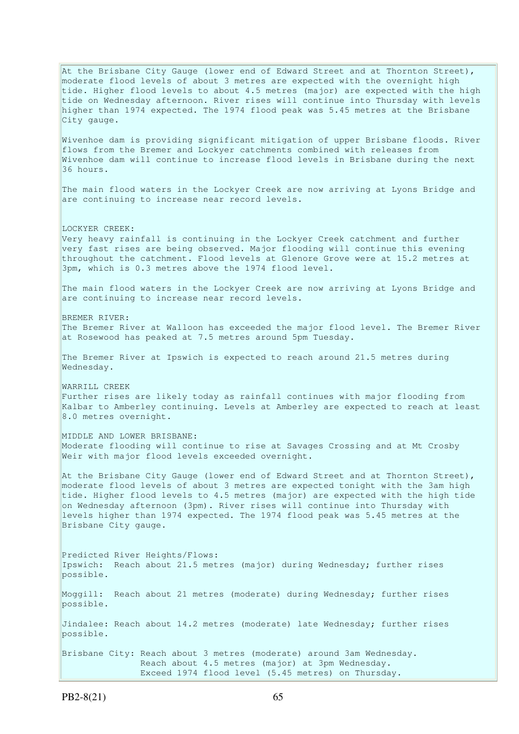At the Brisbane City Gauge (lower end of Edward Street and at Thornton Street), moderate flood levels of about 3 metres are expected with the overnight high tide. Higher flood levels to about 4.5 metres (major) are expected with the high tide on Wednesday afternoon. River rises will continue into Thursday with levels higher than 1974 expected. The 1974 flood peak was 5.45 metres at the Brisbane City gauge. Wivenhoe dam is providing significant mitigation of upper Brisbane floods. River flows from the Bremer and Lockyer catchments combined with releases from Wivenhoe dam will continue to increase flood levels in Brisbane during the next 36 hours. The main flood waters in the Lockyer Creek are now arriving at Lyons Bridge and are continuing to increase near record levels. LOCKYER CREEK: Very heavy rainfall is continuing in the Lockyer Creek catchment and further very fast rises are being observed. Major flooding will continue this evening throughout the catchment. Flood levels at Glenore Grove were at 15.2 metres at 3pm, which is 0.3 metres above the 1974 flood level. The main flood waters in the Lockyer Creek are now arriving at Lyons Bridge and are continuing to increase near record levels. BREMER RIVER: The Bremer River at Walloon has exceeded the major flood level. The Bremer River at Rosewood has peaked at 7.5 metres around 5pm Tuesday. The Bremer River at Ipswich is expected to reach around 21.5 metres during Wednesday. WARRILL CREEK Further rises are likely today as rainfall continues with major flooding from Kalbar to Amberley continuing. Levels at Amberley are expected to reach at least 8.0 metres overnight. MIDDLE AND LOWER BRISBANE: Moderate flooding will continue to rise at Savages Crossing and at Mt Crosby Weir with major flood levels exceeded overnight. At the Brisbane City Gauge (lower end of Edward Street and at Thornton Street), moderate flood levels of about 3 metres are expected tonight with the 3am high tide. Higher flood levels to 4.5 metres (major) are expected with the high tide on Wednesday afternoon (3pm). River rises will continue into Thursday with levels higher than 1974 expected. The 1974 flood peak was 5.45 metres at the Brisbane City gauge. Predicted River Heights/Flows: Ipswich: Reach about 21.5 metres (major) during Wednesday; further rises possible. Moggill: Reach about 21 metres (moderate) during Wednesday; further rises possible. Jindalee: Reach about 14.2 metres (moderate) late Wednesday; further rises possible. Brisbane City: Reach about 3 metres (moderate) around 3am Wednesday. Reach about 4.5 metres (major) at 3pm Wednesday. Exceed 1974 flood level (5.45 metres) on Thursday.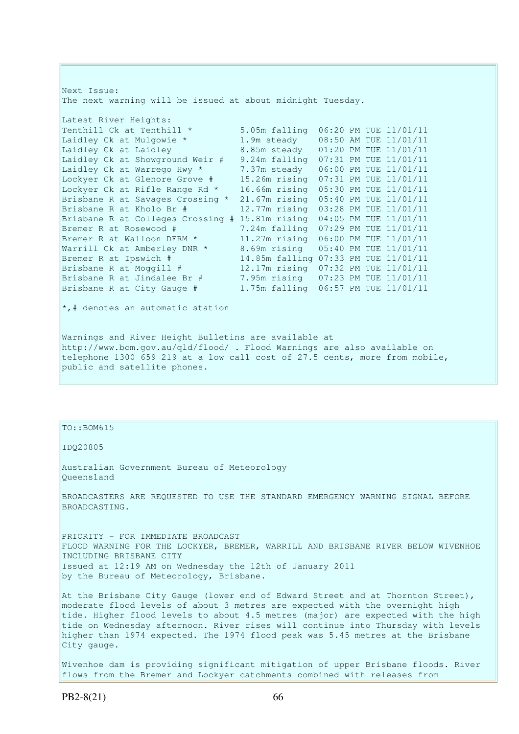Next Issue: The next warning will be issued at about midnight Tuesday. Latest River Heights: Tenthill Ck at Tenthill  $*$  5.05m falling  $06:20$  PM TUE  $11/01/11$ Laidley Ck at Mulgowie \* 1.9m steady 08:50 AM TUE 11/01/11 Laidley Ck at Laidley 8.85m steady 01:20 PM TUE 11/01/11 Laidley Ck at Showground Weir # 9.24m falling 07:31 PM TUE 11/01/11 Laidley Ck at Warrego Hwy \* 7.37m steady 06:00 PM TUE 11/01/11 Lockyer Ck at Glenore Grove # 15.26m rising 07:31 PM TUE 11/01/11 Lockyer Ck at Rifle Range Rd \* 16.66m rising 05:30 PM TUE 11/01/11 Brisbane R at Savages Crossing \* 21.67m rising 05:40 PM TUE 11/01/11 Brisbane R at Kholo Br  $#$  12.77m rising 03:28 PM TUE 11/01/11 Brisbane R at Colleges Crossing # 15.81m rising 04:05 PM TUE 11/01/11 Bremer R at Rosewood # 7.24m falling 07:29 PM TUE 11/01/11 Bremer R at Walloon DERM \* 11.27m rising 06:00 PM TUE 11/01/11 Warrill Ck at Amberley DNR \* 8.69m rising 05:40 PM TUE 11/01/11 Bremer R at Ipswich # 14.85m falling 07:33 PM TUE 11/01/11 Brisbane R at Moggill # 12.17m rising 07:32 PM TUE 11/01/11 Brisbane R at Jindalee Br # 7.95m rising 07:23 PM TUE 11/01/11 Brisbane R at City Gauge # 1.75m falling 06:57 PM TUE 11/01/11  $\star$ ,# denotes an automatic station Warnings and River Height Bulletins are available at http://www.bom.gov.au/qld/flood/ . Flood Warnings are also available on telephone 1300 659 219 at a low call cost of 27.5 cents, more from mobile, public and satellite phones.

#### TO::BOM615

IDQ20805

Australian Government Bureau of Meteorology Queensland

BROADCASTERS ARE REQUESTED TO USE THE STANDARD EMERGENCY WARNING SIGNAL BEFORE BROADCASTING.

PRIORITY - FOR IMMEDIATE BROADCAST FLOOD WARNING FOR THE LOCKYER, BREMER, WARRILL AND BRISBANE RIVER BELOW WIVENHOE INCLUDING BRISBANE CITY Issued at 12:19 AM on Wednesday the 12th of January 2011 by the Bureau of Meteorology, Brisbane.

At the Brisbane City Gauge (lower end of Edward Street and at Thornton Street), moderate flood levels of about 3 metres are expected with the overnight high tide. Higher flood levels to about 4.5 metres (major) are expected with the high tide on Wednesday afternoon. River rises will continue into Thursday with levels higher than 1974 expected. The 1974 flood peak was 5.45 metres at the Brisbane City gauge.

Wivenhoe dam is providing significant mitigation of upper Brisbane floods. River flows from the Bremer and Lockyer catchments combined with releases from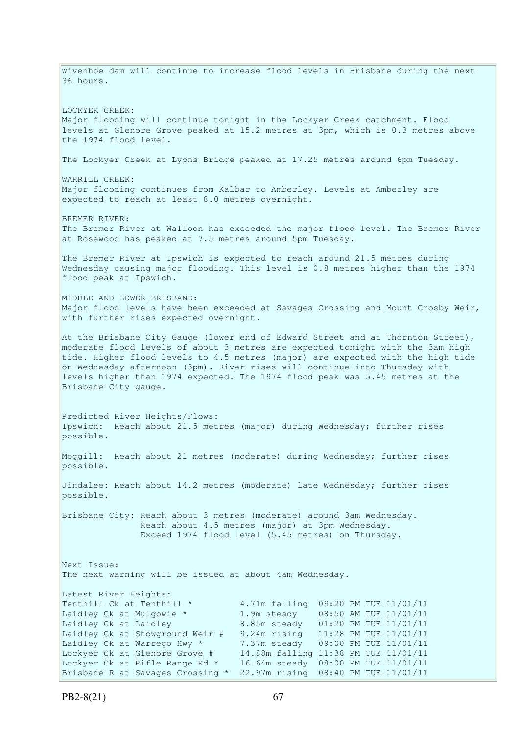Wivenhoe dam will continue to increase flood levels in Brisbane during the next 36 hours. LOCKYER CREEK: Major flooding will continue tonight in the Lockyer Creek catchment. Flood levels at Glenore Grove peaked at 15.2 metres at 3pm, which is 0.3 metres above the 1974 flood level. The Lockyer Creek at Lyons Bridge peaked at 17.25 metres around 6pm Tuesday. WARRILL CREEK: Major flooding continues from Kalbar to Amberley. Levels at Amberley are expected to reach at least 8.0 metres overnight. BREMER RIVER: The Bremer River at Walloon has exceeded the major flood level. The Bremer River at Rosewood has peaked at 7.5 metres around 5pm Tuesday. The Bremer River at Ipswich is expected to reach around 21.5 metres during Wednesday causing major flooding. This level is 0.8 metres higher than the 1974 flood peak at Ipswich. MIDDLE AND LOWER BRISBANE: Major flood levels have been exceeded at Savages Crossing and Mount Crosby Weir, with further rises expected overnight. At the Brisbane City Gauge (lower end of Edward Street and at Thornton Street), moderate flood levels of about 3 metres are expected tonight with the 3am high tide. Higher flood levels to 4.5 metres (major) are expected with the high tide on Wednesday afternoon (3pm). River rises will continue into Thursday with levels higher than 1974 expected. The 1974 flood peak was 5.45 metres at the Brisbane City gauge. Predicted River Heights/Flows: Ipswich: Reach about 21.5 metres (major) during Wednesday; further rises possible. Moggill: Reach about 21 metres (moderate) during Wednesday; further rises possible. Jindalee: Reach about 14.2 metres (moderate) late Wednesday; further rises possible. Brisbane City: Reach about 3 metres (moderate) around 3am Wednesday. Reach about 4.5 metres (major) at 3pm Wednesday. Exceed 1974 flood level (5.45 metres) on Thursday. Next Issue: The next warning will be issued at about 4am Wednesday. Latest River Heights: Tenthill Ck at Tenthill \* 4.71m falling 09:20 PM TUE 11/01/11 Laidley Ck at Mulgowie \* 1.9m steady 08:50 AM TUE 11/01/11 Laidley Ck at Laidley 8.85m steady 01:20 PM TUE 11/01/11 Laidley Ck at Showground Weir # 9.24m rising 11:28 PM TUE 11/01/11 Laidley Ck at Warrego Hwy \* 7.37m steady 09:00 PM TUE 11/01/11 Lockyer Ck at Glenore Grove # 14.88m falling 11:38 PM TUE 11/01/11 Lockyer Ck at Rifle Range Rd \* 16.64m steady 08:00 PM TUE 11/01/11 Brisbane R at Savages Crossing \* 22.97m rising 08:40 PM TUE 11/01/11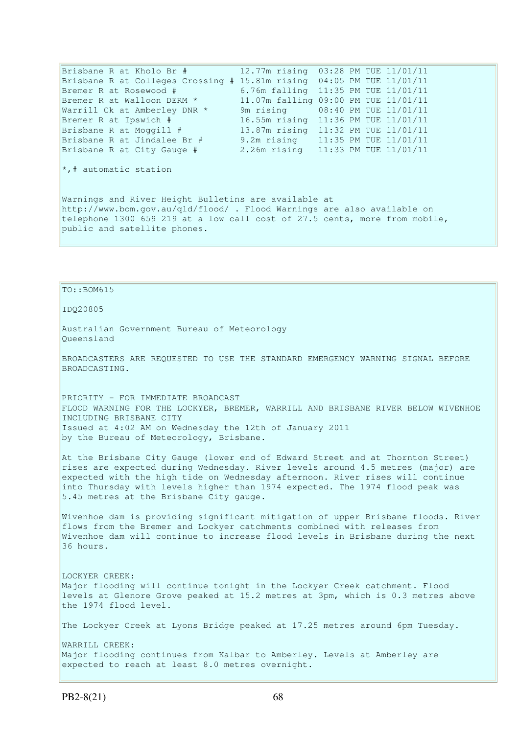Brisbane R at Kholo Br # 12.77m rising 03:28 PM TUE 11/01/11 Brisbane R at Colleges Crossing # 15.81m rising 04:05 PM TUE 11/01/11 Bremer R at Rosewood # 6.76m falling 11:35 PM TUE 11/01/11 Bremer R at Walloon DERM \* 11.07m falling 09:00 PM TUE 11/01/11 Warrill Ck at Amberley DNR \* 9m rising 08:40 PM TUE 11/01/11 Bremer R at Ipswich # 16.55m rising 11:36 PM TUE 11/01/11 Brisbane R at Moggill # 13.87m rising 11:32 PM TUE 11/01/11 Brisbane R at Jindalee Br # 9.2m rising 11:35 PM TUE 11/01/11 Brisbane R at City Gauge # 2.26m rising 11:33 PM TUE 11/01/11  $\star$ ,# automatic station Warnings and River Height Bulletins are available at http://www.bom.gov.au/qld/flood/ . Flood Warnings are also available on telephone 1300 659 219 at a low call cost of 27.5 cents, more from mobile, public and satellite phones.

## TO::BOM615

IDQ20805

Australian Government Bureau of Meteorology Queensland

expected to reach at least 8.0 metres overnight.

BROADCASTERS ARE REQUESTED TO USE THE STANDARD EMERGENCY WARNING SIGNAL BEFORE BROADCASTING.

PRIORITY - FOR IMMEDIATE BROADCAST FLOOD WARNING FOR THE LOCKYER, BREMER, WARRILL AND BRISBANE RIVER BELOW WIVENHOE INCLUDING BRISBANE CITY Issued at 4:02 AM on Wednesday the 12th of January 2011 by the Bureau of Meteorology, Brisbane.

At the Brisbane City Gauge (lower end of Edward Street and at Thornton Street) rises are expected during Wednesday. River levels around 4.5 metres (major) are expected with the high tide on Wednesday afternoon. River rises will continue into Thursday with levels higher than 1974 expected. The 1974 flood peak was 5.45 metres at the Brisbane City gauge.

Wivenhoe dam is providing significant mitigation of upper Brisbane floods. River flows from the Bremer and Lockyer catchments combined with releases from Wivenhoe dam will continue to increase flood levels in Brisbane during the next 36 hours.

LOCKYER CREEK: Major flooding will continue tonight in the Lockyer Creek catchment. Flood levels at Glenore Grove peaked at 15.2 metres at 3pm, which is 0.3 metres above the 1974 flood level. The Lockyer Creek at Lyons Bridge peaked at 17.25 metres around 6pm Tuesday. WARRILL CREEK: Major flooding continues from Kalbar to Amberley. Levels at Amberley are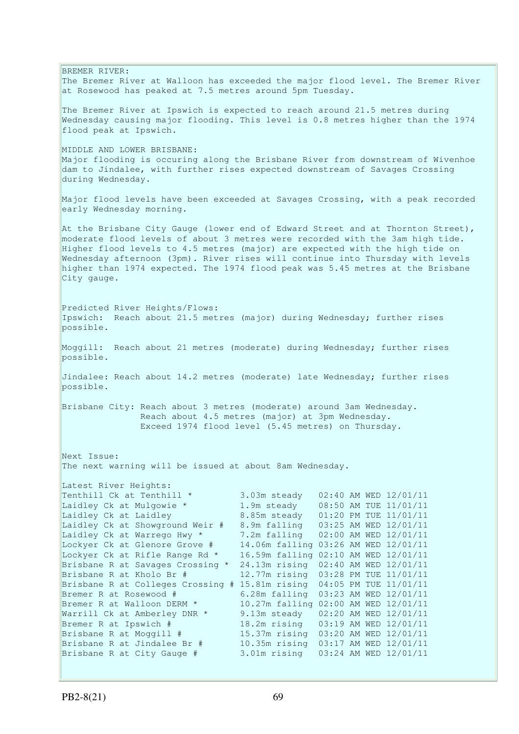BREMER RIVER: The Bremer River at Walloon has exceeded the major flood level. The Bremer River at Rosewood has peaked at 7.5 metres around 5pm Tuesday. The Bremer River at Ipswich is expected to reach around 21.5 metres during Wednesday causing major flooding. This level is 0.8 metres higher than the 1974 flood peak at Ipswich. MIDDLE AND LOWER BRISBANE: Major flooding is occuring along the Brisbane River from downstream of Wivenhoe dam to Jindalee, with further rises expected downstream of Savages Crossing during Wednesday. Major flood levels have been exceeded at Savages Crossing, with a peak recorded early Wednesday morning. At the Brisbane City Gauge (lower end of Edward Street and at Thornton Street), moderate flood levels of about 3 metres were recorded with the 3am high tide. Higher flood levels to 4.5 metres (major) are expected with the high tide on Wednesday afternoon (3pm). River rises will continue into Thursday with levels higher than 1974 expected. The 1974 flood peak was 5.45 metres at the Brisbane City gauge. Predicted River Heights/Flows: Ipswich: Reach about 21.5 metres (major) during Wednesday; further rises possible. Moggill: Reach about 21 metres (moderate) during Wednesday; further rises possible. Jindalee: Reach about 14.2 metres (moderate) late Wednesday; further rises possible. Brisbane City: Reach about 3 metres (moderate) around 3am Wednesday. Reach about 4.5 metres (major) at 3pm Wednesday. Exceed 1974 flood level (5.45 metres) on Thursday. Next Issue: The next warning will be issued at about 8am Wednesday. Latest River Heights: Tenthill Ck at Tenthill  $\star$  3.03m steady 02:40 AM WED 12/01/11 Laidley Ck at Mulgowie \* 1.9m steady 08:50 AM TUE 11/01/11 Laidley Ck at Laidley 8.85m steady 01:20 PM TUE 11/01/11 Laidley Ck at Showground Weir # 8.9m falling 03:25 AM WED 12/01/11 Laidley Ck at Warrego Hwy \* 7.2m falling 02:00 AM WED 12/01/11 Lockyer Ck at Glenore Grove # 14.06m falling 03:26 AM WED 12/01/11 Lockyer Ck at Rifle Range Rd \* 16.59m falling 02:10 AM WED 12/01/11 Brisbane R at Savages Crossing \* 24.13m rising 02:40 AM WED 12/01/11 Brisbane R at Kholo Br  $\#$  12.77m rising 03:28 PM TUE 11/01/11 Brisbane R at Colleges Crossing # 15.81m rising 04:05 PM TUE 11/01/11 Bremer R at Rosewood # 6.28m falling 03:23 AM WED 12/01/11 Bremer R at Walloon DERM \* 10.27m falling 02:00 AM WED 12/01/11 Warrill Ck at Amberley DNR \* 9.13m steady 02:20 AM WED 12/01/11 Bremer R at Ipswich # 18.2m rising 03:19 AM WED 12/01/11 Brisbane R at Moggill # 15.37m rising 03:20 AM WED 12/01/11 Brisbane R at Jindalee Br # 10.35m rising 03:17 AM WED 12/01/11 Brisbane R at City Gauge # 3.01m rising 03:24 AM WED 12/01/11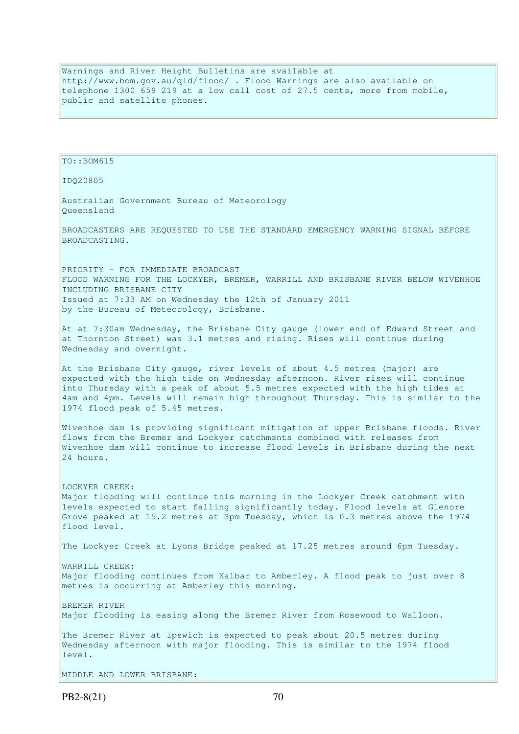Warnings and River Height Bulletins are available at http://www.bom.gov.au/qld/flood/ . Flood Warnings are also available on telephone 1300 659 219 at a low call cost of 27.5 cents, more from mobile, public and satellite phones.

TO::BOM615 IDQ20805 Australian Government Bureau of Meteorology Queensland BROADCASTERS ARE REQUESTED TO USE THE STANDARD EMERGENCY WARNING SIGNAL BEFORE BROADCASTING. PRIORITY - FOR IMMEDIATE BROADCAST FLOOD WARNING FOR THE LOCKYER, BREMER, WARRILL AND BRISBANE RIVER BELOW WIVENHOE INCLUDING BRISBANE CITY Issued at 7:33 AM on Wednesday the 12th of January 2011 by the Bureau of Meteorology, Brisbane. At at 7:30am Wednesday, the Brisbane City gauge (lower end of Edward Street and at Thornton Street) was 3.1 metres and rising. Rises will continue during Wednesday and overnight. At the Brisbane City gauge, river levels of about 4.5 metres (major) are expected with the high tide on Wednesday afternoon. River rises will continue into Thursday with a peak of about 5.5 metres expected with the high tides at 4am and 4pm. Levels will remain high throughout Thursday. This is similar to the 1974 flood peak of 5.45 metres. Wivenhoe dam is providing significant mitigation of upper Brisbane floods. River flows from the Bremer and Lockyer catchments combined with releases from Wivenhoe dam will continue to increase flood levels in Brisbane during the next 24 hours. LOCKYER CREEK: Major flooding will continue this morning in the Lockyer Creek catchment with levels expected to start falling significantly today. Flood levels at Glenore Grove peaked at 15.2 metres at 3pm Tuesday, which is 0.3 metres above the 1974 flood level. The Lockyer Creek at Lyons Bridge peaked at 17.25 metres around 6pm Tuesday. WARRILL CREEK: Major flooding continues from Kalbar to Amberley. A flood peak to just over 8 metres is occurring at Amberley this morning. BREMER RIVER Major flooding is easing along the Bremer River from Rosewood to Walloon. The Bremer River at Ipswich is expected to peak about 20.5 metres during Wednesday afternoon with major flooding. This is similar to the 1974 flood level. MIDDLE AND LOWER BRISBANE: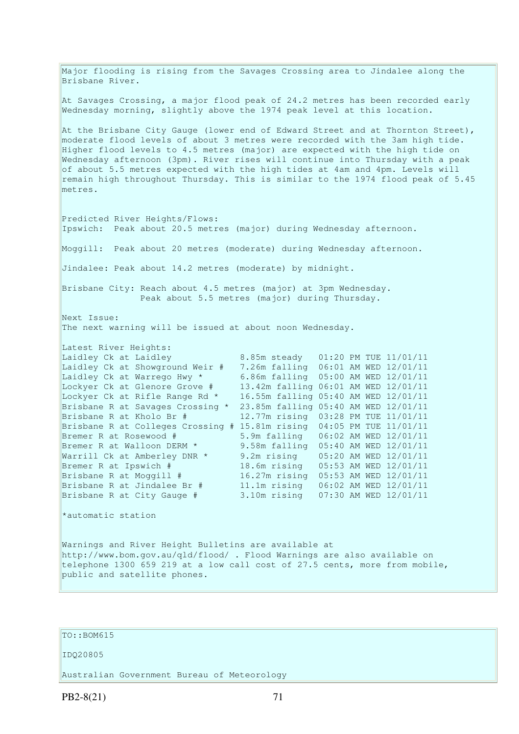Major flooding is rising from the Savages Crossing area to Jindalee along the Brisbane River. At Savages Crossing, a major flood peak of 24.2 metres has been recorded early Wednesday morning, slightly above the 1974 peak level at this location. At the Brisbane City Gauge (lower end of Edward Street and at Thornton Street), moderate flood levels of about 3 metres were recorded with the 3am high tide. Higher flood levels to 4.5 metres (major) are expected with the high tide on Wednesday afternoon (3pm). River rises will continue into Thursday with a peak of about 5.5 metres expected with the high tides at 4am and 4pm. Levels will remain high throughout Thursday. This is similar to the 1974 flood peak of 5.45 metres. Predicted River Heights/Flows: Ipswich: Peak about 20.5 metres (major) during Wednesday afternoon. Moggill: Peak about 20 metres (moderate) during Wednesday afternoon. Jindalee: Peak about 14.2 metres (moderate) by midnight. Brisbane City: Reach about 4.5 metres (major) at 3pm Wednesday. Peak about 5.5 metres (major) during Thursday. Next Issue: The next warning will be issued at about noon Wednesday. Latest River Heights: Laidley Ck at Laidley 8.85m steady 01:20 PM TUE 11/01/11 Laidley Ck at Showground Weir # 7.26m falling 06:01 AM WED 12/01/11 Laidley Ck at Warrego Hwy \* 6.86m falling 05:00 AM WED 12/01/11 Lockyer Ck at Glenore Grove # 13.42m falling 06:01 AM WED 12/01/11 Lockyer Ck at Rifle Range Rd \* 16.55m falling 05:40 AM WED 12/01/11 Brisbane R at Savages Crossing \* 23.85m falling 05:40 AM WED 12/01/11 Brisbane R at Kholo Br # 12.77m rising 03:28 PM TUE 11/01/11 Brisbane R at Colleges Crossing # 15.81m rising 04:05 PM TUE 11/01/11 Bremer R at Rosewood # 5.9m falling 06:02 AM WED 12/01/11 Bremer R at Walloon DERM \* 9.58m falling 05:40 AM WED 12/01/11 Warrill Ck at Amberley DNR \* 9.2m rising 05:20 AM WED 12/01/11 Bremer R at Ipswich # 18.6m rising 05:53 AM WED 12/01/11 Brisbane R at Moggill # 16.27m rising 05:53 AM WED 12/01/11 Brisbane R at Jindalee Br # 11.1m rising 06:02 AM WED 12/01/11 Brisbane R at City Gauge # 3.10m rising 07:30 AM WED 12/01/11 \*automatic station Warnings and River Height Bulletins are available at http://www.bom.gov.au/qld/flood/ . Flood Warnings are also available on telephone 1300 659 219 at a low call cost of 27.5 cents, more from mobile, public and satellite phones.

# TO::BOM615

#### IDQ20805

Australian Government Bureau of Meteorology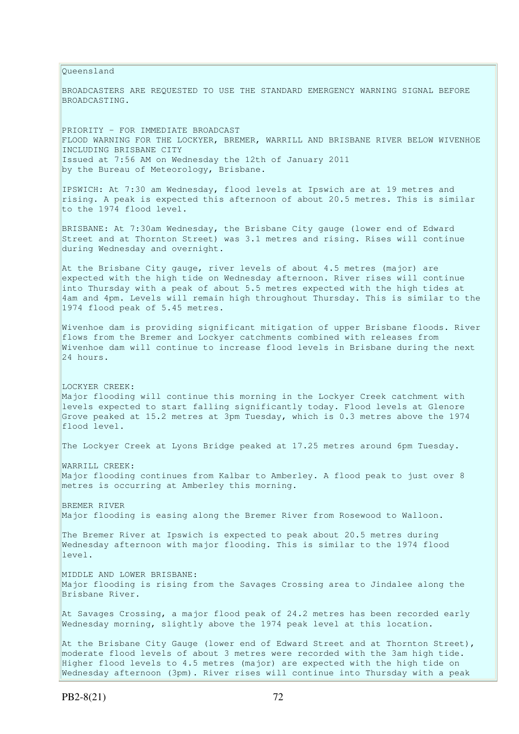Queensland BROADCASTERS ARE REQUESTED TO USE THE STANDARD EMERGENCY WARNING SIGNAL BEFORE BROADCASTING. PRIORITY - FOR IMMEDIATE BROADCAST FLOOD WARNING FOR THE LOCKYER, BREMER, WARRILL AND BRISBANE RIVER BELOW WIVENHOE INCLUDING BRISBANE CITY Issued at 7:56 AM on Wednesday the 12th of January 2011 by the Bureau of Meteorology, Brisbane. IPSWICH: At 7:30 am Wednesday, flood levels at Ipswich are at 19 metres and rising. A peak is expected this afternoon of about 20.5 metres. This is similar to the 1974 flood level. BRISBANE: At 7:30am Wednesday, the Brisbane City gauge (lower end of Edward Street and at Thornton Street) was 3.1 metres and rising. Rises will continue during Wednesday and overnight. At the Brisbane City gauge, river levels of about 4.5 metres (major) are expected with the high tide on Wednesday afternoon. River rises will continue into Thursday with a peak of about 5.5 metres expected with the high tides at 4am and 4pm. Levels will remain high throughout Thursday. This is similar to the 1974 flood peak of 5.45 metres. Wivenhoe dam is providing significant mitigation of upper Brisbane floods. River flows from the Bremer and Lockyer catchments combined with releases from Wivenhoe dam will continue to increase flood levels in Brisbane during the next 24 hours. LOCKYER CREEK: Major flooding will continue this morning in the Lockyer Creek catchment with levels expected to start falling significantly today. Flood levels at Glenore Grove peaked at 15.2 metres at 3pm Tuesday, which is 0.3 metres above the 1974 flood level. The Lockyer Creek at Lyons Bridge peaked at 17.25 metres around 6pm Tuesday. WARRILL CREEK: Major flooding continues from Kalbar to Amberley. A flood peak to just over 8 metres is occurring at Amberley this morning. BREMER RIVER Major flooding is easing along the Bremer River from Rosewood to Walloon. The Bremer River at Ipswich is expected to peak about 20.5 metres during Wednesday afternoon with major flooding. This is similar to the 1974 flood level. MIDDLE AND LOWER BRISBANE: Major flooding is rising from the Savages Crossing area to Jindalee along the Brisbane River. At Savages Crossing, a major flood peak of 24.2 metres has been recorded early Wednesday morning, slightly above the 1974 peak level at this location. At the Brisbane City Gauge (lower end of Edward Street and at Thornton Street), moderate flood levels of about 3 metres were recorded with the 3am high tide. Higher flood levels to 4.5 metres (major) are expected with the high tide on Wednesday afternoon (3pm). River rises will continue into Thursday with a peak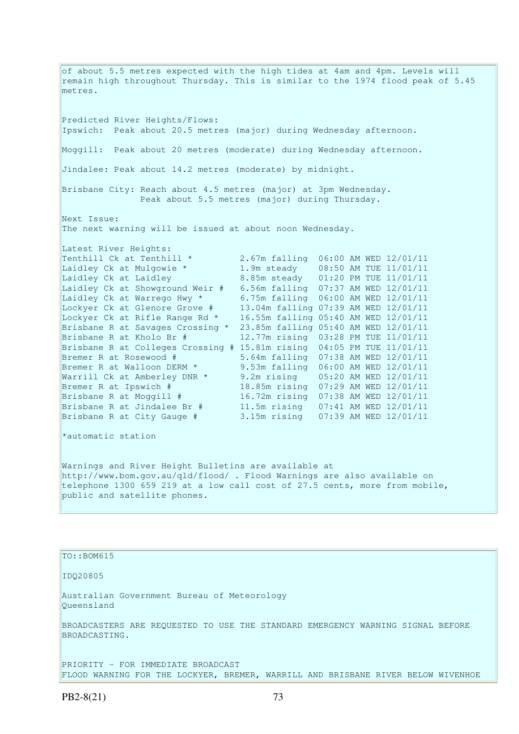of about 5.5 metres expected with the high tides at 4am and 4pm. Levels will remain high throughout Thursday. This is similar to the 1974 flood peak of 5.45 metres. Predicted River Heights/Flows: Ipswich: Peak about 20.5 metres (major) during Wednesday afternoon. Moggill: Peak about 20 metres (moderate) during Wednesday afternoon. Jindalee: Peak about 14.2 metres (moderate) by midnight. Brisbane City: Reach about 4.5 metres (major) at 3pm Wednesday. Peak about 5.5 metres (major) during Thursday. Next Issue: The next warning will be issued at about noon Wednesday. Latest River Heights: Tenthill Ck at Tenthill \* 2.67m falling 06:00 AM WED 12/01/11 Laidley Ck at Mulgowie \* 1.9m steady 08:50 AM TUE 11/01/11 Laidley Ck at Laidley 8.85m steady 01:20 PM TUE 11/01/11 Laidley Ck at Showground Weir # 6.56m falling 07:37 AM WED 12/01/11 Laidley Ck at Warrego Hwy \* 6.75m falling 06:00 AM WED 12/01/11 Lockyer Ck at Glenore Grove # 13.04m falling 07:39 AM WED 12/01/11 Lockyer Ck at Rifle Range Rd \* 16.55m falling 05:40 AM WED 12/01/11 Brisbane R at Savages Crossing \* 23.85m falling 05:40 AM WED 12/01/11 Brisbane R at Kholo Br # 12.77m rising 03:28 PM TUE 11/01/11 Brisbane R at Colleges Crossing # 15.81m rising 04:05 PM TUE 11/01/11 Bremer R at Rosewood # 5.64m falling 07:38 AM WED 12/01/11 Bremer R at Walloon DERM \* 9.53m falling 06:00 AM WED 12/01/11 Warrill Ck at Amberley DNR \* 9.2m rising 05:20 AM WED 12/01/11 Bremer R at Ipswich # 18.85m rising 07:29 AM WED 12/01/11 Brisbane R at Moggill # 16.72m rising 07:38 AM WED 12/01/11 Brisbane R at Jindalee Br # 11.5m rising 07:41 AM WED 12/01/11 Brisbane R at City Gauge # 3.15m rising 07:39 AM WED 12/01/11 \*automatic station Warnings and River Height Bulletins are available at http://www.bom.gov.au/qld/flood/ . Flood Warnings are also available on telephone 1300 659 219 at a low call cost of 27.5 cents, more from mobile, public and satellite phones.

TO::BOM615

IDQ20805

Australian Government Bureau of Meteorology Queensland

BROADCASTERS ARE REQUESTED TO USE THE STANDARD EMERGENCY WARNING SIGNAL BEFORE BROADCASTING.

PRIORITY - FOR IMMEDIATE BROADCAST FLOOD WARNING FOR THE LOCKYER, BREMER, WARRILL AND BRISBANE RIVER BELOW WIVENHOE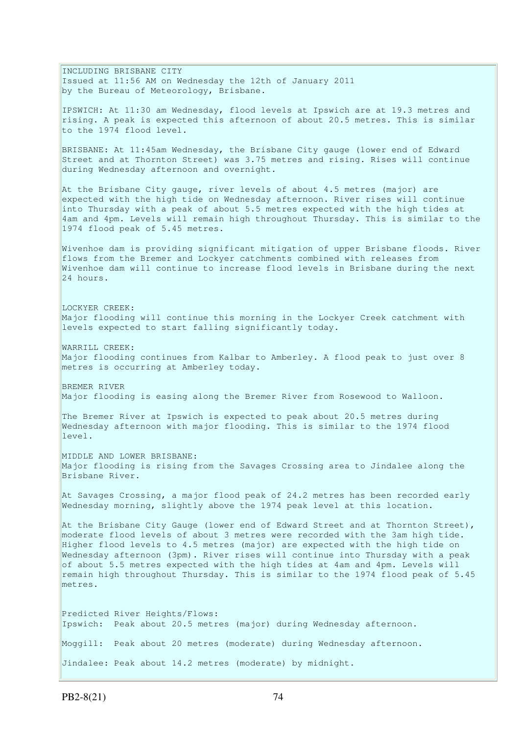INCLUDING BRISBANE CITY Issued at 11:56 AM on Wednesday the 12th of January 2011 by the Bureau of Meteorology, Brisbane. IPSWICH: At 11:30 am Wednesday, flood levels at Ipswich are at 19.3 metres and rising. A peak is expected this afternoon of about 20.5 metres. This is similar to the 1974 flood level. BRISBANE: At 11:45am Wednesday, the Brisbane City gauge (lower end of Edward Street and at Thornton Street) was 3.75 metres and rising. Rises will continue during Wednesday afternoon and overnight. At the Brisbane City gauge, river levels of about 4.5 metres (major) are expected with the high tide on Wednesday afternoon. River rises will continue into Thursday with a peak of about 5.5 metres expected with the high tides at 4am and 4pm. Levels will remain high throughout Thursday. This is similar to the 1974 flood peak of 5.45 metres. Wivenhoe dam is providing significant mitigation of upper Brisbane floods. River flows from the Bremer and Lockyer catchments combined with releases from Wivenhoe dam will continue to increase flood levels in Brisbane during the next 24 hours. LOCKYER CREEK: Major flooding will continue this morning in the Lockyer Creek catchment with levels expected to start falling significantly today. WARRILL CREEK: Major flooding continues from Kalbar to Amberley. A flood peak to just over 8 metres is occurring at Amberley today. BREMER RIVER Major flooding is easing along the Bremer River from Rosewood to Walloon. The Bremer River at Ipswich is expected to peak about 20.5 metres during Wednesday afternoon with major flooding. This is similar to the 1974 flood level. MIDDLE AND LOWER BRISBANE: Major flooding is rising from the Savages Crossing area to Jindalee along the Brisbane River. At Savages Crossing, a major flood peak of 24.2 metres has been recorded early Wednesday morning, slightly above the 1974 peak level at this location. At the Brisbane City Gauge (lower end of Edward Street and at Thornton Street), moderate flood levels of about 3 metres were recorded with the 3am high tide. Higher flood levels to 4.5 metres (major) are expected with the high tide on Wednesday afternoon (3pm). River rises will continue into Thursday with a peak of about 5.5 metres expected with the high tides at 4am and 4pm. Levels will remain high throughout Thursday. This is similar to the 1974 flood peak of 5.45 metres. Predicted River Heights/Flows: Ipswich: Peak about 20.5 metres (major) during Wednesday afternoon. Moggill: Peak about 20 metres (moderate) during Wednesday afternoon. Jindalee: Peak about 14.2 metres (moderate) by midnight.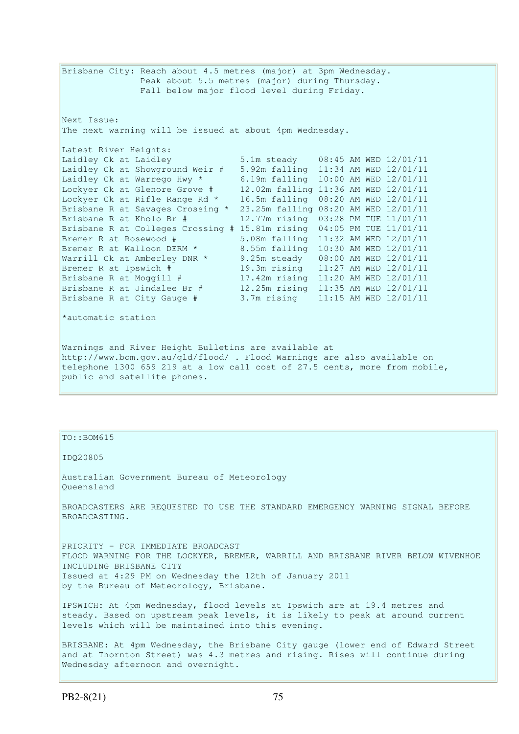Brisbane City: Reach about 4.5 metres (major) at 3pm Wednesday. Peak about 5.5 metres (major) during Thursday. Fall below major flood level during Friday. Next Issue: The next warning will be issued at about 4pm Wednesday. Latest River Heights: Laidley Ck at Laidley 5.1m steady 08:45 AM WED 12/01/11 Laidley Ck at Showground Weir # 5.92m falling 11:34 AM WED 12/01/11 Laidley Ck at Warrego Hwy \* 6.19m falling 10:00 AM WED 12/01/11 Lockyer Ck at Glenore Grove # 12.02m falling 11:36 AM WED 12/01/11 Lockyer Ck at Rifle Range Rd \* 16.5m falling 08:20 AM WED 12/01/11 Brisbane R at Savages Crossing \* 23.25m falling 08:20 AM WED 12/01/11 Brisbane R at Kholo Br # 12.77m rising 03:28 PM TUE 11/01/11 Brisbane R at Colleges Crossing #  $15.81$ m rising  $04:05$  PM TUE  $11/01/11$ <br>Bremer R at Rosewood # 5.08m falling  $11:32$  AM WED  $12/01/11$ Bremer R at Rosewood # 5.08m falling 11:32 AM WED 12/01/11 Bremer R at Walloon DERM  $*$  8.55m falling 10:30 AM WED 12/01/11 Warrill Ck at Amberley DNR \* 9.25m steady 08:00 AM WED 12/01/11 Bremer R at Ipswich # 19.3m rising 11:27 AM WED 12/01/11 Brisbane R at Moggill # 17.42m rising 11:20 AM WED 12/01/11 Brisbane R at Jindalee Br # 12.25m rising 11:35 AM WED 12/01/11 Brisbane R at City Gauge # 3.7m rising 11:15 AM WED 12/01/11 \*automatic station Warnings and River Height Bulletins are available at http://www.bom.gov.au/qld/flood/ . Flood Warnings are also available on telephone 1300 659 219 at a low call cost of 27.5 cents, more from mobile,

### TO::BOM615

public and satellite phones.

IDQ20805

Australian Government Bureau of Meteorology Queensland

BROADCASTERS ARE REQUESTED TO USE THE STANDARD EMERGENCY WARNING SIGNAL BEFORE BROADCASTING.

PRIORITY - FOR IMMEDIATE BROADCAST FLOOD WARNING FOR THE LOCKYER, BREMER, WARRILL AND BRISBANE RIVER BELOW WIVENHOE INCLUDING BRISBANE CITY Issued at 4:29 PM on Wednesday the 12th of January 2011 by the Bureau of Meteorology, Brisbane.

IPSWICH: At 4pm Wednesday, flood levels at Ipswich are at 19.4 metres and steady. Based on upstream peak levels, it is likely to peak at around current levels which will be maintained into this evening.

BRISBANE: At 4pm Wednesday, the Brisbane City gauge (lower end of Edward Street and at Thornton Street) was 4.3 metres and rising. Rises will continue during Wednesday afternoon and overnight.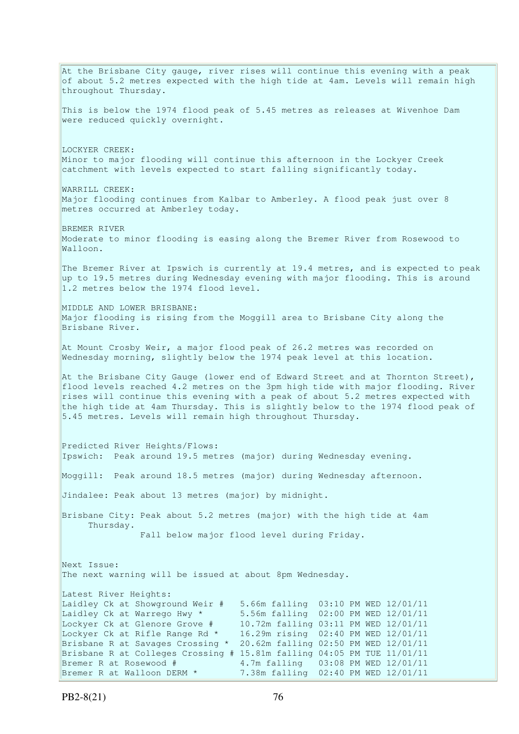At the Brisbane City gauge, river rises will continue this evening with a peak of about 5.2 metres expected with the high tide at  $4am$ . Levels will remain high throughout Thursday. This is below the 1974 flood peak of 5.45 metres as releases at Wivenhoe Dam were reduced quickly overnight. LOCKYER CREEK: Minor to major flooding will continue this afternoon in the Lockyer Creek catchment with levels expected to start falling significantly today. WARRILL CREEK: Major flooding continues from Kalbar to Amberley. A flood peak just over 8 metres occurred at Amberley today. BREMER RIVER Moderate to minor flooding is easing along the Bremer River from Rosewood to Walloon. The Bremer River at Ipswich is currently at 19.4 metres, and is expected to peak up to 19.5 metres during Wednesday evening with major flooding. This is around 1.2 metres below the 1974 flood level. MIDDLE AND LOWER BRISBANE: Major flooding is rising from the Moggill area to Brisbane City along the Brisbane River. At Mount Crosby Weir, a major flood peak of 26.2 metres was recorded on Wednesday morning, slightly below the 1974 peak level at this location. At the Brisbane City Gauge (lower end of Edward Street and at Thornton Street), flood levels reached 4.2 metres on the 3pm high tide with major flooding. River rises will continue this evening with a peak of about 5.2 metres expected with the high tide at 4am Thursday. This is slightly below to the 1974 flood peak of 5.45 metres. Levels will remain high throughout Thursday. Predicted River Heights/Flows: Ipswich: Peak around 19.5 metres (major) during Wednesday evening. Moggill: Peak around 18.5 metres (major) during Wednesday afternoon. Jindalee: Peak about 13 metres (major) by midnight. Brisbane City: Peak about 5.2 metres (major) with the high tide at 4am Thursday. Fall below major flood level during Friday. Next Issue: The next warning will be issued at about 8pm Wednesday. Latest River Heights: Laidley Ck at Showground Weir # 5.66m falling 03:10 PM WED 12/01/11 Laidley Ck at Warrego Hwy \* 5.56m falling 02:00 PM WED 12/01/11 Lockyer Ck at Glenore Grove # 10.72m falling 03:11 PM WED 12/01/11 Lockyer Ck at Rifle Range Rd \* 16.29m rising 02:40 PM WED 12/01/11 Brisbane R at Savages Crossing \* 20.62m falling 02:50 PM WED 12/01/11 Brisbane R at Colleges Crossing # 15.81m falling 04:05 PM TUE 11/01/11 Bremer R at Rosewood # 4.7m falling 03:08 PM WED 12/01/11 Bremer R at Walloon DERM \* 7.38m falling 02:40 PM WED 12/01/11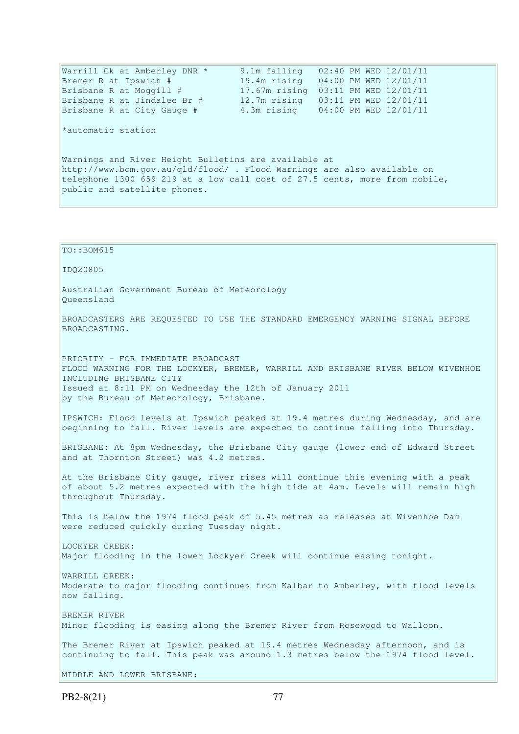| Warrill Ck at Amberley DNR *<br>Bremer R at Ipswich #<br>Brisbane R at Moggill #<br>Brisbane R at Jindalee Br #<br>Brisbane R at City Gauge #                                                                                                           | 9.1m falling<br>19.4m rising<br>17.67m rising 03:11 PM WED 12/01/11<br>12.7m rising  03:11 PM WED 12/01/11<br>4.3m rising 04:00 PM WED 12/01/11 | 02:40 PM WED 12/01/11<br>04:00 PM WED 12/01/11 |  |  |  |  |  |  |
|---------------------------------------------------------------------------------------------------------------------------------------------------------------------------------------------------------------------------------------------------------|-------------------------------------------------------------------------------------------------------------------------------------------------|------------------------------------------------|--|--|--|--|--|--|
| *automatic station                                                                                                                                                                                                                                      |                                                                                                                                                 |                                                |  |  |  |  |  |  |
| Warnings and River Height Bulletins are available at<br>http://www.bom.gov.au/qld/flood/ . Flood Warnings are also available on<br>telephone 1300 659 219 at a low call cost of 27.5 cents, more from mobile,<br>public and satellite phones.           |                                                                                                                                                 |                                                |  |  |  |  |  |  |
|                                                                                                                                                                                                                                                         |                                                                                                                                                 |                                                |  |  |  |  |  |  |
| $TO: BOM615$                                                                                                                                                                                                                                            |                                                                                                                                                 |                                                |  |  |  |  |  |  |
| ID020805                                                                                                                                                                                                                                                |                                                                                                                                                 |                                                |  |  |  |  |  |  |
| Australian Government Bureau of Meteorology<br>Oueensland                                                                                                                                                                                               |                                                                                                                                                 |                                                |  |  |  |  |  |  |
| BROADCASTERS ARE REQUESTED TO USE THE STANDARD EMERGENCY WARNING SIGNAL BEFORE<br>BROADCASTING.                                                                                                                                                         |                                                                                                                                                 |                                                |  |  |  |  |  |  |
| PRIORITY - FOR IMMEDIATE BROADCAST<br>FLOOD WARNING FOR THE LOCKYER, BREMER, WARRILL AND BRISBANE RIVER BELOW WIVENHOE<br>INCLUDING BRISBANE CITY<br>Issued at 8:11 PM on Wednesday the 12th of January 2011<br>by the Bureau of Meteorology, Brisbane. |                                                                                                                                                 |                                                |  |  |  |  |  |  |
| IPSWICH: Flood levels at Ipswich peaked at 19.4 metres during Wednesday, and are<br>beginning to fall. River levels are expected to continue falling into Thursday.                                                                                     |                                                                                                                                                 |                                                |  |  |  |  |  |  |

BRISBANE: At 8pm Wednesday, the Brisbane City gauge (lower end of Edward Street and at Thornton Street) was 4.2 metres.

At the Brisbane City gauge, river rises will continue this evening with a peak of about 5.2 metres expected with the high tide at 4am. Levels will remain high throughout Thursday.

This is below the 1974 flood peak of 5.45 metres as releases at Wivenhoe Dam were reduced quickly during Tuesday night.

LOCKYER CREEK: Major flooding in the lower Lockyer Creek will continue easing tonight.

WARRILL CREEK: Moderate to major flooding continues from Kalbar to Amberley, with flood levels now falling.

BREMER RIVER Minor flooding is easing along the Bremer River from Rosewood to Walloon.

The Bremer River at Ipswich peaked at 19.4 metres Wednesday afternoon, and is continuing to fall. This peak was around 1.3 metres below the 1974 flood level.

MIDDLE AND LOWER BRISBANE: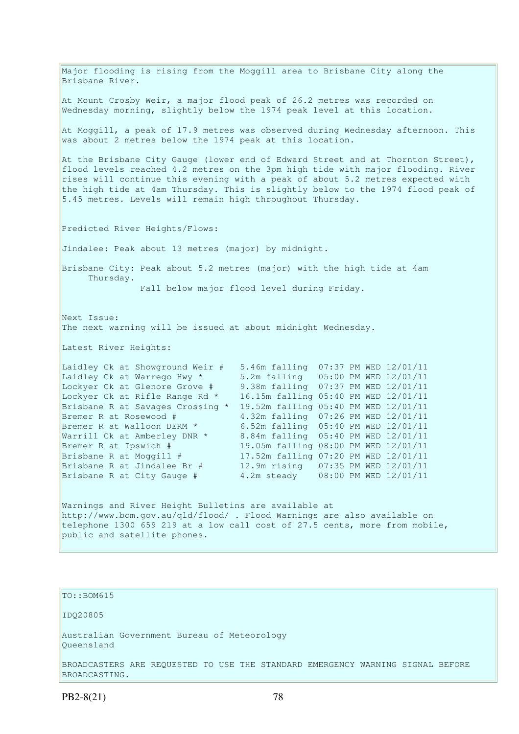Major flooding is rising from the Moggill area to Brisbane City along the Brisbane River. At Mount Crosby Weir, a major flood peak of 26.2 metres was recorded on Wednesday morning, slightly below the 1974 peak level at this location. At Moggill, a peak of 17.9 metres was observed during Wednesday afternoon. This was about 2 metres below the 1974 peak at this location. At the Brisbane City Gauge (lower end of Edward Street and at Thornton Street), flood levels reached 4.2 metres on the 3pm high tide with major flooding. River rises will continue this evening with a peak of about 5.2 metres expected with the high tide at 4am Thursday. This is slightly below to the 1974 flood peak of 5.45 metres. Levels will remain high throughout Thursday. Predicted River Heights/Flows: Jindalee: Peak about 13 metres (major) by midnight. Brisbane City: Peak about 5.2 metres (major) with the high tide at 4am Thursday. Fall below major flood level during Friday. Next Issue: The next warning will be issued at about midnight Wednesday. Latest River Heights: Laidley Ck at Showground Weir # 5.46m falling 07:37 PM WED 12/01/11 Laidley Ck at Warrego Hwy \* 5.2m falling 05:00 PM WED 12/01/11 Lockyer Ck at Glenore Grove # 9.38m falling 07:37 PM WED 12/01/11 Lockyer Ck at Rifle Range Rd \* 16.15m falling 05:40 PM WED 12/01/11 Brisbane R at Savages Crossing \* 19.52m falling 05:40 PM WED 12/01/11 Bremer R at Rosewood # 4.32m falling 07:26 PM WED 12/01/11 Bremer R at Walloon DERM \* 6.52m falling 05:40 PM WED 12/01/11 Warrill Ck at Amberley DNR \* 8.84m falling 05:40 PM WED 12/01/11 Bremer R at Ipswich # 19.05m falling 08:00 PM WED 12/01/11 Brisbane R at Moggill # 17.52m falling 07:20 PM WED 12/01/11 Brisbane R at Jindalee Br # 12.9m rising 07:35 PM WED 12/01/11 Brisbane R at City Gauge # 4.2m steady 08:00 PM WED 12/01/11 Warnings and River Height Bulletins are available at http://www.bom.gov.au/qld/flood/ . Flood Warnings are also available on telephone 1300 659 219 at a low call cost of 27.5 cents, more from mobile, public and satellite phones.

## TO::BOM615

IDQ20805

Australian Government Bureau of Meteorology Queensland

BROADCASTERS ARE REQUESTED TO USE THE STANDARD EMERGENCY WARNING SIGNAL BEFORE BROADCASTING.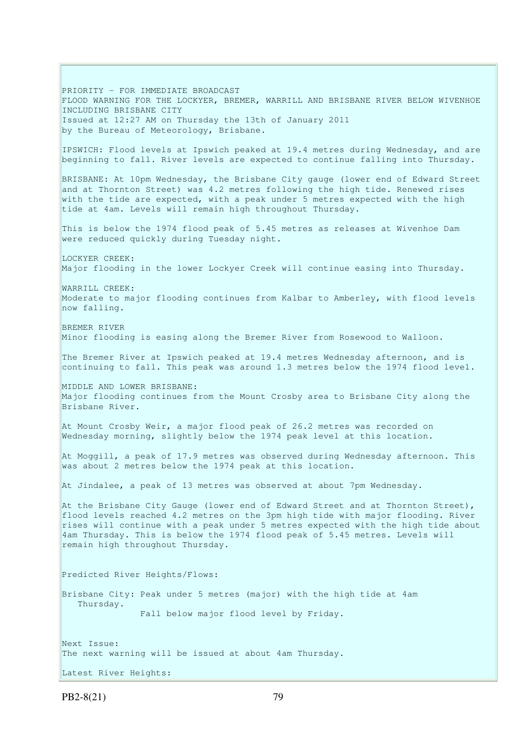PRIORITY - FOR IMMEDIATE BROADCAST FLOOD WARNING FOR THE LOCKYER, BREMER, WARRILL AND BRISBANE RIVER BELOW WIVENHOE INCLUDING BRISBANE CITY Issued at 12:27 AM on Thursday the 13th of January 2011 by the Bureau of Meteorology, Brisbane. IPSWICH: Flood levels at Ipswich peaked at 19.4 metres during Wednesday, and are beginning to fall. River levels are expected to continue falling into Thursday. BRISBANE: At 10pm Wednesday, the Brisbane City gauge (lower end of Edward Street and at Thornton Street) was 4.2 metres following the high tide. Renewed rises with the tide are expected, with a peak under 5 metres expected with the high tide at 4am. Levels will remain high throughout Thursday. This is below the 1974 flood peak of 5.45 metres as releases at Wivenhoe Dam were reduced quickly during Tuesday night. LOCKYER CREEK: Major flooding in the lower Lockyer Creek will continue easing into Thursday. WARRILL CREEK: Moderate to major flooding continues from Kalbar to Amberley, with flood levels now falling. BREMER RIVER Minor flooding is easing along the Bremer River from Rosewood to Walloon. The Bremer River at Ipswich peaked at 19.4 metres Wednesday afternoon, and is continuing to fall. This peak was around 1.3 metres below the 1974 flood level. MIDDLE AND LOWER BRISBANE: Major flooding continues from the Mount Crosby area to Brisbane City along the Brisbane River. At Mount Crosby Weir, a major flood peak of 26.2 metres was recorded on Wednesday morning, slightly below the 1974 peak level at this location. At Moggill, a peak of 17.9 metres was observed during Wednesday afternoon. This was about 2 metres below the 1974 peak at this location. At Jindalee, a peak of 13 metres was observed at about 7pm Wednesday. At the Brisbane City Gauge (lower end of Edward Street and at Thornton Street), flood levels reached 4.2 metres on the 3pm high tide with major flooding. River rises will continue with a peak under 5 metres expected with the high tide about 4am Thursday. This is below the 1974 flood peak of 5.45 metres. Levels will remain high throughout Thursday. Predicted River Heights/Flows: Brisbane City: Peak under 5 metres (major) with the high tide at 4am Thursday. Fall below major flood level by Friday. Next Issue: The next warning will be issued at about 4am Thursday. Latest River Heights:

PB2-8(21) 79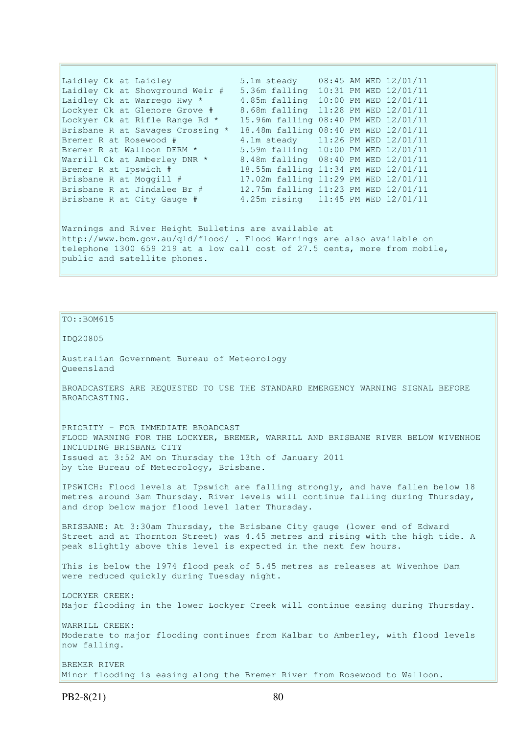| Laidley Ck at Laidley            | 5.1m steady                          |  | 08:45 AM WED 12/01/11 |
|----------------------------------|--------------------------------------|--|-----------------------|
| Laidley Ck at Showground Weir #  | 5.36m falling 10:31 PM WED 12/01/11  |  |                       |
| Laidley Ck at Warrego Hwy *      | 4.85m falling 10:00 PM WED 12/01/11  |  |                       |
| Lockyer Ck at Glenore Grove #    | 8.68m falling                        |  | 11:28 PM WED 12/01/11 |
| Lockyer Ck at Rifle Range Rd *   | 15.96m falling                       |  | 08:40 PM WED 12/01/11 |
| Brisbane R at Savages Crossing * | 18.48m falling 08:40 PM WED 12/01/11 |  |                       |
| Bremer R at Rosewood #           | 4.1m steady 11:26 PM WED 12/01/11    |  |                       |
| Bremer R at Walloon DERM *       | 5.59m falling 10:00 PM WED 12/01/11  |  |                       |
| Warrill Ck at Amberley DNR *     | 8.48m falling 08:40 PM WED 12/01/11  |  |                       |
| Bremer R at Ipswich #            | 18.55m falling 11:34 PM WED 12/01/11 |  |                       |
| Brisbane R at Moggill #          | 17.02m falling 11:29 PM WED 12/01/11 |  |                       |
| Brisbane R at Jindalee Br #      | 12.75m falling 11:23 PM WED 12/01/11 |  |                       |
| Brisbane R at City Gauge #       | 4.25m rising 11:45 PM WED 12/01/11   |  |                       |
|                                  |                                      |  |                       |
|                                  |                                      |  |                       |

Warnings and River Height Bulletins are available at http://www.bom.gov.au/qld/flood/ . Flood Warnings are also available on telephone 1300 659 219 at a low call cost of 27.5 cents, more from mobile, public and satellite phones.

# $TO: **ROM615**$

# IDQ20805

Australian Government Bureau of Meteorology Queensland

BROADCASTERS ARE REQUESTED TO USE THE STANDARD EMERGENCY WARNING SIGNAL BEFORE BROADCASTING.

PRIORITY - FOR IMMEDIATE BROADCAST FLOOD WARNING FOR THE LOCKYER, BREMER, WARRILL AND BRISBANE RIVER BELOW WIVENHOE INCLUDING BRISBANE CITY Issued at 3:52 AM on Thursday the 13th of January 2011 by the Bureau of Meteorology, Brisbane.

IPSWICH: Flood levels at Ipswich are falling strongly, and have fallen below 18 metres around 3am Thursday. River levels will continue falling during Thursday, and drop below major flood level later Thursday.

BRISBANE: At 3:30am Thursday, the Brisbane City gauge (lower end of Edward Street and at Thornton Street) was 4.45 metres and rising with the high tide. A peak slightly above this level is expected in the next few hours.

This is below the 1974 flood peak of 5.45 metres as releases at Wivenhoe Dam were reduced quickly during Tuesday night.

LOCKYER CREEK: Major flooding in the lower Lockyer Creek will continue easing during Thursday.

WARRILL CREEK: Moderate to major flooding continues from Kalbar to Amberley, with flood levels now falling.

BREMER RIVER Minor flooding is easing along the Bremer River from Rosewood to Walloon.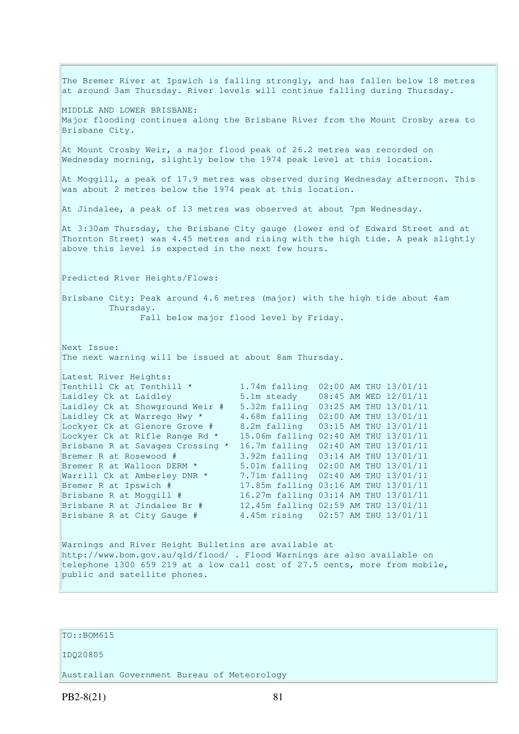The Bremer River at Ipswich is falling strongly, and has fallen below 18 metres at around 3am Thursday. River levels will continue falling during Thursday. MIDDLE AND LOWER BRISBANE: Major flooding continues along the Brisbane River from the Mount Crosby area to Brisbane City. At Mount Crosby Weir, a major flood peak of 26.2 metres was recorded on Wednesday morning, slightly below the 1974 peak level at this location. At Moggill, a peak of 17.9 metres was observed during Wednesday afternoon. This was about 2 metres below the 1974 peak at this location. At Jindalee, a peak of 13 metres was observed at about 7pm Wednesday. At 3:30am Thursday, the Brisbane City gauge (lower end of Edward Street and at Thornton Street) was 4.45 metres and rising with the high tide. A peak slightly above this level is expected in the next few hours. Predicted River Heights/Flows: Brisbane City: Peak around 4.6 metres (major) with the high tide about 4am Thursday. Fall below major flood level by Friday. Next Issue: The next warning will be issued at about 8am Thursday. Latest River Heights: Tenthill Ck at Tenthill  $\star$  1.74m falling 02:00 AM THU 13/01/11 Laidley Ck at Laidley 5.1m steady 08:45 AM WED 12/01/11 Laidley Ck at Laidley<br>
Laidley Ck at Showground Weir # 5.32m falling 03:25 AM THU 13/01/11 Laidley Ck at Warrego Hwy  $\star$  4.68m falling 02:00 AM THU 13/01/11 Lockyer Ck at Glenore Grove # 8.2m falling 03:15 AM THU 13/01/11 Lockyer Ck at Rifle Range Rd \* 15.06m falling 02:40 AM THU 13/01/11 Brisbane R at Savages Crossing \* 16.7m falling 02:40 AM THU 13/01/11 Bremer R at Rosewood # 3.92m falling 03:14 AM THU 13/01/11 Bremer R at Walloon DERM \* 5.01m falling 02:00 AM THU 13/01/11 Warrill Ck at Amberley DNR \* 7.71m falling 02:40 AM THU 13/01/11 Bremer R at Ipswich # 17.85m falling 03:16 AM THU 13/01/11 Brisbane R at Moggill # 16.27m falling 03:14 AM THU 13/01/11 Brisbane R at Jindalee Br # 12.45m falling 02:59 AM THU 13/01/11 Brisbane R at City Gauge # 4.45m rising 02:57 AM THU 13/01/11 Warnings and River Height Bulletins are available at http://www.bom.gov.au/qld/flood/ . Flood Warnings are also available on telephone 1300 659 219 at a low call cost of 27.5 cents, more from mobile, public and satellite phones.

# TO::BOM615

#### IDQ20805

Australian Government Bureau of Meteorology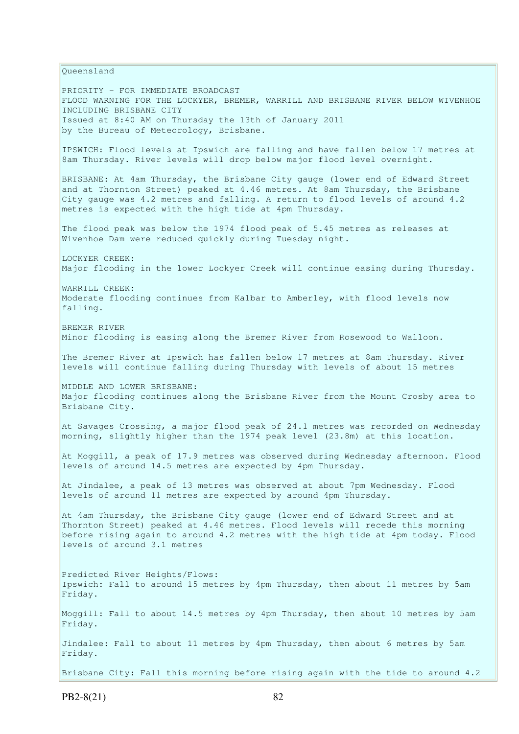Queensland PRIORITY - FOR IMMEDIATE BROADCAST FLOOD WARNING FOR THE LOCKYER, BREMER, WARRILL AND BRISBANE RIVER BELOW WIVENHOE INCLUDING BRISBANE CITY Issued at 8:40 AM on Thursday the 13th of January 2011 by the Bureau of Meteorology, Brisbane. IPSWICH: Flood levels at Ipswich are falling and have fallen below 17 metres at 8am Thursday. River levels will drop below major flood level overnight. BRISBANE: At 4am Thursday, the Brisbane City gauge (lower end of Edward Street and at Thornton Street) peaked at 4.46 metres. At 8am Thursday, the Brisbane City gauge was 4.2 metres and falling. A return to flood levels of around 4.2 metres is expected with the high tide at 4pm Thursday. The flood peak was below the 1974 flood peak of 5.45 metres as releases at Wivenhoe Dam were reduced quickly during Tuesday night. LOCKYER CREEK: Major flooding in the lower Lockyer Creek will continue easing during Thursday. WARRILL CREEK: Moderate flooding continues from Kalbar to Amberley, with flood levels now falling. BREMER RIVER Minor flooding is easing along the Bremer River from Rosewood to Walloon. The Bremer River at Ipswich has fallen below 17 metres at 8am Thursday. River levels will continue falling during Thursday with levels of about 15 metres MIDDLE AND LOWER BRISBANE: Major flooding continues along the Brisbane River from the Mount Crosby area to Brisbane City. At Savages Crossing, a major flood peak of 24.1 metres was recorded on Wednesday morning, slightly higher than the 1974 peak level (23.8m) at this location. At Moggill, a peak of 17.9 metres was observed during Wednesday afternoon. Flood levels of around 14.5 metres are expected by 4pm Thursday. At Jindalee, a peak of 13 metres was observed at about 7pm Wednesday. Flood levels of around 11 metres are expected by around 4pm Thursday. At 4am Thursday, the Brisbane City gauge (lower end of Edward Street and at Thornton Street) peaked at 4.46 metres. Flood levels will recede this morning before rising again to around 4.2 metres with the high tide at 4pm today. Flood levels of around 3.1 metres Predicted River Heights/Flows: Ipswich: Fall to around 15 metres by 4pm Thursday, then about 11 metres by 5am Friday. Moggill: Fall to about 14.5 metres by 4pm Thursday, then about 10 metres by 5am Friday. Jindalee: Fall to about 11 metres by 4pm Thursday, then about 6 metres by 5am Friday. Brisbane City: Fall this morning before rising again with the tide to around 4.2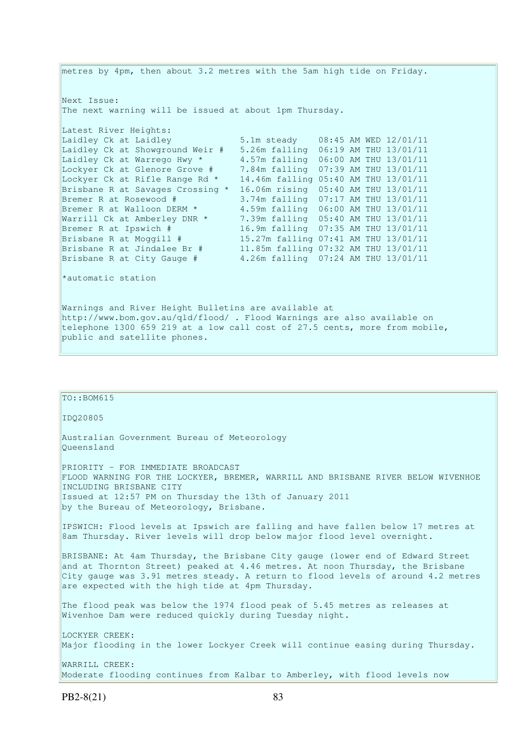metres by 4pm, then about 3.2 metres with the 5am high tide on Friday. Next Issue: The next warning will be issued at about 1pm Thursday. Latest River Heights: Laidley Ck at Laidley 3.1m steady 08:45 AM WED 12/01/11 Laidley Ck at Showground Weir # 5.26m falling 06:19 AM THU 13/01/11 Laidley Ck at Warrego Hwy \* 4.57m falling 06:00 AM THU 13/01/11 Lockyer Ck at Glenore Grove # 7.84m falling 07:39 AM THU 13/01/11 Lockyer Ck at Rifle Range Rd \* 14.46m falling 05:40 AM THU 13/01/11 Brisbane R at Savages Crossing \*  $16.06$ m rising  $05:40$  AM THU 13/01/11<br>Bremer R at Rosewood # 3.74m falling 07:17 AM THU 13/01/11 Bremer R at Rosewood # 3.74m falling 07:17 AM THU 13/01/11 Bremer R at Walloon DERM \* 4.59m falling 06:00 AM THU 13/01/11 Warrill Ck at Amberley DNR \* 7.39m falling 05:40 AM THU 13/01/11 Bremer R at Ipswich # 16.9m falling 07:35 AM THU 13/01/11 Brisbane R at Moggill # 15.27m falling 07:41 AM THU 13/01/11 Brisbane R at Jindalee Br # 11.85m falling 07:32 AM THU 13/01/11 Brisbane R at City Gauge # 4.26m falling 07:24 AM THU 13/01/11 \*automatic station Warnings and River Height Bulletins are available at http://www.bom.gov.au/qld/flood/ . Flood Warnings are also available on telephone 1300 659 219 at a low call cost of 27.5 cents, more from mobile, public and satellite phones.

| $TO: BOM615$                                                                                                                                                                                                                                                                                            |
|---------------------------------------------------------------------------------------------------------------------------------------------------------------------------------------------------------------------------------------------------------------------------------------------------------|
| ID020805                                                                                                                                                                                                                                                                                                |
| Australian Government Bureau of Meteorology<br>Oueensland                                                                                                                                                                                                                                               |
| PRIORITY - FOR IMMEDIATE BROADCAST<br>FLOOD WARNING FOR THE LOCKYER, BREMER, WARRILL AND BRISBANE RIVER BELOW WIVENHOE<br>INCLUDING BRISBANE CITY<br>Issued at 12:57 PM on Thursday the 13th of January 2011                                                                                            |
| by the Bureau of Meteorology, Brisbane.                                                                                                                                                                                                                                                                 |
| IPSWICH: Flood levels at Ipswich are falling and have fallen below 17 metres at<br>8am Thursday. River levels will drop below major flood level overnight.                                                                                                                                              |
| BRISBANE: At 4am Thursday, the Brisbane City gauge (lower end of Edward Street<br>and at Thornton Street) peaked at 4.46 metres. At noon Thursday, the Brisbane<br>City gauge was 3.91 metres steady. A return to flood levels of around 4.2 metres<br>are expected with the high tide at 4pm Thursday. |
| The flood peak was below the 1974 flood peak of 5.45 metres as releases at<br>Wivenhoe Dam were reduced quickly during Tuesday night.                                                                                                                                                                   |
| LOCKYER CREEK:<br>Major flooding in the lower Lockyer Creek will continue easing during Thursday.                                                                                                                                                                                                       |
| WARRILL CREEK:<br>Moderate flooding continues from Kalbar to Amberley, with flood levels now                                                                                                                                                                                                            |
|                                                                                                                                                                                                                                                                                                         |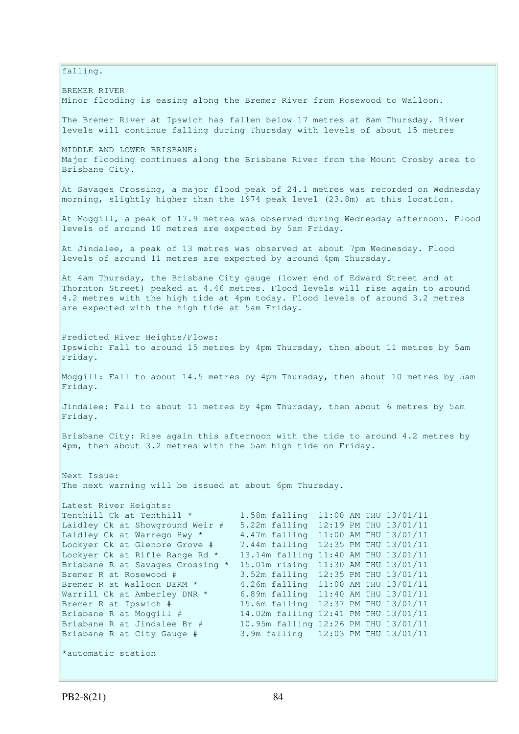falling.

BREMER RIVER Minor flooding is easing along the Bremer River from Rosewood to Walloon. The Bremer River at Ipswich has fallen below 17 metres at 8am Thursday. River levels will continue falling during Thursday with levels of about 15 metres MIDDLE AND LOWER BRISBANE: Major flooding continues along the Brisbane River from the Mount Crosby area to Brisbane City. At Savages Crossing, a major flood peak of 24.1 metres was recorded on Wednesday morning, slightly higher than the 1974 peak level (23.8m) at this location. At Moggill, a peak of 17.9 metres was observed during Wednesday afternoon. Flood levels of around 10 metres are expected by 5am Friday. At Jindalee, a peak of 13 metres was observed at about 7pm Wednesday. Flood levels of around 11 metres are expected by around 4pm Thursday. At 4am Thursday, the Brisbane City gauge (lower end of Edward Street and at Thornton Street) peaked at 4.46 metres. Flood levels will rise again to around 4.2 metres with the high tide at 4pm today. Flood levels of around 3.2 metres are expected with the high tide at 5am Friday. Predicted River Heights/Flows: Ipswich: Fall to around 15 metres by 4pm Thursday, then about 11 metres by 5am Friday. Moggill: Fall to about 14.5 metres by 4pm Thursday, then about 10 metres by 5am Friday. Jindalee: Fall to about 11 metres by 4pm Thursday, then about 6 metres by 5am Friday. Brisbane City: Rise again this afternoon with the tide to around 4.2 metres by 4pm, then about 3.2 metres with the 5am high tide on Friday. Next Issue: The next warning will be issued at about 6pm Thursday. Latest River Heights:<br>Tenthill Ck at Tenthill \* 1.58m falling 11:00 AM THU 13/01/11 Laidley Ck at Showground Weir # 5.22m falling 12:19 PM THU 13/01/11 Laidley Ck at Warrego Hwy \*  $4.47$ m falling  $11:00$  AM THU  $13/01/11$ Lockyer Ck at Glenore Grove # 7.44m falling 12:35 PM THU 13/01/11 Lockyer Ck at Rifle Range Rd \* 13.14m falling 11:40 AM THU 13/01/11 Brisbane R at Savages Crossing \* 15.01m rising 11:30 AM THU 13/01/11 Bremer R at Rosewood # 3.52m falling 12:35 PM THU 13/01/11 Bremer R at Walloon DERM \* 4.26m falling 11:00 AM THU 13/01/11 Warrill Ck at Amberley DNR \* 6.89m falling 11:40 AM THU 13/01/11 Bremer R at Ipswich # 15.6m falling 12:37 PM THU 13/01/11 Brisbane R at Moggill # 14.02m falling 12:41 PM THU 13/01/11<br>Brisbane R at Jindalee Br # 10.95m falling 12:26 PM THU 13/01/11 10.95m falling 12:26 PM THU 13/01/11 Brisbane R at City Gauge # 3.9m falling 12:03 PM THU 13/01/11 \*automatic station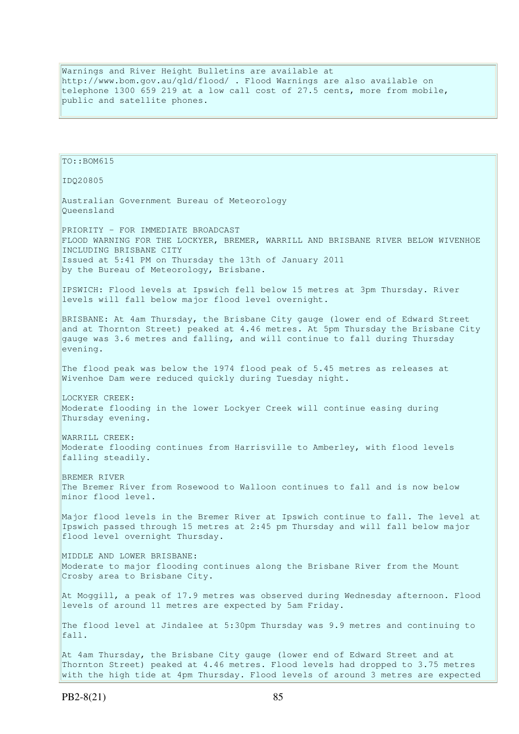Warnings and River Height Bulletins are available at http://www.bom.gov.au/qld/flood/ . Flood Warnings are also available on telephone 1300 659 219 at a low call cost of 27.5 cents, more from mobile, public and satellite phones.

TO::BOM615 IDQ20805 Australian Government Bureau of Meteorology Queensland PRIORITY - FOR IMMEDIATE BROADCAST FLOOD WARNING FOR THE LOCKYER, BREMER, WARRILL AND BRISBANE RIVER BELOW WIVENHOE INCLUDING BRISBANE CITY Issued at 5:41 PM on Thursday the 13th of January 2011 by the Bureau of Meteorology, Brisbane. IPSWICH: Flood levels at Ipswich fell below 15 metres at 3pm Thursday. River levels will fall below major flood level overnight. BRISBANE: At 4am Thursday, the Brisbane City gauge (lower end of Edward Street and at Thornton Street) peaked at 4.46 metres. At 5pm Thursday the Brisbane City gauge was 3.6 metres and falling, and will continue to fall during Thursday evening. The flood peak was below the 1974 flood peak of 5.45 metres as releases at Wivenhoe Dam were reduced quickly during Tuesday night. LOCKYER CREEK: Moderate flooding in the lower Lockyer Creek will continue easing during Thursday evening. WARRILL CREEK: Moderate flooding continues from Harrisville to Amberley, with flood levels falling steadily. BREMER RIVER The Bremer River from Rosewood to Walloon continues to fall and is now below minor flood level. Major flood levels in the Bremer River at Ipswich continue to fall. The level at Ipswich passed through 15 metres at 2:45 pm Thursday and will fall below major flood level overnight Thursday. MIDDLE AND LOWER BRISBANE: Moderate to major flooding continues along the Brisbane River from the Mount Crosby area to Brisbane City. At Moggill, a peak of 17.9 metres was observed during Wednesday afternoon. Flood levels of around 11 metres are expected by 5am Friday. The flood level at Jindalee at 5:30pm Thursday was 9.9 metres and continuing to fall. At 4am Thursday, the Brisbane City gauge (lower end of Edward Street and at Thornton Street) peaked at 4.46 metres. Flood levels had dropped to 3.75 metres with the high tide at 4pm Thursday. Flood levels of around 3 metres are expected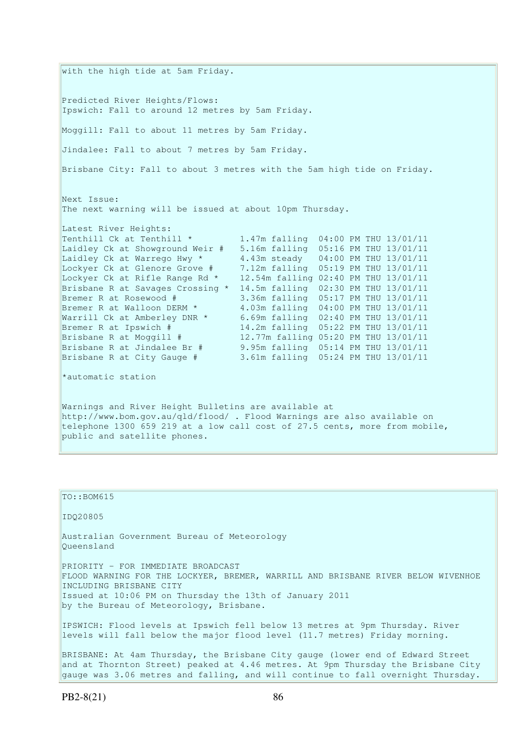with the high tide at 5am Friday. Predicted River Heights/Flows: Ipswich: Fall to around 12 metres by 5am Friday. Moggill: Fall to about 11 metres by 5am Friday. Jindalee: Fall to about 7 metres by 5am Friday. Brisbane City: Fall to about 3 metres with the 5am high tide on Friday. Next Issue: The next warning will be issued at about 10pm Thursday. Latest River Heights: Tenthill Ck at Tenthill \* 1.47m falling 04:00 PM THU 13/01/11 Laidley Ck at Showground Weir # 5.16m falling 05:16 PM THU 13/01/11 Laidley Ck at Warrego Hwy  $\star$  4.43m steady 04:00 PM THU 13/01/11 Lockyer Ck at Glenore Grove # 7.12m falling 05:19 PM THU 13/01/11 Lockyer Ck at Rifle Range Rd \* 12.54m falling 02:40 PM THU 13/01/11 Brisbane R at Savages Crossing \* 14.5m falling 02:30 PM THU 13/01/11 Bremer R at Rosewood # 3.36m falling 05:17 PM THU 13/01/11 Bremer R at Walloon DERM \* 4.03m falling 04:00 PM THU 13/01/11 Warrill Ck at Amberley DNR \* 6.69m falling 02:40 PM THU 13/01/11 Bremer R at Ipswich # 14.2m falling 05:22 PM THU 13/01/11 Brisbane R at Moggill # 12.77m falling 05:20 PM THU 13/01/11 Brisbane R at Jindalee Br # 9.95m falling 05:14 PM THU 13/01/11 Brisbane R at City Gauge # 3.61m falling 05:24 PM THU 13/01/11 \*automatic station Warnings and River Height Bulletins are available at http://www.bom.gov.au/qld/flood/ . Flood Warnings are also available on telephone 1300 659 219 at a low call cost of 27.5 cents, more from mobile, public and satellite phones.

```
TO::BOM615 
IDQ20805 
Australian Government Bureau of Meteorology 
Queensland 
PRIORITY - FOR IMMEDIATE BROADCAST 
FLOOD WARNING FOR THE LOCKYER, BREMER, WARRILL AND BRISBANE RIVER BELOW WIVENHOE 
INCLUDING BRISBANE CITY 
Issued at 10:06 PM on Thursday the 13th of January 2011 
by the Bureau of Meteorology, Brisbane.
IPSWICH: Flood levels at Ipswich fell below 13 metres at 9pm Thursday. River 
levels will fall below the major flood level (11.7 metres) Friday morning. 
BRISBANE: At 4am Thursday, the Brisbane City gauge (lower end of Edward Street 
and at Thornton Street) peaked at 4.46 metres. At 9pm Thursday the Brisbane City 
gauge was 3.06 metres and falling, and will continue to fall overnight Thursday.
```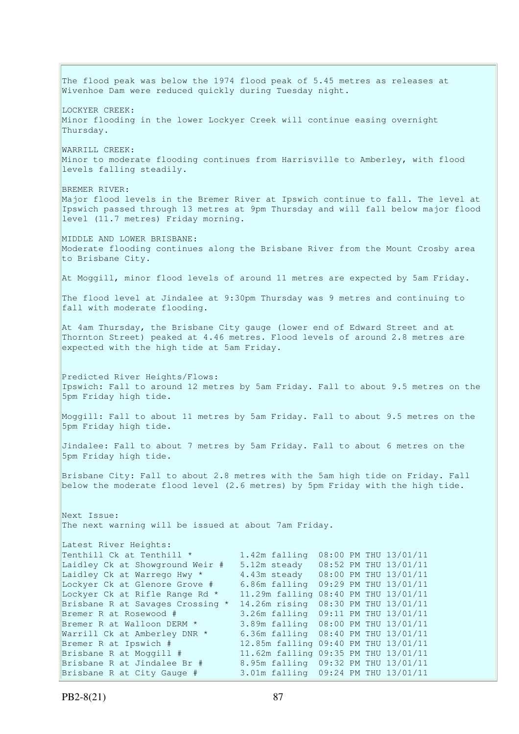The flood peak was below the 1974 flood peak of 5.45 metres as releases at Wivenhoe Dam were reduced quickly during Tuesday night. LOCKYER CREEK: Minor flooding in the lower Lockyer Creek will continue easing overnight Thursday. WARRILL CREEK: Minor to moderate flooding continues from Harrisville to Amberley, with flood levels falling steadily. BREMER RIVER: Major flood levels in the Bremer River at Ipswich continue to fall. The level at Ipswich passed through 13 metres at 9pm Thursday and will fall below major flood level (11.7 metres) Friday morning. MIDDLE AND LOWER BRISBANE: Moderate flooding continues along the Brisbane River from the Mount Crosby area to Brisbane City. At Moggill, minor flood levels of around 11 metres are expected by 5am Friday. The flood level at Jindalee at 9:30pm Thursday was 9 metres and continuing to fall with moderate flooding. At 4am Thursday, the Brisbane City gauge (lower end of Edward Street and at Thornton Street) peaked at 4.46 metres. Flood levels of around 2.8 metres are expected with the high tide at 5am Friday. Predicted River Heights/Flows: Ipswich: Fall to around 12 metres by 5am Friday. Fall to about 9.5 metres on the 5pm Friday high tide. Moggill: Fall to about 11 metres by 5am Friday. Fall to about 9.5 metres on the 5pm Friday high tide. Jindalee: Fall to about 7 metres by 5am Friday. Fall to about 6 metres on the 5pm Friday high tide. Brisbane City: Fall to about 2.8 metres with the 5am high tide on Friday. Fall below the moderate flood level (2.6 metres) by 5pm Friday with the high tide. Next Issue: The next warning will be issued at about 7am Friday. Latest River Heights: Tenthill Ck at Tenthill \* 1.42m falling 08:00 PM THU 13/01/11 Laidley Ck at Showground Weir # 5.12m steady 08:52 PM THU 13/01/11 Laidley Ck at Warrego Hwy  $*$  4.43m steady  $08:00$  PM THU 13/01/11 Lockyer Ck at Glenore Grove # 6.86m falling 09:29 PM THU 13/01/11 Lockyer Ck at Rifle Range Rd \* 11.29m falling 08:40 PM THU 13/01/11 Brisbane R at Savages Crossing \* 14.26m rising 08:30 PM THU 13/01/11 Bremer R at Rosewood # 3.26m falling 09:11 PM THU 13/01/11<br>Bremer R at Walloon DERM \* 3.89m falling 08:00 PM THU 13/01/11<br>Warrill Ck at Amberley DNR \* 6.36m falling 08:40 PM THU 13/01/11 3.89m falling 08:00 PM THU 13/01/11 6.36m falling 08:40 PM THU 13/01/11 Bremer R at Ipswich # 12.85m falling 09:40 PM THU 13/01/11 Brisbane R at Moggill # 11.62m falling 09:35 PM THU 13/01/11 Brisbane R at Jindalee Br # 8.95m falling 09:32 PM THU 13/01/11 Brisbane R at City Gauge # 3.01m falling 09:24 PM THU 13/01/11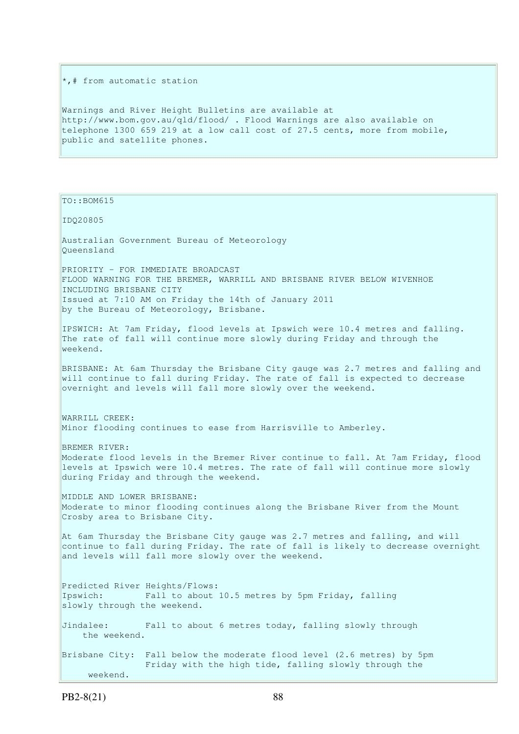\*,# from automatic station

Warnings and River Height Bulletins are available at http://www.bom.gov.au/qld/flood/ . Flood Warnings are also available on telephone 1300 659 219 at a low call cost of 27.5 cents, more from mobile, public and satellite phones.

TO::BOM615

IDQ20805

Australian Government Bureau of Meteorology Queensland PRIORITY - FOR IMMEDIATE BROADCAST FLOOD WARNING FOR THE BREMER, WARRILL AND BRISBANE RIVER BELOW WIVENHOE INCLUDING BRISBANE CITY Issued at 7:10 AM on Friday the 14th of January 2011 by the Bureau of Meteorology, Brisbane. IPSWICH: At 7am Friday, flood levels at Ipswich were 10.4 metres and falling. The rate of fall will continue more slowly during Friday and through the weekend. BRISBANE: At 6am Thursday the Brisbane City gauge was 2.7 metres and falling and will continue to fall during Friday. The rate of fall is expected to decrease overnight and levels will fall more slowly over the weekend. WARRILL CREEK: Minor flooding continues to ease from Harrisville to Amberley. BREMER RIVER: Moderate flood levels in the Bremer River continue to fall. At 7am Friday, flood levels at Ipswich were 10.4 metres. The rate of fall will continue more slowly during Friday and through the weekend. MIDDLE AND LOWER BRISBANE: Moderate to minor flooding continues along the Brisbane River from the Mount Crosby area to Brisbane City. At 6am Thursday the Brisbane City gauge was 2.7 metres and falling, and will continue to fall during Friday. The rate of fall is likely to decrease overnight and levels will fall more slowly over the weekend. Predicted River Heights/Flows: Ipswich: Fall to about 10.5 metres by 5pm Friday, falling slowly through the weekend.

Jindalee: Fall to about 6 metres today, falling slowly through the weekend.

Brisbane City: Fall below the moderate flood level (2.6 metres) by 5pm Friday with the high tide, falling slowly through the weekend.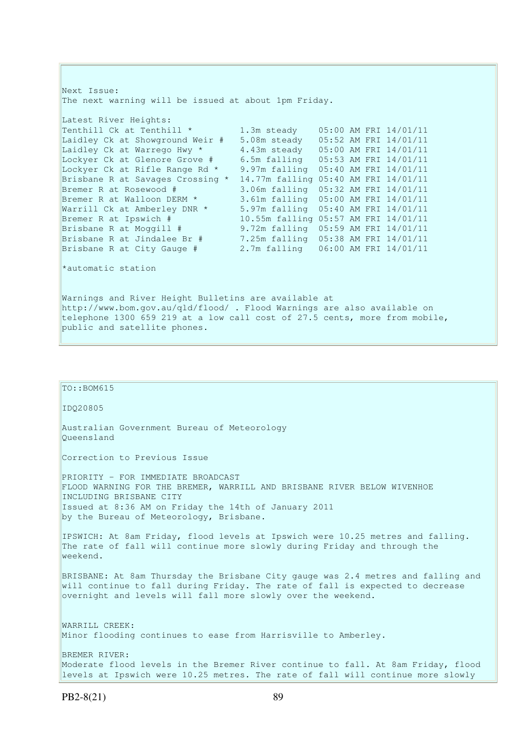Next Issue: The next warning will be issued at about 1pm Friday. Latest River Heights: Tenthill Ck at Tenthill \* 1.3m steady 05:00 AM FRI 14/01/11 Laidley Ck at Showground Weir # 5.08m steady 05:52 AM FRI 14/01/11 Laidley Ck at Warrego Hwy  $*$  4.43m steady  $05:00$  AM FRI  $14/01/11$ Lockyer Ck at Glenore Grove # 6.5m falling 05:53 AM FRI 14/01/11 Lockyer Ck at Rifle Range Rd \* 9.97m falling 05:40 AM FRI 14/01/11 Brisbane R at Savages Crossing \* 14.77m falling 05:40 AM FRI 14/01/11 Bremer R at Rosewood # 3.06m falling 05:32 AM FRI 14/01/11 Bremer R at Walloon DERM \* 3.61m falling 05:00 AM FRI 14/01/11 Warrill Ck at Amberley DNR \* 5.97m falling 05:40 AM FRI 14/01/11 Bremer R at Ipswich # 10.55m falling 05:57 AM FRI 14/01/11<br>Brisbane R at Moggill # 9.72m falling 05:59 AM FRI 14/01/11<br>Brisbane P at Jindalus R (1994) Brisbane R at Moggill # 9.72m falling 05:59 AM FRI 14/01/11 Brisbane R at Jindalee Br # 7.25m falling 05:38 AM FRI 14/01/11 Brisbane R at City Gauge # 2.7m falling 06:00 AM FRI 14/01/11 \*automatic station Warnings and River Height Bulletins are available at http://www.bom.gov.au/qld/flood/ . Flood Warnings are also available on telephone 1300 659 219 at a low call cost of 27.5 cents, more from mobile, public and satellite phones.

| TO:: BOM615                                                                                                                                                                                                                                 |
|---------------------------------------------------------------------------------------------------------------------------------------------------------------------------------------------------------------------------------------------|
| ID020805                                                                                                                                                                                                                                    |
| Australian Government Bureau of Meteorology<br>Oueensland                                                                                                                                                                                   |
| Correction to Previous Issue                                                                                                                                                                                                                |
| PRIORITY - FOR IMMEDIATE BROADCAST<br>FLOOD WARNING FOR THE BREMER, WARRILL AND BRISBANE RIVER BELOW WIVENHOE<br>INCLUDING BRISBANE CITY<br>Issued at 8:36 AM on Friday the 14th of January 2011<br>by the Bureau of Meteorology, Brisbane. |
| IPSWICH: At 8am Friday, flood levels at Ipswich were 10.25 metres and falling.<br>The rate of fall will continue more slowly during Friday and through the<br>weekend.                                                                      |
| BRISBANE: At 8am Thursday the Brisbane City gauge was 2.4 metres and falling and<br>will continue to fall during Friday. The rate of fall is expected to decrease<br>overnight and levels will fall more slowly over the weekend.           |
| WARRILL CREEK:<br>Minor flooding continues to ease from Harrisville to Amberley.                                                                                                                                                            |
| BREMER RIVER:<br>Moderate flood levels in the Bremer River continue to fall. At 8am Friday, flood<br>levels at Ipswich were 10.25 metres. The rate of fall will continue more slowly                                                        |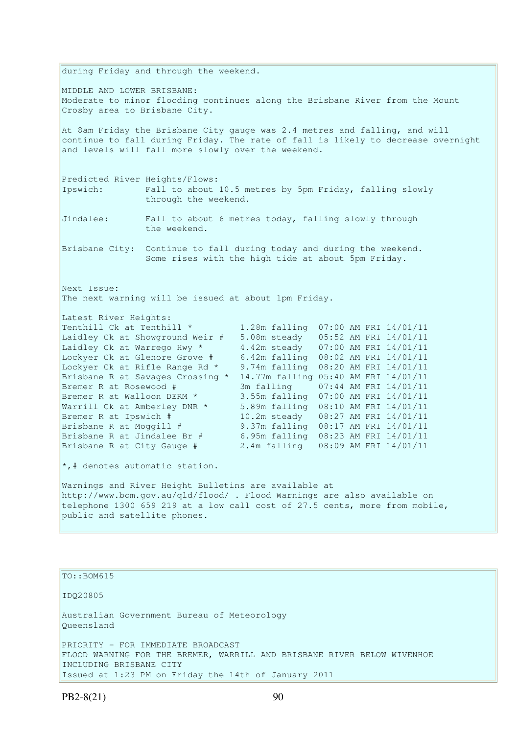during Friday and through the weekend. MIDDLE AND LOWER BRISBANE: Moderate to minor flooding continues along the Brisbane River from the Mount Crosby area to Brisbane City. At 8am Friday the Brisbane City gauge was 2.4 metres and falling, and will continue to fall during Friday. The rate of fall is likely to decrease overnight and levels will fall more slowly over the weekend. Predicted River Heights/Flows: Ipswich: Fall to about 10.5 metres by 5pm Friday, falling slowly through the weekend. Jindalee: Fall to about 6 metres today, falling slowly through the weekend. Brisbane City: Continue to fall during today and during the weekend. Some rises with the high tide at about 5pm Friday. Next Issue: The next warning will be issued at about 1pm Friday. Latest River Heights: Tenthill Ck at Tenthill  $\star$  1.28m falling  $07:00$  AM FRI  $14/01/11$ Laidley Ck at Showground Weir # 5.08m steady 05:52 AM FRI 14/01/11 Laidley Ck at Warrego Hwy  $*$  4.42m steady  $07:00$  AM FRI  $14/01/11$ Lockyer Ck at Glenore Grove # 6.42m falling 08:02 AM FRI 14/01/11 Lockyer Ck at Rifle Range Rd \* 9.74m falling 08:20 AM FRI 14/01/11 Brisbane R at Savages Crossing \* 14.77m falling 05:40 AM FRI 14/01/11 Bremer R at Rosewood # 3m falling 07:44 AM FRI 14/01/11 Bremer R at Walloon DERM \* 3.55m falling 07:00 AM FRI 14/01/11 Warrill Ck at Amberley DNR \* 5.89m falling 08:10 AM FRI 14/01/11 Bremer R at Ipswich # 10.2m steady 08:27 AM FRI 14/01/11 Brisbane R at Moggill # 9.37m falling 08:17 AM FRI 14/01/11 Brisbane R at Jindalee Br # 6.95m falling 08:23 AM FRI 14/01/11 Brisbane R at City Gauge # 2.4m falling 08:09 AM FRI 14/01/11 \*,# denotes automatic station. Warnings and River Height Bulletins are available at http://www.bom.gov.au/qld/flood/ . Flood Warnings are also available on telephone 1300 659 219 at a low call cost of 27.5 cents, more from mobile, public and satellite phones.

TO::BOM615 IDQ20805 Australian Government Bureau of Meteorology Queensland PRIORITY - FOR IMMEDIATE BROADCAST FLOOD WARNING FOR THE BREMER, WARRILL AND BRISBANE RIVER BELOW WIVENHOE INCLUDING BRISBANE CITY Issued at 1:23 PM on Friday the 14th of January 2011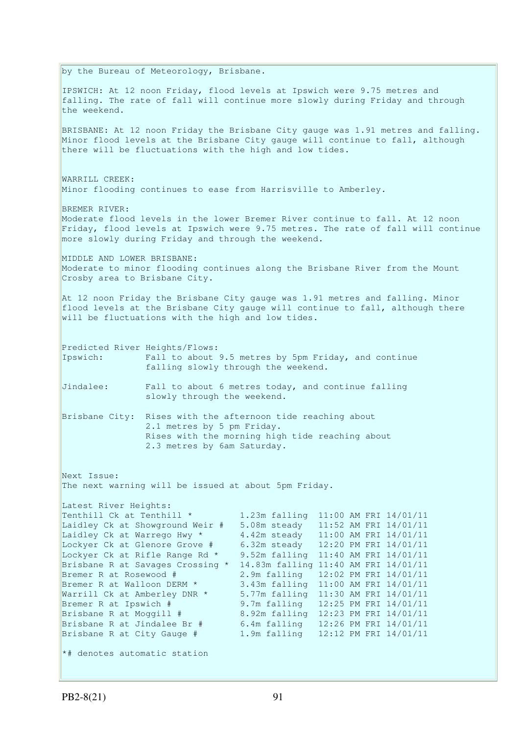| by the Bureau of Meteorology, Brisbane.<br>BRISBANE: At 12 noon Friday the Brisbane City gauge was 1.91 metres and falling.<br>Minor flood levels at the Brisbane City gauge will continue to fall, although<br>there will be fluctuations with the high and low tides.<br>Minor flooding continues to ease from Harrisville to Amberley.<br>Moderate flood levels in the lower Bremer River continue to fall. At 12 noon<br>Friday, flood levels at Ipswich were 9.75 metres. The rate of fall will continue<br>more slowly during Friday and through the weekend.<br>MIDDLE AND LOWER BRISBANE:<br>Moderate to minor flooding continues along the Brisbane River from the Mount<br>Crosby area to Brisbane City.<br>At 12 noon Friday the Brisbane City gauge was 1.91 metres and falling. Minor<br>flood levels at the Brisbane City gauge will continue to fall, although there<br>will be fluctuations with the high and low tides.<br>Predicted River Heights/Flows:<br>Fall to about 9.5 metres by 5pm Friday, and continue<br>falling slowly through the weekend.<br>Fall to about 6 metres today, and continue falling<br>slowly through the weekend.<br>Brisbane City: Rises with the afternoon tide reaching about<br>2.1 metres by 5 pm Friday.<br>Rises with the morning high tide reaching about<br>2.3 metres by 6am Saturday.<br>The next warning will be issued at about 5pm Friday.<br>Latest River Heights:<br>Tenthill Ck at Tenthill *<br>1.23m falling 11:00 AM FRI 14/01/11<br>Laidley Ck at Showground Weir #<br>5.08m steady 11:52 AM FRI 14/01/11<br>4.42m steady 11:00 AM FRI 14/01/11<br>Laidley Ck at Warrego Hwy *<br>Lockyer Ck at Glenore Grove #<br>6.32m steady 12:20 PM FRI 14/01/11<br>Lockyer Ck at Rifle Range Rd *<br>9.52m falling 11:40 AM FRI 14/01/11<br>Brisbane R at Savages Crossing *<br>14.83m falling 11:40 AM FRI 14/01/11<br>Bremer R at Rosewood #<br>2.9m falling<br>12:02 PM FRI 14/01/11<br>Bremer R at Walloon DERM *<br>3.43m falling 11:00 AM FRI 14/01/11<br>Warrill Ck at Amberley DNR *<br>5.77m falling<br>11:30 AM FRI 14/01/11<br>Bremer R at Ipswich #<br>9.7m falling<br>12:25 PM FRI 14/01/11<br>8.92m falling 12:23 PM FRI 14/01/11<br>Brisbane R at Moggill #<br>Brisbane R at Jindalee Br #<br>6.4m falling<br>12:26 PM FRI 14/01/11<br>Brisbane R at City Gauge #<br>1.9m falling 12:12 PM FRI 14/01/11<br>*# denotes automatic station |                                                                                                                                                                           |  |  |  |  |  |  |
|----------------------------------------------------------------------------------------------------------------------------------------------------------------------------------------------------------------------------------------------------------------------------------------------------------------------------------------------------------------------------------------------------------------------------------------------------------------------------------------------------------------------------------------------------------------------------------------------------------------------------------------------------------------------------------------------------------------------------------------------------------------------------------------------------------------------------------------------------------------------------------------------------------------------------------------------------------------------------------------------------------------------------------------------------------------------------------------------------------------------------------------------------------------------------------------------------------------------------------------------------------------------------------------------------------------------------------------------------------------------------------------------------------------------------------------------------------------------------------------------------------------------------------------------------------------------------------------------------------------------------------------------------------------------------------------------------------------------------------------------------------------------------------------------------------------------------------------------------------------------------------------------------------------------------------------------------------------------------------------------------------------------------------------------------------------------------------------------------------------------------------------------------------------------------------------------------------------------------------------------------------------------------------------------------------------------------------------------------------------------------------------------------------------|---------------------------------------------------------------------------------------------------------------------------------------------------------------------------|--|--|--|--|--|--|
|                                                                                                                                                                                                                                                                                                                                                                                                                                                                                                                                                                                                                                                                                                                                                                                                                                                                                                                                                                                                                                                                                                                                                                                                                                                                                                                                                                                                                                                                                                                                                                                                                                                                                                                                                                                                                                                                                                                                                                                                                                                                                                                                                                                                                                                                                                                                                                                                                |                                                                                                                                                                           |  |  |  |  |  |  |
|                                                                                                                                                                                                                                                                                                                                                                                                                                                                                                                                                                                                                                                                                                                                                                                                                                                                                                                                                                                                                                                                                                                                                                                                                                                                                                                                                                                                                                                                                                                                                                                                                                                                                                                                                                                                                                                                                                                                                                                                                                                                                                                                                                                                                                                                                                                                                                                                                | IPSWICH: At 12 noon Friday, flood levels at Ipswich were 9.75 metres and<br>falling. The rate of fall will continue more slowly during Friday and through<br>the weekend. |  |  |  |  |  |  |
|                                                                                                                                                                                                                                                                                                                                                                                                                                                                                                                                                                                                                                                                                                                                                                                                                                                                                                                                                                                                                                                                                                                                                                                                                                                                                                                                                                                                                                                                                                                                                                                                                                                                                                                                                                                                                                                                                                                                                                                                                                                                                                                                                                                                                                                                                                                                                                                                                |                                                                                                                                                                           |  |  |  |  |  |  |
|                                                                                                                                                                                                                                                                                                                                                                                                                                                                                                                                                                                                                                                                                                                                                                                                                                                                                                                                                                                                                                                                                                                                                                                                                                                                                                                                                                                                                                                                                                                                                                                                                                                                                                                                                                                                                                                                                                                                                                                                                                                                                                                                                                                                                                                                                                                                                                                                                | WARRILL CREEK:                                                                                                                                                            |  |  |  |  |  |  |
|                                                                                                                                                                                                                                                                                                                                                                                                                                                                                                                                                                                                                                                                                                                                                                                                                                                                                                                                                                                                                                                                                                                                                                                                                                                                                                                                                                                                                                                                                                                                                                                                                                                                                                                                                                                                                                                                                                                                                                                                                                                                                                                                                                                                                                                                                                                                                                                                                | BREMER RIVER:                                                                                                                                                             |  |  |  |  |  |  |
|                                                                                                                                                                                                                                                                                                                                                                                                                                                                                                                                                                                                                                                                                                                                                                                                                                                                                                                                                                                                                                                                                                                                                                                                                                                                                                                                                                                                                                                                                                                                                                                                                                                                                                                                                                                                                                                                                                                                                                                                                                                                                                                                                                                                                                                                                                                                                                                                                |                                                                                                                                                                           |  |  |  |  |  |  |
|                                                                                                                                                                                                                                                                                                                                                                                                                                                                                                                                                                                                                                                                                                                                                                                                                                                                                                                                                                                                                                                                                                                                                                                                                                                                                                                                                                                                                                                                                                                                                                                                                                                                                                                                                                                                                                                                                                                                                                                                                                                                                                                                                                                                                                                                                                                                                                                                                |                                                                                                                                                                           |  |  |  |  |  |  |
|                                                                                                                                                                                                                                                                                                                                                                                                                                                                                                                                                                                                                                                                                                                                                                                                                                                                                                                                                                                                                                                                                                                                                                                                                                                                                                                                                                                                                                                                                                                                                                                                                                                                                                                                                                                                                                                                                                                                                                                                                                                                                                                                                                                                                                                                                                                                                                                                                | Ipswich:                                                                                                                                                                  |  |  |  |  |  |  |
|                                                                                                                                                                                                                                                                                                                                                                                                                                                                                                                                                                                                                                                                                                                                                                                                                                                                                                                                                                                                                                                                                                                                                                                                                                                                                                                                                                                                                                                                                                                                                                                                                                                                                                                                                                                                                                                                                                                                                                                                                                                                                                                                                                                                                                                                                                                                                                                                                | Jindalee:                                                                                                                                                                 |  |  |  |  |  |  |
|                                                                                                                                                                                                                                                                                                                                                                                                                                                                                                                                                                                                                                                                                                                                                                                                                                                                                                                                                                                                                                                                                                                                                                                                                                                                                                                                                                                                                                                                                                                                                                                                                                                                                                                                                                                                                                                                                                                                                                                                                                                                                                                                                                                                                                                                                                                                                                                                                |                                                                                                                                                                           |  |  |  |  |  |  |
|                                                                                                                                                                                                                                                                                                                                                                                                                                                                                                                                                                                                                                                                                                                                                                                                                                                                                                                                                                                                                                                                                                                                                                                                                                                                                                                                                                                                                                                                                                                                                                                                                                                                                                                                                                                                                                                                                                                                                                                                                                                                                                                                                                                                                                                                                                                                                                                                                | Next Issue:                                                                                                                                                               |  |  |  |  |  |  |
|                                                                                                                                                                                                                                                                                                                                                                                                                                                                                                                                                                                                                                                                                                                                                                                                                                                                                                                                                                                                                                                                                                                                                                                                                                                                                                                                                                                                                                                                                                                                                                                                                                                                                                                                                                                                                                                                                                                                                                                                                                                                                                                                                                                                                                                                                                                                                                                                                |                                                                                                                                                                           |  |  |  |  |  |  |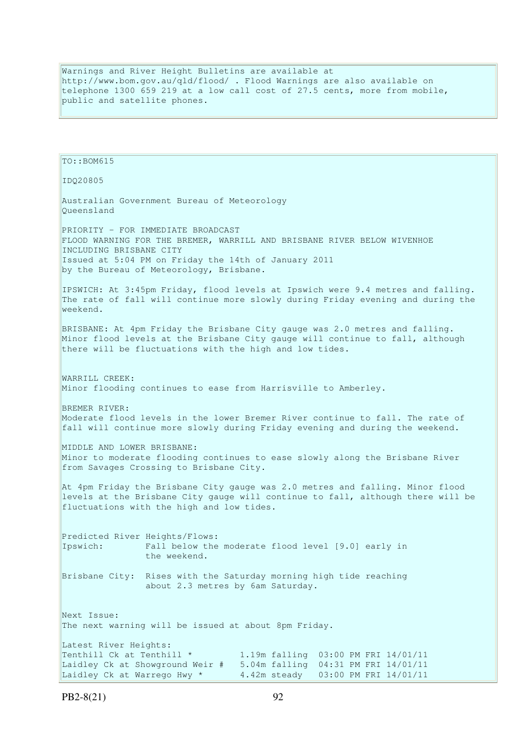Warnings and River Height Bulletins are available at http://www.bom.gov.au/qld/flood/ . Flood Warnings are also available on telephone 1300 659 219 at a low call cost of 27.5 cents, more from mobile, public and satellite phones.

```
TO::BOM615 
IDQ20805 
Australian Government Bureau of Meteorology 
Queensland 
PRIORITY - FOR IMMEDIATE BROADCAST 
FLOOD WARNING FOR THE BREMER, WARRILL AND BRISBANE RIVER BELOW WIVENHOE 
INCLUDING BRISBANE CITY 
Issued at 5:04 PM on Friday the 14th of January 2011 
by the Bureau of Meteorology, Brisbane.
IPSWICH: At 3:45pm Friday, flood levels at Ipswich were 9.4 metres and falling. 
The rate of fall will continue more slowly during Friday evening and during the 
weekend. 
BRISBANE: At 4pm Friday the Brisbane City gauge was 2.0 metres and falling.
Minor flood levels at the Brisbane City gauge will continue to fall, although 
there will be fluctuations with the high and low tides. 
WARRILL CREEK: 
Minor flooding continues to ease from Harrisville to Amberley. 
BREMER RIVER: 
Moderate flood levels in the lower Bremer River continue to fall. The rate of 
fall will continue more slowly during Friday evening and during the weekend. 
MIDDLE AND LOWER BRISBANE: 
Minor to moderate flooding continues to ease slowly along the Brisbane River 
from Savages Crossing to Brisbane City. 
At 4pm Friday the Brisbane City gauge was 2.0 metres and falling. Minor flood 
levels at the Brisbane City gauge will continue to fall, although there will be 
fluctuations with the high and low tides. 
Predicted River Heights/Flows: 
Ipswich: Fall below the moderate flood level [9.0] early in 
                the weekend. 
Brisbane City: Rises with the Saturday morning high tide reaching 
                 about 2.3 metres by 6am Saturday. 
Next Issue: 
The next warning will be issued at about 8pm Friday. 
Latest River Heights: 
Tenthill Ck at Tenthill * 1.19m falling 03:00 PM FRI 14/01/11
Laidley Ck at Showground Weir # 5.04m falling 04:31 PM FRI 14/01/11
Laidley Ck at Warrego Hwy * 4.42m steady 03:00 PM FRI 14/01/11
```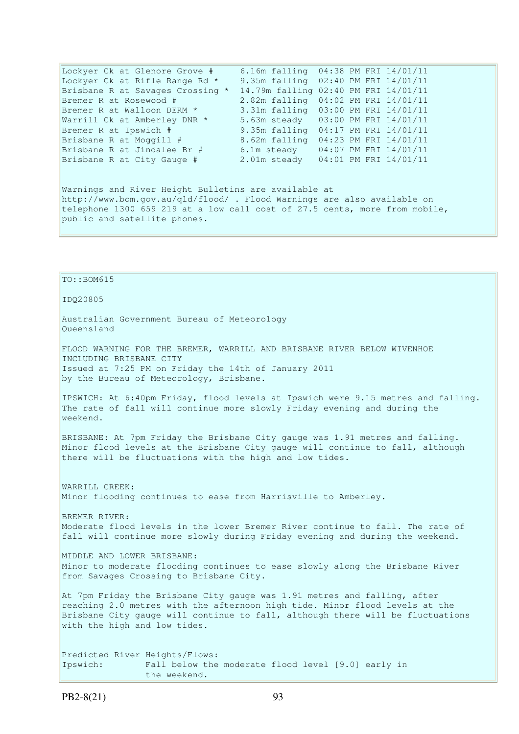| Lockyer Ck at Glenore Grove #    | 6.16m falling 04:38 PM FRI 14/01/11  |  |                       |
|----------------------------------|--------------------------------------|--|-----------------------|
| Lockyer Ck at Rifle Range Rd *   | 9.35m falling 02:40 PM FRI 14/01/11  |  |                       |
| Brisbane R at Savages Crossing * | 14.79m falling 02:40 PM FRI 14/01/11 |  |                       |
| Bremer R at Rosewood #           | 2.82m falling 04:02 PM FRI 14/01/11  |  |                       |
| Bremer R at Walloon DERM *       | 3.31m falling 03:00 PM FRI 14/01/11  |  |                       |
| Warrill Ck at Amberley DNR *     | 5.63m steady 03:00 PM FRI 14/01/11   |  |                       |
| Bremer R at Ipswich #            | 9.35m falling 04:17 PM FRI 14/01/11  |  |                       |
| Brisbane R at Moggill #          | 8.62m falling 04:23 PM FRI 14/01/11  |  |                       |
| Brisbane R at Jindalee Br #      | 6.1m steady                          |  | 04:07 PM FRI 14/01/11 |
| Brisbane R at City Gauge #       | 2.01m steady 04:01 PM FRI 14/01/11   |  |                       |
|                                  |                                      |  |                       |
|                                  |                                      |  |                       |
|                                  |                                      |  |                       |

Warnings and River Height Bulletins are available at http://www.bom.gov.au/qld/flood/ . Flood Warnings are also available on telephone 1300 659 219 at a low call cost of 27.5 cents, more from mobile, public and satellite phones.

TO::BOM615 IDQ20805 Australian Government Bureau of Meteorology Queensland FLOOD WARNING FOR THE BREMER, WARRILL AND BRISBANE RIVER BELOW WIVENHOE INCLUDING BRISBANE CITY Issued at 7:25 PM on Friday the 14th of January 2011 by the Bureau of Meteorology, Brisbane. IPSWICH: At 6:40pm Friday, flood levels at Ipswich were 9.15 metres and falling. The rate of fall will continue more slowly Friday evening and during the weekend. BRISBANE: At 7pm Friday the Brisbane City gauge was 1.91 metres and falling. Minor flood levels at the Brisbane City gauge will continue to fall, although there will be fluctuations with the high and low tides. WARRILL CREEK: Minor flooding continues to ease from Harrisville to Amberley. BREMER RIVER: Moderate flood levels in the lower Bremer River continue to fall. The rate of fall will continue more slowly during Friday evening and during the weekend. MIDDLE AND LOWER BRISBANE: Minor to moderate flooding continues to ease slowly along the Brisbane River from Savages Crossing to Brisbane City. At 7pm Friday the Brisbane City gauge was 1.91 metres and falling, after reaching 2.0 metres with the afternoon high tide. Minor flood levels at the Brisbane City gauge will continue to fall, although there will be fluctuations with the high and low tides. Predicted River Heights/Flows: Ipswich: Fall below the moderate flood level [9.0] early in the weekend.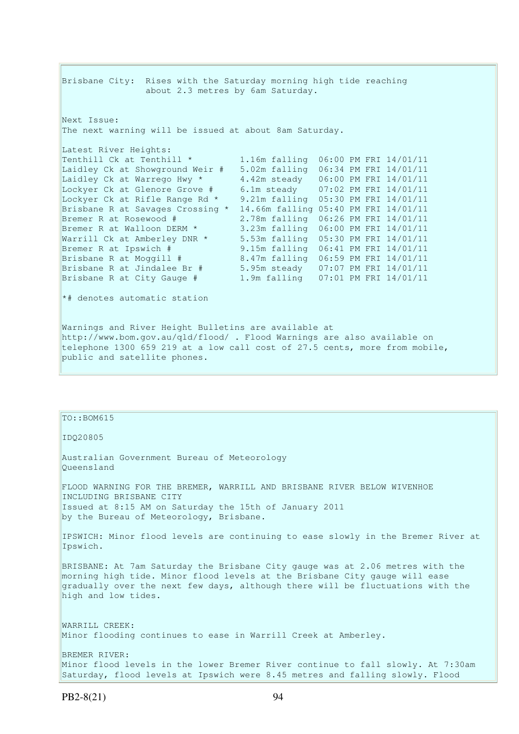Brisbane City: Rises with the Saturday morning high tide reaching about 2.3 metres by 6am Saturday. Next Issue: The next warning will be issued at about 8am Saturday. Latest River Heights:<br>Tenthill Ck at Tenthill \* 1.16m falling 06:00 PM FRI 14/01/11 Laidley Ck at Showground Weir # 5.02m falling 06:34 PM FRI 14/01/11 Laidley Ck at Warrego Hwy  $*$  4.42m steady  $06:00$  PM FRI 14/01/11 Lockyer Ck at Glenore Grove # 6.1m steady 07:02 PM FRI 14/01/11 Lockyer Ck at Rifle Range Rd \* 9.21m falling 05:30 PM FRI 14/01/11 Brisbane R at Savages Crossing \* 14.66m falling 05:40 PM FRI 14/01/11 Bremer R at Rosewood # 2.78m falling 06:26 PM FRI 14/01/11 Bremer R at Walloon DERM \* 3.23m falling 06:00 PM FRI 14/01/11 Warrill Ck at Amberley DNR \* 5.53m falling 05:30 PM FRI 14/01/11 Bremer R at Ipswich # 9.15m falling 06:41 PM FRI 14/01/11 Brisbane R at Moggill # 8.47m falling 06:59 PM FRI 14/01/11 Brisbane R at Jindalee Br # 5.95m steady 07:07 PM FRI 14/01/11 Brisbane R at City Gauge # 1.9m falling 07:01 PM FRI 14/01/11 \*# denotes automatic station Warnings and River Height Bulletins are available at http://www.bom.gov.au/qld/flood/ . Flood Warnings are also available on telephone 1300 659 219 at a low call cost of 27.5 cents, more from mobile, public and satellite phones.

# $TO::BOM615$ IDQ20805 Australian Government Bureau of Meteorology Queensland FLOOD WARNING FOR THE BREMER, WARRILL AND BRISBANE RIVER BELOW WIVENHOE INCLUDING BRISBANE CITY Issued at 8:15 AM on Saturday the 15th of January 2011 by the Bureau of Meteorology, Brisbane. IPSWICH: Minor flood levels are continuing to ease slowly in the Bremer River at Ipswich. BRISBANE: At 7am Saturday the Brisbane City gauge was at 2.06 metres with the morning high tide. Minor flood levels at the Brisbane City gauge will ease gradually over the next few days, although there will be fluctuations with the high and low tides. WARRILL CREEK: Minor flooding continues to ease in Warrill Creek at Amberley. BREMER RIVER: Minor flood levels in the lower Bremer River continue to fall slowly. At 7:30am Saturday, flood levels at Ipswich were 8.45 metres and falling slowly. Flood

PB2-8(21) 94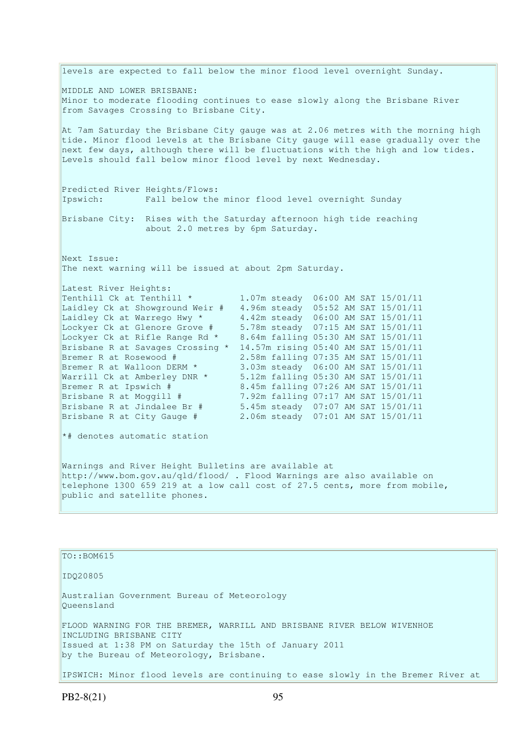levels are expected to fall below the minor flood level overnight Sunday. MIDDLE AND LOWER BRISBANE: Minor to moderate flooding continues to ease slowly along the Brisbane River from Savages Crossing to Brisbane City. At 7am Saturday the Brisbane City gauge was at 2.06 metres with the morning high tide. Minor flood levels at the Brisbane City gauge will ease gradually over the next few days, although there will be fluctuations with the high and low tides. Levels should fall below minor flood level by next Wednesday. Predicted River Heights/Flows: Ipswich: Fall below the minor flood level overnight Sunday Brisbane City: Rises with the Saturday afternoon high tide reaching about 2.0 metres by 6pm Saturday. Next Issue: The next warning will be issued at about 2pm Saturday. Latest River Heights: Tenthill Ck at Tenthill  $\star$  1.07m steady 06:00 AM SAT 15/01/11 Laidley Ck at Showground Weir # 4.96m steady 05:52 AM SAT 15/01/11 Laidley Ck at Warrego Hwy \* 4.42m steady 06:00 AM SAT 15/01/11 Lockyer Ck at Glenore Grove # 5.78m steady 07:15 AM SAT 15/01/11 Lockyer Ck at Rifle Range Rd \* 8.64m falling 05:30 AM SAT 15/01/11 Brisbane R at Savages Crossing \* 14.57m rising 05:40 AM SAT 15/01/11 Bremer R at Rosewood # 2.58m falling 07:35 AM SAT 15/01/11 Bremer R at Walloon DERM \* 3.03m steady 06:00 AM SAT 15/01/11 Warrill Ck at Amberley DNR \* 5.12m falling 05:30 AM SAT 15/01/11 Bremer R at Ipswich # 8.45m falling 07:26 AM SAT 15/01/11 Brisbane R at Moggill # 7.92m falling 07:17 AM SAT 15/01/11 Brisbane R at Jindalee Br # 5.45m steady 07:07 AM SAT 15/01/11 Brisbane R at City Gauge # 2.06m steady 07:01 AM SAT 15/01/11 \*# denotes automatic station Warnings and River Height Bulletins are available at http://www.bom.gov.au/qld/flood/ . Flood Warnings are also available on telephone 1300 659 219 at a low call cost of 27.5 cents, more from mobile, public and satellite phones.

TO::BOM615 IDQ20805 Australian Government Bureau of Meteorology Queensland FLOOD WARNING FOR THE BREMER, WARRILL AND BRISBANE RIVER BELOW WIVENHOE INCLUDING BRISBANE CITY Issued at 1:38 PM on Saturday the 15th of January 2011 by the Bureau of Meteorology, Brisbane. IPSWICH: Minor flood levels are continuing to ease slowly in the Bremer River at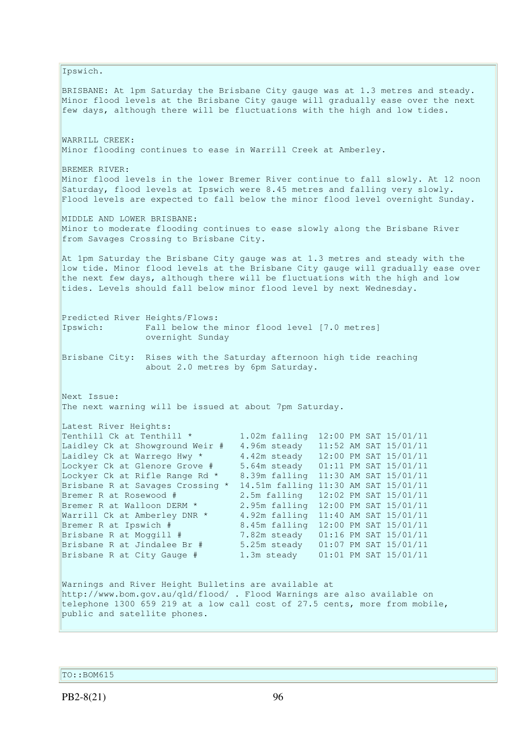Ipswich. BRISBANE: At 1pm Saturday the Brisbane City gauge was at 1.3 metres and steady. Minor flood levels at the Brisbane City gauge will gradually ease over the next few days, although there will be fluctuations with the high and low tides. WARRILL CREEK: Minor flooding continues to ease in Warrill Creek at Amberley. BREMER RIVER: Minor flood levels in the lower Bremer River continue to fall slowly. At 12 noon Saturday, flood levels at Ipswich were 8.45 metres and falling very slowly. Flood levels are expected to fall below the minor flood level overnight Sunday. MIDDLE AND LOWER BRISBANE: Minor to moderate flooding continues to ease slowly along the Brisbane River from Savages Crossing to Brisbane City. At 1pm Saturday the Brisbane City gauge was at 1.3 metres and steady with the low tide. Minor flood levels at the Brisbane City gauge will gradually ease over the next few days, although there will be fluctuations with the high and low tides. Levels should fall below minor flood level by next Wednesday. Predicted River Heights/Flows: Ipswich: Fall below the minor flood level [7.0 metres] overnight Sunday Brisbane City: Rises with the Saturday afternoon high tide reaching about 2.0 metres by 6pm Saturday. Next Issue: The next warning will be issued at about 7pm Saturday. Latest River Heights:<br>Tenthill Ck at Tenthill \* 1.02m falling 12:00 PM SAT 15/01/11 Laidley Ck at Showground Weir # 4.96m steady 11:52 AM SAT 15/01/11 Laidley Ck at Warrego Hwy  $*$  4.42m steady 12:00 PM SAT 15/01/11 Lockyer Ck at Glenore Grove # 5.64m steady 01:11 PM SAT 15/01/11 Lockyer Ck at Rifle Range Rd \* 8.39m falling 11:30 AM SAT 15/01/11 Brisbane R at Savages Crossing \* 14.51m falling 11:30 AM SAT 15/01/11 Bremer R at Rosewood # 2.5m falling 12:02 PM SAT 15/01/11 Bremer R at Walloon DERM \* 2.95m falling 12:00 PM SAT 15/01/11 Warrill Ck at Amberley DNR \* 4.92m falling 11:40 AM SAT 15/01/11 Bremer R at Ipswich # 8.45m falling 12:00 PM SAT 15/01/11 Brisbane R at Moggill # 7.82m steady 01:16 PM SAT 15/01/11 Brisbane R at Jindalee Br # 5.25m steady 01:07 PM SAT 15/01/11 Brisbane R at City Gauge # 1.3m steady 01:01 PM SAT 15/01/11 Warnings and River Height Bulletins are available at http://www.bom.gov.au/qld/flood/ . Flood Warnings are also available on telephone 1300 659 219 at a low call cost of 27.5 cents, more from mobile, public and satellite phones.

TO::BOM615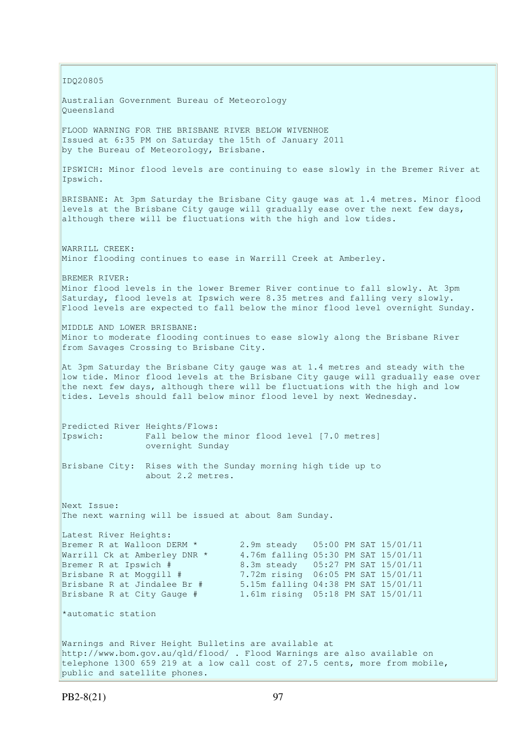IDQ20805 Australian Government Bureau of Meteorology Queensland FLOOD WARNING FOR THE BRISBANE RIVER BELOW WIVENHOE Issued at 6:35 PM on Saturday the 15th of January 2011 by the Bureau of Meteorology, Brisbane. IPSWICH: Minor flood levels are continuing to ease slowly in the Bremer River at Ipswich. BRISBANE: At 3pm Saturday the Brisbane City gauge was at 1.4 metres. Minor flood levels at the Brisbane City gauge will gradually ease over the next few days, although there will be fluctuations with the high and low tides. WARRILL CREEK: Minor flooding continues to ease in Warrill Creek at Amberley. BREMER RIVER: Minor flood levels in the lower Bremer River continue to fall slowly. At 3pm Saturday, flood levels at Ipswich were 8.35 metres and falling very slowly. Flood levels are expected to fall below the minor flood level overnight Sunday. MIDDLE AND LOWER BRISBANE: Minor to moderate flooding continues to ease slowly along the Brisbane River from Savages Crossing to Brisbane City. At 3pm Saturday the Brisbane City gauge was at 1.4 metres and steady with the low tide. Minor flood levels at the Brisbane City gauge will gradually ease over the next few days, although there will be fluctuations with the high and low tides. Levels should fall below minor flood level by next Wednesday. Predicted River Heights/Flows: Ipswich: Fall below the minor flood level [7.0 metres] overnight Sunday Brisbane City: Rises with the Sunday morning high tide up to about 2.2 metres. Next Issue: The next warning will be issued at about 8am Sunday. Latest River Heights: Bremer R at Walloon DERM \* 2.9m steady 05:00 PM SAT 15/01/11 Warrill Ck at Amberley DNR \* 4.76m falling 05:30 PM SAT 15/01/11 Bremer R at Ipswich # 8.3m steady 05:27 PM SAT 15/01/11 Brisbane R at Moggill # 7.72m rising 06:05 PM SAT 15/01/11<br>Brisbane R at Jindalee Br # 5.15m falling 04:38 PM SAT 15/01/11 Brisbane R at Jindalee Br # 5.15m falling 04:38 PM SAT 15/01/11 Brisbane R at City Gauge # 1.61m rising 05:18 PM SAT 15/01/11 \*automatic station Warnings and River Height Bulletins are available at http://www.bom.gov.au/qld/flood/ . Flood Warnings are also available on telephone 1300 659 219 at a low call cost of 27.5 cents, more from mobile, public and satellite phones.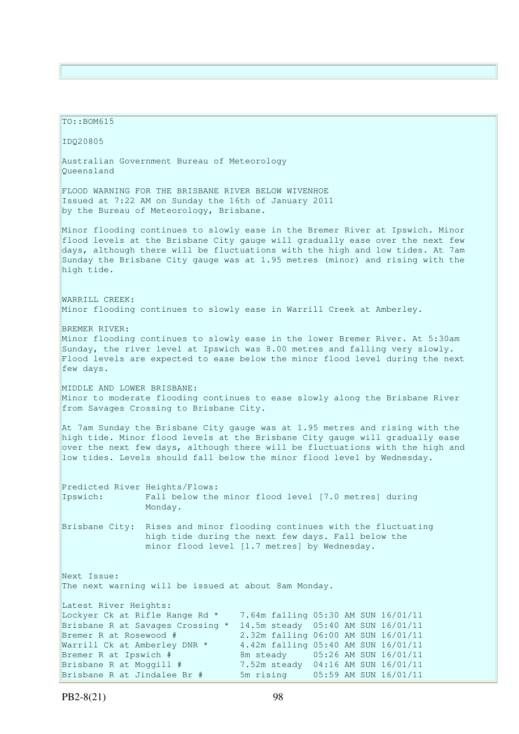TO::BOM615 IDQ20805 Australian Government Bureau of Meteorology Queensland FLOOD WARNING FOR THE BRISBANE RIVER BELOW WIVENHOE Issued at 7:22 AM on Sunday the 16th of January 2011 by the Bureau of Meteorology, Brisbane. Minor flooding continues to slowly ease in the Bremer River at Ipswich. Minor flood levels at the Brisbane City gauge will gradually ease over the next few days, although there will be fluctuations with the high and low tides. At 7am Sunday the Brisbane City gauge was at 1.95 metres (minor) and rising with the high tide. WARRILL CREEK: Minor flooding continues to slowly ease in Warrill Creek at Amberley. BREMER RIVER: Minor flooding continues to slowly ease in the lower Bremer River. At 5:30am Sunday, the river level at Ipswich was 8.00 metres and falling very slowly. Flood levels are expected to ease below the minor flood level during the next few days. MIDDLE AND LOWER BRISBANE: Minor to moderate flooding continues to ease slowly along the Brisbane River from Savages Crossing to Brisbane City. At 7am Sunday the Brisbane City gauge was at 1.95 metres and rising with the high tide. Minor flood levels at the Brisbane City gauge will gradually ease over the next few days, although there will be fluctuations with the high and low tides. Levels should fall below the minor flood level by Wednesday. Predicted River Heights/Flows: Ipswich: Fall below the minor flood level [7.0 metres] during Monday. Brisbane City: Rises and minor flooding continues with the fluctuating high tide during the next few days. Fall below the minor flood level [1.7 metres] by Wednesday. Next Issue: The next warning will be issued at about 8am Monday. Latest River Heights: Lockyer Ck at Rifle Range Rd \* 7.64m falling 05:30 AM SUN 16/01/11 Brisbane R at Savages Crossing \* 14.5m steady 05:40 AM SUN 16/01/11 Bremer R at Rosewood #  $\overline{2.32m}$  falling 06:00 AM SUN 16/01/11 Warrill Ck at Amberley DNR \* 4.42m falling 05:40 AM SUN 16/01/11 Bremer R at Ipswich # 8m steady 05:26 AM SUN 16/01/11 Brisbane R at Moggill # 7.52m steady 04:16 AM SUN 16/01/11 Brisbane R at Jindalee Br # 5m rising 05:59 AM SUN 16/01/11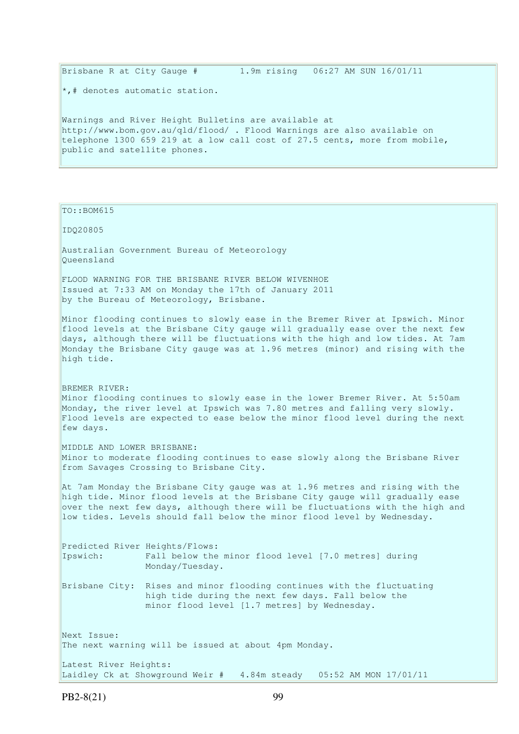\*,# denotes automatic station. Warnings and River Height Bulletins are available at http://www.bom.gov.au/qld/flood/ . Flood Warnings are also available on telephone 1300 659 219 at a low call cost of 27.5 cents, more from mobile, public and satellite phones.

Brisbane R at City Gauge # 1.9m rising 06:27 AM SUN 16/01/11

PB2-8(21) 99 TO::BOM615 IDQ20805 Australian Government Bureau of Meteorology Queensland FLOOD WARNING FOR THE BRISBANE RIVER BELOW WIVENHOE Issued at 7:33 AM on Monday the 17th of January 2011 by the Bureau of Meteorology, Brisbane. Minor flooding continues to slowly ease in the Bremer River at Ipswich. Minor flood levels at the Brisbane City gauge will gradually ease over the next few days, although there will be fluctuations with the high and low tides. At 7am Monday the Brisbane City gauge was at 1.96 metres (minor) and rising with the high tide. BREMER RIVER: Minor flooding continues to slowly ease in the lower Bremer River. At 5:50am Monday, the river level at Ipswich was 7.80 metres and falling very slowly. Flood levels are expected to ease below the minor flood level during the next few days. MIDDLE AND LOWER BRISBANE: Minor to moderate flooding continues to ease slowly along the Brisbane River from Savages Crossing to Brisbane City. At 7am Monday the Brisbane City gauge was at 1.96 metres and rising with the high tide. Minor flood levels at the Brisbane City gauge will gradually ease over the next few days, although there will be fluctuations with the high and low tides. Levels should fall below the minor flood level by Wednesday. Predicted River Heights/Flows: Ipswich: Fall below the minor flood level [7.0 metres] during Monday/Tuesday. Brisbane City: Rises and minor flooding continues with the fluctuating high tide during the next few days. Fall below the minor flood level [1.7 metres] by Wednesday. Next Issue: The next warning will be issued at about 4pm Monday. Latest River Heights: Laidley Ck at Showground Weir # 4.84m steady 05:52 AM MON 17/01/11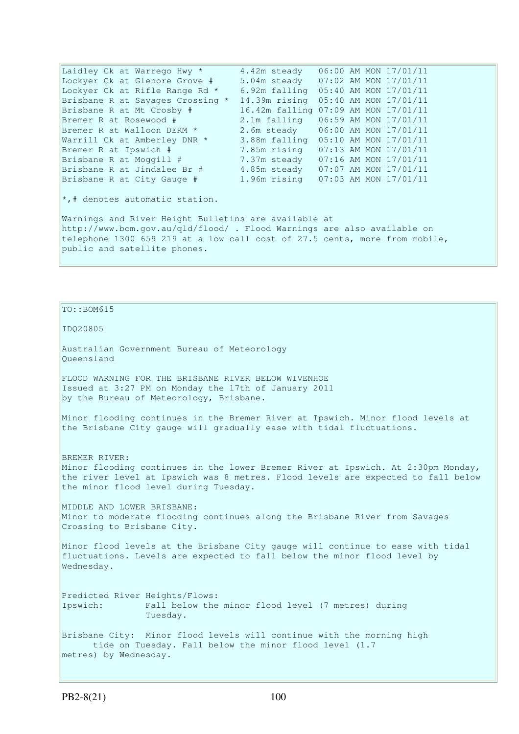Laidley Ck at Warrego Hwy  $*$  4.42m steady  $06:00$  AM MON 17/01/11 Lockyer Ck at Glenore Grove # 5.04m steady 07:02 AM MON 17/01/11 Lockyer Ck at Rifle Range Rd \* 6.92m falling 05:40 AM MON 17/01/11 Brisbane R at Savages Crossing \* 14.39m rising 05:40 AM MON 17/01/11 Brisbane R at Mt Crosby # 16.42m falling 07:09 AM MON 17/01/11<br>Bremer R at Rosewood # 2.1m falling 06:59 AM MON 17/01/11 Bremer R at Rosewood # 2.1m falling 06:59 AM MON 17/01/11 Bremer R at Walloon DERM \* 2.6m steady 06:00 AM MON 17/01/11 Warrill Ck at Amberley DNR \* 3.88m falling 05:10 AM MON 17/01/11 Bremer R at Ipswich # 7.85m rising 07:13 AM MON 17/01/11 Brisbane R at Moggill # 7.37m steady 07:16 AM MON 17/01/11 Brisbane R at Hoygins " (1998) 1999 (1999) 1999 (1999) 1999 (1999) 1999 (1999) 1999 (1999) 1999 (1999) 1999 (1<br>Brisbane R at Jindalee Br # 4.85m steady 07:07 AM MON 17/01/11 Brisbane R at City Gauge # 1.96m rising 07:03 AM MON 17/01/11 \*,# denotes automatic station. Warnings and River Height Bulletins are available at http://www.bom.gov.au/qld/flood/ . Flood Warnings are also available on telephone 1300 659 219 at a low call cost of 27.5 cents, more from mobile, public and satellite phones.

 $TO: : BOM615$ 

IDQ20805

Australian Government Bureau of Meteorology Queensland

FLOOD WARNING FOR THE BRISBANE RIVER BELOW WIVENHOE Issued at 3:27 PM on Monday the 17th of January 2011 by the Bureau of Meteorology, Brisbane.

Minor flooding continues in the Bremer River at Ipswich. Minor flood levels at the Brisbane City gauge will gradually ease with tidal fluctuations.

BREMER RIVER: Minor flooding continues in the lower Bremer River at Ipswich. At 2:30pm Monday, the river level at Ipswich was 8 metres. Flood levels are expected to fall below the minor flood level during Tuesday.

MIDDLE AND LOWER BRISBANE: Minor to moderate flooding continues along the Brisbane River from Savages Crossing to Brisbane City.

Minor flood levels at the Brisbane City gauge will continue to ease with tidal fluctuations. Levels are expected to fall below the minor flood level by Wednesday.

Predicted River Heights/Flows: Ipswich: Fall below the minor flood level (7 metres) during Tuesday.

Brisbane City: Minor flood levels will continue with the morning high tide on Tuesday. Fall below the minor flood level (1.7 metres) by Wednesday.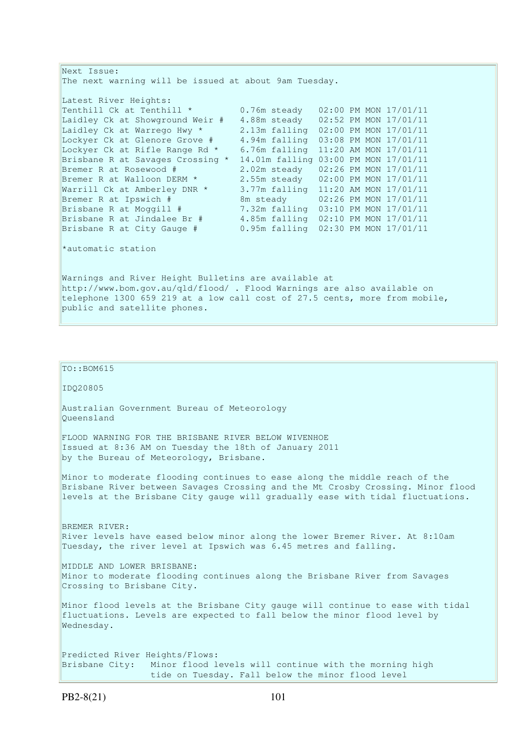Next Issue: The next warning will be issued at about 9am Tuesday. Latest River Heights: Tenthill Ck at Tenthill \* 0.76m steady 02:00 PM MON 17/01/11 Laidley Ck at Showground Weir # 4.88m steady 02:52 PM MON 17/01/11 Laidley Ck at Warrego Hwy \* 2.13m falling 02:00 PM MON 17/01/11 Lockyer Ck at Glenore Grove # 4.94m falling 03:08 PM MON 17/01/11 Lockyer Ck at Rifle Range Rd \* 6.76m falling 11:20 AM MON 17/01/11 Brisbane R at Savages Crossing \* 14.01m falling 03:00 PM MON 17/01/11 Bremer R at Rosewood # 2.02m steady 02:26 PM MON 17/01/11 Bremer R at Walloon DERM \* 2.55m steady 02:00 PM MON 17/01/11 Warrill Ck at Amberley DNR \* 3.77m falling 11:20 AM MON 17/01/11 Bremer R at Ipswich # 8m steady 02:26 PM MON 17/01/11 Brisbane R at Moggill # 7.32m falling 03:10 PM MON 17/01/11 Brisbane R at Jindalee Br # 4.85m falling 02:10 PM MON 17/01/11 Brisbane R at City Gauge # 0.95m falling 02:30 PM MON 17/01/11 \*automatic station Warnings and River Height Bulletins are available at http://www.bom.gov.au/qld/flood/ . Flood Warnings are also available on telephone 1300 659 219 at a low call cost of 27.5 cents, more from mobile, public and satellite phones.  $\vert$ TO::BOM615 IDQ20805 Australian Government Bureau of Meteorology Queensland FLOOD WARNING FOR THE BRISBANE RIVER BELOW WIVENHOE Issued at 8:36 AM on Tuesday the 18th of January 2011 by the Bureau of Meteorology, Brisbane.

Minor to moderate flooding continues to ease along the middle reach of the Brisbane River between Savages Crossing and the Mt Crosby Crossing. Minor flood levels at the Brisbane City gauge will gradually ease with tidal fluctuations.

BREMER RIVER: River levels have eased below minor along the lower Bremer River. At 8:10am Tuesday, the river level at Ipswich was 6.45 metres and falling.

MIDDLE AND LOWER BRISBANE: Minor to moderate flooding continues along the Brisbane River from Savages Crossing to Brisbane City.

Minor flood levels at the Brisbane City gauge will continue to ease with tidal fluctuations. Levels are expected to fall below the minor flood level by Wednesday.

Predicted River Heights/Flows: Brisbane City: Minor flood levels will continue with the morning high tide on Tuesday. Fall below the minor flood level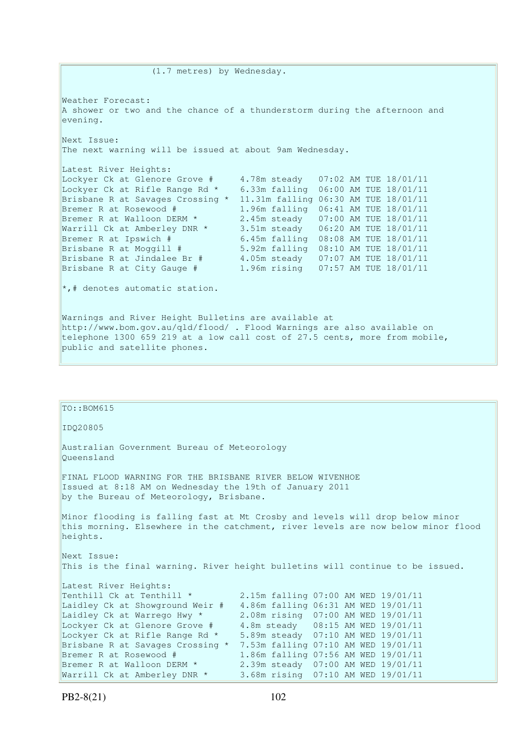Weather Forecast: A shower or two and the chance of a thunderstorm during the afternoon and evening. Next Issue: The next warning will be issued at about 9am Wednesday. Latest River Heights: Lockyer Ck at Glenore Grove # 4.78m steady 07:02 AM TUE 18/01/11 Lockyer Ck at Rifle Range Rd \* 6.33m falling 06:00 AM TUE 18/01/11 Brisbane R at Savages Crossing \* 11.31m falling 06:30 AM TUE 18/01/11 Bremer R at Rosewood # 1.96m falling 06:41 AM TUE 18/01/11 Bremer R at Walloon DERM \* 2.45m steady 07:00 AM TUE 18/01/11 Warrill Ck at Amberley DNR \* 3.51m steady 06:20 AM TUE 18/01/11 Bremer R at Ipswich  $\stackrel{*}{\#}$  6.45m falling 08:08 AM TUE 18/01/11<br>Brisbane R at Moggill  $\stackrel{*}{\#}$  5.92m falling 08:10 AM TUE 18/01/11 Brisbane R at Moggill # 5.92m falling 08:10 AM TUE 18/01/11 Brisbane R at Jindalee Br # 4.05m steady 07:07 AM TUE 18/01/11 Brisbane R at City Gauge # 1.96m rising 07:57 AM TUE 18/01/11 \*,# denotes automatic station. Warnings and River Height Bulletins are available at http://www.bom.gov.au/qld/flood/ . Flood Warnings are also available on telephone 1300 659 219 at a low call cost of 27.5 cents, more from mobile, public and satellite phones.

(1.7 metres) by Wednesday.

| $TO: BOM615$                                                                                                                                                                 |                                     |  |  |  |  |  |  |
|------------------------------------------------------------------------------------------------------------------------------------------------------------------------------|-------------------------------------|--|--|--|--|--|--|
| ID020805                                                                                                                                                                     |                                     |  |  |  |  |  |  |
| Australian Government Bureau of Meteorology<br>Oueensland                                                                                                                    |                                     |  |  |  |  |  |  |
| FINAL FLOOD WARNING FOR THE BRISBANE RIVER BELOW WIVENHOE<br>Issued at 8:18 AM on Wednesday the 19th of January 2011<br>by the Bureau of Meteorology, Brisbane.              |                                     |  |  |  |  |  |  |
| Minor flooding is falling fast at Mt Crosby and levels will drop below minor<br>this morning. Elsewhere in the catchment, river levels are now below minor flood<br>heights. |                                     |  |  |  |  |  |  |
| Next Issue:<br>This is the final warning. River height bulletins will continue to be issued.                                                                                 |                                     |  |  |  |  |  |  |
| Latest River Heights:                                                                                                                                                        |                                     |  |  |  |  |  |  |
| Tenthill Ck at Tenthill *                                                                                                                                                    | 2.15m falling 07:00 AM WED 19/01/11 |  |  |  |  |  |  |
| Laidley Ck at Showground Weir #                                                                                                                                              | 4.86m falling 06:31 AM WED 19/01/11 |  |  |  |  |  |  |
| Laidley Ck at Warrego Hwy *                                                                                                                                                  | 2.08m rising 07:00 AM WED 19/01/11  |  |  |  |  |  |  |
| Lockyer Ck at Glenore Grove #                                                                                                                                                | 4.8m steady 08:15 AM WED 19/01/11   |  |  |  |  |  |  |
| Lockyer Ck at Rifle Range Rd *                                                                                                                                               | 5.89m steady 07:10 AM WED 19/01/11  |  |  |  |  |  |  |
| Brisbane R at Savages Crossing *                                                                                                                                             | 7.53m falling 07:10 AM WED 19/01/11 |  |  |  |  |  |  |
| Bremer R at Rosewood #                                                                                                                                                       | 1.86m falling 07:56 AM WED 19/01/11 |  |  |  |  |  |  |
| Bremer R at Walloon DERM *                                                                                                                                                   | 2.39m steady 07:00 AM WED 19/01/11  |  |  |  |  |  |  |
| Warrill Ck at Amberley DNR *                                                                                                                                                 | 3.68m rising 07:10 AM WED 19/01/11  |  |  |  |  |  |  |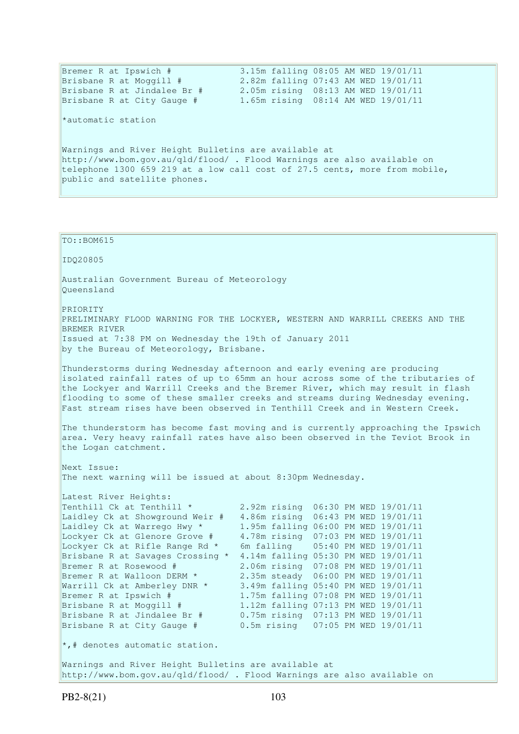| Bremer R at Ipswich #                                                      | 3.15m falling 08:05 AM WED 19/01/11 |  |  |  |  |
|----------------------------------------------------------------------------|-------------------------------------|--|--|--|--|
| Brisbane R at Moggill #                                                    | 2.82m falling 07:43 AM WED 19/01/11 |  |  |  |  |
| Brisbane R at Jindalee Br #                                                | 2.05m rising 08:13 AM WED 19/01/11  |  |  |  |  |
| Brisbane R at City Gauge #                                                 | 1.65m rising 08:14 AM WED 19/01/11  |  |  |  |  |
| *automatic station                                                         |                                     |  |  |  |  |
| Warnings and River Height Bulletins are available at                       |                                     |  |  |  |  |
| http://www.bom.gov.au/qld/flood/ . Flood Warnings are also available on    |                                     |  |  |  |  |
| telephone 1300 659 219 at a low call cost of 27.5 cents, more from mobile, |                                     |  |  |  |  |
| public and satellite phones.                                               |                                     |  |  |  |  |
|                                                                            |                                     |  |  |  |  |

TO::BOM615 IDQ20805 Australian Government Bureau of Meteorology Queensland PRIORITY PRELIMINARY FLOOD WARNING FOR THE LOCKYER, WESTERN AND WARRILL CREEKS AND THE BREMER RIVER Issued at 7:38 PM on Wednesday the 19th of January 2011 by the Bureau of Meteorology, Brisbane. Thunderstorms during Wednesday afternoon and early evening are producing isolated rainfall rates of up to 65mm an hour across some of the tributaries of the Lockyer and Warrill Creeks and the Bremer River, which may result in flash flooding to some of these smaller creeks and streams during Wednesday evening. Fast stream rises have been observed in Tenthill Creek and in Western Creek. The thunderstorm has become fast moving and is currently approaching the Ipswich area. Very heavy rainfall rates have also been observed in the Teviot Brook in the Logan catchment. Next Issue: The next warning will be issued at about 8:30pm Wednesday. Latest River Heights: Tenthill Ck at Tenthill \* 2.92m rising 06:30 PM WED 19/01/11 Laidley Ck at Showground Weir # 4.86m rising 06:43 PM WED 19/01/11 Laidley Ck at Warrego Hwy \* 1.95m falling 06:00 PM WED 19/01/11 Lockyer Ck at Glenore Grove # 4.78m rising 07:03 PM WED 19/01/11 Lockyer Ck at Rifle Range Rd \* 6m falling 05:40 PM WED 19/01/11 Brisbane R at Savages Crossing \* 4.14m falling 05:30 PM WED 19/01/11 Bremer R at Rosewood # 2.06m rising 07:08 PM WED 19/01/11 Bremer R at Walloon DERM \* 2.35m steady 06:00 PM WED 19/01/11<br>Warrill Ck at Amberley DNR \* 3.49m falling 05:40 PM WED 19/01/11 3.49m falling 05:40 PM WED 19/01/11 Bremer R at Ipswich  $\sharp$  1.75m falling 07:08 PM WED 19/01/11 Brisbane R at Moggill # 1.12m falling 07:13 PM WED 19/01/11 Brisbane R at Jindalee Br # 0.75m rising 07:13 PM WED 19/01/11 Brisbane R at City Gauge # 0.5m rising 07:05 PM WED 19/01/11 \*,# denotes automatic station. Warnings and River Height Bulletins are available at http://www.bom.gov.au/qld/flood/ . Flood Warnings are also available on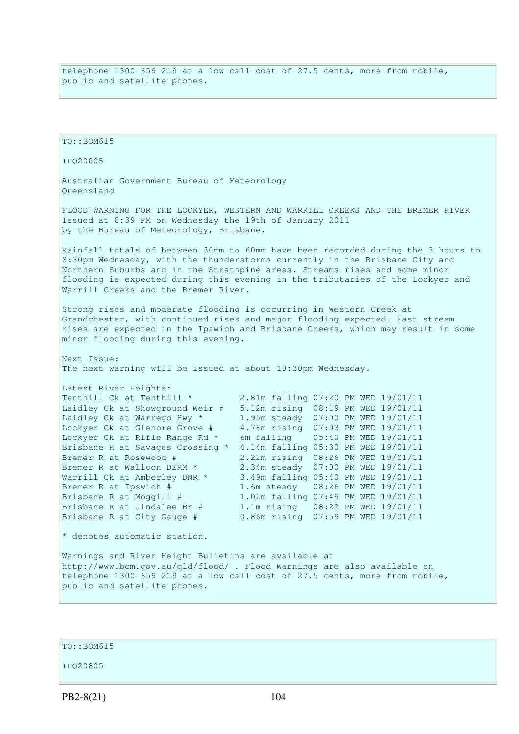telephone 1300 659 219 at a low call cost of 27.5 cents, more from mobile, public and satellite phones.

TO::BOM615 IDQ20805 Australian Government Bureau of Meteorology Queensland FLOOD WARNING FOR THE LOCKYER, WESTERN AND WARRILL CREEKS AND THE BREMER RIVER Issued at 8:39 PM on Wednesday the 19th of January 2011 by the Bureau of Meteorology, Brisbane. Rainfall totals of between 30mm to 60mm have been recorded during the 3 hours to 8:30pm Wednesday, with the thunderstorms currently in the Brisbane City and Northern Suburbs and in the Strathpine areas. Streams rises and some minor flooding is expected during this evening in the tributaries of the Lockyer and Warrill Creeks and the Bremer River. Strong rises and moderate flooding is occurring in Western Creek at Grandchester, with continued rises and major flooding expected. Fast stream rises are expected in the Ipswich and Brisbane Creeks, which may result in some minor flooding during this evening. Next Issue: The next warning will be issued at about 10:30pm Wednesday. Latest River Heights: Tenthill Ck at Tenthill \* 2.81m falling 07:20 PM WED 19/01/11 Laidley Ck at Showground Weir # 5.12m rising 08:19 PM WED 19/01/11 Laidley Ck at Warrego Hwy \* 1.95m steady 07:00 PM WED 19/01/11 Lockyer Ck at Glenore Grove # 4.78m rising 07:03 PM WED 19/01/11 Lockyer Ck at Rifle Range Rd \* 6m falling 05:40 PM WED 19/01/11 Brisbane R at Savages Crossing \* 4.14m falling 05:30 PM WED 19/01/11 Bremer R at Rosewood # 2.22m rising 08:26 PM WED 19/01/11 Bremer R at Walloon DERM \* 2.34m steady 07:00 PM WED 19/01/11<br>Warrill Ck at Amberley DNR \* 3.49m falling 05:40 PM WED 19/01/11<br>Bremer R at Inquick # 3.49m falling 05:40 PM WED 19/01/11 Bremer R at Ipswich # 1.6m steady 08:26 PM WED 19/01/11 Brisbane R at Moggill # 1.02m falling 07:49 PM WED 19/01/11 Brisbane R at Jindalee Br # 1.1m rising 08:22 PM WED 19/01/11<br>Brisbane R at City Gauge # 0.86m rising 07:59 PM WED 19/01/11 0.86m rising 07:59 PM WED 19/01/11 \* denotes automatic station. Warnings and River Height Bulletins are available at http://www.bom.gov.au/qld/flood/ . Flood Warnings are also available on telephone 1300 659 219 at a low call cost of 27.5 cents, more from mobile, public and satellite phones.

TO::BOM615

IDQ20805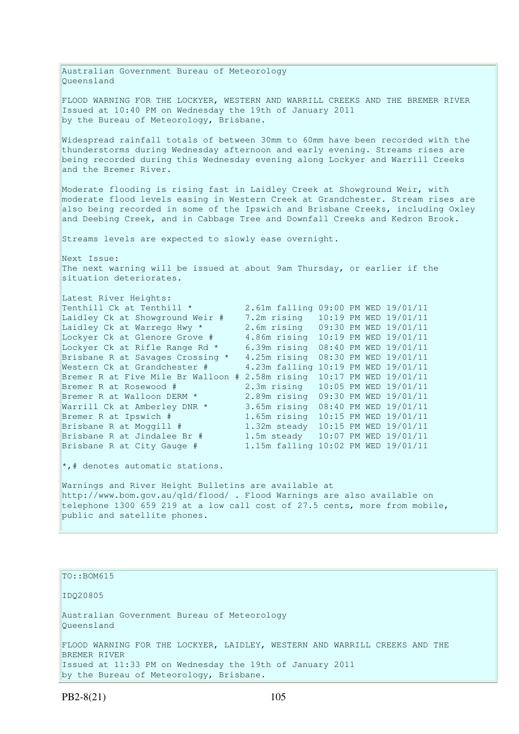Australian Government Bureau of Meteorology Queensland FLOOD WARNING FOR THE LOCKYER, WESTERN AND WARRILL CREEKS AND THE BREMER RIVER Issued at 10:40 PM on Wednesday the 19th of January 2011 by the Bureau of Meteorology, Brisbane. Widespread rainfall totals of between 30mm to 60mm have been recorded with the thunderstorms during Wednesday afternoon and early evening. Streams rises are being recorded during this Wednesday evening along Lockyer and Warrill Creeks and the Bremer River. Moderate flooding is rising fast in Laidley Creek at Showground Weir, with moderate flood levels easing in Western Creek at Grandchester. Stream rises are also being recorded in some of the Ipswich and Brisbane Creeks, including Oxley and Deebing Creek, and in Cabbage Tree and Downfall Creeks and Kedron Brook. Streams levels are expected to slowly ease overnight. Next Issue: The next warning will be issued at about 9am Thursday, or earlier if the situation deteriorates. Latest River Heights: Tenthill Ck at Tenthill \* 2.61m falling 09:00 PM WED 19/01/11 Laidley Ck at Showground Weir # 7.2m rising 10:19 PM WED 19/01/11 Laidley Ck at Warrego Hwy \* 2.6m rising 09:30 PM WED 19/01/11 Lockyer Ck at Glenore Grove # 4.86m rising 10:19 PM WED 19/01/11 Lockyer Ck at Rifle Range Rd \* 6.39m rising 08:40 PM WED 19/01/11 Brisbane R at Savages Crossing \* 4.25m rising 08:30 PM WED 19/01/11 Western Ck at Grandchester # 4.23m falling 10:19 PM WED 19/01/11 Bremer R at Five Mile Br Walloon # 2.58m rising 10:17 PM WED 19/01/11 Bremer R at Rosewood # 2.3m rising 10:05 PM WED 19/01/11 Bremer R at Walloon DERM \* 2.89m rising 09:30 PM WED 19/01/11 Bremer R at Walloon DERM  $*$  2.89m rising 09:30 PM WED 19/01/11<br>Warrill Ck at Amberley DNR  $*$  3.65m rising 08:40 PM WED 19/01/11 Bremer R at Ipswich # 1.65m rising 10:15 PM WED 19/01/11 Brisbane R at Moggill # 1.32m steady 10:15 PM WED 19/01/11 Brisbane R at Jindalee Br # 1.5m steady 10:07 PM WED 19/01/11 Brisbane R at City Gauge # 1.15m falling 10:02 PM WED 19/01/11  $\star$ ,# denotes automatic stations. Warnings and River Height Bulletins are available at http://www.bom.gov.au/qld/flood/ . Flood Warnings are also available on telephone 1300 659 219 at a low call cost of 27.5 cents, more from mobile, public and satellite phones. TO::BOM615 IDQ20805 Australian Government Bureau of Meteorology

Queensland FLOOD WARNING FOR THE LOCKYER, LAIDLEY, WESTERN AND WARRILL CREEKS AND THE BREMER RIVER Issued at 11:33 PM on Wednesday the 19th of January 2011 by the Bureau of Meteorology, Brisbane.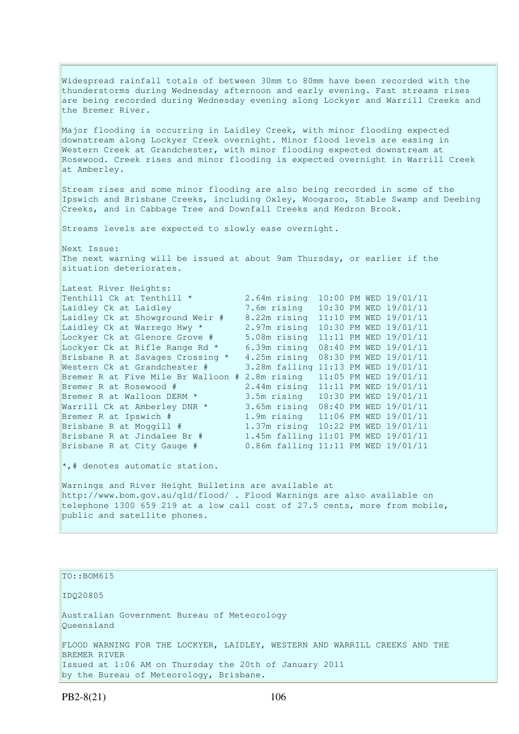Widespread rainfall totals of between 30mm to 80mm have been recorded with the thunderstorms during Wednesday afternoon and early evening. Fast streams rises are being recorded during Wednesday evening along Lockyer and Warrill Creeks and the Bremer River. Major flooding is occurring in Laidley Creek, with minor flooding expected downstream along Lockyer Creek overnight. Minor flood levels are easing in Western Creek at Grandchester, with minor flooding expected downstream at Rosewood. Creek rises and minor flooding is expected overnight in Warrill Creek at Amberley. Stream rises and some minor flooding are also being recorded in some of the Ipswich and Brisbane Creeks, including Oxley, Woogaroo, Stable Swamp and Deebing Creeks, and in Cabbage Tree and Downfall Creeks and Kedron Brook. Streams levels are expected to slowly ease overnight. Next Issue: The next warning will be issued at about 9am Thursday, or earlier if the situation deteriorates. Latest River Heights: Tenthill Ck at Tenthill \* 2.64m rising 10:00 PM WED 19/01/11 Laidley Ck at Laidley 7.6m rising 10:30 PM WED 19/01/11 Laidley Ck at Showground Weir # 8.22m rising 11:10 PM WED 19/01/11 Laidley Ck at Warrego Hwy \* 2.97m rising 10:30 PM WED 19/01/11 Lockyer Ck at Glenore Grove # 5.08m rising 11:11 PM WED 19/01/11 Lockyer Ck at Rifle Range Rd \* 6.39m rising 08:40 PM WED 19/01/11 Brisbane R at Savages Crossing \* 4.25m rising 08:30 PM WED 19/01/11 Western Ck at Grandchester # 3.28m falling 11:13 PM WED 19/01/11 Bremer R at Five Mile Br Walloon # 2.8m rising 11:05 PM WED 19/01/11 Bremer R at Rosewood # 2.44m rising 11:11 PM WED 19/01/11 Bremer R at Walloon DERM \* 3.5m rising 10:30 PM WED 19/01/11 Warrill Ck at Amberley DNR \* 3.65m rising 08:40 PM WED 19/01/11 Bremer R at Ipswich # 1.9m rising 11:06 PM WED 19/01/11 Brisbane R at Moggill # 1.37m rising 10:22 PM WED 19/01/11 Brisbane R at Jindalee Br # 1.45m falling 11:01 PM WED 19/01/11 Brisbane R at City Gauge # 0.86m falling 11:11 PM WED 19/01/11  $\star$ ,# denotes automatic station. Warnings and River Height Bulletins are available at http://www.bom.gov.au/qld/flood/ . Flood Warnings are also available on telephone 1300 659 219 at a low call cost of 27.5 cents, more from mobile, public and satellite phones.

TO::BOM615 IDQ20805 Australian Government Bureau of Meteorology Queensland FLOOD WARNING FOR THE LOCKYER, LAIDLEY, WESTERN AND WARRILL CREEKS AND THE BREMER RIVER Issued at 1:06 AM on Thursday the 20th of January 2011 by the Bureau of Meteorology, Brisbane.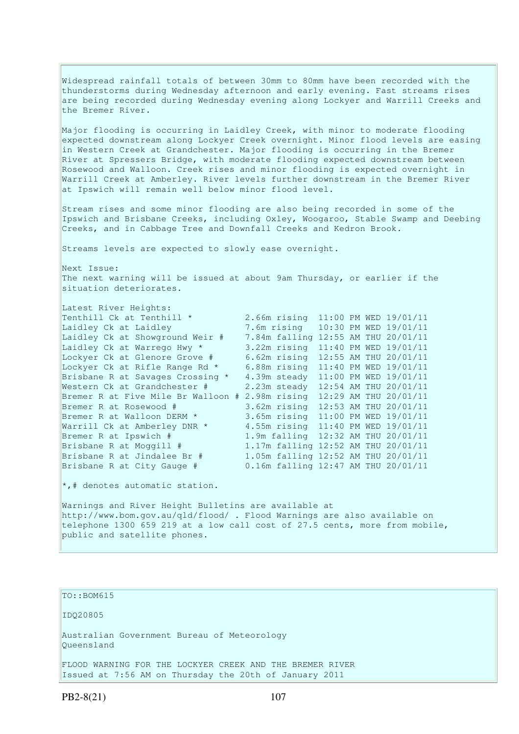Widespread rainfall totals of between 30mm to 80mm have been recorded with the thunderstorms during Wednesday afternoon and early evening. Fast streams rises are being recorded during Wednesday evening along Lockyer and Warrill Creeks and the Bremer River. Major flooding is occurring in Laidley Creek, with minor to moderate flooding expected downstream along Lockyer Creek overnight. Minor flood levels are easing in Western Creek at Grandchester. Major flooding is occurring in the Bremer River at Spressers Bridge, with moderate flooding expected downstream between Rosewood and Walloon. Creek rises and minor flooding is expected overnight in Warrill Creek at Amberley. River levels further downstream in the Bremer River at Ipswich will remain well below minor flood level. Stream rises and some minor flooding are also being recorded in some of the Ipswich and Brisbane Creeks, including Oxley, Woogaroo, Stable Swamp and Deebing Creeks, and in Cabbage Tree and Downfall Creeks and Kedron Brook. Streams levels are expected to slowly ease overnight. Next Issue: The next warning will be issued at about 9am Thursday, or earlier if the situation deteriorates. Latest River Heights: Tenthill Ck at Tenthill \* 2.66m rising 11:00 PM WED 19/01/11 Laidley Ck at Laidley 7.6m rising 10:30 PM WED 19/01/11 Laidley Ck at Showground Weir # 7.84m falling 12:55 AM THU 20/01/11 Laidley Ck at Warrego Hwy \* 3.22m rising 11:40 PM WED 19/01/11 Lockyer Ck at Glenore Grove # 6.62m rising 12:55 AM THU 20/01/11 Lockyer Ck at Rifle Range Rd \* 6.88m rising 11:40 PM WED 19/01/11 Brisbane R at Savages Crossing \* 4.39m steady 11:00 PM WED 19/01/11 Western Ck at Grandchester # 2.23m steady 12:54 AM THU 20/01/11 Bremer R at Five Mile Br Walloon # 2.98m rising 12:29 AM THU 20/01/11 Bremer R at Rosewood # 3.62m rising 12:53 AM THU 20/01/11 Bremer R at Walloon DERM \* 3.65m rising 11:00 PM WED 19/01/11 Bremer R at Walloon DERM \* 3.65m rising 11:00 PM WED 19/01/11<br>Warrill Ck at Amberley DNR \* 4.55m rising 11:40 PM WED 19/01/11 Bremer R at Ipswich # 1.9m falling 12:32 AM THU 20/01/11 Brisbane R at Moggill # 1.17m falling 12:52 AM THU 20/01/11 Brisbane R at Jindalee Br # 1.05m falling 12:52 AM THU 20/01/11 Brisbane R at City Gauge # 0.16m falling 12:47 AM THU 20/01/11  $\star$ ,# denotes automatic station. Warnings and River Height Bulletins are available at http://www.bom.gov.au/qld/flood/ . Flood Warnings are also available on telephone 1300 659 219 at a low call cost of 27.5 cents, more from mobile, public and satellite phones.

## TO::BOM615

IDQ20805

Australian Government Bureau of Meteorology Queensland

FLOOD WARNING FOR THE LOCKYER CREEK AND THE BREMER RIVER Issued at 7:56 AM on Thursday the 20th of January 2011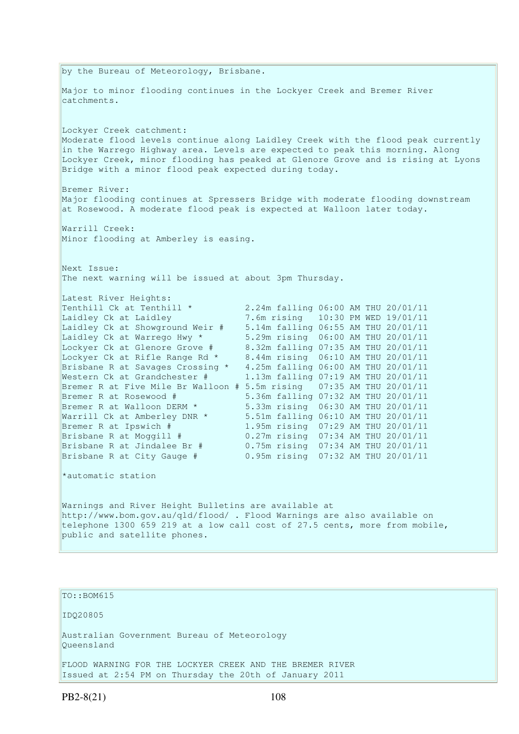by the Bureau of Meteorology, Brisbane. Major to minor flooding continues in the Lockyer Creek and Bremer River catchments. Lockyer Creek catchment: Moderate flood levels continue along Laidley Creek with the flood peak currently in the Warrego Highway area. Levels are expected to peak this morning. Along Lockyer Creek, minor flooding has peaked at Glenore Grove and is rising at Lyons Bridge with a minor flood peak expected during today. Bremer River: Major flooding continues at Spressers Bridge with moderate flooding downstream at Rosewood. A moderate flood peak is expected at Walloon later today. Warrill Creek: Minor flooding at Amberley is easing. Next Issue: The next warning will be issued at about 3pm Thursday. Latest River Heights: Tenthill Ck at Tenthill \* 2.24m falling 06:00 AM THU 20/01/11 Laidley Ck at Laidley 7.6m rising 10:30 PM WED 19/01/11 Laidley Ck at Showground Weir # 5.14m falling 06:55 AM THU 20/01/11 Laidley Ck at Warrego Hwy \* 5.29m rising 06:00 AM THU 20/01/11 Lockyer Ck at Glenore Grove # 8.32m falling 07:35 AM THU 20/01/11 Lockyer Ck at Rifle Range Rd \* 8.44m rising 06:10 AM THU 20/01/11 Brisbane R at Savages Crossing \* 4.25m falling 06:00 AM THU 20/01/11 Western Ck at Grandchester # 1.13m falling 07:19 AM THU 20/01/11 Bremer R at Five Mile Br Walloon # 5.5m rising 07:35 AM THU 20/01/11 Bremer R at Rosewood # 5.36m falling 07:32 AM THU 20/01/11 Bremer R at Walloon DERM \* 5.33m rising 06:30 AM THU 20/01/11 Warrill Ck at Amberley DNR \* 5.51m falling 06:10 AM THU 20/01/11 Bremer R at Ipswich # 1.95m rising 07:29 AM THU 20/01/11 Brisbane R at Moggill # 0.27m rising 07:34 AM THU 20/01/11 Brisbane R at Jindalee Br # 0.75m rising 07:34 AM THU 20/01/11 Brisbane R at City Gauge # 0.95m rising 07:32 AM THU 20/01/11 \*automatic station Warnings and River Height Bulletins are available at http://www.bom.gov.au/qld/flood/ . Flood Warnings are also available on telephone 1300 659 219 at a low call cost of 27.5 cents, more from mobile, public and satellite phones.

# TO::BOM615

IDQ20805

Australian Government Bureau of Meteorology Queensland

FLOOD WARNING FOR THE LOCKYER CREEK AND THE BREMER RIVER Issued at 2:54 PM on Thursday the 20th of January 2011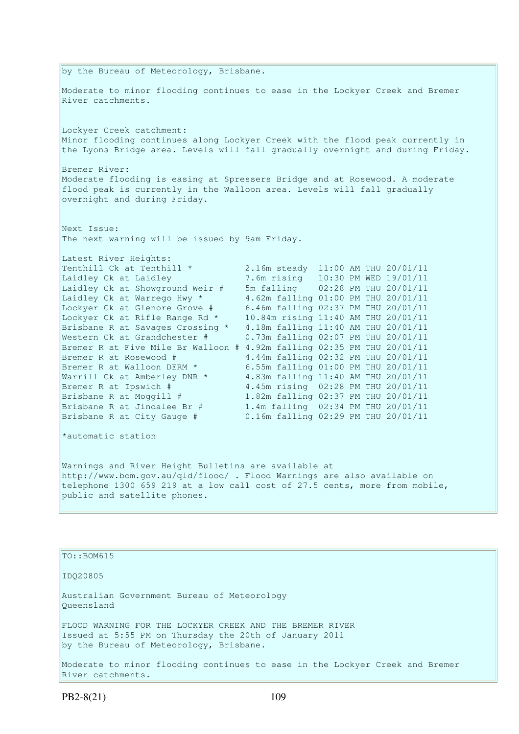by the Bureau of Meteorology, Brisbane. Moderate to minor flooding continues to ease in the Lockyer Creek and Bremer River catchments. Lockyer Creek catchment: Minor flooding continues along Lockyer Creek with the flood peak currently in the Lyons Bridge area. Levels will fall gradually overnight and during Friday. Bremer River: Moderate flooding is easing at Spressers Bridge and at Rosewood. A moderate flood peak is currently in the Walloon area. Levels will fall gradually overnight and during Friday. Next Issue: The next warning will be issued by 9am Friday. Latest River Heights: Tenthill Ck at Tenthill \* 2.16m steady 11:00 AM THU 20/01/11 Laidley Ck at Lentential Company of the Tender of Tender of Tender 10:30 PM WED 19/01/11<br>Taidley Ck at Showground Weir # 5m falling 02:28 PM THU 20/01/11 Laidley Ck at Showground Weir # 5m falling 02:28 PM THU 20/01/11 Laidley Ck at Warrego Hwy \* 4.62m falling 01:00 PM THU 20/01/11 Lockyer Ck at Glenore Grove # 6.46m falling 02:37 PM THU 20/01/11 Lockyer Ck at Rifle Range Rd \* 10.84m rising 11:40 AM THU 20/01/11 Brisbane R at Savages Crossing \* 4.18m falling 11:40 AM THU 20/01/11 Western Ck at Grandchester # 0.73m falling 02:07 PM THU 20/01/11 Bremer R at Five Mile Br Walloon # 4.92m falling 02:35 PM THU 20/01/11 Bremer R at Rosewood # 4.44m falling 02:32 PM THU 20/01/11 Bremer R at Walloon DERM \* 6.55m falling 01:00 PM THU 20/01/11 Warrill Ck at Amberley DNR \* 4.83m falling 11:40 AM THU 20/01/11 Bremer R at Ipswich # 4.45m rising 02:28 PM THU 20/01/11 Brisbane R at Moggill # 1.82m falling 02:37 PM THU 20/01/11 Brisbane R at Jindalee Br # 1.4m falling 02:34 PM THU 20/01/11 Brisbane R at City Gauge # 0.16m falling 02:29 PM THU 20/01/11 \*automatic station Warnings and River Height Bulletins are available at http://www.bom.gov.au/qld/flood/ . Flood Warnings are also available on telephone 1300 659 219 at a low call cost of 27.5 cents, more from mobile, public and satellite phones.

TO::BOM615

IDQ20805

Australian Government Bureau of Meteorology Queensland

FLOOD WARNING FOR THE LOCKYER CREEK AND THE BREMER RIVER Issued at 5:55 PM on Thursday the 20th of January 2011 by the Bureau of Meteorology, Brisbane.

Moderate to minor flooding continues to ease in the Lockyer Creek and Bremer River catchments.

PB2-8(21) 109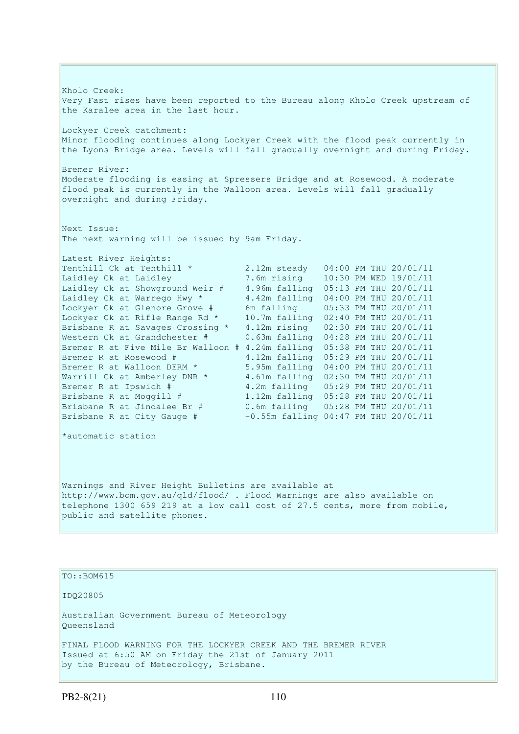Kholo Creek: Very Fast rises have been reported to the Bureau along Kholo Creek upstream of the Karalee area in the last hour. Lockyer Creek catchment: Minor flooding continues along Lockyer Creek with the flood peak currently in the Lyons Bridge area. Levels will fall gradually overnight and during Friday. Bremer River: Moderate flooding is easing at Spressers Bridge and at Rosewood. A moderate flood peak is currently in the Walloon area. Levels will fall gradually overnight and during Friday. Next Issue: The next warning will be issued by 9am Friday. Latest River Heights: Tenthill Ck at Tenthill \* 2.12m steady 04:00 PM THU 20/01/11 Laidley Ck at Laidley 7.6m rising 10:30 PM WED 19/01/11 Laidley Ck at Showground Weir # 4.96m falling 05:13 PM THU 20/01/11 Laidley Ck at Warrego Hwy \* 4.42m falling 04:00 PM THU 20/01/11 Lockyer Ck at Glenore Grove # 6m falling 05:33 PM THU 20/01/11 Lockyer Ck at Rifle Range Rd \* 10.7m falling 02:40 PM THU 20/01/11 Brisbane R at Savages Crossing \* 4.12m rising 02:30 PM THU 20/01/11 Western Ck at Grandchester # 0.63m falling 04:28 PM THU 20/01/11 Bremer R at Five Mile Br Walloon # 4.24m falling 05:38 PM THU 20/01/11 Bremer R at Rosewood # 4.12m falling 05:29 PM THU 20/01/11 Bremer R at Walloon DERM \* 5.95m falling 04:00 PM THU 20/01/11 Warrill Ck at Amberley DNR \* 4.61m falling 02:30 PM THU 20/01/11 Bremer R at Ipswich # 4.2m falling 05:29 PM THU 20/01/11 Brisbane R at Moggill # 1.12m falling 05:28 PM THU 20/01/11 Brisbane R at Jindalee Br # 0.6m falling 05:28 PM THU 20/01/11 Brisbane R at City Gauge  $#$   $-0.55$ m falling 04:47 PM THU 20/01/11 \*automatic station Warnings and River Height Bulletins are available at http://www.bom.gov.au/qld/flood/ . Flood Warnings are also available on telephone 1300 659 219 at a low call cost of 27.5 cents, more from mobile, public and satellite phones.

TO::BOM615 IDQ20805 Australian Government Bureau of Meteorology Queensland FINAL FLOOD WARNING FOR THE LOCKYER CREEK AND THE BREMER RIVER Issued at 6:50 AM on Friday the 21st of January 2011 by the Bureau of Meteorology, Brisbane.